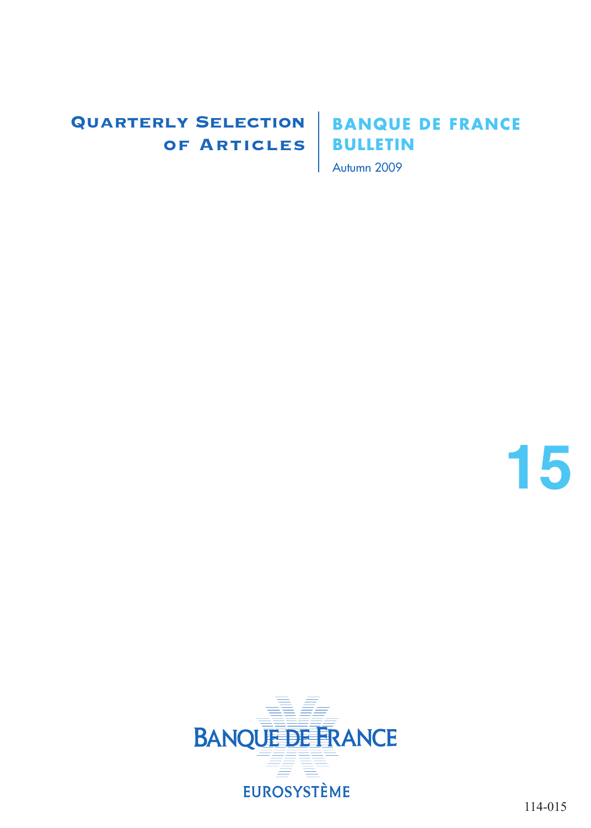## Quarterly Selection of Articles

## **BANQUE DE FRANCE BULLETIN**

Autumn 2009

**15**

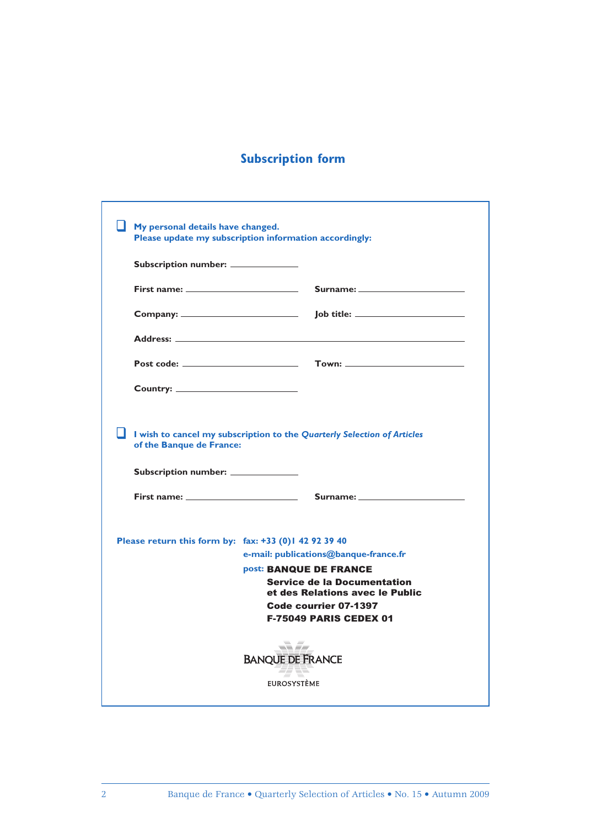### **Subscription form**

| My personal details have changed.                                                                                                                                                                                                                                                         | Please update my subscription information accordingly:                                                                                                                                             |
|-------------------------------------------------------------------------------------------------------------------------------------------------------------------------------------------------------------------------------------------------------------------------------------------|----------------------------------------------------------------------------------------------------------------------------------------------------------------------------------------------------|
| Subscription number: _____________                                                                                                                                                                                                                                                        |                                                                                                                                                                                                    |
| First name: $\frac{1}{2}$ and $\frac{1}{2}$ and $\frac{1}{2}$ and $\frac{1}{2}$ and $\frac{1}{2}$ and $\frac{1}{2}$ and $\frac{1}{2}$ and $\frac{1}{2}$ and $\frac{1}{2}$ and $\frac{1}{2}$ and $\frac{1}{2}$ and $\frac{1}{2}$ and $\frac{1}{2}$ and $\frac{1}{2}$ and $\frac{1}{2}$ and | Surname: <u>_______________________</u>                                                                                                                                                            |
|                                                                                                                                                                                                                                                                                           |                                                                                                                                                                                                    |
| Address: No. 1996. The Contract of the Contract of the Contract of the Contract of the Contract of the Contract of the Contract of the Contract of the Contract of the Contract of the Contract of the Contract of the Contrac                                                            |                                                                                                                                                                                                    |
|                                                                                                                                                                                                                                                                                           |                                                                                                                                                                                                    |
|                                                                                                                                                                                                                                                                                           |                                                                                                                                                                                                    |
| of the Banque de France:<br>Subscription number: _____________                                                                                                                                                                                                                            | I wish to cancel my subscription to the Quarterly Selection of Articles                                                                                                                            |
|                                                                                                                                                                                                                                                                                           | First name: $\qquad \qquad \qquad \qquad \qquad$ Surname: $\qquad \qquad$                                                                                                                          |
| Please return this form by: fax: +33 (0) 1 42 92 39 40                                                                                                                                                                                                                                    | e-mail: publications@banque-france.fr<br>post: BANQUE DE FRANCE<br><b>Service de la Documentation</b><br>et des Relations avec le Public<br>Code courrier 07-1397<br><b>F-75049 PARIS CEDEX 01</b> |
|                                                                                                                                                                                                                                                                                           | al Sa<br><b>BANQUE DE FRANCE</b><br><b>EUROSYSTÈME</b>                                                                                                                                             |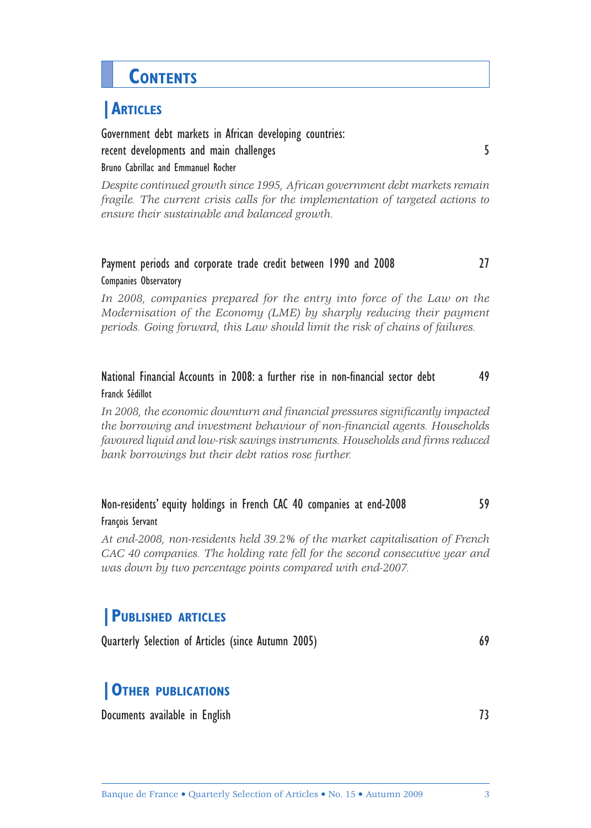# **CONTENTS**

## **|ARTICLES**

Government debt markets in African developing countries: recent developments and main challenges **5** 

Bruno Cabrillac and Emmanuel Rocher

*Despite continued growth since 1995, African government debt markets remain fragile. The current crisis calls for the implementation of targeted actions to ensure their sustainable and balanced growth.*

### Payment periods and corporate trade credit between 1990 and 2008 27 Companies Observatory

In 2008, companies prepared for the entry into force of the Law on the *Modernisation of the Economy (LME) by sharply reducing their payment periods. Going forward, this Law should limit the risk of chains of failures.* 

### National Financial Accounts in 2008: a further rise in non-financial sector debt 49 Franck Sédillot

In 2008, the economic downturn and financial pressures significantly impacted the borrowing and investment behaviour of non-financial agents. Households *favoured liquid and low-risk savings instruments. Households and fi rms reduced bank borrowings but their debt ratios rose further.*

### Non-residents' equity holdings in French CAC 40 companies at end-2008 59 François Servant

*At end-2008, non-residents held 39.2% of the market capitalisation of French CAC 40 companies. The holding rate fell for the second consecutive year and was down by two percentage points compared with end-2007.*

### **|PUBLISHED ARTICLES**

Quarterly Selection of Articles (since Autumn 2005) 69

### **|OTHER PUBLICATIONS**

Documents available in English 73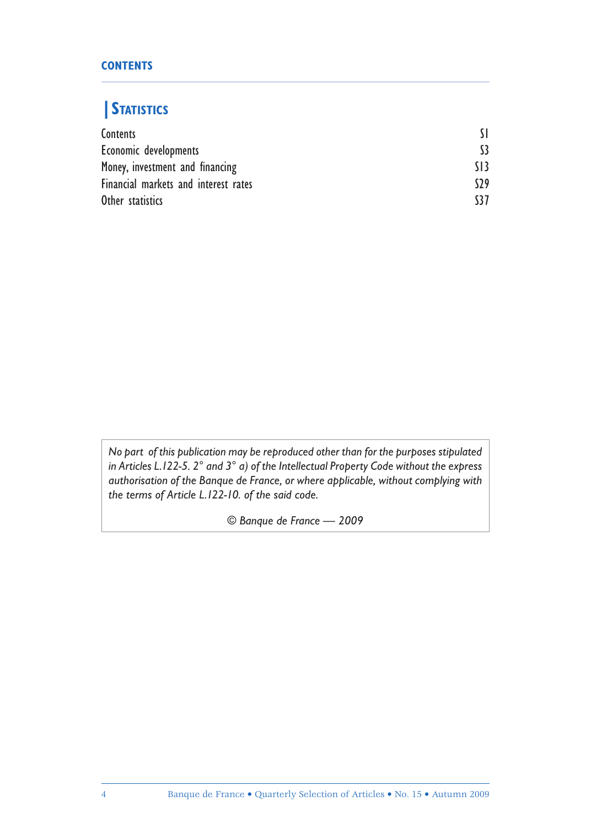### **CONTENTS**

## **|STATISTICS**

| Contents                             |                 |
|--------------------------------------|-----------------|
| Economic developments                | \$3             |
| Money, investment and financing      | $\overline{13}$ |
| Financial markets and interest rates | 529             |
| Other statistics                     | 137             |

*No part of this publication may be reproduced other than for the purposes stipulated in Articles L.122-5. 2° and 3° a) of the Intellectual Property Code without the express authorisation of the Banque de France, or where applicable, without complying with the terms of Article L.122-10. of the said code.*

*© Banque de France — 2009*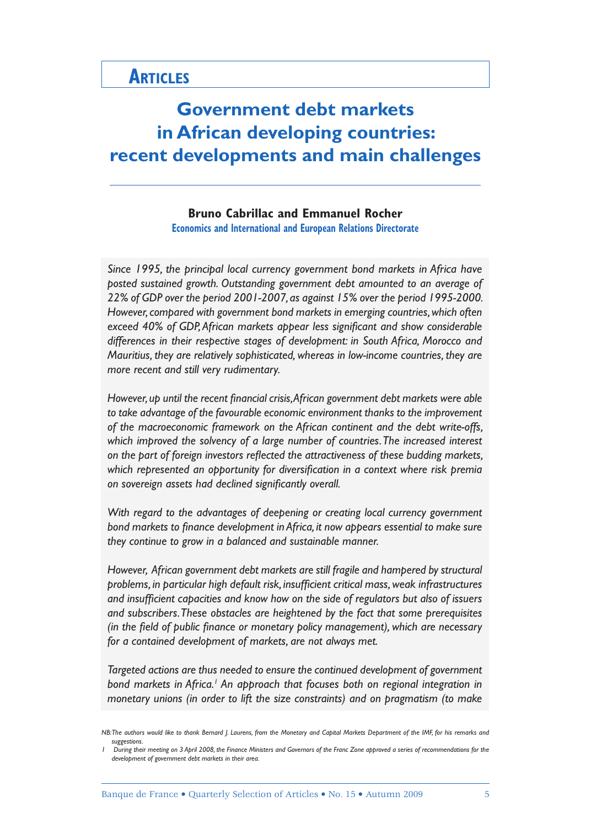## **ARTICLES**

## **Government debt markets in African developing countries: recent developments and main challenges**

**Bruno Cabrillac and Emmanuel Rocher Economics and International and European Relations Directorate**

*Since 1995, the principal local currency government bond markets in Africa have posted sustained growth. Outstanding government debt amounted to an average of 22% of GDP over the period 2001-2007, as against 15% over the period 1995-2000. However, compared with government bond markets in emerging countries, which often*  exceed 40% of GDP, African markets appear less significant and show considerable *differences in their respective stages of development: in South Africa, Morocco and Mauritius, they are relatively sophisticated, whereas in low-income countries, they are more recent and still very rudimentary.*

However, up until the recent financial crisis, African government debt markets were able *to take advantage of the favourable economic environment thanks to the improvement of the macroeconomic framework on the African continent and the debt write-offs, which improved the solvency of a large number of countries. The increased interest*  on the part of foreign investors reflected the attractiveness of these budding markets, which represented an opportunity for diversification in a context where risk premia on sovereign assets had declined significantly overall.

*With regard to the advantages of deepening or creating local currency government*  bond markets to finance development in Africa, it now appears essential to make sure *they continue to grow in a balanced and sustainable manner.*

*However, African government debt markets are still fragile and hampered by structural*  problems, in particular high default risk, insufficient critical mass, weak infrastructures and insufficient capacities and know how on the side of regulators but also of issuers *and subscribers. These obstacles are heightened by the fact that some prerequisites (in the field of public finance or monetary policy management), which are necessary for a contained development of markets, are not always met.*

*Targeted actions are thus needed to ensure the continued development of government*  bond markets in Africa.<sup>1</sup> An approach that focuses both on regional integration in *monetary unions (in order to lift the size constraints) and on pragmatism (to make* 

*NB: The authors would like to thank Bernard J. Laurens, from the Monetary and Capital Markets Department of the IMF, for his remarks and suggestions.* 

*<sup>1</sup> During their meeting on 3 April 2008, the Finance Ministers and Governors of the Franc Zone approved a series of recommendations for the development of government debt markets in their area.*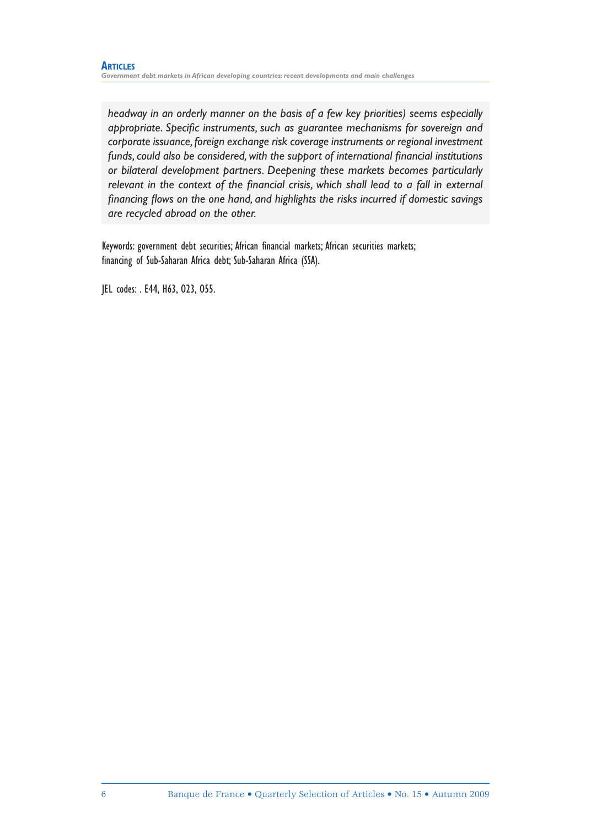*headway in an orderly manner on the basis of a few key priorities) seems especially appropriate. Specific instruments, such as guarantee mechanisms for sovereign and corporate issuance, foreign exchange risk coverage instruments or regional investment*  funds, could also be considered, with the support of international financial institutions *or bilateral development partners. Deepening these markets becomes particularly*  relevant in the context of the financial crisis, which shall lead to a fall in external financing flows on the one hand, and highlights the risks incurred if domestic savings *are recycled abroad on the other.* 

Keywords: government debt securities; African financial markets; African securities markets; financing of Sub-Saharan Africa debt; Sub-Saharan Africa (SSA).

JEL codes: . E44, H63, O23, O55.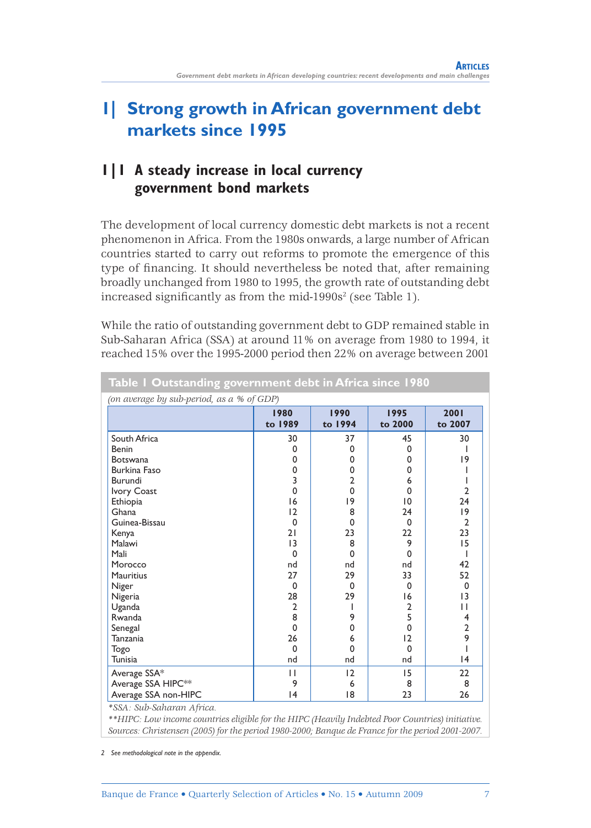## **1| Strong growth in African government debt markets since 1995**

### **1|1 A steady increase in local currency government bond markets**

The development of local currency domestic debt markets is not a recent phenomenon in Africa. From the 1980s onwards, a large number of African countries started to carry out reforms to promote the emergence of this type of financing. It should nevertheless be noted that, after remaining broadly unchanged from 1980 to 1995, the growth rate of outstanding debt increased significantly as from the mid-1990s $^2$  (see Table 1).

While the ratio of outstanding government debt to GDP remained stable in Sub-Saharan Africa (SSA) at around 11% on average from 1980 to 1994, it reached 15% over the 1995-2000 period then 22% on average between 2001

| Table I Outstanding government debt in Africa since 1980 |                 |                 |                 |                 |
|----------------------------------------------------------|-----------------|-----------------|-----------------|-----------------|
| (on average by sub-period, as a % of GDP)                |                 |                 |                 |                 |
|                                                          | 1980<br>to 1989 | 1990<br>to 1994 | 1995<br>to 2000 | 2001<br>to 2007 |
| South Africa                                             | 30              | 37              | 45              | 30              |
| Benin                                                    | 0               | $\Omega$        | $\Omega$        |                 |
| <b>Botswana</b>                                          | 0               | $\Omega$        | $\Omega$        | 19              |
| Burkina Faso                                             | 0               | 0               | 0               |                 |
| Burundi                                                  | 3               | $\overline{2}$  | 6               |                 |
| <b>Ivory Coast</b>                                       | 0               | $\mathbf 0$     | 0               | 2               |
| Ethiopia                                                 | 16              | 19              | 10              | 24              |
| Ghana                                                    | 12              | 8               | 24              | 19              |
| Guinea-Bissau                                            | $\mathbf 0$     | $\mathbf 0$     | $\mathbf 0$     | $\overline{2}$  |
| Kenya                                                    | 21              | 23              | 22              | 23              |
| Malawi                                                   | 13              | 8               | 9               | 15              |
| Mali                                                     | 0               | $\mathbf 0$     | 0               |                 |
| Morocco                                                  | nd              | nd              | nd              | 42              |
| <b>Mauritius</b>                                         | 27              | 29              | 33              | 52              |
| Niger                                                    | 0               | $\mathbf 0$     | $\Omega$        | $\Omega$        |
| Nigeria                                                  | 28              | 29              | 16              | 13              |
| Uganda                                                   | $\overline{2}$  | ı               | $\overline{2}$  | П               |
| Rwanda                                                   | 8               | 9               | 5               | 4               |
| Senegal                                                  | $\Omega$        | $\mathbf 0$     | $\Omega$        | $\overline{2}$  |
| Tanzania                                                 | 26              | 6               | 12              | 9               |
| Togo                                                     | $\Omega$        | $\Omega$        | $\Omega$        |                 |
| Tunisia                                                  | nd              | nd              | nd              | 4               |
| Average SSA*                                             | П               | 12              | 15              | 22              |
| Average SSA HIPC <sup>**</sup>                           | 9               | 6               | 8               | 8               |
| Average SSA non-HIPC                                     | 4               | 18              | 23              | 26              |
| *SSA: Sub-Saharan Africa.                                |                 |                 |                 |                 |

*\*\*HIPC: Low income countries eligible for the HIPC (Heavily Indebted Poor Countries) initiative. Sources: Christensen (2005) for the period 1980-2000; Banque de France for the period 2001-2007.*

*2 See methodological note in the appendix.*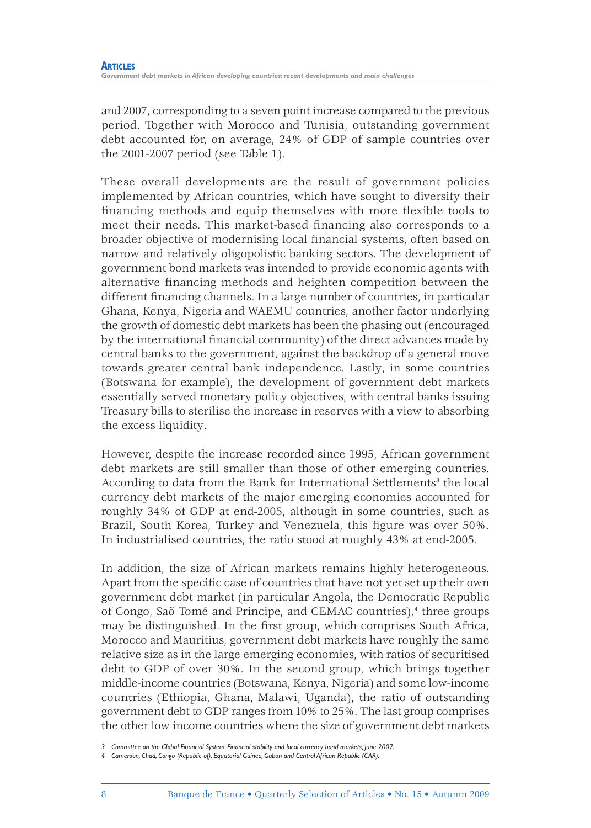and 2007, corresponding to a seven point increase compared to the previous period. Together with Morocco and Tunisia, outstanding government debt accounted for, on average, 24% of GDP of sample countries over the 2001-2007 period (see Table 1).

These overall developments are the result of government policies implemented by African countries, which have sought to diversify their financing methods and equip themselves with more flexible tools to meet their needs. This market-based financing also corresponds to a broader objective of modernising local financial systems, often based on narrow and relatively oligopolistic banking sectors. The development of government bond markets was intended to provide economic agents with alternative financing methods and heighten competition between the different financing channels. In a large number of countries, in particular Ghana, Kenya, Nigeria and WAEMU countries, another factor underlying the growth of domestic debt markets has been the phasing out (encouraged by the international financial community) of the direct advances made by central banks to the government, against the backdrop of a general move towards greater central bank independence. Lastly, in some countries (Botswana for example), the development of government debt markets essentially served monetary policy objectives, with central banks issuing Treasury bills to sterilise the increase in reserves with a view to absorbing the excess liquidity.

However, despite the increase recorded since 1995, African government debt markets are still smaller than those of other emerging countries. According to data from the Bank for International Settlements<sup>3</sup> the local currency debt markets of the major emerging economies accounted for roughly 34% of GDP at end-2005, although in some countries, such as Brazil, South Korea, Turkey and Venezuela, this figure was over 50%. In industrialised countries, the ratio stood at roughly 43% at end-2005.

In addition, the size of African markets remains highly heterogeneous. Apart from the specific case of countries that have not yet set up their own government debt market (in particular Angola, the Democratic Republic of Congo, Saõ Tomé and Principe, and CEMAC countries),<sup>4</sup> three groups may be distinguished. In the first group, which comprises South Africa, Morocco and Mauritius, government debt markets have roughly the same relative size as in the large emerging economies, with ratios of securitised debt to GDP of over 30%. In the second group, which brings together middle-income countries (Botswana, Kenya, Nigeria) and some low-income countries (Ethiopia, Ghana, Malawi, Uganda), the ratio of outstanding government debt to GDP ranges from 10% to 25%. The last group comprises the other low income countries where the size of government debt markets

*<sup>3</sup> Committee on the Global Financial System, Financial stability and local currency bond markets, June 2007.*

*<sup>4</sup> Cameroon, Chad, Congo (Republic of), Equatorial Guinea, Gabon and Central African Republic (CAR).*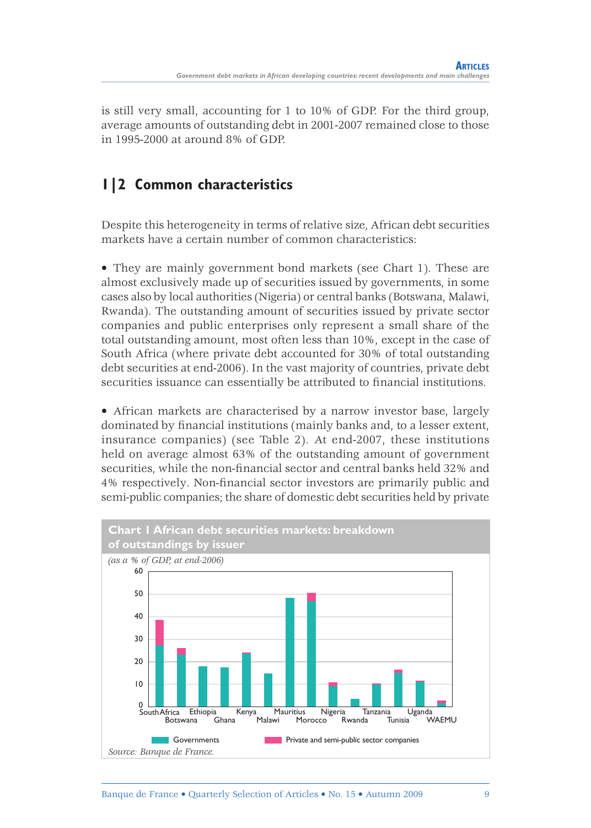is still very small, accounting for 1 to 10% of GDP. For the third group, average amounts of outstanding debt in 2001-2007 remained close to those in 1995-2000 at around 8% of GDP.

## **1|2 Common characteristics**

Despite this heterogeneity in terms of relative size, African debt securities markets have a certain number of common characteristics:

• They are mainly government bond markets (see Chart 1). These are almost exclusively made up of securities issued by governments, in some cases also by local authorities (Nigeria) or central banks (Botswana, Malawi, Rwanda). The outstanding amount of securities issued by private sector companies and public enterprises only represent a small share of the total outstanding amount, most often less than 10%, except in the case of South Africa (where private debt accounted for 30% of total outstanding debt securities at end-2006). In the vast majority of countries, private debt securities issuance can essentially be attributed to financial institutions.

• African markets are characterised by a narrow investor base, largely dominated by financial institutions (mainly banks and, to a lesser extent, insurance companies) (see Table 2). At end-2007, these institutions held on average almost 63% of the outstanding amount of government securities, while the non-financial sector and central banks held 32% and 4% respectively. Non-financial sector investors are primarily public and semi-public companies; the share of domestic debt securities held by private

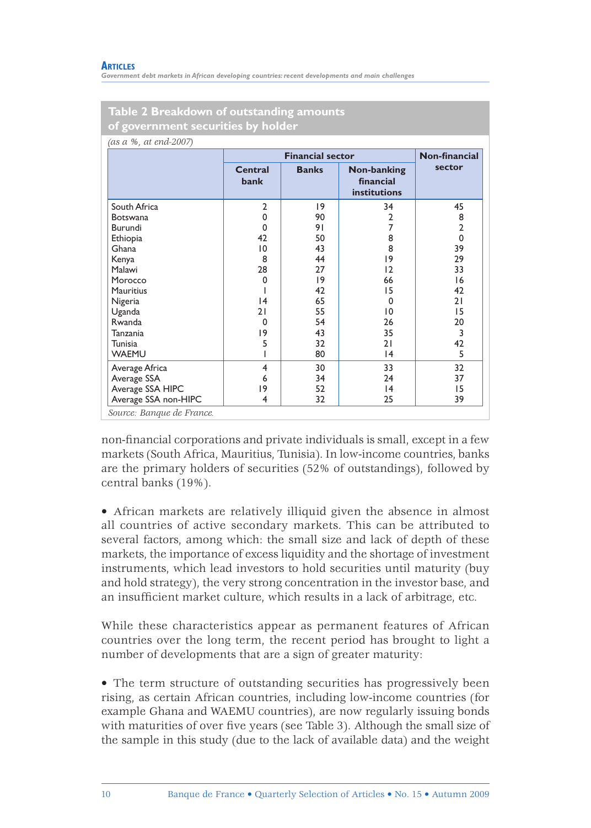*Government debt markets in African developing countries: recent developments and main challenges*

| (as a %, at end-2007) |                 |                         |                                                 |                |  |
|-----------------------|-----------------|-------------------------|-------------------------------------------------|----------------|--|
|                       |                 | <b>Financial sector</b> |                                                 |                |  |
|                       | Central<br>bank | <b>Banks</b>            | Non-banking<br>financial<br><b>institutions</b> | sector         |  |
| South Africa          | $\overline{2}$  | 9                       | 34                                              | 45             |  |
| <b>Botswana</b>       | 0               | 90                      | 2                                               | 8              |  |
| Burundi               | 0               | 91                      | 7                                               | $\overline{2}$ |  |
| Ethiopia              | 42              | 50                      | 8                                               | $\Omega$       |  |
| Ghana                 | 10              | 43                      | 8                                               | 39             |  |
| Kenya                 | 8               | 44                      | 9                                               | 29             |  |
| Malawi                | 28              | 27                      | 12                                              | 33             |  |
| Morocco               | 0               | 9                       | 66                                              | 16             |  |
| <b>Mauritius</b>      |                 | 42                      | 15                                              | 42             |  |
| Nigeria               | 4               | 65                      | $\Omega$                                        | 21             |  |
| Uganda                | 21              | 55                      | 10                                              | 15             |  |
| Rwanda                | 0               | 54                      | 26                                              | 20             |  |
| Tanzania              | 19              | 43                      | 35                                              | 3              |  |
| Tunisia               | 5               | 32                      | 21                                              | 42             |  |
| <b>WAEMU</b>          |                 | 80                      | 4                                               | 5              |  |
| Average Africa        | 4               | 30                      | 33                                              | 32             |  |
| Average SSA           | 6               | 34                      | 24                                              | 37             |  |
| Average SSA HIPC      | 19              | 52                      | 4                                               | 15             |  |
| Average SSA non-HIPC  | 4               | 32                      | 25                                              | 39             |  |

**Table 2 Breakdown of outstanding amounts** 

non-financial corporations and private individuals is small, except in a few markets (South Africa, Mauritius, Tunisia). In low-income countries, banks are the primary holders of securities (52% of outstandings), followed by central banks (19%).

• African markets are relatively illiquid given the absence in almost all countries of active secondary markets. This can be attributed to several factors, among which: the small size and lack of depth of these markets, the importance of excess liquidity and the shortage of investment instruments, which lead investors to hold securities until maturity (buy and hold strategy), the very strong concentration in the investor base, and an insufficient market culture, which results in a lack of arbitrage, etc.

While these characteristics appear as permanent features of African countries over the long term, the recent period has brought to light a number of developments that are a sign of greater maturity:

• The term structure of outstanding securities has progressively been rising, as certain African countries, including low-income countries (for example Ghana and WAEMU countries), are now regularly issuing bonds with maturities of over five years (see Table 3). Although the small size of the sample in this study (due to the lack of available data) and the weight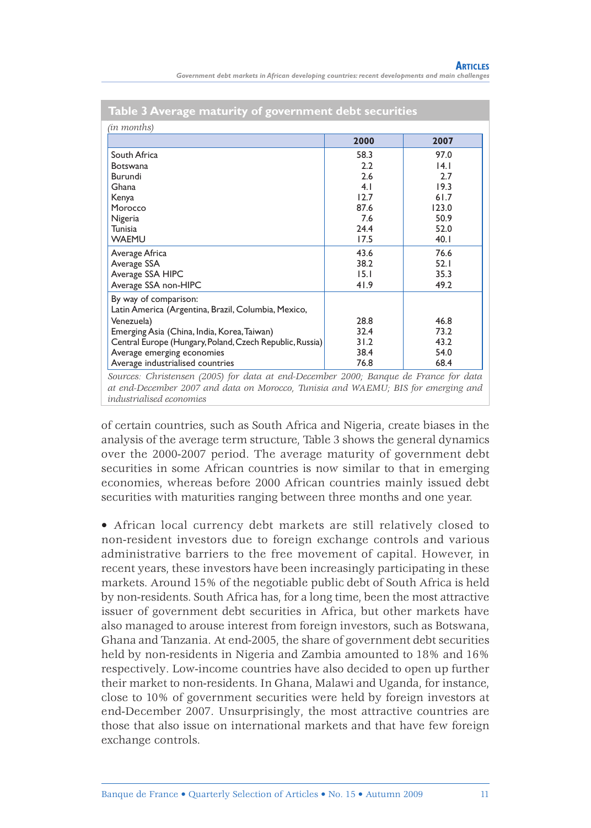| Table 3 Average maturity of government debt securities                               |      |       |
|--------------------------------------------------------------------------------------|------|-------|
| (in months)                                                                          |      |       |
|                                                                                      | 2000 | 2007  |
| South Africa                                                                         | 58.3 | 97.0  |
| <b>Botswana</b>                                                                      | 2.2  | 4.1   |
| Burundi                                                                              | 2.6  | 2.7   |
| Ghana                                                                                | 4.1  | 19.3  |
| Kenya                                                                                | 12.7 | 61.7  |
| Morocco                                                                              | 87.6 | 123.0 |
| Nigeria                                                                              | 7.6  | 50.9  |
| Tunisia                                                                              | 24.4 | 52.0  |
| <b>WAEMU</b>                                                                         | 17.5 | 40.1  |
| Average Africa                                                                       | 43.6 | 76.6  |
| Average SSA                                                                          | 38.2 | 52.1  |
| Average SSA HIPC                                                                     | 15.1 | 35.3  |
| Average SSA non-HIPC                                                                 | 41.9 | 49.2  |
| By way of comparison:                                                                |      |       |
| Latin America (Argentina, Brazil, Columbia, Mexico,                                  |      |       |
| Venezuela)                                                                           | 28.8 | 46.8  |
| Emerging Asia (China, India, Korea, Taiwan)                                          | 32.4 | 73.2  |
| Central Europe (Hungary, Poland, Czech Republic, Russia)                             | 31.2 | 43.2  |
| Average emerging economies                                                           | 38.4 | 54.0  |
| Average industrialised countries                                                     | 76.8 | 68.4  |
| Sources: Christensen (2005) for data at end-December 2000; Banque de France for data |      |       |

*at end-December 2007 and data on Morocco, Tunisia and WAEMU; BIS for emerging and industrialised economies*

of certain countries, such as South Africa and Nigeria, create biases in the analysis of the average term structure, Table 3 shows the general dynamics over the 2000-2007 period. The average maturity of government debt securities in some African countries is now similar to that in emerging economies, whereas before 2000 African countries mainly issued debt securities with maturities ranging between three months and one year.

• African local currency debt markets are still relatively closed to non-resident investors due to foreign exchange controls and various administrative barriers to the free movement of capital. However, in recent years, these investors have been increasingly participating in these markets. Around 15% of the negotiable public debt of South Africa is held by non-residents. South Africa has, for a long time, been the most attractive issuer of government debt securities in Africa, but other markets have also managed to arouse interest from foreign investors, such as Botswana, Ghana and Tanzania. At end-2005, the share of government debt securities held by non-residents in Nigeria and Zambia amounted to 18% and 16% respectively. Low-income countries have also decided to open up further their market to non-residents. In Ghana, Malawi and Uganda, for instance, close to 10% of government securities were held by foreign investors at end-December 2007. Unsurprisingly, the most attractive countries are those that also issue on international markets and that have few foreign exchange controls.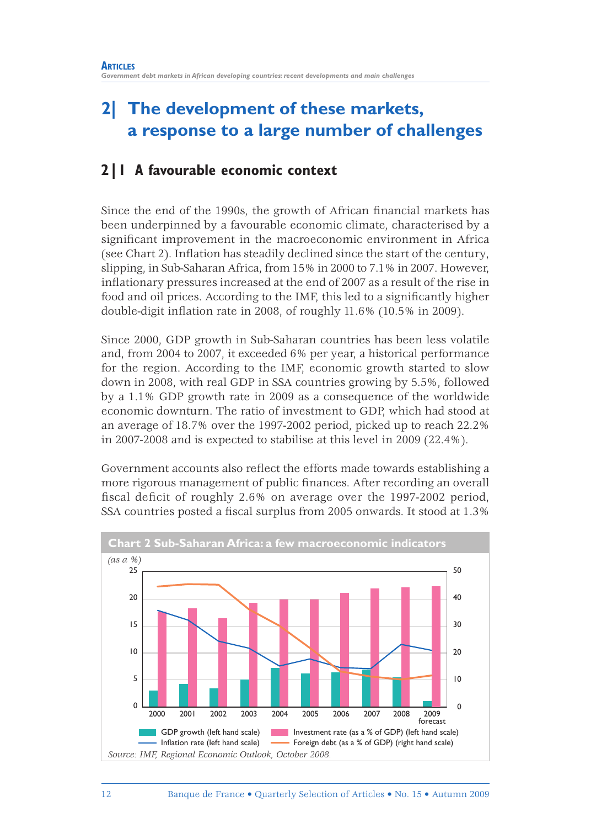## **2| The development of these markets, a response to a large number of challenges**

### **2|1 A favourable economic context**

Since the end of the 1990s, the growth of African financial markets has been underpinned by a favourable economic climate, characterised by a significant improvement in the macroeconomic environment in Africa (see Chart 2). Inflation has steadily declined since the start of the century, slipping, in Sub-Saharan Africa, from 15% in 2000 to 7.1% in 2007. However, inflationary pressures increased at the end of 2007 as a result of the rise in food and oil prices. According to the IMF, this led to a significantly higher double-digit inflation rate in 2008, of roughly 11.6% (10.5% in 2009).

Since 2000, GDP growth in Sub-Saharan countries has been less volatile and, from 2004 to 2007, it exceeded 6% per year, a historical performance for the region. According to the IMF, economic growth started to slow down in 2008, with real GDP in SSA countries growing by 5.5%, followed by a 1.1% GDP growth rate in 2009 as a consequence of the worldwide economic downturn. The ratio of investment to GDP, which had stood at an average of 18.7% over the 1997-2002 period, picked up to reach 22.2% in 2007-2008 and is expected to stabilise at this level in 2009 (22.4%).

Government accounts also reflect the efforts made towards establishing a more rigorous management of public finances. After recording an overall fiscal deficit of roughly  $2.6\%$  on average over the 1997-2002 period, SSA countries posted a fiscal surplus from 2005 onwards. It stood at  $1.3\%$ 

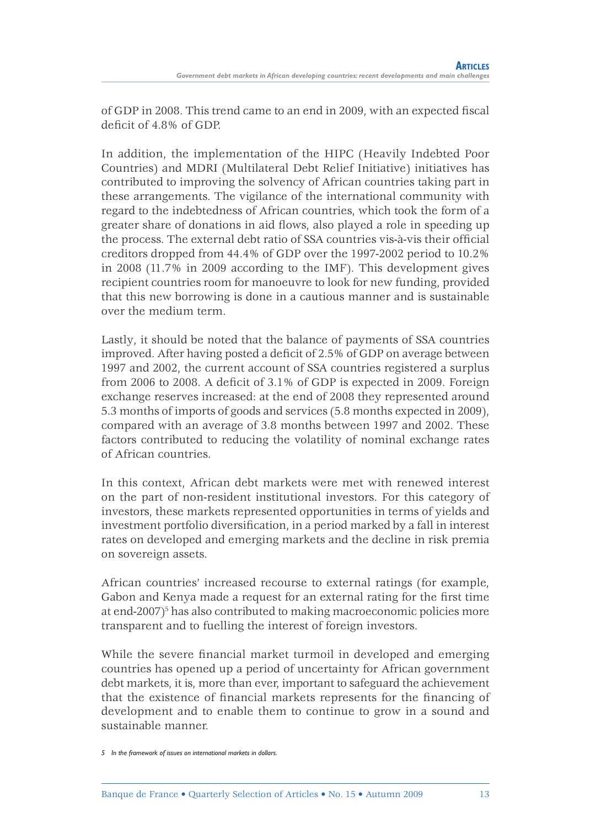of GDP in 2008. This trend came to an end in 2009, with an expected fiscal  $deficit of 4.8% of GDP.$ 

In addition, the implementation of the HIPC (Heavily Indebted Poor Countries) and MDRI (Multilateral Debt Relief Initiative) initiatives has contributed to improving the solvency of African countries taking part in these arrangements. The vigilance of the international community with regard to the indebtedness of African countries, which took the form of a greater share of donations in aid flows, also played a role in speeding up the process. The external debt ratio of SSA countries vis-à-vis their official creditors dropped from 44.4% of GDP over the 1997-2002 period to 10.2% in 2008 (11.7% in 2009 according to the IMF). This development gives recipient countries room for manoeuvre to look for new funding, provided that this new borrowing is done in a cautious manner and is sustainable over the medium term.

Lastly, it should be noted that the balance of payments of SSA countries improved. After having posted a deficit of 2.5% of GDP on average between 1997 and 2002, the current account of SSA countries registered a surplus from 2006 to 2008. A deficit of  $3.1\%$  of GDP is expected in 2009. Foreign exchange reserves increased: at the end of 2008 they represented around 5.3 months of imports of goods and services (5.8 months expected in 2009), compared with an average of 3.8 months between 1997 and 2002. These factors contributed to reducing the volatility of nominal exchange rates of African countries.

In this context, African debt markets were met with renewed interest on the part of non-resident institutional investors. For this category of investors, these markets represented opportunities in terms of yields and investment portfolio diversification, in a period marked by a fall in interest rates on developed and emerging markets and the decline in risk premia on sovereign assets.

African countries' increased recourse to external ratings (for example, Gabon and Kenya made a request for an external rating for the first time at end-2007)<sup>5</sup> has also contributed to making macroeconomic policies more transparent and to fuelling the interest of foreign investors.

While the severe financial market turmoil in developed and emerging countries has opened up a period of uncertainty for African government debt markets, it is, more than ever, important to safeguard the achievement that the existence of financial markets represents for the financing of development and to enable them to continue to grow in a sound and sustainable manner.

*<sup>5</sup> In the framework of issues on international markets in dollars.*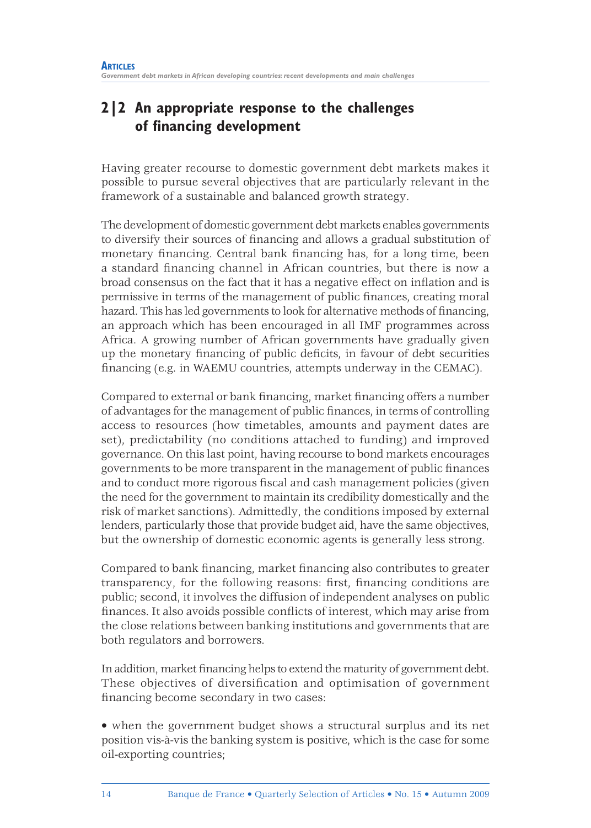### **2|2 An appropriate response to the challenges of financing development**

Having greater recourse to domestic government debt markets makes it possible to pursue several objectives that are particularly relevant in the framework of a sustainable and balanced growth strategy.

The development of domestic government debt markets enables governments to diversify their sources of financing and allows a gradual substitution of monetary financing. Central bank financing has, for a long time, been a standard financing channel in African countries, but there is now a broad consensus on the fact that it has a negative effect on inflation and is permissive in terms of the management of public finances, creating moral hazard. This has led governments to look for alternative methods of financing, an approach which has been encouraged in all IMF programmes across Africa. A growing number of African governments have gradually given up the monetary financing of public deficits, in favour of debt securities financing (e.g. in WAEMU countries, attempts underway in the CEMAC).

Compared to external or bank financing, market financing offers a number of advantages for the management of public finances, in terms of controlling access to resources (how timetables, amounts and payment dates are set), predictability (no conditions attached to funding) and improved governance. On this last point, having recourse to bond markets encourages governments to be more transparent in the management of public finances and to conduct more rigorous fiscal and cash management policies (given the need for the government to maintain its credibility domestically and the risk of market sanctions). Admittedly, the conditions imposed by external lenders, particularly those that provide budget aid, have the same objectives, but the ownership of domestic economic agents is generally less strong.

Compared to bank financing, market financing also contributes to greater transparency, for the following reasons: first, financing conditions are public; second, it involves the diffusion of independent analyses on public finances. It also avoids possible conflicts of interest, which may arise from the close relations between banking institutions and governments that are both regulators and borrowers.

In addition, market financing helps to extend the maturity of government debt. These objectives of diversification and optimisation of government financing become secondary in two cases:

• when the government budget shows a structural surplus and its net position vis-à-vis the banking system is positive, which is the case for some oil-exporting countries;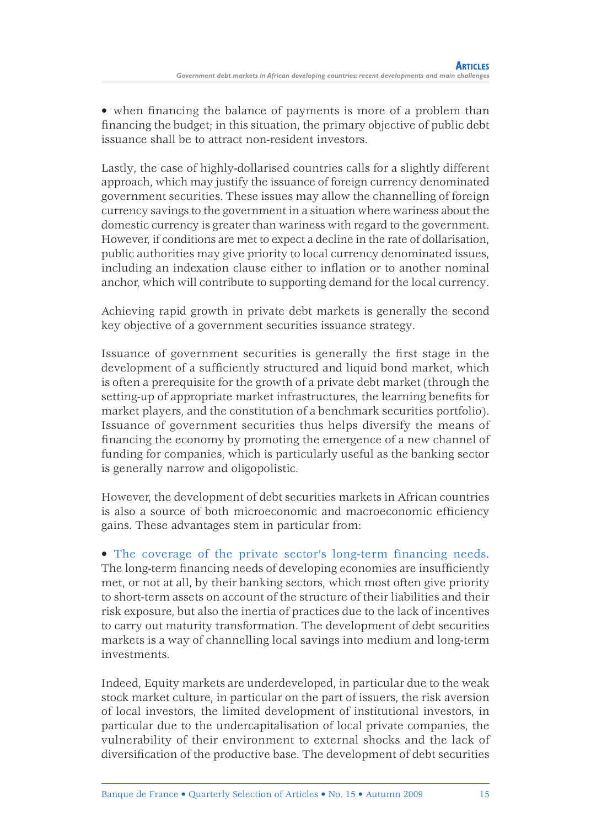• when financing the balance of payments is more of a problem than financing the budget; in this situation, the primary objective of public debt issuance shall be to attract non-resident investors.

Lastly, the case of highly-dollarised countries calls for a slightly different approach, which may justify the issuance of foreign currency denominated government securities. These issues may allow the channelling of foreign currency savings to the government in a situation where wariness about the domestic currency is greater than wariness with regard to the government. However, if conditions are met to expect a decline in the rate of dollarisation, public authorities may give priority to local currency denominated issues, including an indexation clause either to inflation or to another nominal anchor, which will contribute to supporting demand for the local currency.

Achieving rapid growth in private debt markets is generally the second key objective of a government securities issuance strategy.

Issuance of government securities is generally the first stage in the development of a sufficiently structured and liquid bond market, which is often a prerequisite for the growth of a private debt market (through the setting-up of appropriate market infrastructures, the learning benefits for market players, and the constitution of a benchmark securities portfolio). Issuance of government securities thus helps diversify the means of financing the economy by promoting the emergence of a new channel of funding for companies, which is particularly useful as the banking sector is generally narrow and oligopolistic.

However, the development of debt securities markets in African countries is also a source of both microeconomic and macroeconomic efficiency gains. These advantages stem in particular from:

• The coverage of the private sector's long-term financing needs. The long-term financing needs of developing economies are insufficiently met, or not at all, by their banking sectors, which most often give priority to short-term assets on account of the structure of their liabilities and their risk exposure, but also the inertia of practices due to the lack of incentives to carry out maturity transformation. The development of debt securities markets is a way of channelling local savings into medium and long-term investments.

Indeed, Equity markets are underdeveloped, in particular due to the weak stock market culture, in particular on the part of issuers, the risk aversion of local investors, the limited development of institutional investors, in particular due to the undercapitalisation of local private companies, the vulnerability of their environment to external shocks and the lack of diversification of the productive base. The development of debt securities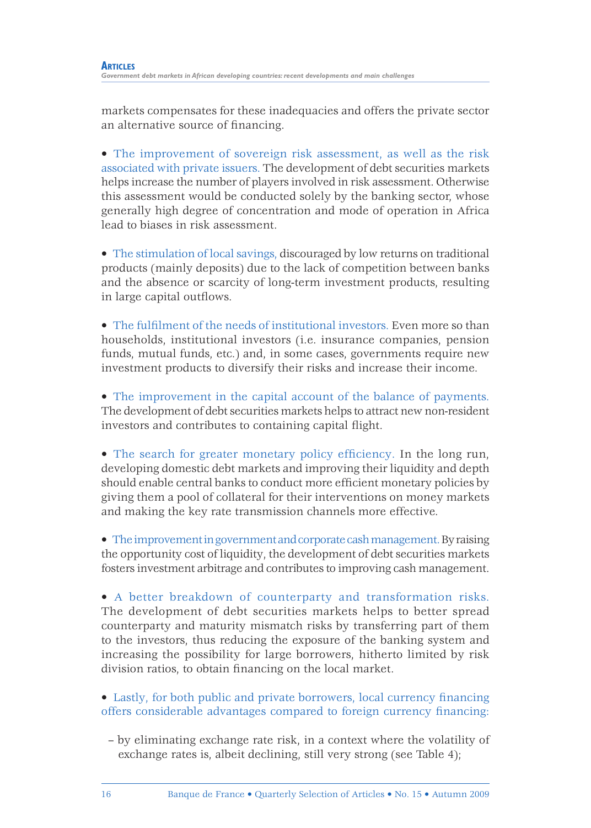markets compensates for these inadequacies and offers the private sector an alternative source of financing.

• The improvement of sovereign risk assessment, as well as the risk associated with private issuers. The development of debt securities markets helps increase the number of players involved in risk assessment. Otherwise this assessment would be conducted solely by the banking sector, whose generally high degree of concentration and mode of operation in Africa lead to biases in risk assessment.

• The stimulation of local savings, discouraged by low returns on traditional products (mainly deposits) due to the lack of competition between banks and the absence or scarcity of long-term investment products, resulting in large capital outflows.

• The fulfilment of the needs of institutional investors. Even more so than households, institutional investors (i.e. insurance companies, pension funds, mutual funds, etc.) and, in some cases, governments require new investment products to diversify their risks and increase their income.

• The improvement in the capital account of the balance of payments. The development of debt securities markets helps to attract new non-resident investors and contributes to containing capital flight.

 $\bullet$  The search for greater monetary policy efficiency. In the long run, developing domestic debt markets and improving their liquidity and depth should enable central banks to conduct more efficient monetary policies by giving them a pool of collateral for their interventions on money markets and making the key rate transmission channels more effective.

• The improvement in government and corporate cash management. By raising the opportunity cost of liquidity, the development of debt securities markets fosters investment arbitrage and contributes to improving cash management.

• A better breakdown of counterparty and transformation risks. The development of debt securities markets helps to better spread counterparty and maturity mismatch risks by transferring part of them to the investors, thus reducing the exposure of the banking system and increasing the possibility for large borrowers, hitherto limited by risk division ratios, to obtain financing on the local market.

• Lastly, for both public and private borrowers, local currency financing offers considerable advantages compared to foreign currency financing:

– by eliminating exchange rate risk, in a context where the volatility of exchange rates is, albeit declining, still very strong (see Table 4);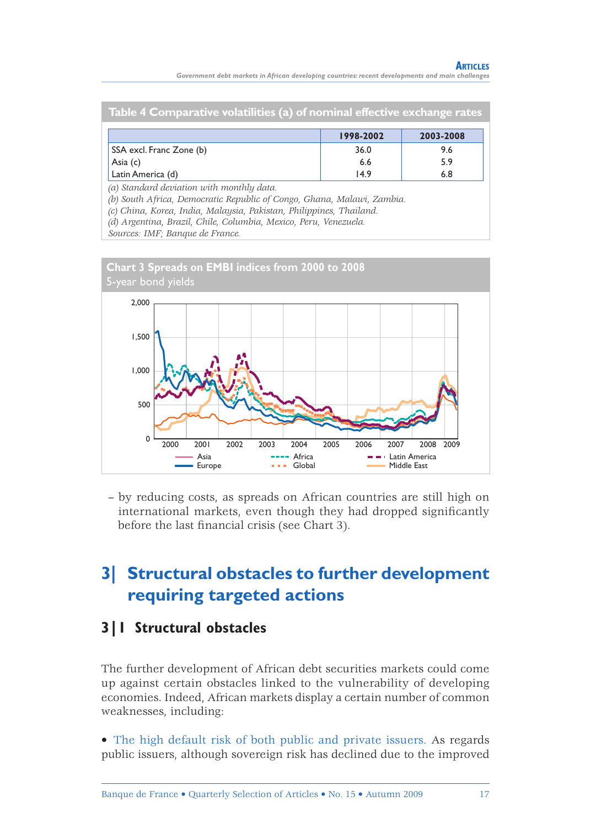*Government debt markets in African developing countries: recent developments and main challenges*

| Table 4 Comparative volatilities (a) of nominal effective exchange rates |     |  |  |  |  |  |
|--------------------------------------------------------------------------|-----|--|--|--|--|--|
| 1998-2002<br>2003-2008                                                   |     |  |  |  |  |  |
| 36.0                                                                     | 9.6 |  |  |  |  |  |
| 6.6                                                                      | 5.9 |  |  |  |  |  |
| 14.9                                                                     | 6.8 |  |  |  |  |  |
|                                                                          |     |  |  |  |  |  |

*(a) Standard deviation with monthly data.*

*(b) South Africa, Democratic Republic of Congo, Ghana, Malawi, Zambia.*

*(c) China, Korea, India, Malaysia, Pakistan, Philippines, Thailand.*

*(d) Argentina, Brazil, Chile, Columbia, Mexico, Peru, Venezuela.*

*Sources: IMF; Banque de France.*



– by reducing costs, as spreads on African countries are still high on international markets, even though they had dropped significantly before the last financial crisis (see Chart 3).

## **3| Structural obstacles to further development requiring targeted actions**

### **3|1 Structural obstacles**

The further development of African debt securities markets could come up against certain obstacles linked to the vulnerability of developing economies. Indeed, African markets display a certain number of common weaknesses, including:

• The high default risk of both public and private issuers. As regards public issuers, although sovereign risk has declined due to the improved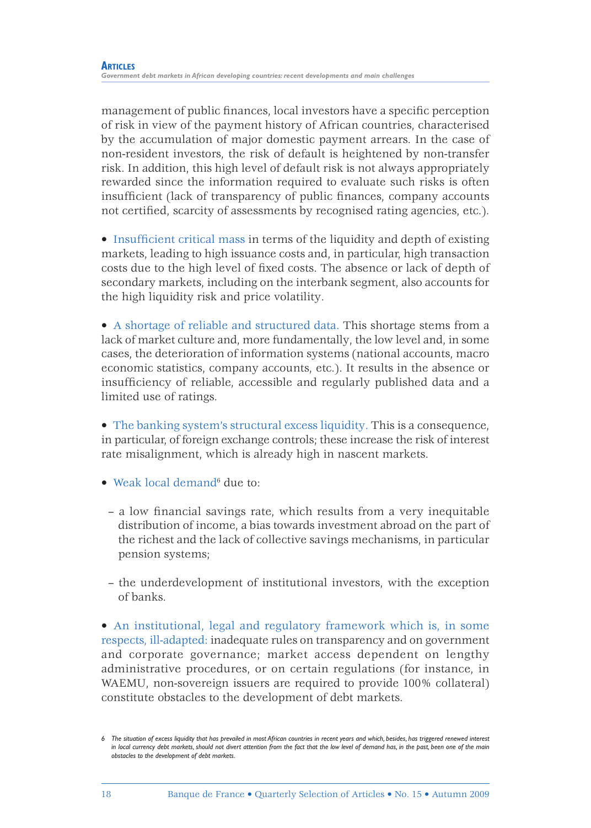management of public finances, local investors have a specific perception of risk in view of the payment history of African countries, characterised by the accumulation of major domestic payment arrears. In the case of non-resident investors, the risk of default is heightened by non-transfer risk. In addition, this high level of default risk is not always appropriately rewarded since the information required to evaluate such risks is often insufficient (lack of transparency of public finances, company accounts not certified, scarcity of assessments by recognised rating agencies, etc.).

• Insufficient critical mass in terms of the liquidity and depth of existing markets, leading to high issuance costs and, in particular, high transaction costs due to the high level of fixed costs. The absence or lack of depth of secondary markets, including on the interbank segment, also accounts for the high liquidity risk and price volatility.

• A shortage of reliable and structured data. This shortage stems from a lack of market culture and, more fundamentally, the low level and, in some cases, the deterioration of information systems (national accounts, macro economic statistics, company accounts, etc.). It results in the absence or insufficiency of reliable, accessible and regularly published data and a limited use of ratings.

• The banking system's structural excess liquidity. This is a consequence, in particular, of foreign exchange controls; these increase the risk of interest rate misalignment, which is already high in nascent markets.

- Weak local demand<sup>6</sup> due to:
	- a low financial savings rate, which results from a very inequitable distribution of income, a bias towards investment abroad on the part of the richest and the lack of collective savings mechanisms, in particular pension systems;
	- the underdevelopment of institutional investors, with the exception of banks.

• An institutional, legal and regulatory framework which is, in some respects, ill-adapted: inadequate rules on transparency and on government and corporate governance; market access dependent on lengthy administrative procedures, or on certain regulations (for instance, in WAEMU, non-sovereign issuers are required to provide 100% collateral) constitute obstacles to the development of debt markets.

*<sup>6</sup> The situation of excess liquidity that has prevailed in most African countries in recent years and which, besides, has triggered renewed interest in local currency debt markets, should not divert attention from the fact that the low level of demand has, in the past, been one of the main obstacles to the development of debt markets.*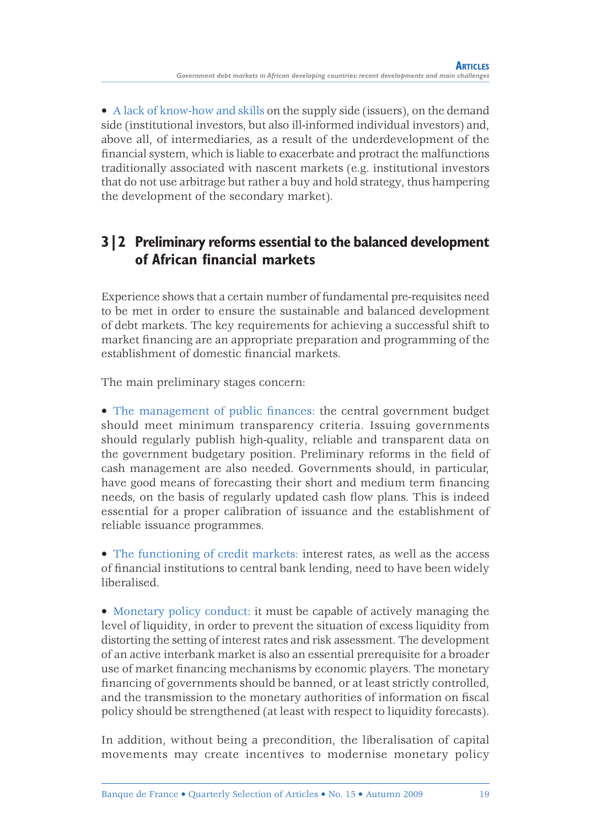• A lack of know-how and skills on the supply side (issuers), on the demand side (institutional investors, but also ill-informed individual investors) and, above all, of intermediaries, as a result of the underdevelopment of the financial system, which is liable to exacerbate and protract the malfunctions traditionally associated with nascent markets (e.g. institutional investors that do not use arbitrage but rather a buy and hold strategy, thus hampering the development of the secondary market).

### **3|2 Preliminary reforms essential to the balanced development of African financial markets**

Experience shows that a certain number of fundamental pre-requisites need to be met in order to ensure the sustainable and balanced development of debt markets. The key requirements for achieving a successful shift to market financing are an appropriate preparation and programming of the establishment of domestic financial markets.

The main preliminary stages concern:

• The management of public finances: the central government budget should meet minimum transparency criteria. Issuing governments should regularly publish high-quality, reliable and transparent data on the government budgetary position. Preliminary reforms in the field of cash management are also needed. Governments should, in particular, have good means of forecasting their short and medium term financing needs, on the basis of regularly updated cash flow plans. This is indeed essential for a proper calibration of issuance and the establishment of reliable issuance programmes.

• The functioning of credit markets: interest rates, as well as the access of financial institutions to central bank lending, need to have been widely liberalised.

• Monetary policy conduct: it must be capable of actively managing the level of liquidity, in order to prevent the situation of excess liquidity from distorting the setting of interest rates and risk assessment. The development of an active interbank market is also an essential prerequisite for a broader use of market financing mechanisms by economic players. The monetary financing of governments should be banned, or at least strictly controlled, and the transmission to the monetary authorities of information on fiscal policy should be strengthened (at least with respect to liquidity forecasts).

In addition, without being a precondition, the liberalisation of capital movements may create incentives to modernise monetary policy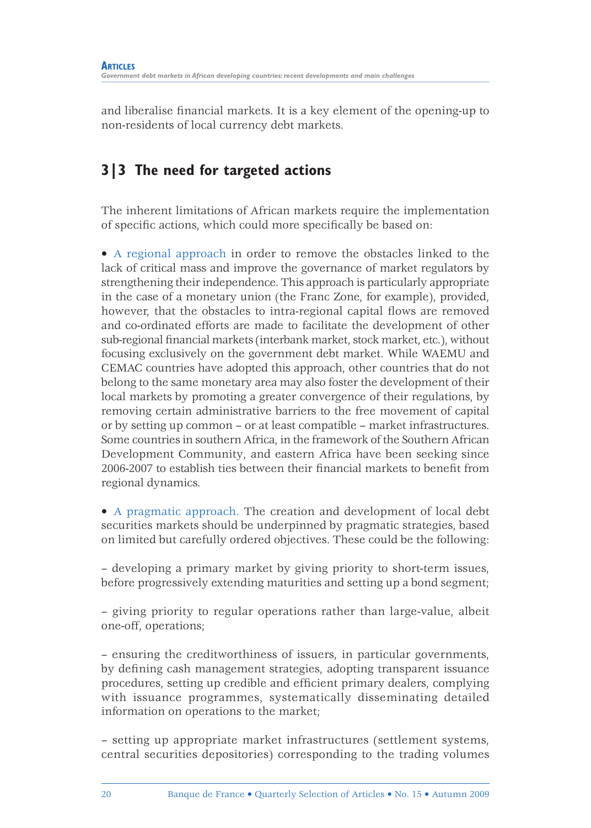and liberalise financial markets. It is a key element of the opening-up to non-residents of local currency debt markets.

### **3|3 The need for targeted actions**

The inherent limitations of African markets require the implementation of specific actions, which could more specifically be based on:

• A regional approach in order to remove the obstacles linked to the lack of critical mass and improve the governance of market regulators by strengthening their independence. This approach is particularly appropriate in the case of a monetary union (the Franc Zone, for example), provided, however, that the obstacles to intra-regional capital flows are removed and co-ordinated efforts are made to facilitate the development of other sub-regional financial markets (interbank market, stock market, etc.), without focusing exclusively on the government debt market. While WAEMU and CEMAC countries have adopted this approach, other countries that do not belong to the same monetary area may also foster the development of their local markets by promoting a greater convergence of their regulations, by removing certain administrative barriers to the free movement of capital or by setting up common – or at least compatible – market infrastructures. Some countries in southern Africa, in the framework of the Southern African Development Community, and eastern Africa have been seeking since 2006-2007 to establish ties between their financial markets to benefit from regional dynamics.

• A pragmatic approach. The creation and development of local debt securities markets should be underpinned by pragmatic strategies, based on limited but carefully ordered objectives. These could be the following:

– developing a primary market by giving priority to short-term issues, before progressively extending maturities and setting up a bond segment;

– giving priority to regular operations rather than large-value, albeit one-off, operations;

– ensuring the creditworthiness of issuers, in particular governments, by defining cash management strategies, adopting transparent issuance procedures, setting up credible and efficient primary dealers, complying with issuance programmes, systematically disseminating detailed information on operations to the market;

– setting up appropriate market infrastructures (settlement systems, central securities depositories) corresponding to the trading volumes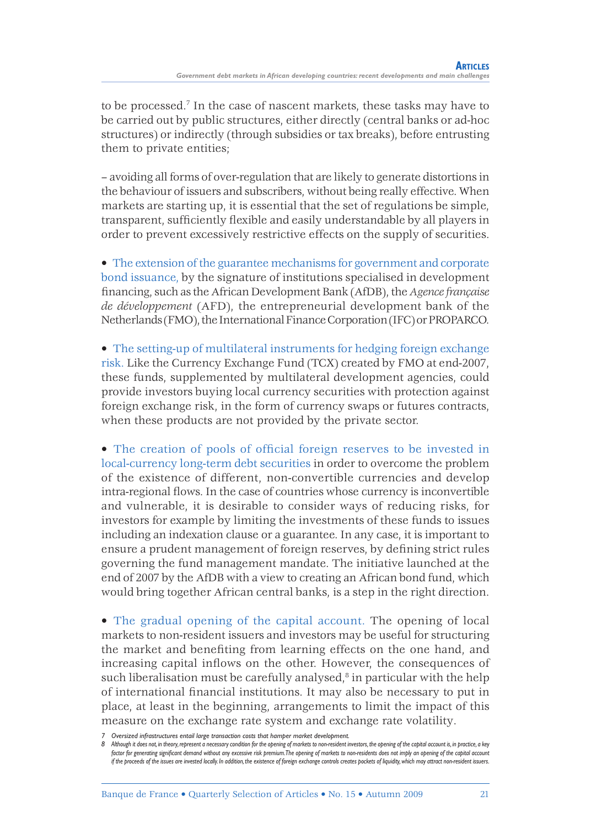to be processed.7 In the case of nascent markets, these tasks may have to be carried out by public structures, either directly (central banks or ad-hoc structures) or indirectly (through subsidies or tax breaks), before entrusting them to private entities;

– avoiding all forms of over-regulation that are likely to generate distortions in the behaviour of issuers and subscribers, without being really effective. When markets are starting up, it is essential that the set of regulations be simple, transparent, sufficiently flexible and easily understandable by all players in order to prevent excessively restrictive effects on the supply of securities.

• The extension of the guarantee mechanisms for government and corporate bond issuance, by the signature of institutions specialised in development fi nancing, such as the African Development Bank (AfDB), the *Agence française de développement* (AFD), the entrepreneurial development bank of the Netherlands (FMO), the International Finance Corporation (IFC) or PROPARCO.

• The setting-up of multilateral instruments for hedging foreign exchange risk. Like the Currency Exchange Fund (TCX) created by FMO at end-2007, these funds, supplemented by multilateral development agencies, could provide investors buying local currency securities with protection against foreign exchange risk, in the form of currency swaps or futures contracts, when these products are not provided by the private sector.

• The creation of pools of official foreign reserves to be invested in local-currency long-term debt securities in order to overcome the problem of the existence of different, non-convertible currencies and develop intra-regional flows. In the case of countries whose currency is inconvertible and vulnerable, it is desirable to consider ways of reducing risks, for investors for example by limiting the investments of these funds to issues including an indexation clause or a guarantee. In any case, it is important to ensure a prudent management of foreign reserves, by defining strict rules governing the fund management mandate. The initiative launched at the end of 2007 by the AfDB with a view to creating an African bond fund, which would bring together African central banks, is a step in the right direction.

• The gradual opening of the capital account. The opening of local markets to non-resident issuers and investors may be useful for structuring the market and benefiting from learning effects on the one hand, and increasing capital inflows on the other. However, the consequences of such liberalisation must be carefully analysed, $\delta$  in particular with the help of international financial institutions. It may also be necessary to put in place, at least in the beginning, arrangements to limit the impact of this measure on the exchange rate system and exchange rate volatility.

*<sup>7</sup> Oversized infrastructures entail large transaction costs that hamper market development.* 

*<sup>8</sup> Although it does not, in theory, represent a necessary condition for the opening of markets to non-resident investors, the opening of the capital account is, in practice, a key*  factor for generating significant demand without any excessive risk premium. The opening of markets to non-residents does not imply an opening of the capital account *if the proceeds of the issues are invested locally. In addition, the existence of foreign exchange controls creates pockets of liquidity, which may attract non-resident issuers.*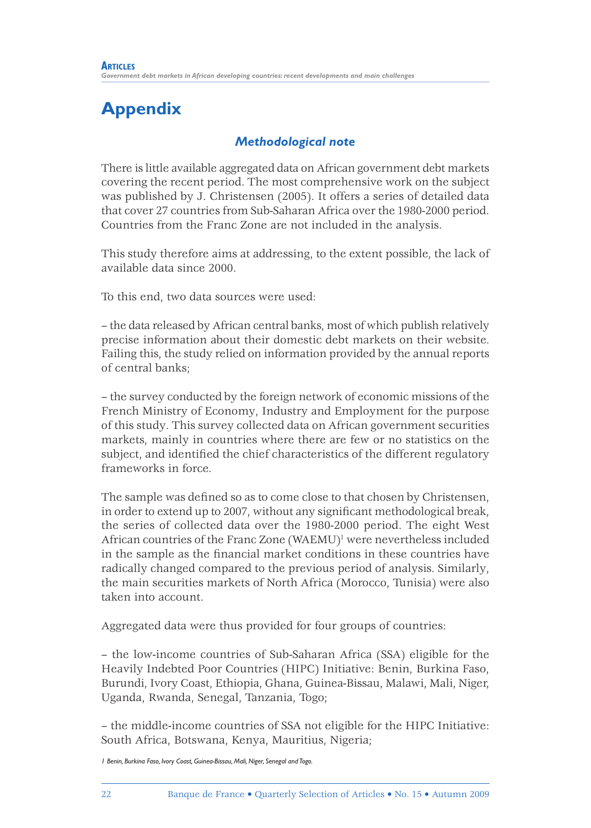# **Appendix**

### *Methodological note*

There is little available aggregated data on African government debt markets covering the recent period. The most comprehensive work on the subject was published by J. Christensen (2005). It offers a series of detailed data that cover 27 countries from Sub-Saharan Africa over the 1980-2000 period. Countries from the Franc Zone are not included in the analysis.

This study therefore aims at addressing, to the extent possible, the lack of available data since 2000.

To this end, two data sources were used:

– the data released by African central banks, most of which publish relatively precise information about their domestic debt markets on their website. Failing this, the study relied on information provided by the annual reports of central banks;

– the survey conducted by the foreign network of economic missions of the French Ministry of Economy, Industry and Employment for the purpose of this study. This survey collected data on African government securities markets, mainly in countries where there are few or no statistics on the subject, and identified the chief characteristics of the different regulatory frameworks in force.

The sample was defined so as to come close to that chosen by Christensen, in order to extend up to 2007, without any significant methodological break, the series of collected data over the 1980-2000 period. The eight West African countries of the Franc Zone (WAEMU)<sup>1</sup> were nevertheless included in the sample as the financial market conditions in these countries have radically changed compared to the previous period of analysis. Similarly, the main securities markets of North Africa (Morocco, Tunisia) were also taken into account.

Aggregated data were thus provided for four groups of countries:

– the low-income countries of Sub-Saharan Africa (SSA) eligible for the Heavily Indebted Poor Countries (HIPC) Initiative: Benin, Burkina Faso, Burundi, Ivory Coast, Ethiopia, Ghana, Guinea-Bissau, Malawi, Mali, Niger, Uganda, Rwanda, Senegal, Tanzania, Togo;

– the middle-income countries of SSA not eligible for the HIPC Initiative: South Africa, Botswana, Kenya, Mauritius, Nigeria;

*1 Benin, Burkina Faso, Ivory Coast, Guinea-Bissau, Mali, Niger, Senegal and Togo.*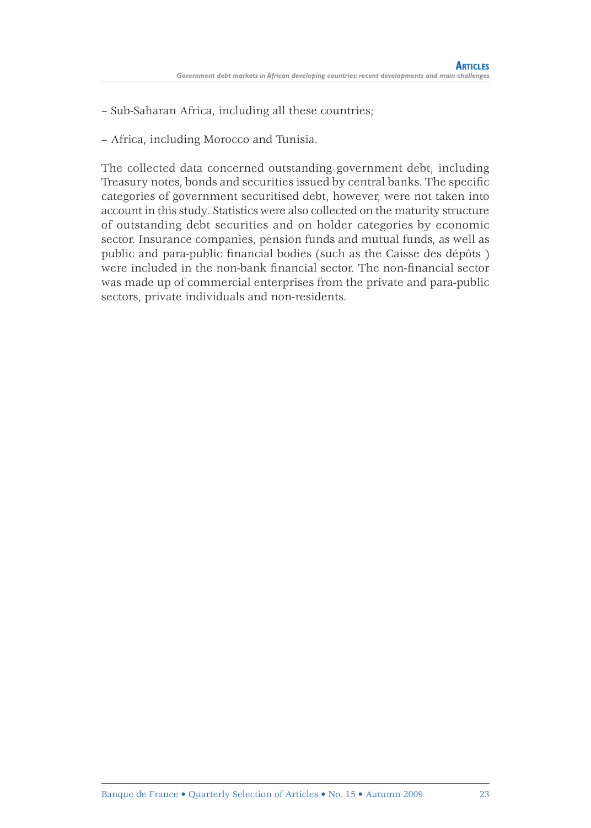– Sub-Saharan Africa, including all these countries;

– Africa, including Morocco and Tunisia.

The collected data concerned outstanding government debt, including Treasury notes, bonds and securities issued by central banks. The specific categories of government securitised debt, however, were not taken into account in this study. Statistics were also collected on the maturity structure of outstanding debt securities and on holder categories by economic sector. Insurance companies, pension funds and mutual funds, as well as public and para-public financial bodies (such as the Caisse des dépôts) were included in the non-bank financial sector. The non-financial sector was made up of commercial enterprises from the private and para-public sectors, private individuals and non-residents.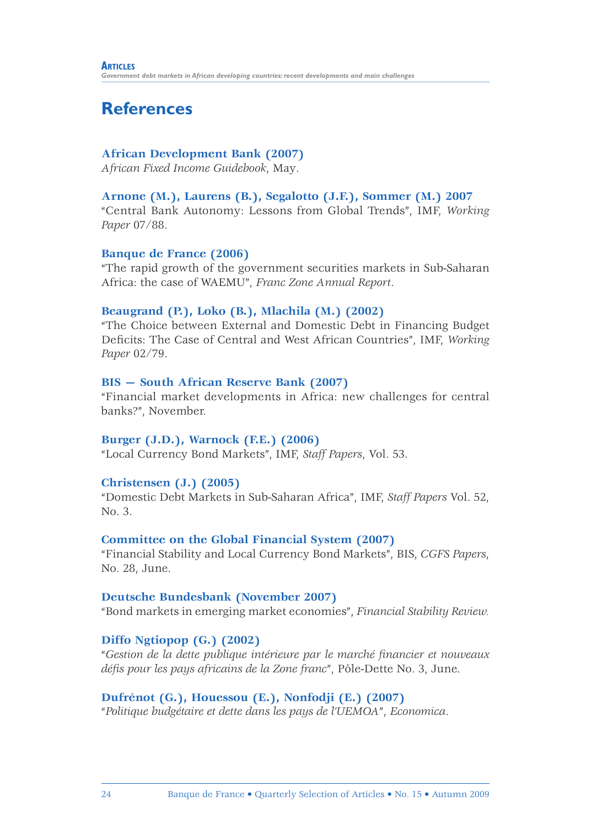## **References**

#### **African Development Bank (2007)**

*African Fixed Income Guidebook*, May.

#### **Arnone (M.), Laurens (B.), Segalotto (J.F.), Sommer (M.) 2007**

"Central Bank Autonomy: Lessons from Global Trends", IMF, *Working Paper* 07/88.

#### **Banque de France (2006)**

"The rapid growth of the government securities markets in Sub-Saharan Africa: the case of WAEMU", *Franc Zone Annual Report*.

#### **Beaugrand (P.), Loko (B.), Mlachila (M.) (2002)**

"The Choice between External and Domestic Debt in Financing Budget Defi cits: The Case of Central and West African Countries", IMF, *Working Paper* 02/79.

#### **BIS — South African Reserve Bank (2007)**

"Financial market developments in Africa: new challenges for central banks?", November.

#### **Burger (J.D.), Warnock (F.E.) (2006)**

"Local Currency Bond Markets", IMF, *Staff Papers*, Vol. 53.

#### **Christensen (J.) (2005)**

"Domestic Debt Markets in Sub-Saharan Africa", IMF, *Staff Papers* Vol. 52, No. 3.

#### **Committee on the Global Financial System (2007)**

"Financial Stability and Local Currency Bond Markets", BIS, *CGFS Papers*, No. 28, June.

#### **Deutsche Bundesbank (November 2007)**

"Bond markets in emerging market economies", *Financial Stability Review.*

#### **Diffo Ngtiopop (G.) (2002)**

"*Gestion de la dette publique intérieure par le marché fi nancier et nouveaux*  défis pour les pays africains de la Zone franc", Pôle-Dette No. 3, June.

#### **Dufrénot (G.), Houessou (E.), Nonfodji (E.) (2007)**

"*Politique budgétaire et dette dans les pays de l'UEMOA*", *Economica*.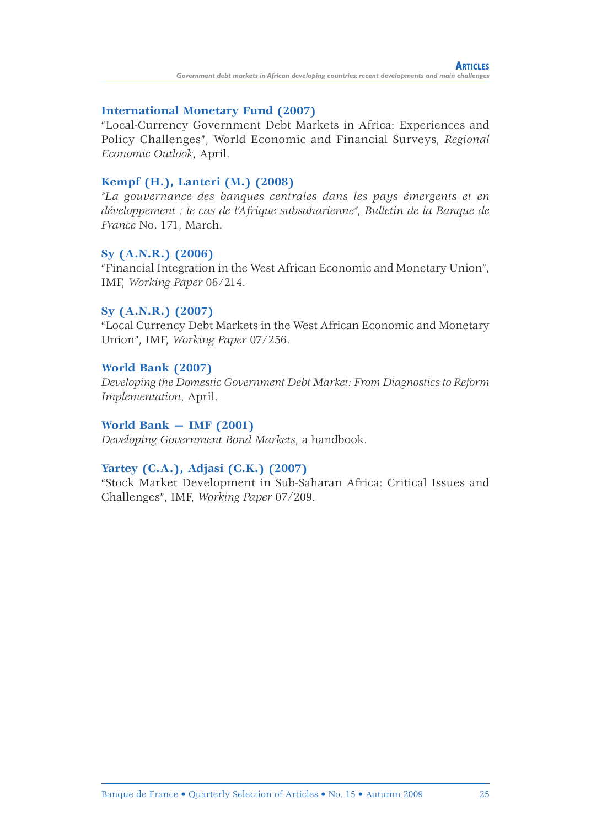#### **International Monetary Fund (2007)**

"Local-Currency Government Debt Markets in Africa: Experiences and Policy Challenges", World Economic and Financial Surveys, *Regional Economic Outlook*, April.

#### **Kempf (H.), Lanteri (M.) (2008)**

*"La gouvernance des banques centrales dans les pays émergents et en développement : le cas de l'Afrique subsaharienne"*, *Bulletin de la Banque de France* No. 171, March.

#### **Sy (A.N.R.) (2006)**

"Financial Integration in the West African Economic and Monetary Union", IMF, *Working Paper* 06/214.

#### **Sy (A.N.R.) (2007)**

"Local Currency Debt Markets in the West African Economic and Monetary Union", IMF, *Working Paper* 07/256.

#### **World Bank (2007)**

*Developing the Domestic Government Debt Market: From Diagnostics to Reform Implementation*, April.

#### **World Bank — IMF (2001)**

*Developing Government Bond Markets*, a handbook.

#### **Yartey (C.A.), Adjasi (C.K.) (2007)**

"Stock Market Development in Sub-Saharan Africa: Critical Issues and Challenges", IMF, *Working Paper* 07/209.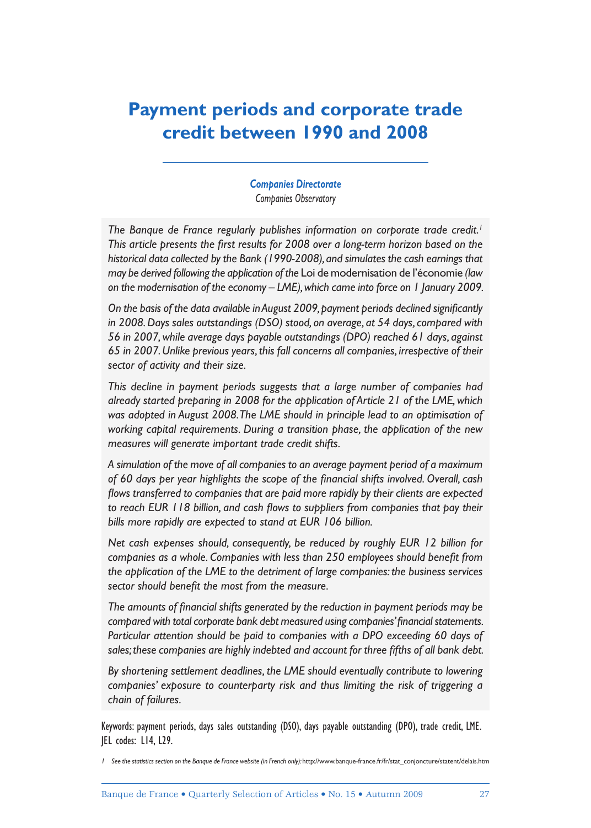## **Payment periods and corporate trade credit between 1990 and 2008**

*Companies Directorate Companies Observatory*

The Banque de France regularly publishes information on corporate trade credit.<sup>1</sup> This article presents the first results for 2008 over a long-term horizon based on the *historical data collected by the Bank (1990-2008), and simulates the cash earnings that may be derived following the application of the* Loi de modernisation de l'économie *(law on the modernisation of the economy – LME), which came into force on 1 January 2009.* 

On the basis of the data available in August 2009, payment periods declined significantly *in 2008. Days sales outstandings (DSO) stood, on average, at 54 days, compared with 56 in 2007, while average days payable outstandings (DPO) reached 61 days, against 65 in 2007. Unlike previous years, this fall concerns all companies, irrespective of their sector of activity and their size.* 

*This decline in payment periods suggests that a large number of companies had already started preparing in 2008 for the application of Article 21 of the LME, which was adopted in August 2008. The LME should in principle lead to an optimisation of working capital requirements. During a transition phase, the application of the new measures will generate important trade credit shifts.*

*A simulation of the move of all companies to an average payment period of a maximum*  of 60 days per year highlights the scope of the financial shifts involved. Overall, cash flows transferred to companies that are paid more rapidly by their clients are expected to reach EUR 118 billion, and cash flows to suppliers from companies that pay their *bills more rapidly are expected to stand at EUR 106 billion.* 

*Net cash expenses should, consequently, be reduced by roughly EUR 12 billion for*  companies as a whole. Companies with less than 250 employees should benefit from *the application of the LME to the detriment of large companies: the business services*  sector should benefit the most from the measure.

The amounts of financial shifts generated by the reduction in payment periods may be compared with total corporate bank debt measured using companies' financial statements. *Particular attention should be paid to companies with a DPO exceeding 60 days of*  sales; these companies are highly indebted and account for three fifths of all bank debt.

*By shortening settlement deadlines, the LME should eventually contribute to lowering companies' exposure to counterparty risk and thus limiting the risk of triggering a chain of failures.*

Keywords: payment periods, days sales outstanding (DSO), days payable outstanding (DPO), trade credit, LME. JEL codes: L14, L29.

<sup>1</sup> See the statistics section on the Banque de France website (in French only): http://www.banque-france.fr/fr/stat\_conjoncture/statent/delais.htm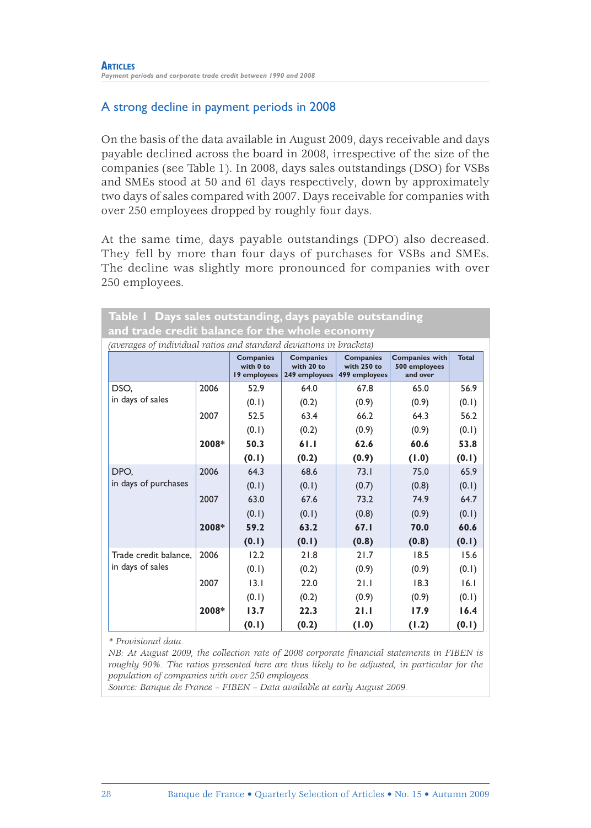### A strong decline in payment periods in 2008

On the basis of the data available in August 2009, days receivable and days payable declined across the board in 2008, irrespective of the size of the companies (see Table 1). In 2008, days sales outstandings (DSO) for VSBs and SMEs stood at 50 and 61 days respectively, down by approximately two days of sales compared with 2007. Days receivable for companies with over 250 employees dropped by roughly four days.

At the same time, days payable outstandings (DPO) also decreased. They fell by more than four days of purchases for VSBs and SMEs. The decline was slightly more pronounced for companies with over 250 employees.

| Table 1 Days sales outstanding, days payable outstanding                                                                                                                                                                   |       |       |       |       |       |       |  |  |
|----------------------------------------------------------------------------------------------------------------------------------------------------------------------------------------------------------------------------|-------|-------|-------|-------|-------|-------|--|--|
| and trade credit balance for the whole economy                                                                                                                                                                             |       |       |       |       |       |       |  |  |
| (averages of individual ratios and standard deviations in brackets)                                                                                                                                                        |       |       |       |       |       |       |  |  |
| <b>Total</b><br><b>Companies with</b><br><b>Companies</b><br><b>Companies</b><br><b>Companies</b><br>with 0 to<br>with 20 to<br>with 250 to<br>500 employees<br>19 employees<br>249 employees<br>499 employees<br>and over |       |       |       |       |       |       |  |  |
| DSO.                                                                                                                                                                                                                       | 2006  | 52.9  | 64.0  | 67.8  | 65.0  | 56.9  |  |  |
| in days of sales                                                                                                                                                                                                           |       | (0.1) | (0.2) | (0.9) | (0.9) | (0.1) |  |  |
|                                                                                                                                                                                                                            | 2007  | 52.5  | 63.4  | 66.2  | 64.3  | 56.2  |  |  |
|                                                                                                                                                                                                                            |       | (0.1) | (0.2) | (0.9) | (0.9) | (0.1) |  |  |
|                                                                                                                                                                                                                            | 2008* | 50.3  | 61.1  | 62.6  | 60.6  | 53.8  |  |  |
|                                                                                                                                                                                                                            |       | (0.1) | (0.2) | (0.9) | (1.0) | (0.1) |  |  |
| DPO.                                                                                                                                                                                                                       | 2006  | 64.3  | 68.6  | 73.1  | 75.0  | 65.9  |  |  |
| in days of purchases                                                                                                                                                                                                       |       | (0.1) | (0.1) | (0.7) | (0.8) | (0.1) |  |  |
|                                                                                                                                                                                                                            | 2007  | 63.0  | 67.6  | 73.2  | 74.9  | 64.7  |  |  |
|                                                                                                                                                                                                                            |       | (0.1) | (0.1) | (0.8) | (0.9) | (0.1) |  |  |
|                                                                                                                                                                                                                            | 2008* | 59.2  | 63.2  | 67.1  | 70.0  | 60.6  |  |  |
|                                                                                                                                                                                                                            |       | (0.1) | (0.1) | (0.8) | (0.8) | (0.1) |  |  |
| Trade credit balance.                                                                                                                                                                                                      | 2006  | 12.2  | 21.8  | 21.7  | 18.5  | 15.6  |  |  |
| in days of sales                                                                                                                                                                                                           |       | (0.1) | (0.2) | (0.9) | (0.9) | (0.1) |  |  |
|                                                                                                                                                                                                                            | 2007  | 13.1  | 22.0  | 21.1  | 18.3  | 16.1  |  |  |
|                                                                                                                                                                                                                            |       | (0.1) | (0.2) | (0.9) | (0.9) | (0.1) |  |  |
|                                                                                                                                                                                                                            | 2008* | 13.7  | 22.3  | 21.1  | 17.9  | 16.4  |  |  |
|                                                                                                                                                                                                                            |       | (0.1) | (0.2) | (1.0) | (1.2) | (0.1) |  |  |

*\* Provisional data.*

*NB: At August 2009, the collection rate of 2008 corporate financial statements in FIBEN is roughly 90%. The ratios presented here are thus likely to be adjusted, in particular for the population of companies with over 250 employees.*

*Source: Banque de France – FIBEN – Data available at early August 2009.*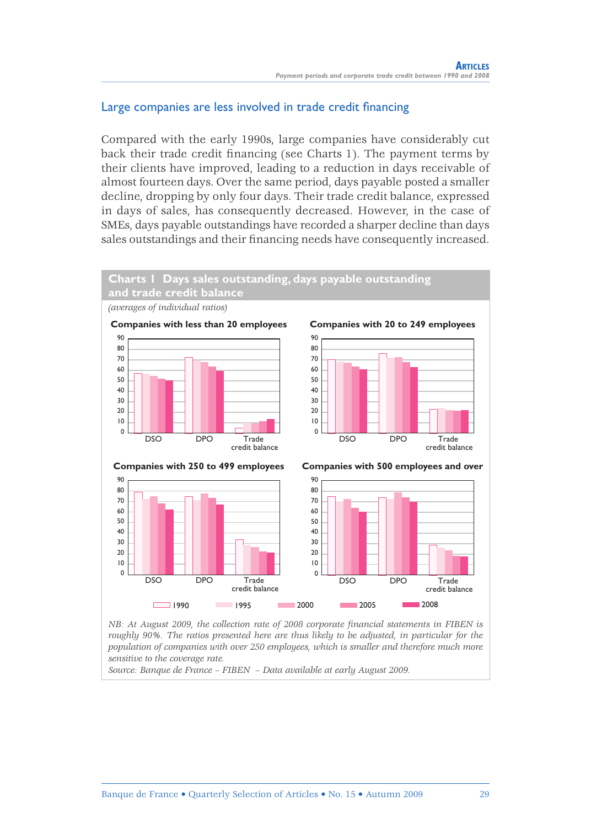### Large companies are less involved in trade credit financing

Compared with the early 1990s, large companies have considerably cut back their trade credit financing (see Charts 1). The payment terms by their clients have improved, leading to a reduction in days receivable of almost fourteen days. Over the same period, days payable posted a smaller decline, dropping by only four days. Their trade credit balance, expressed in days of sales, has consequently decreased. However, in the case of SMEs, days payable outstandings have recorded a sharper decline than days sales outstandings and their financing needs have consequently increased.



*NB: At August 2009, the collection rate of 2008 corporate financial statements in FIBEN is roughly 90%. The ratios presented here are thus likely to be adjusted, in particular for the population of companies with over 250 employees, which is smaller and therefore much more sensitive to the coverage rate.*

*Source: Banque de France – FIBEN – Data available at early August 2009.*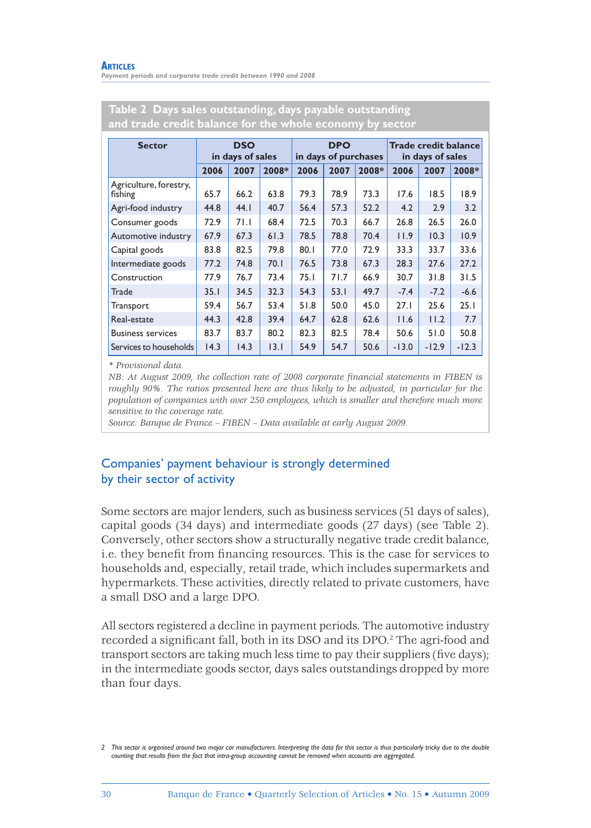| <b>Sector</b>                     | <b>DSO</b><br>in days of sales |      | <b>DPO</b><br>in days of purchases |      |      | <b>Trade credit balance</b><br>in days of sales |         |         |         |
|-----------------------------------|--------------------------------|------|------------------------------------|------|------|-------------------------------------------------|---------|---------|---------|
|                                   | 2006                           | 2007 | 2008*                              | 2006 | 2007 | 2008*                                           | 2006    | 2007    | 2008*   |
| Agriculture, forestry,<br>fishing | 65.7                           | 66.2 | 63.8                               | 79.3 | 78.9 | 73.3                                            | 17.6    | 18.5    | 18.9    |
| Agri-food industry                | 44.8                           | 44.1 | 40.7                               | 56.4 | 57.3 | 52.2                                            | 4.2     | 2.9     | 3.2     |
| Consumer goods                    | 72.9                           | 71.I | 68.4                               | 72.5 | 70.3 | 66.7                                            | 26.8    | 26.5    | 26.0    |
| Automotive industry               | 67.9                           | 67.3 | 61.3                               | 78.5 | 78.8 | 70.4                                            | 11.9    | 10.3    | 10.9    |
| Capital goods                     | 83.8                           | 82.5 | 79.8                               | 80.1 | 77.0 | 72.9                                            | 33.3    | 33.7    | 33.6    |
| Intermediate goods                | 77.2                           | 74.8 | 70.1                               | 76.5 | 73.8 | 67.3                                            | 28.3    | 27.6    | 27.2    |
| Construction                      | 77.9                           | 76.7 | 73.4                               | 75.I | 71.7 | 66.9                                            | 30.7    | 31.8    | 31.5    |
| Trade                             | 35.1                           | 34.5 | 32.3                               | 54.3 | 53.1 | 49.7                                            | $-7.4$  | $-7.2$  | $-6.6$  |
| Transport                         | 59.4                           | 56.7 | 53.4                               | 51.8 | 50.0 | 45.0                                            | 27.1    | 25.6    | 25.1    |
| Real-estate                       | 44.3                           | 42.8 | 39.4                               | 64.7 | 62.8 | 62.6                                            | 11.6    | 11.2    | 7.7     |
| <b>Business services</b>          | 83.7                           | 83.7 | 80.2                               | 82.3 | 82.5 | 78.4                                            | 50.6    | 51.0    | 50.8    |
| Services to households            | 14.3                           | 14.3 | 3.1                                | 54.9 | 54.7 | 50.6                                            | $-13.0$ | $-12.9$ | $-12.3$ |

#### **Table 2 Days sales outstanding, days payable outstanding and trade credit balance for the whole economy by sector**

*\* Provisional data.*

*NB: At August 2009, the collection rate of 2008 corporate financial statements in FIBEN is roughly 90%. The ratios presented here are thus likely to be adjusted, in particular for the population of companies with over 250 employees, which is smaller and therefore much more sensitive to the coverage rate.*

*Source: Banque de France – FIBEN – Data available at early August 2009.*

### Companies' payment behaviour is strongly determined by their sector of activity

Some sectors are major lenders, such as business services (51 days of sales), capital goods (34 days) and intermediate goods (27 days) (see Table 2). Conversely, other sectors show a structurally negative trade credit balance, i.e. they benefit from financing resources. This is the case for services to households and, especially, retail trade, which includes supermarkets and hypermarkets. These activities, directly related to private customers, have a small DSO and a large DPO.

All sectors registered a decline in payment periods. The automotive industry recorded a significant fall, both in its DSO and its DPO.<sup>2</sup> The agri-food and transport sectors are taking much less time to pay their suppliers (five days); in the intermediate goods sector, days sales outstandings dropped by more than four days.

*<sup>2</sup> This sector is organised around two major car manufacturers. Interpreting the data for this sector is thus particularly tricky due to the double counting that results from the fact that intra-group accounting cannot be removed when accounts are aggregated.*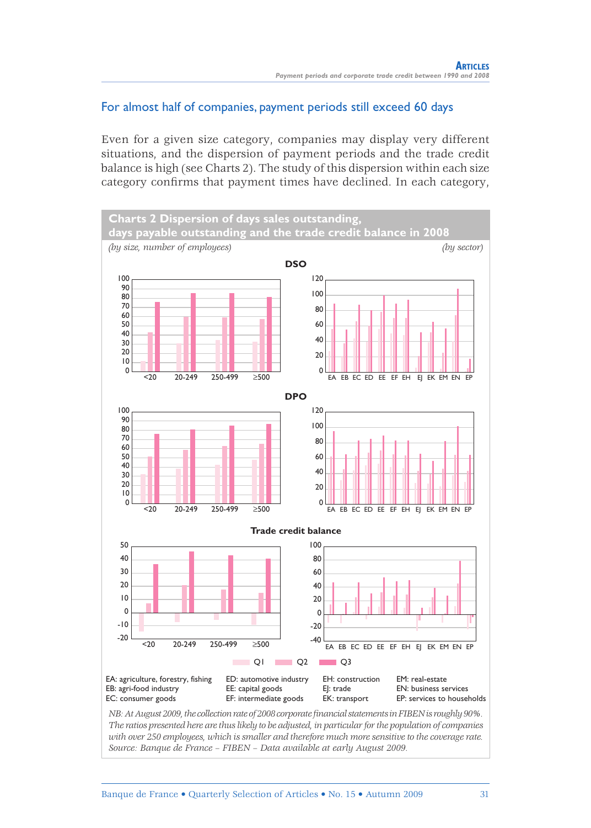### For almost half of companies, payment periods still exceed 60 days

Even for a given size category, companies may display very different situations, and the dispersion of payment periods and the trade credit balance is high (see Charts 2). The study of this dispersion within each size category confirms that payment times have declined. In each category,



*The ratios presented here are thus likely to be adjusted, in particular for the population of companies with over 250 employees, which is smaller and therefore much more sensitive to the coverage rate. Source: Banque de France – FIBEN – Data available at early August 2009.*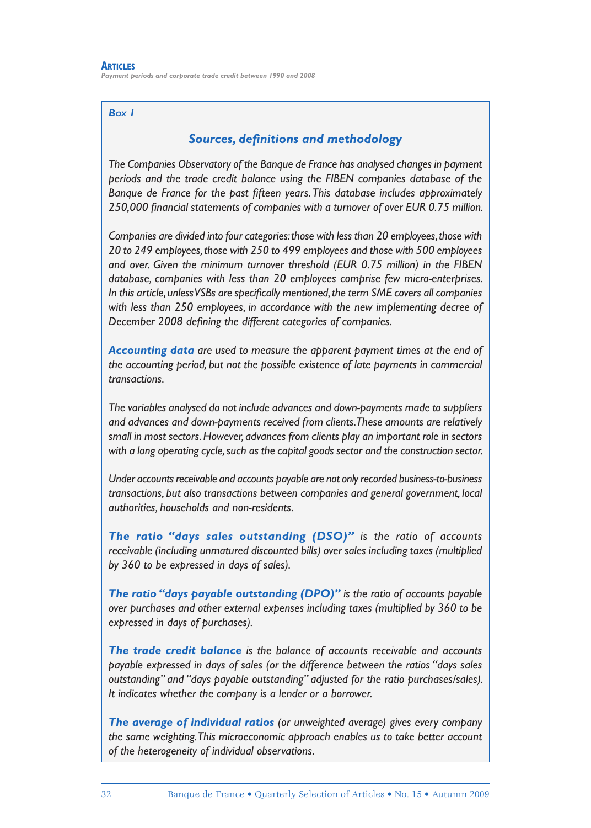#### *BOX 1*

#### **Sources, definitions and methodology**

*The Companies Observatory of the Banque de France has analysed changes in payment periods and the trade credit balance using the FIBEN companies database of the*  Banque de France for the past fifteen years. This database includes approximately 250,000 financial statements of companies with a turnover of over EUR 0.75 million.

*Companies are divided into four categories: those with less than 20 employees, those with 20 to 249 employees, those with 250 to 499 employees and those with 500 employees and over. Given the minimum turnover threshold (EUR 0.75 million) in the FIBEN database, companies with less than 20 employees comprise few micro-enterprises.*  In this article, unless VSBs are specifically mentioned, the term SME covers all companies *with less than 250 employees, in accordance with the new implementing decree of December 2008 defi ning the different categories of companies.*

*Accounting data are used to measure the apparent payment times at the end of the accounting period, but not the possible existence of late payments in commercial transactions.*

*The variables analysed do not include advances and down-payments made to suppliers and advances and down-payments received from clients. These amounts are relatively small in most sectors. However, advances from clients play an important role in sectors with a long operating cycle, such as the capital goods sector and the construction sector.*

*Under accounts receivable and accounts payable are not only recorded business-to-business transactions, but also transactions between companies and general government, local authorities, households and non-residents.*

*The ratio "days sales outstanding (DSO)" is the ratio of accounts receivable (including unmatured discounted bills) over sales including taxes (multiplied by 360 to be expressed in days of sales).*

*The ratio "days payable outstanding (DPO)" is the ratio of accounts payable over purchases and other external expenses including taxes (multiplied by 360 to be expressed in days of purchases).*

*The trade credit balance is the balance of accounts receivable and accounts payable expressed in days of sales (or the difference between the ratios "days sales outstanding" and "days payable outstanding" adjusted for the ratio purchases/sales). It indicates whether the company is a lender or a borrower.*

*The average of individual ratios (or unweighted average) gives every company the same weighting. This microeconomic approach enables us to take better account of the heterogeneity of individual observations.*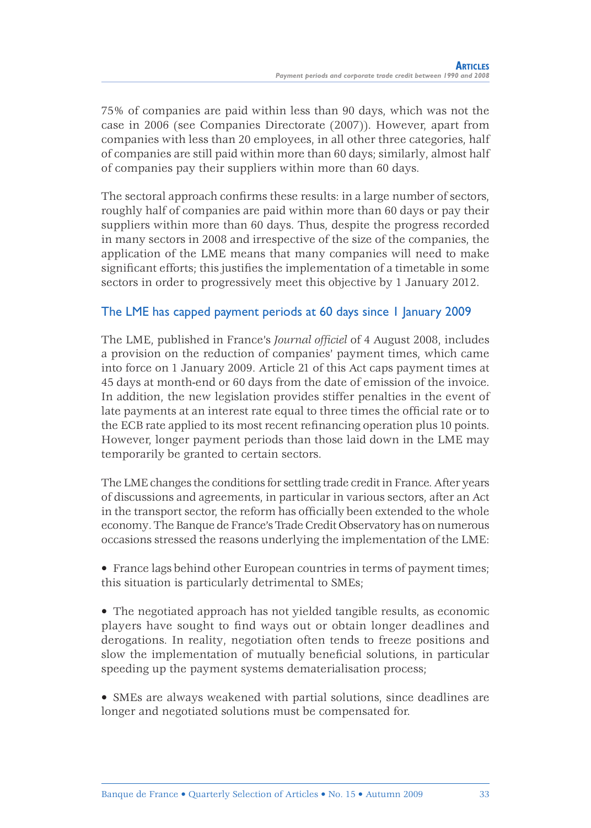75% of companies are paid within less than 90 days, which was not the case in 2006 (see Companies Directorate (2007)). However, apart from companies with less than 20 employees, in all other three categories, half of companies are still paid within more than 60 days; similarly, almost half of companies pay their suppliers within more than 60 days.

The sectoral approach confirms these results: in a large number of sectors, roughly half of companies are paid within more than 60 days or pay their suppliers within more than 60 days. Thus, despite the progress recorded in many sectors in 2008 and irrespective of the size of the companies, the application of the LME means that many companies will need to make significant efforts; this justifies the implementation of a timetable in some sectors in order to progressively meet this objective by 1 January 2012.

### The LME has capped payment periods at 60 days since 1 January 2009

The LME, published in France's *Journal officiel* of 4 August 2008, includes a provision on the reduction of companies' payment times, which came into force on 1 January 2009. Article 21 of this Act caps payment times at 45 days at month-end or 60 days from the date of emission of the invoice. In addition, the new legislation provides stiffer penalties in the event of late payments at an interest rate equal to three times the official rate or to the ECB rate applied to its most recent refinancing operation plus 10 points. However, longer payment periods than those laid down in the LME may temporarily be granted to certain sectors.

The LME changes the conditions for settling trade credit in France. After years of discussions and agreements, in particular in various sectors, after an Act in the transport sector, the reform has officially been extended to the whole economy. The Banque de France's Trade Credit Observatory has on numerous occasions stressed the reasons underlying the implementation of the LME:

• France lags behind other European countries in terms of payment times; this situation is particularly detrimental to SMEs;

• The negotiated approach has not yielded tangible results, as economic players have sought to find ways out or obtain longer deadlines and derogations. In reality, negotiation often tends to freeze positions and slow the implementation of mutually beneficial solutions, in particular speeding up the payment systems dematerialisation process;

• SMEs are always weakened with partial solutions, since deadlines are longer and negotiated solutions must be compensated for.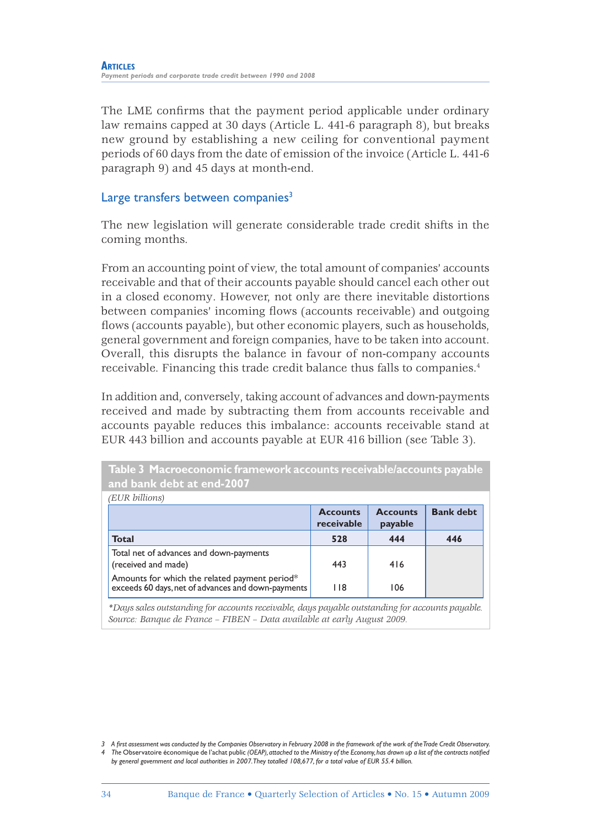The LME confirms that the payment period applicable under ordinary law remains capped at 30 days (Article L. 441-6 paragraph 8), but breaks new ground by establishing a new ceiling for conventional payment periods of 60 days from the date of emission of the invoice (Article L. 441-6 paragraph 9) and 45 days at month-end.

### Large transfers between companies<sup>3</sup>

The new legislation will generate considerable trade credit shifts in the coming months.

From an accounting point of view, the total amount of companies' accounts receivable and that of their accounts payable should cancel each other out in a closed economy. However, not only are there inevitable distortions between companies' incoming flows (accounts receivable) and outgoing flows (accounts payable), but other economic players, such as households, general government and foreign companies, have to be taken into account. Overall, this disrupts the balance in favour of non-company accounts receivable. Financing this trade credit balance thus falls to companies.4

In addition and, conversely, taking account of advances and down-payments received and made by subtracting them from accounts receivable and accounts payable reduces this imbalance: accounts receivable stand at EUR 443 billion and accounts payable at EUR 416 billion (see Table 3).

| Table 3 Macroeconomic framework accounts receivable/accounts payable<br>and bank debt at end-2007   |                               |                            |                  |
|-----------------------------------------------------------------------------------------------------|-------------------------------|----------------------------|------------------|
| (EUR billions)                                                                                      |                               |                            |                  |
|                                                                                                     | <b>Accounts</b><br>receivable | <b>Accounts</b><br>payable | <b>Bank debt</b> |
| <b>Total</b>                                                                                        | 528                           | 444                        | 446              |
| Total net of advances and down-payments<br>(received and made)                                      | 443                           | 416                        |                  |
| Amounts for which the related payment period*<br>exceeds 60 days, net of advances and down-payments | 118                           | 106                        |                  |

*\*Days sales outstanding for accounts receivable, days payable outstanding for accounts payable. Source: Banque de France – FIBEN – Data available at early August 2009.*

*<sup>3</sup> A fi rst assessment was conducted by the Companies Observatory in February 2008 in the framework of the work of the Trade Credit Observatory. 4* The Observatoire économique de l'achat public (OEAP), attached to the Ministry of the Economy, has drawn up a list of the contracts notified *by general government and local authorities in 2007. They totalled 108,677, for a total value of EUR 55.4 billion.*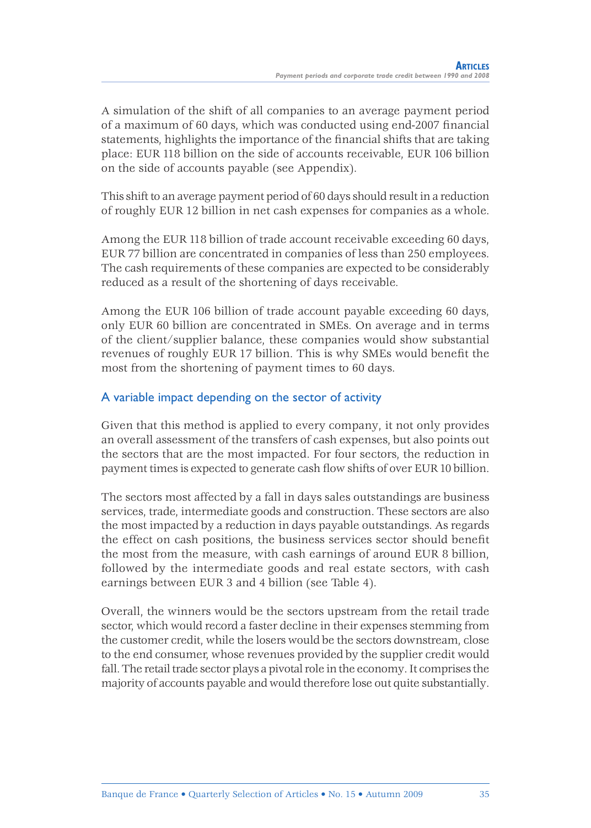A simulation of the shift of all companies to an average payment period of a maximum of 60 days, which was conducted using end-2007 financial statements, highlights the importance of the financial shifts that are taking place: EUR 118 billion on the side of accounts receivable, EUR 106 billion on the side of accounts payable (see Appendix).

This shift to an average payment period of 60 days should result in a reduction of roughly EUR 12 billion in net cash expenses for companies as a whole.

Among the EUR 118 billion of trade account receivable exceeding 60 days, EUR 77 billion are concentrated in companies of less than 250 employees. The cash requirements of these companies are expected to be considerably reduced as a result of the shortening of days receivable.

Among the EUR 106 billion of trade account payable exceeding 60 days, only EUR 60 billion are concentrated in SMEs. On average and in terms of the client/supplier balance, these companies would show substantial revenues of roughly EUR 17 billion. This is why SMEs would benefit the most from the shortening of payment times to 60 days.

### A variable impact depending on the sector of activity

Given that this method is applied to every company, it not only provides an overall assessment of the transfers of cash expenses, but also points out the sectors that are the most impacted. For four sectors, the reduction in payment times is expected to generate cash flow shifts of over EUR 10 billion.

The sectors most affected by a fall in days sales outstandings are business services, trade, intermediate goods and construction. These sectors are also the most impacted by a reduction in days payable outstandings. As regards the effect on cash positions, the business services sector should benefit the most from the measure, with cash earnings of around EUR 8 billion, followed by the intermediate goods and real estate sectors, with cash earnings between EUR 3 and 4 billion (see Table 4).

Overall, the winners would be the sectors upstream from the retail trade sector, which would record a faster decline in their expenses stemming from the customer credit, while the losers would be the sectors downstream, close to the end consumer, whose revenues provided by the supplier credit would fall. The retail trade sector plays a pivotal role in the economy. It comprises the majority of accounts payable and would therefore lose out quite substantially.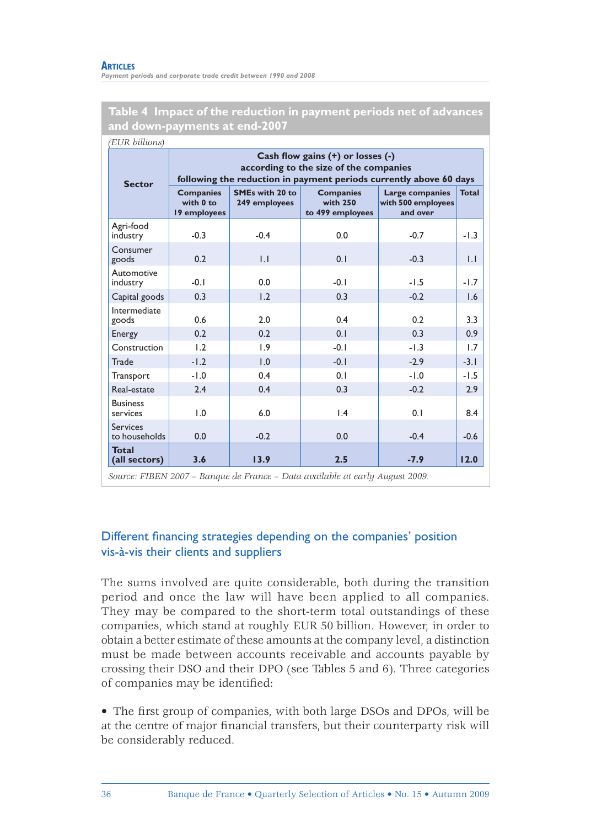#### **ARTICLES**

*Payment periods and corporate trade credit between 1990 and 2008*

#### **Table 4 Impact of the reduction in payment periods net of advances and down-payments at end-2007**

| <b>Sector</b>                    | Cash flow gains (+) or losses (-)<br>according to the size of the companies<br>following the reduction in payment periods currently above 60 days |                                  |                                                  |                                                   |              |  |  |  |
|----------------------------------|---------------------------------------------------------------------------------------------------------------------------------------------------|----------------------------------|--------------------------------------------------|---------------------------------------------------|--------------|--|--|--|
|                                  | <b>Companies</b><br>with 0 to<br>19 employees                                                                                                     | SMEs with 20 to<br>249 employees | <b>Companies</b><br>with 250<br>to 499 employees | Large companies<br>with 500 employees<br>and over | <b>Total</b> |  |  |  |
| Agri-food<br>industry            | $-0.3$                                                                                                                                            | $-0.4$                           | 0.0                                              | $-0.7$                                            | $-1.3$       |  |  |  |
| Consumer<br>goods                | 0.2                                                                                                                                               | 1.1                              | 0.1                                              | $-0.3$                                            | $\mathsf{L}$ |  |  |  |
| Automotive<br>industry           | $-0.1$                                                                                                                                            | 0.0                              | $-0.1$                                           | $-1.5$                                            | $-1.7$       |  |  |  |
| Capital goods                    | 0.3                                                                                                                                               | 1.2                              | 0.3                                              | $-0.2$                                            | 1.6          |  |  |  |
| Intermediate<br>goods            | 0.6                                                                                                                                               | 2.0                              | 0.4                                              | 0.2                                               | 3.3          |  |  |  |
| Energy                           | 0.2                                                                                                                                               | 0.2                              | 0.1                                              | 0.3                                               | 0.9          |  |  |  |
| Construction                     | 1.2                                                                                                                                               | 1.9                              | $-0.1$                                           | $-1.3$                                            | 1.7          |  |  |  |
| Trade                            | $-1.2$                                                                                                                                            | 1.0                              | $-0.1$                                           | $-2.9$                                            | $-3.1$       |  |  |  |
| Transport                        | $-1.0$                                                                                                                                            | 0.4                              | 0.1                                              | $-1.0$                                            | $-1.5$       |  |  |  |
| Real-estate                      | 2.4                                                                                                                                               | 0.4                              | 0.3                                              | $-0.2$                                            | 2.9          |  |  |  |
| <b>Business</b><br>services      | 1.0                                                                                                                                               | 6.0                              | $\mathsf{I}$ .4                                  | 0.1                                               | 8.4          |  |  |  |
| <b>Services</b><br>to households | 0.0                                                                                                                                               | $-0.2$                           | 0.0                                              | $-0.4$                                            | $-0.6$       |  |  |  |
| <b>Total</b><br>(all sectors)    | 3.6                                                                                                                                               | 13.9                             | 2.5                                              | $-7.9$                                            | 12.0         |  |  |  |

### Different financing strategies depending on the companies' position vis-à-vis their clients and suppliers

The sums involved are quite considerable, both during the transition period and once the law will have been applied to all companies. They may be compared to the short-term total outstandings of these companies, which stand at roughly EUR 50 billion. However, in order to obtain a better estimate of these amounts at the company level, a distinction must be made between accounts receivable and accounts payable by crossing their DSO and their DPO (see Tables 5 and 6). Three categories of companies may be identified:

• The first group of companies, with both large DSOs and DPOs, will be at the centre of major financial transfers, but their counterparty risk will be considerably reduced.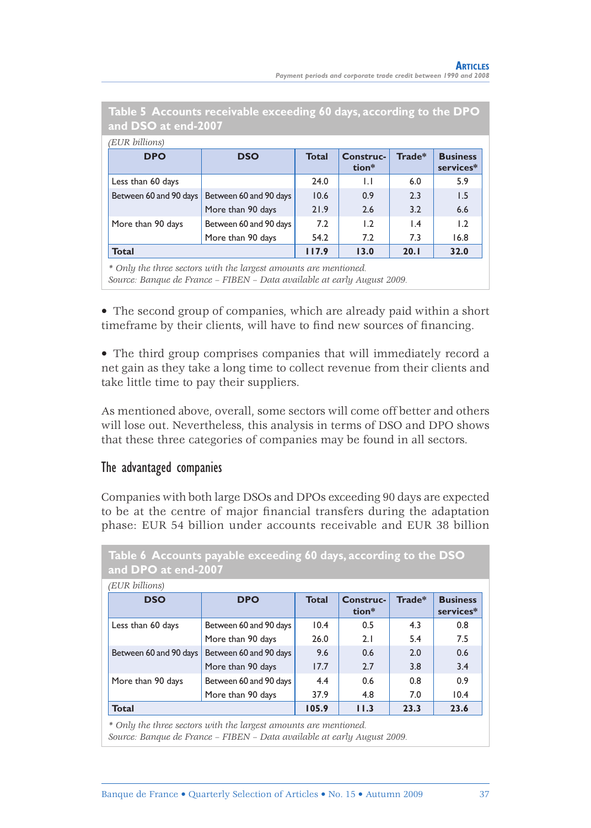| (EUR billions)         |                        |              |                    |                 |                              |
|------------------------|------------------------|--------------|--------------------|-----------------|------------------------------|
| <b>DPO</b>             | <b>DSO</b>             | <b>Total</b> | Construc-<br>tion* | Trade*          | <b>Business</b><br>services* |
| Less than 60 days      |                        | 24.0         | $\mathsf{L}$       | 6.0             | 5.9                          |
| Between 60 and 90 days | Between 60 and 90 days | 10.6         | 0.9                | 2.3             | 1.5                          |
|                        | More than 90 days      | 21.9         | 2.6                | 3.2             | 6.6                          |
| More than 90 days      | Between 60 and 90 days | 7.2          | 1.2                | $\mathsf{I}$ .4 | 1.2                          |
|                        | More than 90 days      | 54.2         | 7.2                | 7.3             | 16.8                         |
| <b>Total</b>           |                        | 117.9        | 13.0               | 20.1            | 32.0                         |

**Table 5 Accounts receivable exceeding 60 days, according to the DPO and DSO at end-2007**

*\* Only the three sectors with the largest amounts are mentioned. Source: Banque de France – FIBEN – Data available at early August 2009.*

• The second group of companies, which are already paid within a short timeframe by their clients, will have to find new sources of financing.

• The third group comprises companies that will immediately record a net gain as they take a long time to collect revenue from their clients and take little time to pay their suppliers.

As mentioned above, overall, some sectors will come off better and others will lose out. Nevertheless, this analysis in terms of DSO and DPO shows that these three categories of companies may be found in all sectors.

### The advantaged companies

Companies with both large DSOs and DPOs exceeding 90 days are expected to be at the centre of major financial transfers during the adaptation phase: EUR 54 billion under accounts receivable and EUR 38 billion

|                        | Table 6 Accounts payable exceeding 60 days, according to the DSO<br>and DPO at end-2007 |              |                    |        |                              |  |  |  |
|------------------------|-----------------------------------------------------------------------------------------|--------------|--------------------|--------|------------------------------|--|--|--|
| (EUR billions)         |                                                                                         |              |                    |        |                              |  |  |  |
| <b>DSO</b>             | <b>DPO</b>                                                                              | <b>Total</b> | Construc-<br>tion* | Trade* | <b>Business</b><br>services* |  |  |  |
| Less than 60 days      | Between 60 and 90 days                                                                  | 10.4         | 0.5                | 4.3    | 0.8                          |  |  |  |
|                        | More than 90 days                                                                       | 26.0         | 2.1                | 5.4    | 7.5                          |  |  |  |
| Between 60 and 90 days | Between 60 and 90 days                                                                  | 9.6          | 0.6                | 2.0    | 0.6                          |  |  |  |
|                        | More than 90 days                                                                       | 17.7         | 2.7                | 3.8    | 3.4                          |  |  |  |
| More than 90 days      | Between 60 and 90 days                                                                  | 4.4          | 0.6                | 0.8    | 0.9                          |  |  |  |
|                        | More than 90 days                                                                       | 37.9         | 4.8                | 7.0    | 10.4                         |  |  |  |
| <b>Total</b>           |                                                                                         | 105.9        | 11.3               | 23.3   | 23.6                         |  |  |  |

*\* Only the three sectors with the largest amounts are mentioned.*

*Source: Banque de France – FIBEN – Data available at early August 2009.*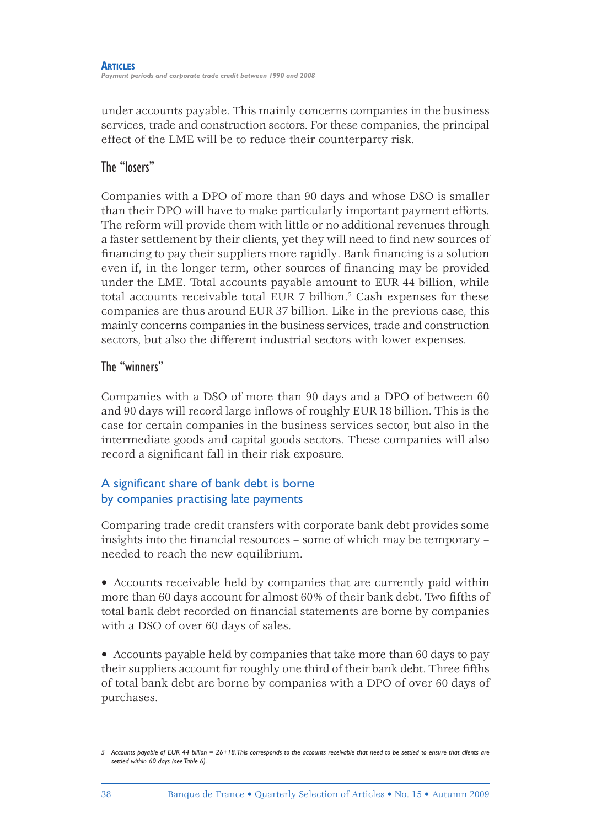under accounts payable. This mainly concerns companies in the business services, trade and construction sectors. For these companies, the principal effect of the LME will be to reduce their counterparty risk.

### The "losers"

Companies with a DPO of more than 90 days and whose DSO is smaller than their DPO will have to make particularly important payment efforts. The reform will provide them with little or no additional revenues through a faster settlement by their clients, yet they will need to find new sources of financing to pay their suppliers more rapidly. Bank financing is a solution even if, in the longer term, other sources of financing may be provided under the LME. Total accounts payable amount to EUR 44 billion, while total accounts receivable total EUR 7 billion.<sup>5</sup> Cash expenses for these companies are thus around EUR 37 billion. Like in the previous case, this mainly concerns companies in the business services, trade and construction sectors, but also the different industrial sectors with lower expenses.

### The "winners"

Companies with a DSO of more than 90 days and a DPO of between 60 and 90 days will record large inflows of roughly EUR 18 billion. This is the case for certain companies in the business services sector, but also in the intermediate goods and capital goods sectors. These companies will also record a significant fall in their risk exposure.

### A significant share of bank debt is borne by companies practising late payments

Comparing trade credit transfers with corporate bank debt provides some insights into the financial resources – some of which may be temporary – needed to reach the new equilibrium.

• Accounts receivable held by companies that are currently paid within more than 60 days account for almost 60% of their bank debt. Two fifths of total bank debt recorded on financial statements are borne by companies with a DSO of over 60 days of sales.

• Accounts payable held by companies that take more than 60 days to pay their suppliers account for roughly one third of their bank debt. Three fifths of total bank debt are borne by companies with a DPO of over 60 days of purchases.

*<sup>5</sup> Accounts payable of EUR 44 billion = 26+18. This corresponds to the accounts receivable that need to be settled to ensure that clients are settled within 60 days (see Table 6).*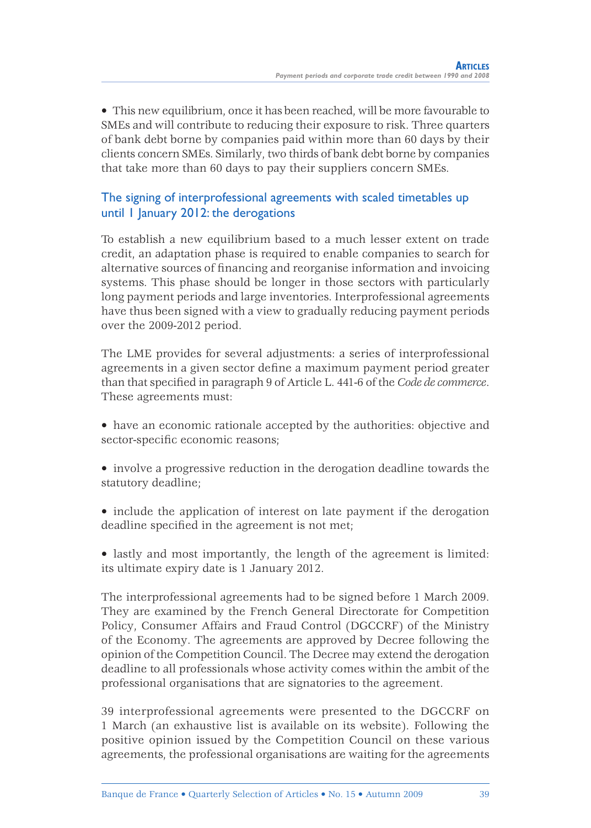• This new equilibrium, once it has been reached, will be more favourable to SMEs and will contribute to reducing their exposure to risk. Three quarters of bank debt borne by companies paid within more than 60 days by their clients concern SMEs. Similarly, two thirds of bank debt borne by companies that take more than 60 days to pay their suppliers concern SMEs.

### The signing of interprofessional agreements with scaled timetables up until 1 January 2012: the derogations

To establish a new equilibrium based to a much lesser extent on trade credit, an adaptation phase is required to enable companies to search for alternative sources of financing and reorganise information and invoicing systems. This phase should be longer in those sectors with particularly long payment periods and large inventories. Interprofessional agreements have thus been signed with a view to gradually reducing payment periods over the 2009-2012 period.

The LME provides for several adjustments: a series of interprofessional agreements in a given sector define a maximum payment period greater than that specified in paragraph 9 of Article L. 441-6 of the *Code de commerce*. These agreements must:

- have an economic rationale accepted by the authorities: objective and sector-specific economic reasons;
- involve a progressive reduction in the derogation deadline towards the statutory deadline;
- include the application of interest on late payment if the derogation deadline specified in the agreement is not met;

• lastly and most importantly, the length of the agreement is limited: its ultimate expiry date is 1 January 2012.

The interprofessional agreements had to be signed before 1 March 2009. They are examined by the French General Directorate for Competition Policy, Consumer Affairs and Fraud Control (DGCCRF) of the Ministry of the Economy. The agreements are approved by Decree following the opinion of the Competition Council. The Decree may extend the derogation deadline to all professionals whose activity comes within the ambit of the professional organisations that are signatories to the agreement.

39 interprofessional agreements were presented to the DGCCRF on 1 March (an exhaustive list is available on its website). Following the positive opinion issued by the Competition Council on these various agreements, the professional organisations are waiting for the agreements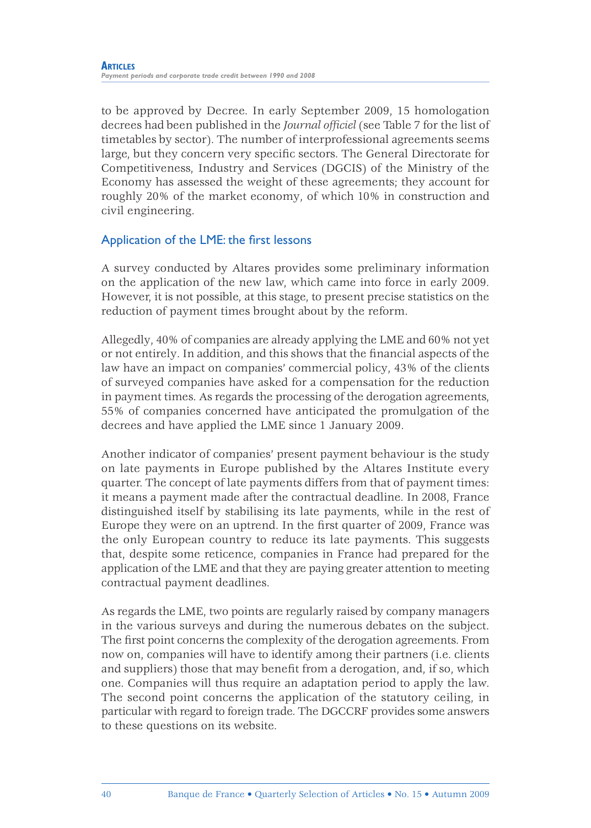to be approved by Decree. In early September 2009, 15 homologation decrees had been published in the *Journal officiel* (see Table 7 for the list of timetables by sector). The number of interprofessional agreements seems large, but they concern very specific sectors. The General Directorate for Competitiveness, Industry and Services (DGCIS) of the Ministry of the Economy has assessed the weight of these agreements; they account for roughly 20% of the market economy, of which 10% in construction and civil engineering.

### Application of the LME: the first lessons

A survey conducted by Altares provides some preliminary information on the application of the new law, which came into force in early 2009. However, it is not possible, at this stage, to present precise statistics on the reduction of payment times brought about by the reform.

Allegedly, 40% of companies are already applying the LME and 60% not yet or not entirely. In addition, and this shows that the financial aspects of the law have an impact on companies' commercial policy, 43% of the clients of surveyed companies have asked for a compensation for the reduction in payment times. As regards the processing of the derogation agreements, 55% of companies concerned have anticipated the promulgation of the decrees and have applied the LME since 1 January 2009.

Another indicator of companies' present payment behaviour is the study on late payments in Europe published by the Altares Institute every quarter. The concept of late payments differs from that of payment times: it means a payment made after the contractual deadline. In 2008, France distinguished itself by stabilising its late payments, while in the rest of Europe they were on an uptrend. In the first quarter of 2009, France was the only European country to reduce its late payments. This suggests that, despite some reticence, companies in France had prepared for the application of the LME and that they are paying greater attention to meeting contractual payment deadlines.

As regards the LME, two points are regularly raised by company managers in the various surveys and during the numerous debates on the subject. The first point concerns the complexity of the derogation agreements. From now on, companies will have to identify among their partners (i.e. clients and suppliers) those that may benefit from a derogation, and, if so, which one. Companies will thus require an adaptation period to apply the law. The second point concerns the application of the statutory ceiling, in particular with regard to foreign trade. The DGCCRF provides some answers to these questions on its website.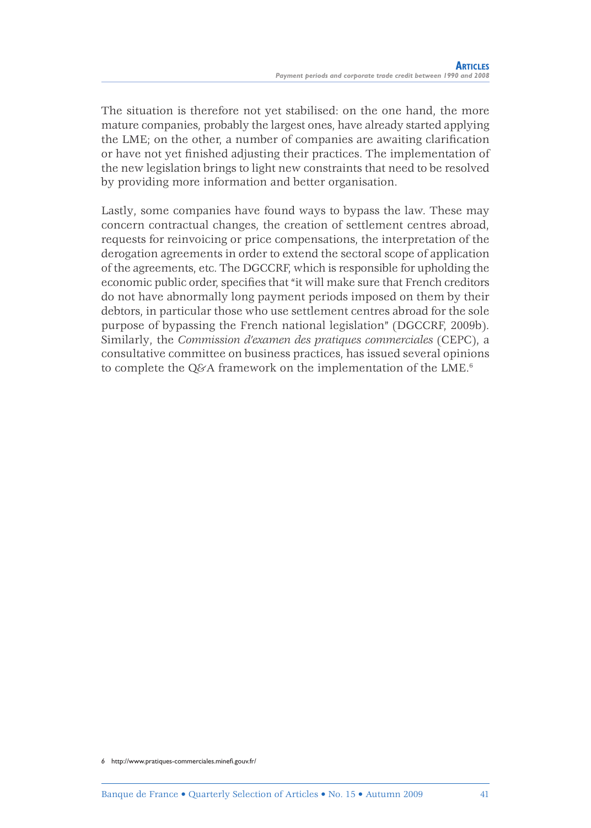The situation is therefore not yet stabilised: on the one hand, the more mature companies, probably the largest ones, have already started applying the LME; on the other, a number of companies are awaiting clarification or have not yet finished adjusting their practices. The implementation of the new legislation brings to light new constraints that need to be resolved by providing more information and better organisation.

Lastly, some companies have found ways to bypass the law. These may concern contractual changes, the creation of settlement centres abroad, requests for reinvoicing or price compensations, the interpretation of the derogation agreements in order to extend the sectoral scope of application of the agreements, etc. The DGCCRF, which is responsible for upholding the economic public order, specifies that "it will make sure that French creditors" do not have abnormally long payment periods imposed on them by their debtors, in particular those who use settlement centres abroad for the sole purpose of bypassing the French national legislation" (DGCCRF, 2009b). Similarly, the *Commission d'examen des pratiques commerciales* (CEPC), a consultative committee on business practices, has issued several opinions to complete the Q&A framework on the implementation of the LME.<sup>6</sup>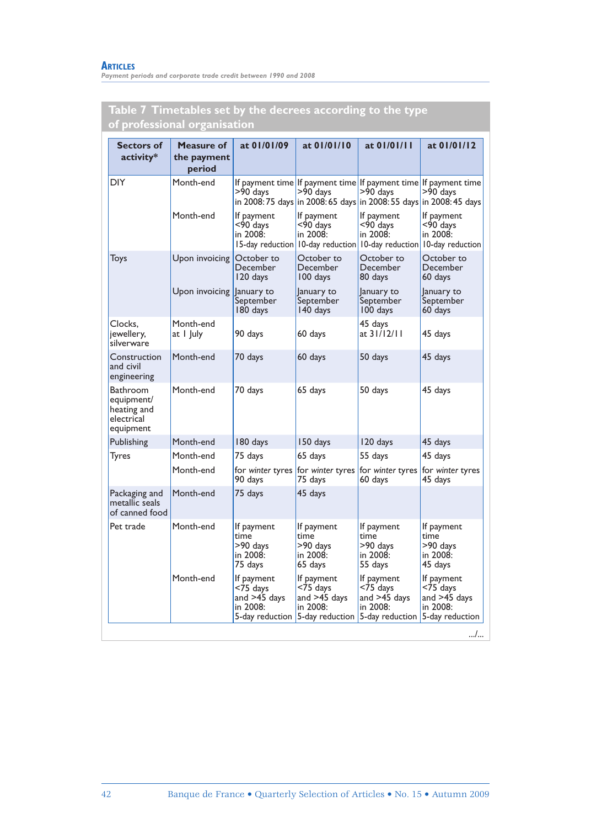#### **ARTICLES**

*Payment periods and corporate trade credit between 1990 and 2008*

| of professional organisation                                     |                                     |                                                                             |                                                                                      |                                                                       |                                                                                                                                                    |  |
|------------------------------------------------------------------|-------------------------------------|-----------------------------------------------------------------------------|--------------------------------------------------------------------------------------|-----------------------------------------------------------------------|----------------------------------------------------------------------------------------------------------------------------------------------------|--|
| <b>Sectors of</b><br>activity*                                   | Measure of<br>the payment<br>period | at 01/01/09                                                                 | at 01/01/10                                                                          | at 01/01/11                                                           | at 01/01/12                                                                                                                                        |  |
| DIY                                                              | Month-end                           | >90 days                                                                    | $>90$ days                                                                           | >90 days                                                              | If payment time If payment time If payment time If payment time<br>>90 days<br>in 2008: 75 days in 2008: 65 days in 2008: 55 days in 2008: 45 days |  |
|                                                                  | Month-end                           | If payment<br><90 days<br>in 2008:                                          | If payment<br><90 days<br>in 2008:<br>15-day reduction 10-day reduction              | If payment<br><90 days<br>in 2008:<br>10-day reduction                | If payment<br><90 days<br>in 2008:<br>10-day reduction                                                                                             |  |
| Toys                                                             | Upon invoicing                      | October to<br>December<br>120 days                                          | October to<br>December<br>100 days                                                   | October to<br>December<br>80 days                                     | October to<br>December<br>60 days                                                                                                                  |  |
|                                                                  | Upon invoicing January to           | September<br>180 days                                                       | January to<br>September<br>140 days                                                  | January to<br>September<br>100 days                                   | January to<br>September<br>60 days                                                                                                                 |  |
| Clocks,<br>jewellery,<br>silverware                              | Month-end<br>at I July              | 90 days                                                                     | 60 days                                                                              | 45 days<br>at 31/12/11                                                | 45 days                                                                                                                                            |  |
| Construction<br>and civil<br>engineering                         | Month-end                           | 70 days                                                                     | 60 days                                                                              | 50 days                                                               | 45 days                                                                                                                                            |  |
| Bathroom<br>equipment/<br>heating and<br>electrical<br>equipment | Month-end                           | 70 days                                                                     | 65 days                                                                              | 50 days                                                               | 45 days                                                                                                                                            |  |
| Publishing                                                       | Month-end                           | 180 days                                                                    | 150 days                                                                             | 120 days                                                              | 45 days                                                                                                                                            |  |
| Tyres                                                            | Month-end                           | 75 days                                                                     | 65 days                                                                              | 55 days                                                               | 45 days                                                                                                                                            |  |
|                                                                  | Month-end                           | for winter tyres<br>90 days                                                 | for winter tyres<br>75 days                                                          | for winter tyres<br>60 days                                           | for winter tyres<br>45 days                                                                                                                        |  |
| Packaging and<br>metallic seals<br>of canned food                | Month-end                           | 75 days                                                                     | 45 days                                                                              |                                                                       |                                                                                                                                                    |  |
| Pet trade                                                        | Month-end                           | If payment<br>time<br>>90 days<br>in 2008:<br>75 days                       | lf payment<br>time<br>>90 days<br>in 2008:<br>65 days                                | If payment<br>time<br>>90 days<br>in 2008:<br>55 days                 | If payment<br>time<br>>90 days<br>in 2008:<br>45 days                                                                                              |  |
|                                                                  | Month-end                           | If payment<br>$<$ 75 $d$ ays<br>and >45 days<br>in 2008:<br>5-day reduction | If payment<br>$<$ 75 $_{\text{days}}$<br>and >45 days<br>in 2008:<br>5-day reduction | If payment<br><75 days<br>and >45 days<br>in 2008:<br>5-day reduction | If payment<br>$<$ 75 $d$ ays<br>and $>45$ days<br>in 2008:<br>5-day reduction                                                                      |  |

# **Table 7 Timetables set by the decrees according to the type**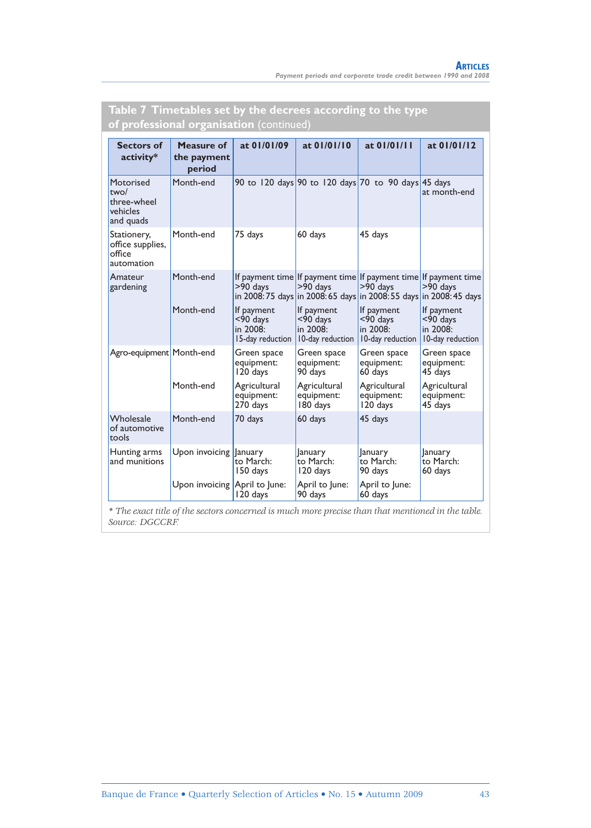| <b>of professional organisation</b> (continued)           |                                     |                                                           |                                                                                                                                                    |                                                        |                                                           |  |
|-----------------------------------------------------------|-------------------------------------|-----------------------------------------------------------|----------------------------------------------------------------------------------------------------------------------------------------------------|--------------------------------------------------------|-----------------------------------------------------------|--|
| <b>Sectors of</b><br>activity*                            | Measure of<br>the payment<br>period | at 01/01/09                                               | at 01/01/10                                                                                                                                        | at 01/01/11                                            | at 01/01/12                                               |  |
| Motorised<br>two/<br>three-wheel<br>vehicles<br>and quads | Month-end                           |                                                           | 90 to 120 days 90 to 120 days 70 to 90 days 45 days                                                                                                |                                                        | at month-end                                              |  |
| Stationery,<br>office supplies,<br>office<br>automation   | Month-end                           | 75 days                                                   | 60 days                                                                                                                                            | 45 days                                                |                                                           |  |
| Amateur<br>gardening                                      | Month-end                           | $>90$ days                                                | If payment time If payment time If payment time If payment time<br>>90 days<br>in 2008: 75 days in 2008: 65 days in 2008: 55 days in 2008: 45 days | >90 days                                               | >90 days                                                  |  |
|                                                           | Month-end                           | If payment<br>$<$ 90 days<br>in 2008:<br>15-day reduction | If payment<br>$<$ 90 $d$ ays<br>in 2008:<br>10-day reduction                                                                                       | If payment<br><90 days<br>in 2008:<br>10-day reduction | If payment<br>$<$ 90 days<br>in 2008:<br>10-day reduction |  |
| Agro-equipment Month-end                                  |                                     | Green space<br>equipment:<br>120 days                     | Green space<br>equipment:<br>90 days                                                                                                               | Green space<br>equipment:<br>60 days                   | Green space<br>equipment:<br>45 days                      |  |
|                                                           | Month-end                           | Agricultural<br>equipment:<br>270 days                    | Agricultural<br>equipment:<br>180 days                                                                                                             | Agricultural<br>equipment:<br>120 days                 | Agricultural<br>equipment:<br>45 days                     |  |
| Wholesale<br>of automotive<br>tools                       | Month-end                           | 70 days                                                   | 60 days                                                                                                                                            | 45 days                                                |                                                           |  |
| Hunting arms<br>and munitions                             | Upon invoicing                      | lanuary<br>to March:<br>150 days                          | January<br>to March:<br>120 days                                                                                                                   | <b>lanuary</b><br>to March:<br>90 days                 | <b>January</b><br>to March:<br>60 days                    |  |
|                                                           | Upon invoicing                      | April to June:<br>120 days                                | April to June:<br>90 days                                                                                                                          | April to June:<br>60 days                              |                                                           |  |

# **Table 7 Timetables set by the decrees according to the type**

*\* The exact title of the sectors concerned is much more precise than that mentioned in the table. Source: DGCCRF.*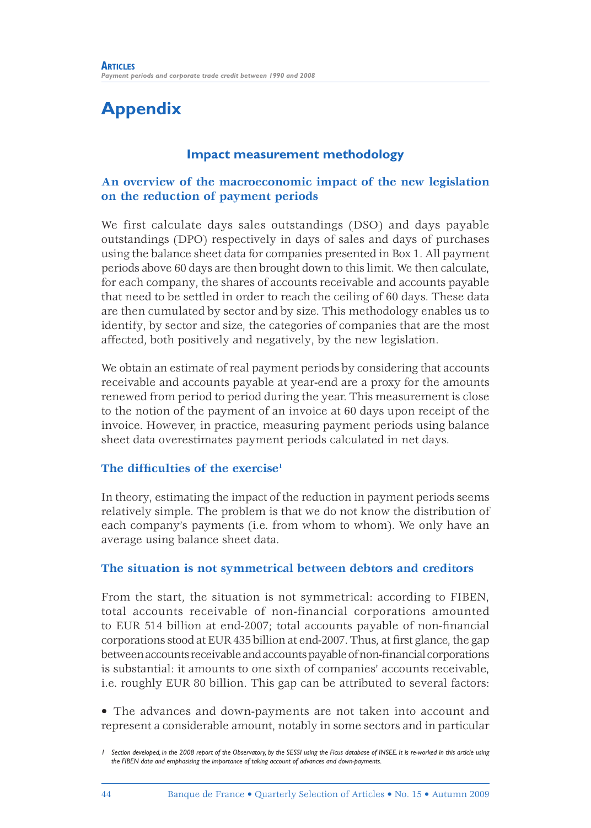## **Appendix**

### **Impact measurement methodology**

### **An overview of the macroeconomic impact of the new legislation on the reduction of payment periods**

We first calculate days sales outstandings (DSO) and days payable outstandings (DPO) respectively in days of sales and days of purchases using the balance sheet data for companies presented in Box 1. All payment periods above 60 days are then brought down to this limit. We then calculate, for each company, the shares of accounts receivable and accounts payable that need to be settled in order to reach the ceiling of 60 days. These data are then cumulated by sector and by size. This methodology enables us to identify, by sector and size, the categories of companies that are the most affected, both positively and negatively, by the new legislation.

We obtain an estimate of real payment periods by considering that accounts receivable and accounts payable at year-end are a proxy for the amounts renewed from period to period during the year. This measurement is close to the notion of the payment of an invoice at 60 days upon receipt of the invoice. However, in practice, measuring payment periods using balance sheet data overestimates payment periods calculated in net days.

#### **The difficulties of the exercise<sup>1</sup>**

In theory, estimating the impact of the reduction in payment periods seems relatively simple. The problem is that we do not know the distribution of each company's payments (i.e. from whom to whom). We only have an average using balance sheet data.

#### **The situation is not symmetrical between debtors and creditors**

From the start, the situation is not symmetrical: according to FIBEN, total accounts receivable of non-financial corporations amounted to EUR 514 billion at end-2007; total accounts payable of non-financial corporations stood at EUR 435 billion at end-2007. Thus, at first glance, the gap between accounts receivable and accounts payable of non-financial corporations is substantial: it amounts to one sixth of companies' accounts receivable, i.e. roughly EUR 80 billion. This gap can be attributed to several factors:

• The advances and down-payments are not taken into account and represent a considerable amount, notably in some sectors and in particular

*<sup>1</sup> Section developed, in the 2008 report of the Observatory, by the SESSI using the Ficus database of INSEE. It is re-worked in this article using the FIBEN data and emphasising the importance of taking account of advances and down-payments.*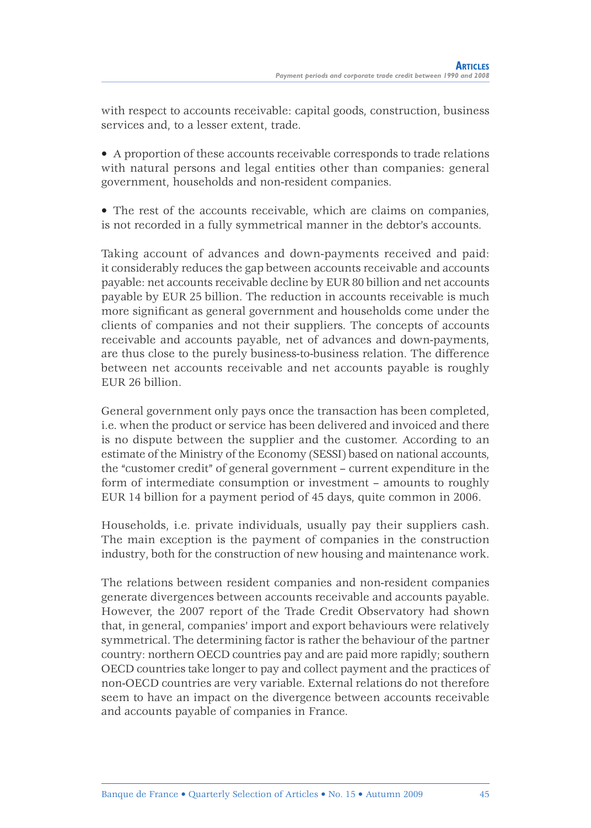with respect to accounts receivable: capital goods, construction, business services and, to a lesser extent, trade.

• A proportion of these accounts receivable corresponds to trade relations with natural persons and legal entities other than companies: general government, households and non-resident companies.

• The rest of the accounts receivable, which are claims on companies, is not recorded in a fully symmetrical manner in the debtor's accounts.

Taking account of advances and down-payments received and paid: it considerably reduces the gap between accounts receivable and accounts payable: net accounts receivable decline by EUR 80 billion and net accounts payable by EUR 25 billion. The reduction in accounts receivable is much more significant as general government and households come under the clients of companies and not their suppliers. The concepts of accounts receivable and accounts payable, net of advances and down-payments, are thus close to the purely business-to-business relation. The difference between net accounts receivable and net accounts payable is roughly EUR 26 billion.

General government only pays once the transaction has been completed, i.e. when the product or service has been delivered and invoiced and there is no dispute between the supplier and the customer. According to an estimate of the Ministry of the Economy (SESSI) based on national accounts, the "customer credit" of general government – current expenditure in the form of intermediate consumption or investment – amounts to roughly EUR 14 billion for a payment period of 45 days, quite common in 2006.

Households, i.e. private individuals, usually pay their suppliers cash. The main exception is the payment of companies in the construction industry, both for the construction of new housing and maintenance work.

The relations between resident companies and non-resident companies generate divergences between accounts receivable and accounts payable. However, the 2007 report of the Trade Credit Observatory had shown that, in general, companies' import and export behaviours were relatively symmetrical. The determining factor is rather the behaviour of the partner country: northern OECD countries pay and are paid more rapidly; southern OECD countries take longer to pay and collect payment and the practices of non-OECD countries are very variable. External relations do not therefore seem to have an impact on the divergence between accounts receivable and accounts payable of companies in France.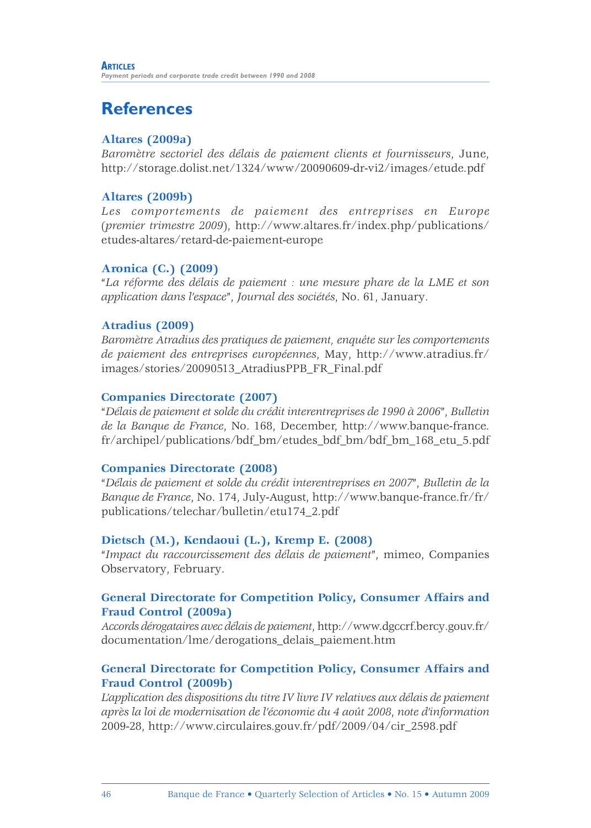## **References**

### **Altares (2009a)**

*Baromètre sectoriel des délais de paiement clients et fournisseurs*, June, http://storage.dolist.net/1324/www/20090609-dr-vi2/images/etude.pdf

### **Altares (2009b)**

*Les comportements de paiement des entreprises en Europe* (*premier trimestre 2009*), http://www.altares.fr/index.php/publications/ etudes-altares/retard-de-paiement-europe

### **Aronica (C.) (2009)**

"*La réforme des délais de paiement : une mesure phare de la LME et son application dans l'espace*", *Journal des sociétés*, No. 61, January.

### **Atradius (2009)**

*Baromètre Atradius des pratiques de paiement, enquête sur les comportements de paiement des entreprises européennes*, May, http://www.atradius.fr/ images/stories/20090513\_AtradiusPPB\_FR\_Final.pdf

#### **Companies Directorate (2007)**

"*Délais de paiement et solde du crédit interentreprises de 1990 à 2006*", *Bulletin de la Banque de France*, No. 168, December, http://www.banque-france. fr/archipel/publications/bdf\_bm/etudes\_bdf\_bm/bdf\_bm\_168\_etu\_5.pdf

#### **Companies Directorate (2008)**

"*Délais de paiement et solde du crédit interentreprises en 2007*", *Bulletin de la Banque de France*, No. 174, July-August, http://www.banque-france.fr/fr/ publications/telechar/bulletin/etu174\_2.pdf

#### **Dietsch (M.), Kendaoui (L.), Kremp E. (2008)**

"*Impact du raccourcissement des délais de paiement*", mimeo, Companies Observatory, February.

### **General Directorate for Competition Policy, Consumer Affairs and Fraud Control (2009a)**

*Accords dérogataires avec délais de paiement*, http://www.dgccrf.bercy.gouv.fr/ documentation/lme/derogations\_delais\_paiement.htm

### **General Directorate for Competition Policy, Consumer Affairs and Fraud Control (2009b)**

*L'application des dispositions du titre IV livre IV relatives aux délais de paiement après la loi de modernisation de l'économie du 4 août 2008*, *note d'information* 2009-28, http://www.circulaires.gouv.fr/pdf/2009/04/cir\_2598.pdf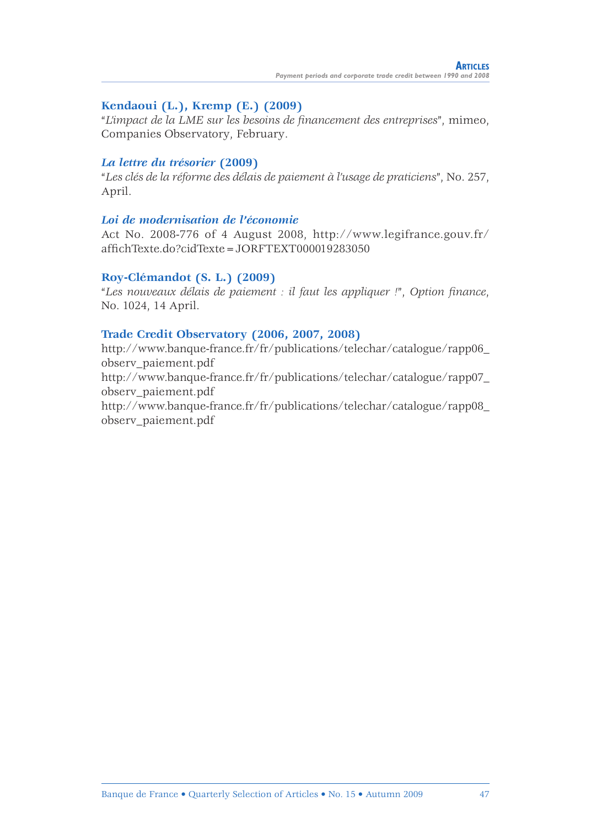### **Kendaoui (L.), Kremp (E.) (2009)**

"*L'impact de la LME sur les besoins de fi nancement des entreprises*", mimeo, Companies Observatory, February.

#### *La lettre du trésorier* **(2009)**

"*Les clés de la réforme des délais de paiement à l'usage de praticiens*", No. 257, April.

#### *Loi de modernisation de l'économie*

Act No. 2008-776 of 4 August 2008, http://www.legifrance.gouv.fr/ affichTexte.do?cidTexte=JORFTEXT000019283050

#### **Roy-Clémandot (S. L.) (2009)**

"*Les nouveaux délais de paiement : il faut les appliquer !*", *Option fi nance*, No. 1024, 14 April.

#### **Trade Credit Observatory (2006, 2007, 2008)**

http://www.banque-france.fr/fr/publications/telechar/catalogue/rapp06\_ observ\_paiement.pdf http://www.banque-france.fr/fr/publications/telechar/catalogue/rapp07\_ observ\_paiement.pdf http://www.banque-france.fr/fr/publications/telechar/catalogue/rapp08\_ observ\_paiement.pdf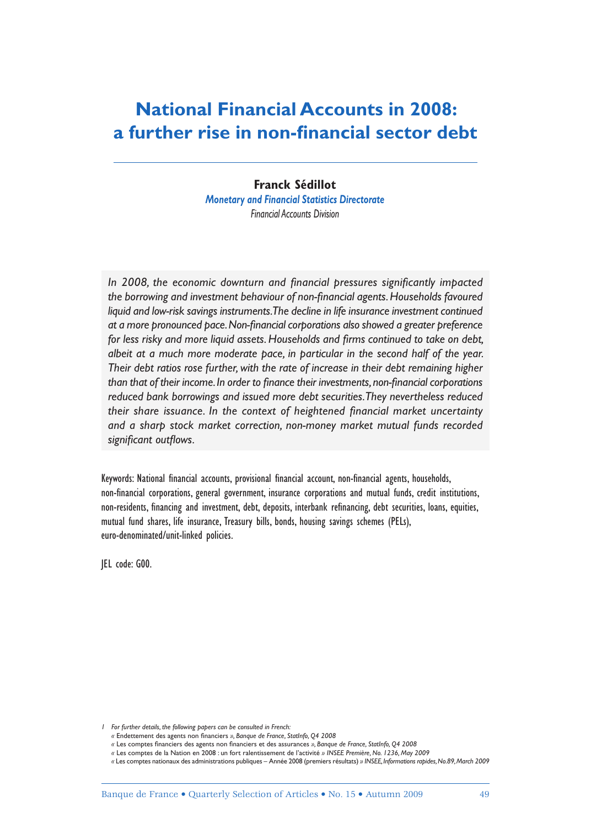## **National Financial Accounts in 2008: a further rise in non-financial sector debt**

**Franck Sédillot** *Monetary and Financial Statistics Directorate Financial Accounts Division*

In 2008, the economic downturn and financial pressures significantly impacted the borrowing and investment behaviour of non-financial agents. Households favoured *liquid and low-risk savings instruments. The decline in life insurance investment continued*  at a more pronounced pace. Non-financial corporations also showed a greater preference for less risky and more liquid assets. Households and firms continued to take on debt, albeit at a much more moderate pace, in particular in the second half of the year. *Their debt ratios rose further, with the rate of increase in their debt remaining higher*  than that of their income. In order to finance their investments, non-financial corporations *reduced bank borrowings and issued more debt securities. They nevertheless reduced*  their share issuance. In the context of heightened financial market uncertainty *and a sharp stock market correction, non-money market mutual funds recorded*  significant outflows.

Keywords: National financial accounts, provisional financial account, non-financial agents, households, non-financial corporations, general government, insurance corporations and mutual funds, credit institutions, non-residents, financing and investment, debt, deposits, interbank refinancing, debt securities, loans, equities, mutual fund shares, life insurance, Treasury bills, bonds, housing savings schemes (PELs), euro-denominated/unit-linked policies.

JEL code: G00.

*<sup>1</sup> For further details, the following papers can be consulted in French:*

 *<sup>«</sup>* Endettement des agents non fi nanciers *», Banque de France, StatInfo, Q4 2008*

 *<sup>«</sup>* Les comptes fi nanciers des agents non fi nanciers et des assurances *», Banque de France, StatInfo, Q4 2008*

 *<sup>«</sup>* Les comptes de la Nation en 2008 : un fort ralentissement de l'activité *» INSEE Première, No. 1236, May 2009*

 *<sup>«</sup>* Les comptes nationaux des administrations publiques – Année 2008 (premiers résultats) *» INSEE, Informations rapides, No.89, March 2009*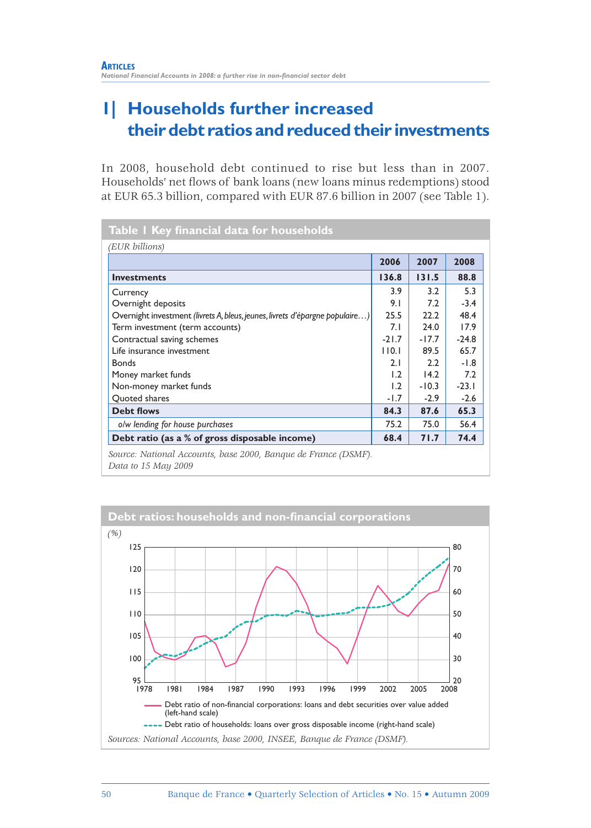## **1| Households further increased their debt ratios and reduced their investments**

In 2008, household debt continued to rise but less than in 2007. Households' net flows of bank loans (new loans minus redemptions) stood at EUR 65.3 billion, compared with EUR 87.6 billion in 2007 (see Table 1).

|                                                                              | 2006    | 2007    | 2008    |
|------------------------------------------------------------------------------|---------|---------|---------|
| <b>Investments</b>                                                           | 136.8   | 131.5   | 88.8    |
| Currency                                                                     | 3.9     | 3.2     | 5.3     |
| Overnight deposits                                                           | 9.1     | 7.2     | $-3.4$  |
| Overnight investment (livrets A, bleus, jeunes, livrets d'épargne populaire) | 25.5    | 22.2    | 48.4    |
| Term investment (term accounts)                                              | 7.1     | 24.0    | 17.9    |
| Contractual saving schemes                                                   | $-21.7$ | $-17.7$ | $-24.8$ |
| Life insurance investment                                                    | 110.1   | 89.5    | 65.7    |
| <b>Bonds</b>                                                                 | 2.1     | 2.2     | $-1.8$  |
| Money market funds                                                           | 1.2     | 14.2    | 7.2     |
| Non-money market funds                                                       | 1.2     | $-10.3$ | $-23.1$ |
| Quoted shares                                                                | $-1.7$  | $-2.9$  | $-2.6$  |
| <b>Debt flows</b>                                                            | 84.3    | 87.6    | 65.3    |
| o/w lending for house purchases                                              | 75.2    | 75.0    | 56.4    |
| Debt ratio (as a % of gross disposable income)                               | 68.4    | 71.7    | 74.4    |

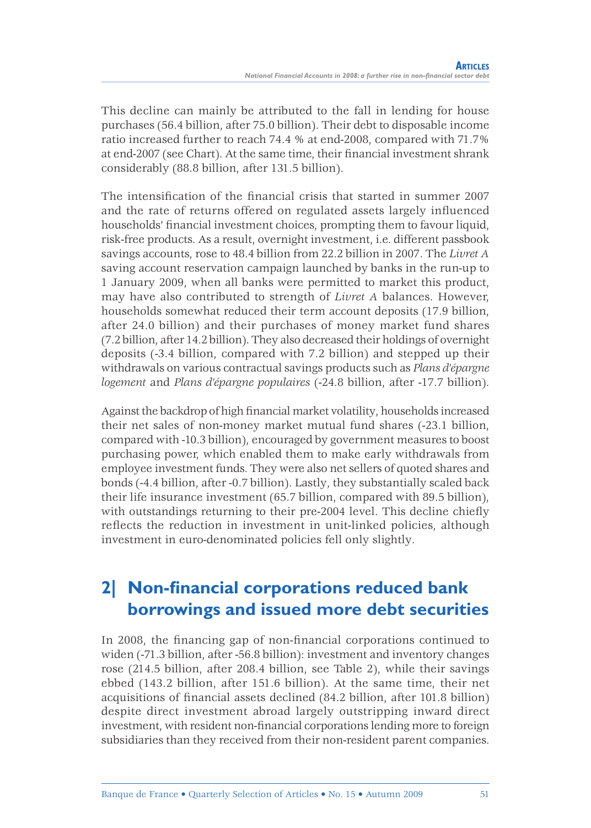This decline can mainly be attributed to the fall in lending for house purchases (56.4 billion, after 75.0 billion). Their debt to disposable income ratio increased further to reach 74.4 % at end-2008, compared with 71.7% at end-2007 (see Chart). At the same time, their financial investment shrank considerably (88.8 billion, after 131.5 billion).

The intensification of the financial crisis that started in summer 2007 and the rate of returns offered on regulated assets largely influenced households' financial investment choices, prompting them to favour liquid, risk-free products. As a result, overnight investment, i.e. different passbook savings accounts, rose to 48.4 billion from 22.2 billion in 2007. The *Livret A* saving account reservation campaign launched by banks in the run-up to 1 January 2009, when all banks were permitted to market this product, may have also contributed to strength of *Livret A* balances. However, households somewhat reduced their term account deposits (17.9 billion, after 24.0 billion) and their purchases of money market fund shares (7.2 billion, after 14.2 billion). They also decreased their holdings of overnight deposits (-3.4 billion, compared with 7.2 billion) and stepped up their withdrawals on various contractual savings products such as *Plans d'épargne logement* and *Plans d'épargne populaires* (-24.8 billion, after -17.7 billion).

Against the backdrop of high financial market volatility, households increased their net sales of non-money market mutual fund shares (-23.1 billion, compared with -10.3 billion), encouraged by government measures to boost purchasing power, which enabled them to make early withdrawals from employee investment funds. They were also net sellers of quoted shares and bonds (-4.4 billion, after -0.7 billion). Lastly, they substantially scaled back their life insurance investment (65.7 billion, compared with 89.5 billion), with outstandings returning to their pre-2004 level. This decline chiefly reflects the reduction in investment in unit-linked policies, although investment in euro-denominated policies fell only slightly.

## **2 Non-financial corporations reduced bank borrowings and issued more debt securities**

In 2008, the financing gap of non-financial corporations continued to widen (-71.3 billion, after -56.8 billion): investment and inventory changes rose (214.5 billion, after 208.4 billion, see Table 2), while their savings ebbed (143.2 billion, after 151.6 billion). At the same time, their net acquisitions of financial assets declined (84.2 billion, after 101.8 billion) despite direct investment abroad largely outstripping inward direct investment, with resident non-financial corporations lending more to foreign subsidiaries than they received from their non-resident parent companies.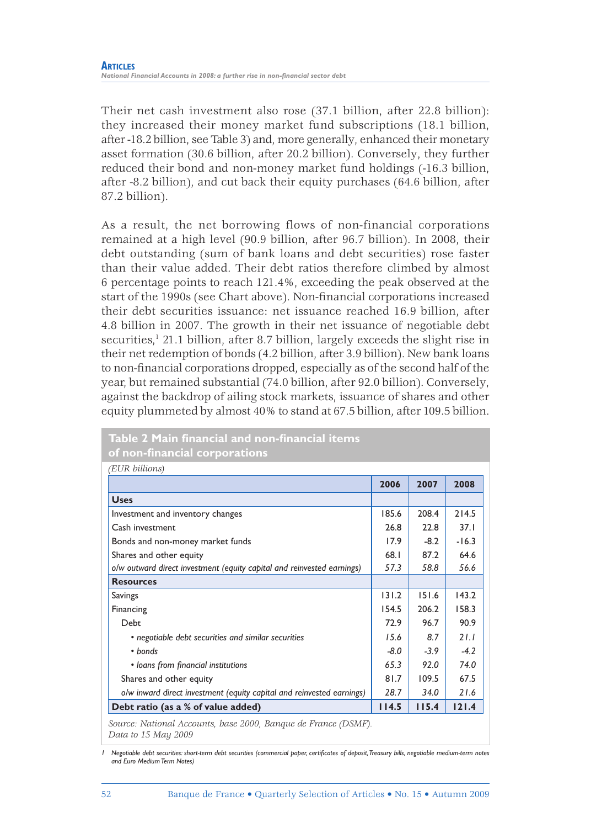Their net cash investment also rose (37.1 billion, after 22.8 billion): they increased their money market fund subscriptions (18.1 billion, after -18.2 billion, see Table 3) and, more generally, enhanced their monetary asset formation (30.6 billion, after 20.2 billion). Conversely, they further reduced their bond and non-money market fund holdings (-16.3 billion, after -8.2 billion), and cut back their equity purchases (64.6 billion, after 87.2 billion).

As a result, the net borrowing flows of non-financial corporations remained at a high level (90.9 billion, after 96.7 billion). In 2008, their debt outstanding (sum of bank loans and debt securities) rose faster than their value added. Their debt ratios therefore climbed by almost 6 percentage points to reach 121.4%, exceeding the peak observed at the start of the 1990s (see Chart above). Non-financial corporations increased their debt securities issuance: net issuance reached 16.9 billion, after 4.8 billion in 2007. The growth in their net issuance of negotiable debt securities,<sup>1</sup> 21.1 billion, after 8.7 billion, largely exceeds the slight rise in their net redemption of bonds (4.2 billion, after 3.9 billion). New bank loans to non-financial corporations dropped, especially as of the second half of the year, but remained substantial (74.0 billion, after 92.0 billion). Conversely, against the backdrop of ailing stock markets, issuance of shares and other equity plummeted by almost 40% to stand at 67.5 billion, after 109.5 billion.

| <b>Uses</b>                                                            | 2006   |        | (EUR billions) |  |  |  |  |  |
|------------------------------------------------------------------------|--------|--------|----------------|--|--|--|--|--|
|                                                                        |        | 2007   | 2008           |  |  |  |  |  |
|                                                                        |        |        |                |  |  |  |  |  |
| Investment and inventory changes                                       | 185.6  | 208.4  | 214.5          |  |  |  |  |  |
| Cash investment                                                        | 26.8   | 22.8   | 37.1           |  |  |  |  |  |
| Bonds and non-money market funds                                       | 17.9   | $-8.2$ | $-16.3$        |  |  |  |  |  |
| Shares and other equity                                                | 68.1   | 87.2   | 64.6           |  |  |  |  |  |
| o/w outward direct investment (equity capital and reinvested earnings) | 57.3   | 58.8   | 56.6           |  |  |  |  |  |
| <b>Resources</b>                                                       |        |        |                |  |  |  |  |  |
| Savings                                                                | 131.2  | 151.6  | 143.2          |  |  |  |  |  |
| Financing                                                              | 154.5  | 206.2  | 158.3          |  |  |  |  |  |
| Debt                                                                   | 72.9   | 96.7   | 90.9           |  |  |  |  |  |
| • negotiable debt securities and similar securities                    | 15.6   | 8.7    | 21.1           |  |  |  |  |  |
| • bonds                                                                | $-8.0$ | $-3.9$ | $-4.2$         |  |  |  |  |  |
| • loans from financial institutions                                    | 65.3   | 92.0   | 74.0           |  |  |  |  |  |
| Shares and other equity                                                | 81.7   | 109.5  | 67.5           |  |  |  |  |  |
| o/w inward direct investment (equity capital and reinvested earnings)  | 28.7   | 34.0   | 21.6           |  |  |  |  |  |
| Debt ratio (as a % of value added)                                     | 114.5  | 115.4  | 121.4          |  |  |  |  |  |

#### **Table 2 Main financial and non-financial items of non-financial corporations**

*1* Negotiable debt securities: short-term debt securities (commercial paper, certificates of deposit, Treasury bills, negotiable medium-term notes *and Euro Medium Term Notes)*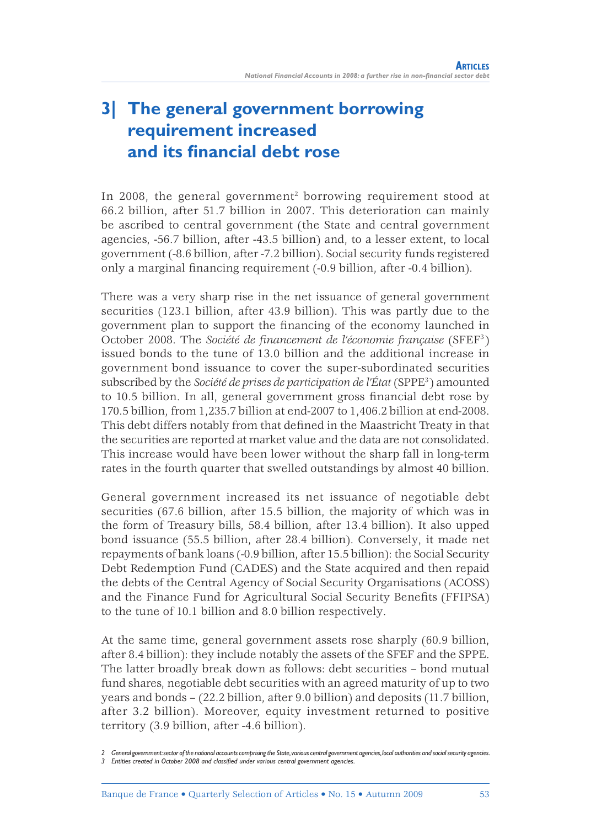## **3| The general government borrowing requirement increased and its financial debt rose**

In 2008, the general government<sup>2</sup> borrowing requirement stood at 66.2 billion, after 51.7 billion in 2007. This deterioration can mainly be ascribed to central government (the State and central government agencies, -56.7 billion, after -43.5 billion) and, to a lesser extent, to local government (-8.6 billion, after -7.2 billion). Social security funds registered only a marginal financing requirement (-0.9 billion, after -0.4 billion).

There was a very sharp rise in the net issuance of general government securities (123.1 billion, after 43.9 billion). This was partly due to the government plan to support the financing of the economy launched in October 2008. The *Société de financement de l'économie française* (SFEF<sup>3</sup>) issued bonds to the tune of 13.0 billion and the additional increase in government bond issuance to cover the super-subordinated securities subscribed by the *Société de prises de participation de l'État* (SPPE3 ) amounted to 10.5 billion. In all, general government gross financial debt rose by 170.5 billion, from 1,235.7 billion at end-2007 to 1,406.2 billion at end-2008. This debt differs notably from that defined in the Maastricht Treaty in that the securities are reported at market value and the data are not consolidated. This increase would have been lower without the sharp fall in long-term rates in the fourth quarter that swelled outstandings by almost 40 billion.

General government increased its net issuance of negotiable debt securities (67.6 billion, after 15.5 billion, the majority of which was in the form of Treasury bills, 58.4 billion, after 13.4 billion). It also upped bond issuance (55.5 billion, after 28.4 billion). Conversely, it made net repayments of bank loans (-0.9 billion, after 15.5 billion): the Social Security Debt Redemption Fund (CADES) and the State acquired and then repaid the debts of the Central Agency of Social Security Organisations (ACOSS) and the Finance Fund for Agricultural Social Security Benefits (FFIPSA) to the tune of 10.1 billion and 8.0 billion respectively.

At the same time, general government assets rose sharply (60.9 billion, after 8.4 billion): they include notably the assets of the SFEF and the SPPE. The latter broadly break down as follows: debt securities – bond mutual fund shares, negotiable debt securities with an agreed maturity of up to two years and bonds – (22.2 billion, after 9.0 billion) and deposits (11.7 billion, after 3.2 billion). Moreover, equity investment returned to positive territory (3.9 billion, after -4.6 billion).

*<sup>2</sup> General government: sector of the national accounts comprising the State, various central government agencies, local authorities and social security agencies.* 3 Entities created in October 2008 and classified under various central government agencies.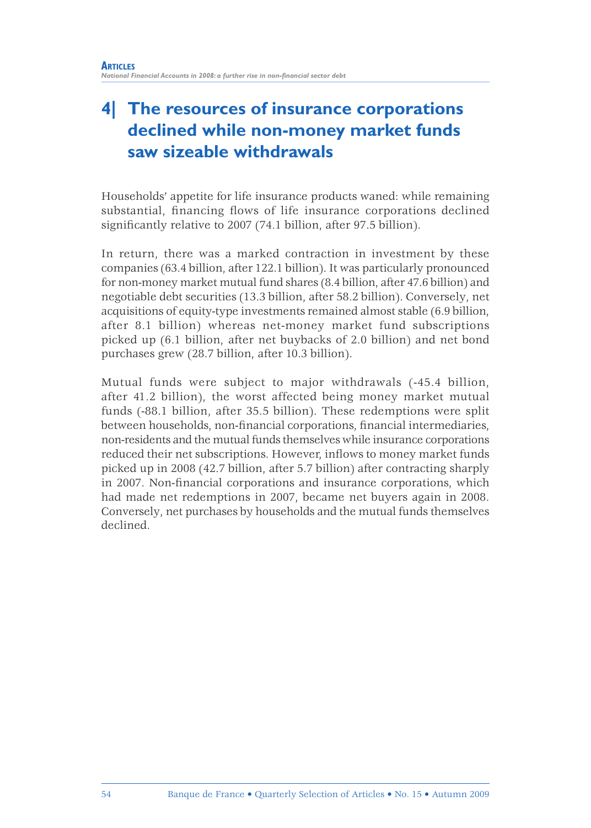## **4| The resources of insurance corporations declined while non-money market funds saw sizeable withdrawals**

Households' appetite for life insurance products waned: while remaining substantial, financing flows of life insurance corporations declined significantly relative to 2007 (74.1 billion, after 97.5 billion).

In return, there was a marked contraction in investment by these companies (63.4 billion, after 122.1 billion). It was particularly pronounced for non-money market mutual fund shares (8.4 billion, after 47.6 billion) and negotiable debt securities (13.3 billion, after 58.2 billion). Conversely, net acquisitions of equity-type investments remained almost stable (6.9 billion, after 8.1 billion) whereas net-money market fund subscriptions picked up (6.1 billion, after net buybacks of 2.0 billion) and net bond purchases grew (28.7 billion, after 10.3 billion).

Mutual funds were subject to major withdrawals (-45.4 billion, after 41.2 billion), the worst affected being money market mutual funds (-88.1 billion, after 35.5 billion). These redemptions were split between households, non-financial corporations, financial intermediaries, non-residents and the mutual funds themselves while insurance corporations reduced their net subscriptions. However, inflows to money market funds picked up in 2008 (42.7 billion, after 5.7 billion) after contracting sharply in 2007. Non-financial corporations and insurance corporations, which had made net redemptions in 2007, became net buyers again in 2008. Conversely, net purchases by households and the mutual funds themselves declined.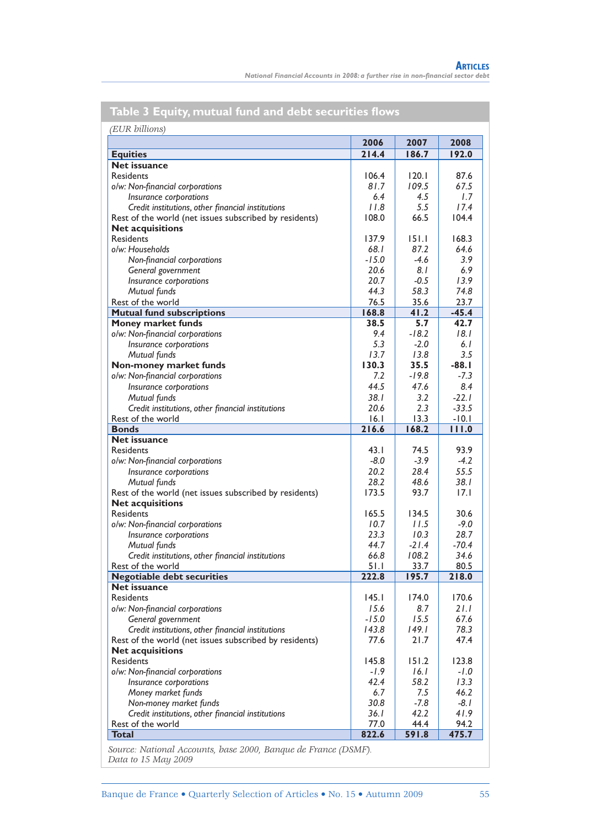*National Financial Accounts in 2008: a further rise in non-fi nancial sector debt*

|                                                        | 2006    | 2007    | 2008    |
|--------------------------------------------------------|---------|---------|---------|
| <b>Equities</b>                                        | 214.4   | 186.7   | 192.0   |
| <b>Net issuance</b>                                    |         |         |         |
| <b>Residents</b>                                       | 106.4   | 120.1   | 87.6    |
| o/w: Non-financial corporations                        | 81.7    | 109.5   | 67.5    |
| Insurance corporations                                 | 6.4     | 4.5     | 1.7     |
| Credit institutions, other financial institutions      | 11.8    | 5.5     | 17.4    |
| Rest of the world (net issues subscribed by residents) | 108.0   | 66.5    | 104.4   |
| <b>Net acquisitions</b>                                |         |         |         |
| <b>Residents</b>                                       | 137.9   | 151.1   | 168.3   |
| o/w: Households                                        | 68. I   | 87.2    | 64.6    |
| Non-financial corporations                             | $-15.0$ | $-4.6$  | 3.9     |
| General government                                     | 20.6    | 8. I    | 6.9     |
| Insurance corporations                                 | 20.7    | $-0.5$  | 13.9    |
| Mutual funds                                           | 44.3    | 58.3    | 74.8    |
| Rest of the world                                      | 76.5    | 35.6    | 23.7    |
| <b>Mutual fund subscriptions</b>                       | 168.8   | 41.2    | $-45.4$ |
| Money market funds                                     | 38.5    | 5.7     | 42.7    |
| o/w: Non-financial corporations                        | 9.4     | $-18.2$ | 18.1    |
| Insurance corporations                                 | 5.3     | $-2.0$  | 6. I    |
| Mutual funds                                           | 13.7    | 13.8    | 3.5     |
| Non-money market funds                                 | 130.3   | 35.5    | $-88.1$ |
| o/w: Non-financial corporations                        | 7.2     | $-19.8$ | $-7.3$  |
| Insurance corporations                                 | 44.5    | 47.6    | 8.4     |
| Mutual funds                                           | 38. I   | 3.2     | $-22.1$ |
| Credit institutions, other financial institutions      | 20.6    | 2.3     | $-33.5$ |
| Rest of the world                                      | 16.1    | 13.3    | $-10.1$ |
| <b>Bonds</b>                                           | 216.6   | 168.2   | 111.0   |
| <b>Net issuance</b>                                    |         |         |         |
| Residents                                              | 43.1    | 74.5    | 93.9    |
| o/w: Non-financial corporations                        | $-8.0$  | $-3.9$  | $-4.2$  |
| Insurance corporations                                 | 20.2    | 28.4    | 55.5    |
| Mutual funds                                           | 28.2    | 48.6    | 38. I   |
| Rest of the world (net issues subscribed by residents) | 173.5   | 93.7    | 17.1    |
| <b>Net acquisitions</b>                                |         |         |         |
| <b>Residents</b>                                       | 165.5   | 134.5   | 30.6    |
| o/w: Non-financial corporations                        | 10.7    | 11.5    | $-9.0$  |
| Insurance corporations                                 | 23.3    | 10.3    | 28.7    |
| Mutual funds                                           | 44.7    | $-21.4$ | $-70.4$ |
| Credit institutions, other financial institutions      | 66.8    | 108.2   | 34.6    |
| Rest of the world                                      | 5 I . I | 33.7    | 80.5    |
| <b>Negotiable debt securities</b>                      | 222.8   | 195.7   | 218.0   |
| <b>Net issuance</b>                                    |         |         |         |
| <b>Residents</b>                                       | 145.1   | 174.0   | 170.6   |
| o/w: Non-financial corporations                        | 15.6    | 8.7     | 21.1    |
|                                                        | $-15.0$ | 15.5    | 67.6    |
| General government                                     | 143.8   | 149.1   | 78.3    |
| Credit institutions, other financial institutions      |         |         |         |
| Rest of the world (net issues subscribed by residents) | 77.6    | 21.7    | 47.4    |
| <b>Net acquisitions</b>                                |         |         |         |
| <b>Residents</b>                                       | 145.8   | 151.2   | 123.8   |
| o/w: Non-financial corporations                        | -1.9    | 16.1    | -1.0    |
| Insurance corporations                                 | 42.4    | 58.2    | 13.3    |
| Money market funds                                     | 6.7     | 7.5     | 46.2    |
| Non-money market funds                                 | 30.8    | $-7.8$  | -8.1    |
| Credit institutions, other financial institutions      | 36. I   | 42.2    | 41.9    |
| Rest of the world                                      | 77.0    | 44.4    | 94.2    |
| <b>Total</b>                                           | 822.6   | 591.8   | 475.7   |

### **Table 3 Equity, mutual fund and debt securities fl ows**

*Source: National Accounts, base 2000, Banque de France (DSMF). Data to 15 May 2009*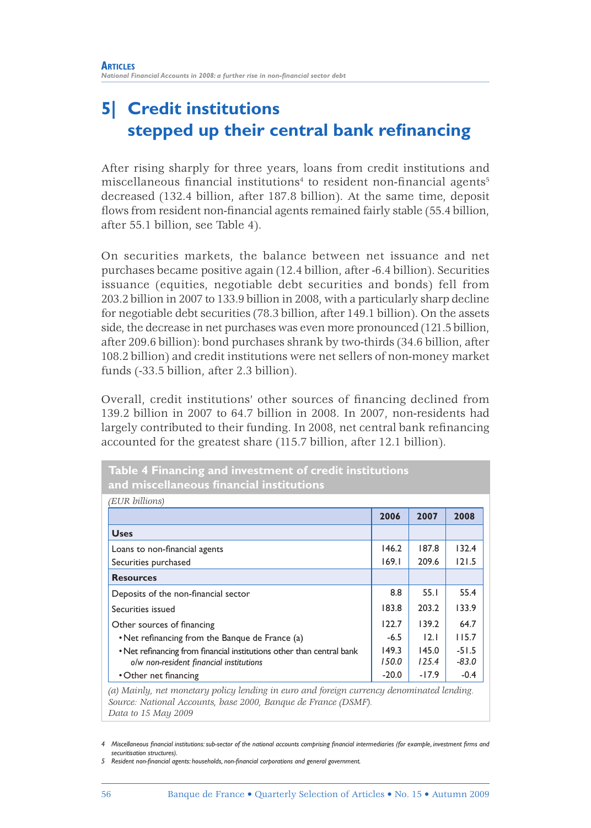## **5| Credit institutions**  stepped up their central bank refinancing

After rising sharply for three years, loans from credit institutions and  $m$ iscellaneous financial institutions $^{\rm 4}$  to resident non-financial agents $^{\rm 5}$ decreased (132.4 billion, after 187.8 billion). At the same time, deposit flows from resident non-financial agents remained fairly stable (55.4 billion, after 55.1 billion, see Table 4).

On securities markets, the balance between net issuance and net purchases became positive again (12.4 billion, after -6.4 billion). Securities issuance (equities, negotiable debt securities and bonds) fell from 203.2 billion in 2007 to 133.9 billion in 2008, with a particularly sharp decline for negotiable debt securities (78.3 billion, after 149.1 billion). On the assets side, the decrease in net purchases was even more pronounced (121.5 billion, after 209.6 billion): bond purchases shrank by two-thirds (34.6 billion, after 108.2 billion) and credit institutions were net sellers of non-money market funds (-33.5 billion, after 2.3 billion).

Overall, credit institutions' other sources of financing declined from 139.2 billion in 2007 to 64.7 billion in 2008. In 2007, non-residents had largely contributed to their funding. In 2008, net central bank refinancing accounted for the greatest share (115.7 billion, after 12.1 billion).

**Table 4 Financing and investment of credit institutions** 

| (EUR billions)                                                        |         |         |         |
|-----------------------------------------------------------------------|---------|---------|---------|
|                                                                       | 2006    | 2007    | 2008    |
| <b>Uses</b>                                                           |         |         |         |
| Loans to non-financial agents                                         | 146.2   | 187.8   | 132.4   |
| Securities purchased                                                  | 169.1   | 209.6   | 121.5   |
| <b>Resources</b>                                                      |         |         |         |
| Deposits of the non-financial sector                                  | 8.8     | 55.1    | 55.4    |
| Securities issued                                                     | 183.8   | 203.2   | 133.9   |
| Other sources of financing                                            | 122.7   | 139.2   | 64.7    |
| • Net refinancing from the Banque de France (a)                       | $-6.5$  | 12.1    | 115.7   |
| . Net refinancing from financial institutions other than central bank | 149.3   | 145.0   | $-51.5$ |
| o/w non-resident financial institutions                               | 150.0   | 125.4   | $-83.0$ |
| • Other net financing                                                 | $-20.0$ | $-17.9$ | $-0.4$  |

*(a) Mainly, net monetary policy lending in euro and foreign currency denominated lending. Source: National Accounts, base 2000, Banque de France (DSMF). Data to 15 May 2009*

4 Miscellaneous financial institutions: sub-sector of the national accounts comprising financial intermediaries (for example, investment firms and *securitisation structures).*

*5 Resident non-fi nancial agents: households, non-fi nancial corporations and general government.*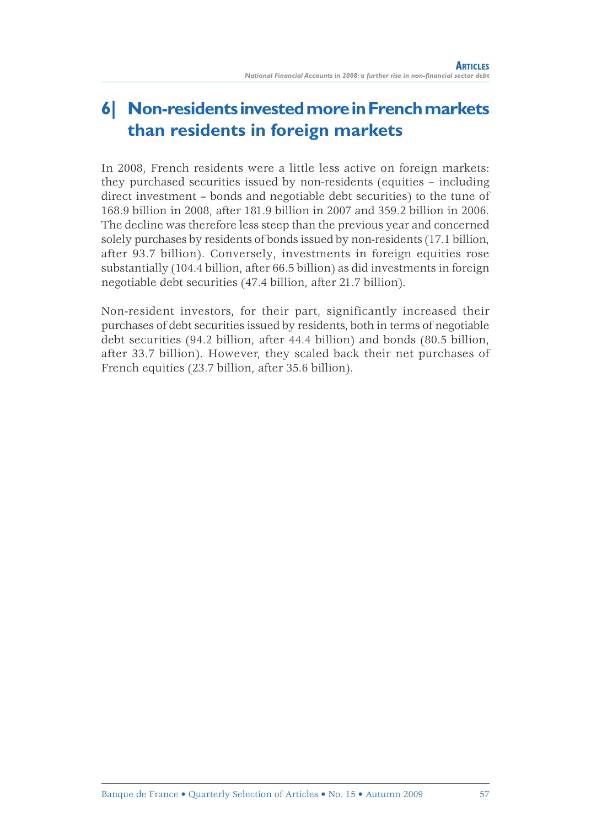## **6| Non-residents invested more in French markets than residents in foreign markets**

In 2008, French residents were a little less active on foreign markets: they purchased securities issued by non-residents (equities – including direct investment – bonds and negotiable debt securities) to the tune of 168.9 billion in 2008, after 181.9 billion in 2007 and 359.2 billion in 2006. The decline was therefore less steep than the previous year and concerned solely purchases by residents of bonds issued by non-residents (17.1 billion, after 93.7 billion). Conversely, investments in foreign equities rose substantially (104.4 billion, after 66.5 billion) as did investments in foreign negotiable debt securities (47.4 billion, after 21.7 billion).

Non-resident investors, for their part, significantly increased their purchases of debt securities issued by residents, both in terms of negotiable debt securities (94.2 billion, after 44.4 billion) and bonds (80.5 billion, after 33.7 billion). However, they scaled back their net purchases of French equities (23.7 billion, after 35.6 billion).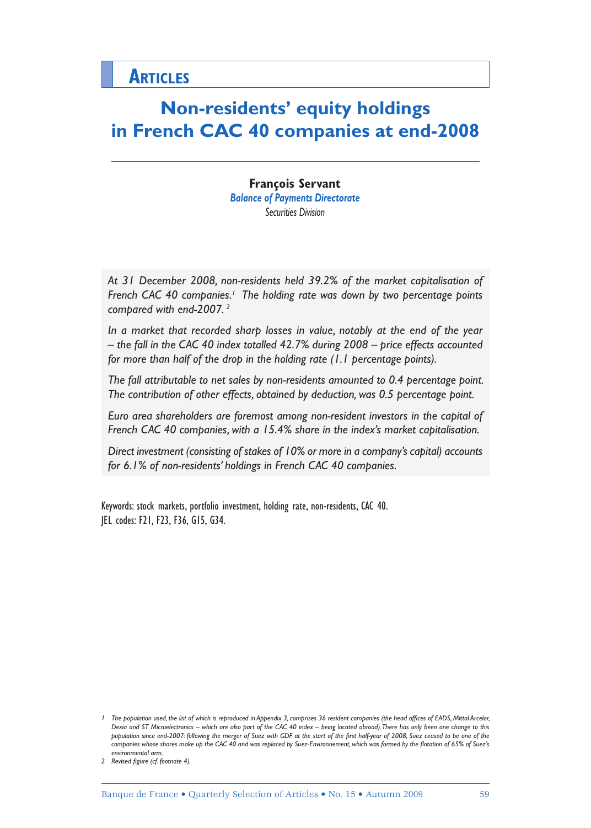## **Non-residents' equity holdings in French CAC 40 companies at end-2008**

**François Servant** *Balance of Payments Directorate Securities Division*

*At 31 December 2008, non-residents held 39.2% of the market capitalisation of*  French CAC 40 companies.<sup>1</sup> The holding rate was down by two percentage points *compared with end-2007. 2*

*In a market that recorded sharp losses in value, notably at the end of the year – the fall in the CAC 40 index totalled 42.7% during 2008 – price effects accounted for more than half of the drop in the holding rate (1.1 percentage points).*

*The fall attributable to net sales by non-residents amounted to 0.4 percentage point. The contribution of other effects, obtained by deduction, was 0.5 percentage point.*

*Euro area shareholders are foremost among non-resident investors in the capital of French CAC 40 companies, with a 15.4% share in the index's market capitalisation.*

*Direct investment (consisting of stakes of 10% or more in a company's capital) accounts for 6.1% of non-residents' holdings in French CAC 40 companies.*

Keywords: stock markets, portfolio investment, holding rate, non-residents, CAC 40. JEL codes: F21, F23, F36, G15, G34.

*<sup>1</sup>* The population used, the list of which is reproduced in Appendix 3, comprises 36 resident companies (the head offices of EADS, Mittal Arcelor, *Dexia and ST Microelectronics – which are also part of the CAC 40 index – being located abroad). There has only been one change to this*  population since end-2007: following the merger of Suez with GDF at the start of the first half-year of 2008, Suez ceased to be one of the companies whose shares make up the CAC 40 and was replaced by Suez-Environnement, which was formed by the flotation of 65% of Suez's *environmental arm.*

<sup>2</sup> Revised figure (cf. footnote 4).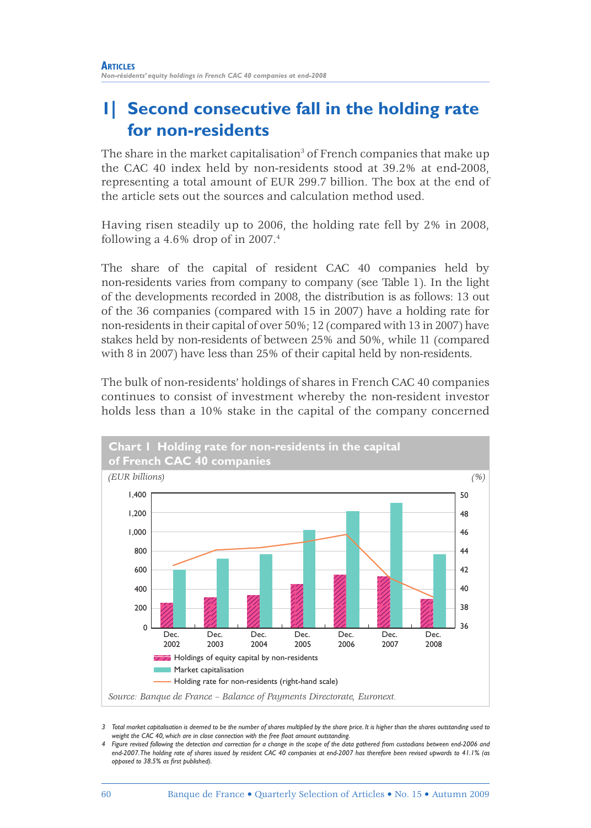## **1| Second consecutive fall in the holding rate for non-residents**

The share in the market capitalisation $^3$  of French companies that make up the CAC 40 index held by non-residents stood at 39.2% at end-2008, representing a total amount of EUR 299.7 billion. The box at the end of the article sets out the sources and calculation method used.

Having risen steadily up to 2006, the holding rate fell by 2% in 2008, following a  $4.6\%$  drop of in 2007.<sup>4</sup>

The share of the capital of resident CAC 40 companies held by non-residents varies from company to company (see Table 1). In the light of the developments recorded in 2008, the distribution is as follows: 13 out of the 36 companies (compared with 15 in 2007) have a holding rate for non-residents in their capital of over 50%; 12 (compared with 13 in 2007) have stakes held by non-residents of between 25% and 50%, while 11 (compared with 8 in 2007) have less than 25% of their capital held by non-residents.

The bulk of non-residents' holdings of shares in French CAC 40 companies continues to consist of investment whereby the non-resident investor holds less than a 10% stake in the capital of the company concerned



*<sup>3</sup> Total market capitalisation is deemed to be the number of shares multiplied by the share price. It is higher than the shares outstanding used to*  weight the CAC 40, which are in close connection with the free float amount outstanding.

*<sup>4</sup> Figure revised following the detection and correction for a change in the scope of the data gathered from custodians between end-2006 and end-2007. The holding rate of shares issued by resident CAC 40 companies at end-2007 has therefore been revised upwards to 41.1% (as opposed to 38.5% as fi rst published).*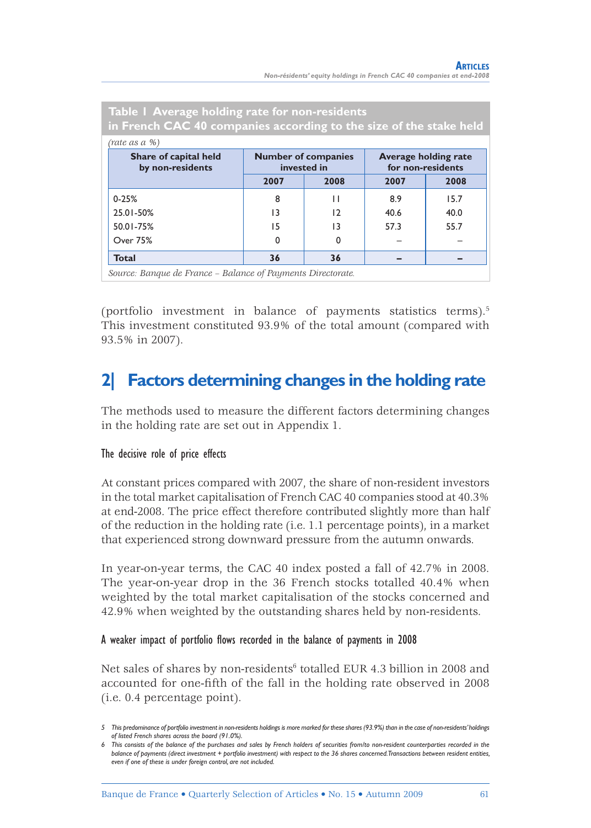| Table I Average holding rate for non-residents<br>in French CAC 40 companies according to the size of the stake held                       |                 |              |      |      |  |  |
|--------------------------------------------------------------------------------------------------------------------------------------------|-----------------|--------------|------|------|--|--|
| (rate as a %)                                                                                                                              |                 |              |      |      |  |  |
| <b>Average holding rate</b><br>Share of capital held<br><b>Number of companies</b><br>for non-residents<br>invested in<br>by non-residents |                 |              |      |      |  |  |
|                                                                                                                                            | 2007            | 2008         | 2007 | 2008 |  |  |
| $0 - 25%$                                                                                                                                  | 8               | $\mathsf{L}$ | 8.9  | 15.7 |  |  |
| 25.01-50%                                                                                                                                  | $\overline{13}$ | 12           | 40.6 | 40.0 |  |  |
| 50.01-75%                                                                                                                                  | 15              | 13           | 57.3 | 55.7 |  |  |
| Over 75%                                                                                                                                   | $\Omega$        | 0            |      |      |  |  |
| <b>Total</b>                                                                                                                               | 36              | 36           |      |      |  |  |
| Source: Rangue de France - Ralance of Dayments Directorate                                                                                 |                 |              |      |      |  |  |

*Source: Banque de France – Balance of Payments Directorate.*

(portfolio investment in balance of payments statistics terms).<sup>5</sup> This investment constituted 93.9% of the total amount (compared with 93.5% in 2007).

## **2| Factors determining changes in the holding rate**

The methods used to measure the different factors determining changes in the holding rate are set out in Appendix 1.

#### The decisive role of price effects

At constant prices compared with 2007, the share of non-resident investors in the total market capitalisation of French CAC 40 companies stood at 40.3% at end-2008. The price effect therefore contributed slightly more than half of the reduction in the holding rate (i.e. 1.1 percentage points), in a market that experienced strong downward pressure from the autumn onwards.

In year-on-year terms, the CAC 40 index posted a fall of 42.7% in 2008. The year-on-year drop in the 36 French stocks totalled 40.4% when weighted by the total market capitalisation of the stocks concerned and 42.9% when weighted by the outstanding shares held by non-residents.

#### A weaker impact of portfolio flows recorded in the balance of payments in 2008

Net sales of shares by non-residents<sup>6</sup> totalled EUR 4.3 billion in 2008 and accounted for one-fifth of the fall in the holding rate observed in 2008 (i.e. 0.4 percentage point).

*<sup>5</sup> This predominance of portfolio investment in non-residents holdings is more marked for these shares (93.9%) than in the case of non-residents' holdings of listed French shares across the board (91.0%).*

*<sup>6</sup> This consists of the balance of the purchases and sales by French holders of securities from/to non-resident counterparties recorded in the balance of payments (direct investment + portfolio investment) with respect to the 36 shares concerned. Transactions between resident entities, even if one of these is under foreign control, are not included.*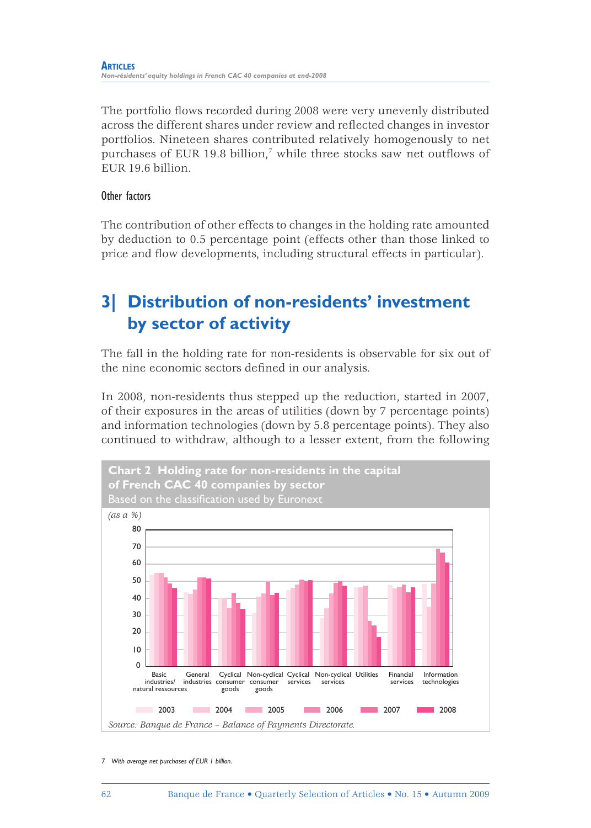The portfolio flows recorded during 2008 were very unevenly distributed across the different shares under review and reflected changes in investor portfolios. Nineteen shares contributed relatively homogenously to net purchases of EUR 19.8 billion,<sup>7</sup> while three stocks saw net outflows of EUR 19.6 billion.

#### Other factors

The contribution of other effects to changes in the holding rate amounted by deduction to 0.5 percentage point (effects other than those linked to price and flow developments, including structural effects in particular).

## **3| Distribution of non-residents' investment by sector of activity**

The fall in the holding rate for non-residents is observable for six out of the nine economic sectors defined in our analysis.

In 2008, non-residents thus stepped up the reduction, started in 2007, of their exposures in the areas of utilities (down by 7 percentage points) and information technologies (down by 5.8 percentage points). They also continued to withdraw, although to a lesser extent, from the following



*<sup>7</sup> With average net purchases of EUR 1 billion.*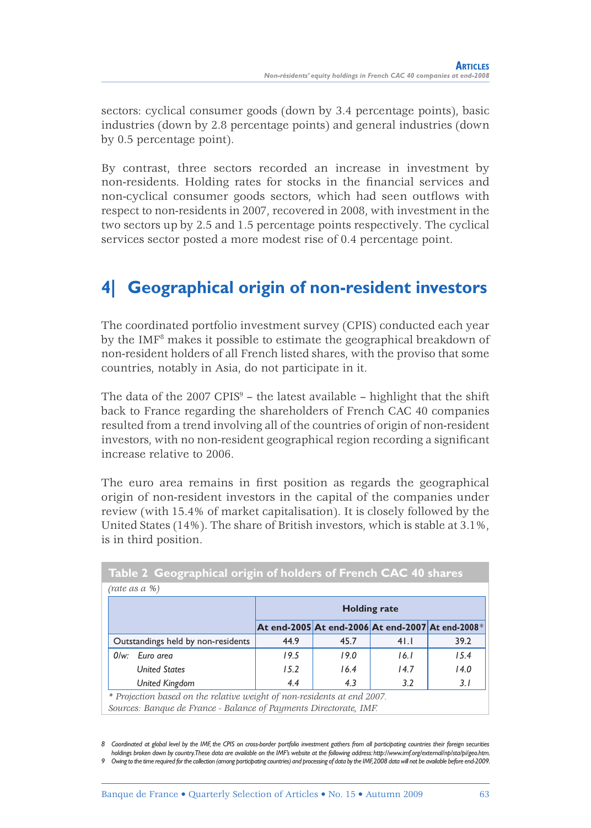sectors: cyclical consumer goods (down by 3.4 percentage points), basic industries (down by 2.8 percentage points) and general industries (down by 0.5 percentage point).

By contrast, three sectors recorded an increase in investment by non-residents. Holding rates for stocks in the financial services and non-cyclical consumer goods sectors, which had seen outflows with respect to non-residents in 2007, recovered in 2008, with investment in the two sectors up by 2.5 and 1.5 percentage points respectively. The cyclical services sector posted a more modest rise of 0.4 percentage point.

## **4| Geographical origin of non-resident investors**

The coordinated portfolio investment survey (CPIS) conducted each year by the IMF<sup>8</sup> makes it possible to estimate the geographical breakdown of non-resident holders of all French listed shares, with the proviso that some countries, notably in Asia, do not participate in it.

The data of the  $2007$  CPIS $9$  – the latest available – highlight that the shift back to France regarding the shareholders of French CAC 40 companies resulted from a trend involving all of the countries of origin of non-resident investors, with no non-resident geographical region recording a significant increase relative to 2006.

The euro area remains in first position as regards the geographical origin of non-resident investors in the capital of the companies under review (with 15.4% of market capitalisation). It is closely followed by the United States (14%). The share of British investors, which is stable at 3.1%, is in third position.

|     | (rate as a %)                                                           |      |                     |      |      |  |  |  |  |
|-----|-------------------------------------------------------------------------|------|---------------------|------|------|--|--|--|--|
|     |                                                                         |      | <b>Holding rate</b> |      |      |  |  |  |  |
|     | At end-2005 At end-2006 At end-2007 At end-2008*                        |      |                     |      |      |  |  |  |  |
|     | Outstandings held by non-residents                                      | 44.9 | 45.7                | 41.1 | 39.2 |  |  |  |  |
| 0/w | Euro area                                                               | 19.5 | 19.0                | 16.1 | 15.4 |  |  |  |  |
|     | <b>United States</b>                                                    | 15.2 | 16.4                | 14.7 | 14.0 |  |  |  |  |
|     | <b>United Kingdom</b>                                                   | 4.4  | 4.3                 | 3.2  | 3.1  |  |  |  |  |
|     | * Projection based on the relative weight of non-residents at end 2007. |      |                     |      |      |  |  |  |  |
|     | Sources: Banque de France - Balance of Payments Directorate, IMF.       |      |                     |      |      |  |  |  |  |

**Table 2 Geographical origin of holders of French CAC 40 shares**

*8 Coordinated at global level by the IMF, the CPIS on cross-border portfolio investment gathers from all participating countries their foreign securities holdings broken down by country. These data are available on the IMF's website at the following address: http://www.imf.org/external/np/sta/pi/geo.htm. 9 Owing to the time required for the collection (among participating countries) and processing of data by the IMF, 2008 data will not be available before end-2009.*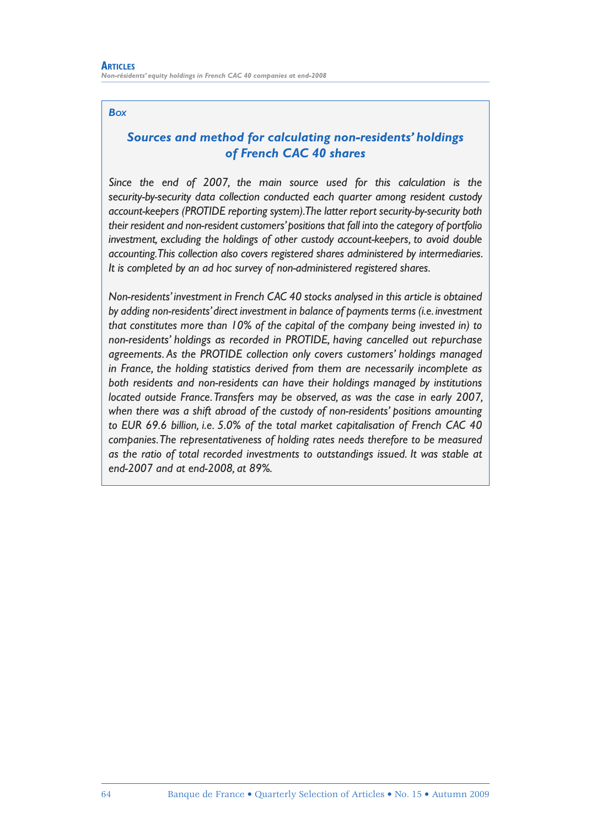#### *BOX*

### *Sources and method for calculating non-residents' holdings of French CAC 40 shares*

*Since the end of 2007, the main source used for this calculation is the security-by-security data collection conducted each quarter among resident custody account-keepers (PROTIDE reporting system). The latter report security-by-security both their resident and non-resident customers' positions that fall into the category of portfolio investment, excluding the holdings of other custody account-keepers, to avoid double accounting. This collection also covers registered shares administered by intermediaries. It is completed by an ad hoc survey of non-administered registered shares.*

*Non-residents' investment in French CAC 40 stocks analysed in this article is obtained by adding non-residents' direct investment in balance of payments terms (i.e. investment that constitutes more than 10% of the capital of the company being invested in) to non-residents' holdings as recorded in PROTIDE, having cancelled out repurchase agreements. As the PROTIDE collection only covers customers' holdings managed in France, the holding statistics derived from them are necessarily incomplete as both residents and non-residents can have their holdings managed by institutions located outside France. Transfers may be observed, as was the case in early 2007, when there was a shift abroad of the custody of non-residents' positions amounting to EUR 69.6 billion, i.e. 5.0% of the total market capitalisation of French CAC 40 companies. The representativeness of holding rates needs therefore to be measured as the ratio of total recorded investments to outstandings issued. It was stable at end-2007 and at end-2008, at 89%.*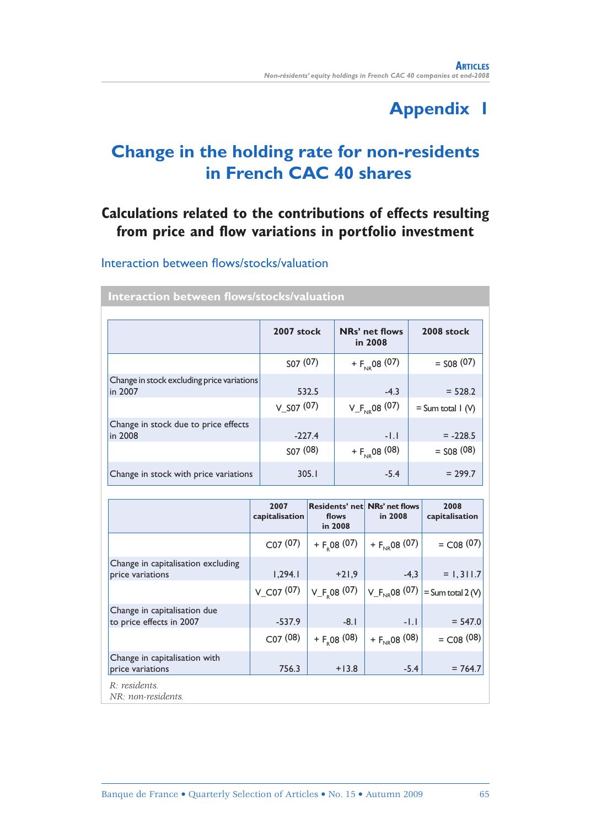## **Appendix 1**

## **Change in the holding rate for non-residents in French CAC 40 shares**

### **Calculations related to the contributions of effects resulting**  from price and flow variations in portfolio investment

#### Interaction between flows/stocks/valuation

|                                                       | 2007 stock                        | NRs' net flows<br>in 2008     | 2008 stock                            |
|-------------------------------------------------------|-----------------------------------|-------------------------------|---------------------------------------|
|                                                       | SO <sub>7</sub> (07)              | + $F_{NR}$ 08 (07)            | $=$ S08 (07)                          |
| Change in stock excluding price variations<br>in 2007 | 532.5<br>$V$ S <sub>07</sub> (07) | $-4.3$<br>$V_F_{N_R}$ 08 (07) | $= 528.2$<br>$=$ Sum total $\mid$ (V) |
| Change in stock due to price effects<br>in 2008       | $-227.4$                          | $-1.1$                        | $= -228.5$                            |
|                                                       | SO <sub>7</sub> (08)              | + $F_{NR}$ 08 (08)            | $=$ S08 (08)                          |
| Change in stock with price variations                 | 305.1                             | $-5.4$                        | $= 299.7$                             |

**Interaction between flows/stocks/valuation** 

|                                                                    | 2007<br>capitalisation              | <b>Residents' net NRs' net flows</b><br>flows<br>in 2008 | in 2008                      | 2008<br>capitalisation                               |
|--------------------------------------------------------------------|-------------------------------------|----------------------------------------------------------|------------------------------|------------------------------------------------------|
|                                                                    | CO7(07)                             | + $F_R$ 08 (07)                                          | + $F_{\text{NB}}$ 08 (07)    | $=$ C <sub>08</sub> (07)                             |
| Change in capitalisation excluding<br>price variations             | 1,294.1<br>$V$ C <sub>07</sub> (07) | $+21,9$<br>$V_F$ <sub>,08</sub> (07)                     | $-4,3$                       | $= 1, 311.7$<br>$V_F_{NR}$ 08 (07) = Sum total 2 (V) |
| Change in capitalisation due<br>to price effects in 2007           | $-537.9$<br>CO7(08)                 | $-8.1$<br>+ $F_{p}$ 08 (08)                              | $-1.1$<br>+ $F_{NR}$ 08 (08) | $= 547.0$<br>$=$ C08 (08)                            |
| Change in capitalisation with<br>price variations<br>R: residents. | 756.3                               | $+13.8$                                                  | $-5.4$                       | $= 764.7$                                            |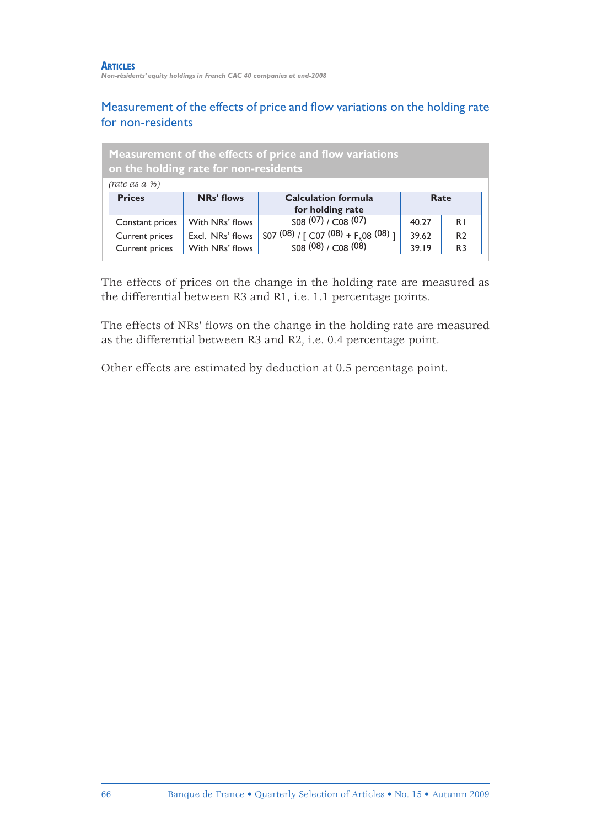### Measurement of the effects of price and flow variations on the holding rate for non-residents

| <b>Measurement of the effects of price and flow variations</b><br>on the holding rate for non-residents |                  |                                         |       |                |
|---------------------------------------------------------------------------------------------------------|------------------|-----------------------------------------|-------|----------------|
| (rate as a %)                                                                                           |                  |                                         |       |                |
| <b>Prices</b>                                                                                           | NRs' flows       | <b>Calculation formula</b>              | Rate  |                |
|                                                                                                         |                  | for holding rate                        |       |                |
| Constant prices                                                                                         | With NRs' flows  | S08(07) / CO8(07)                       | 40.27 | R <sub>1</sub> |
| Current prices                                                                                          | Excl. NRs' flows | S07 (08) / [ C07 (08) + $F_R$ 08 (08) ] | 39.62 | R <sub>2</sub> |
| Current prices                                                                                          | With NRs' flows  | 508(08)/C08(08)                         | 39.19 | R <sub>3</sub> |

The effects of prices on the change in the holding rate are measured as the differential between R3 and R1, i.e. 1.1 percentage points.

The effects of NRs' flows on the change in the holding rate are measured as the differential between R3 and R2, i.e. 0.4 percentage point.

Other effects are estimated by deduction at 0.5 percentage point.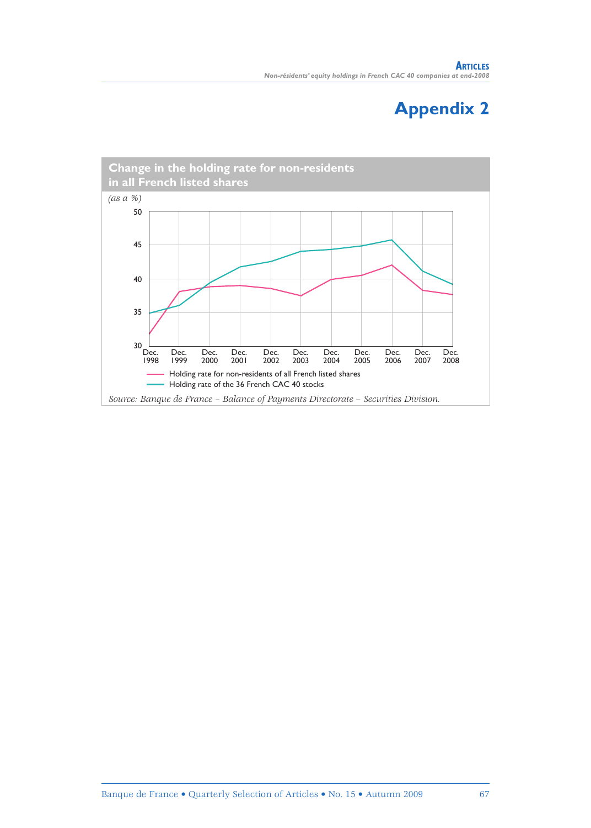## **Appendix 2**

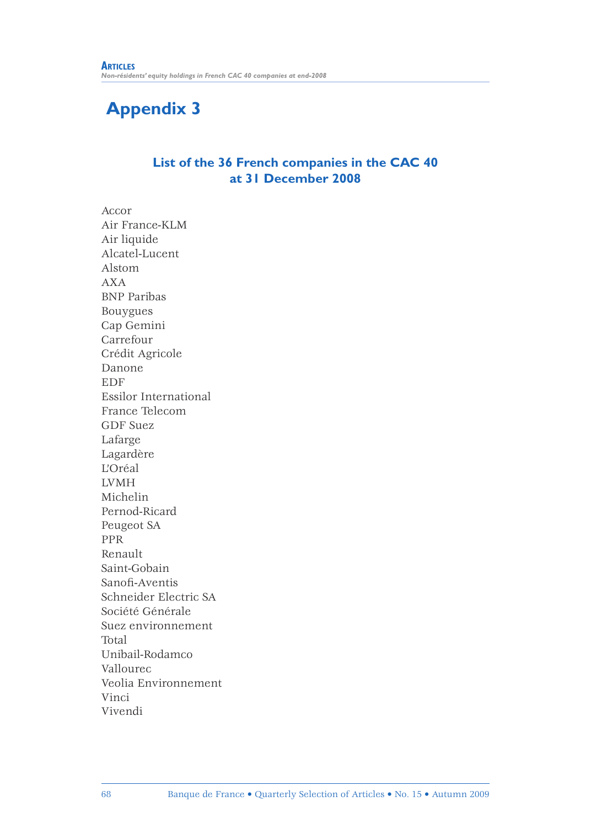## **Appendix 3**

### **List of the 36 French companies in the CAC 40 at 31 December 2008**

Accor Air France-KLM Air liquide Alcatel-Lucent Alstom AXA BNP Paribas Bouygues Cap Gemini Carrefour Crédit Agricole Danone EDF Essilor International France Telecom GDF Suez Lafarge Lagardère L'Oréal LVMH Michelin Pernod-Ricard Peugeot SA PPR Renault Saint-Gobain Sanofi -Aventis Schneider Electric SA Société Générale Suez environnement Total Unibail-Rodamco Vallourec Veolia Environnement Vinci Vivendi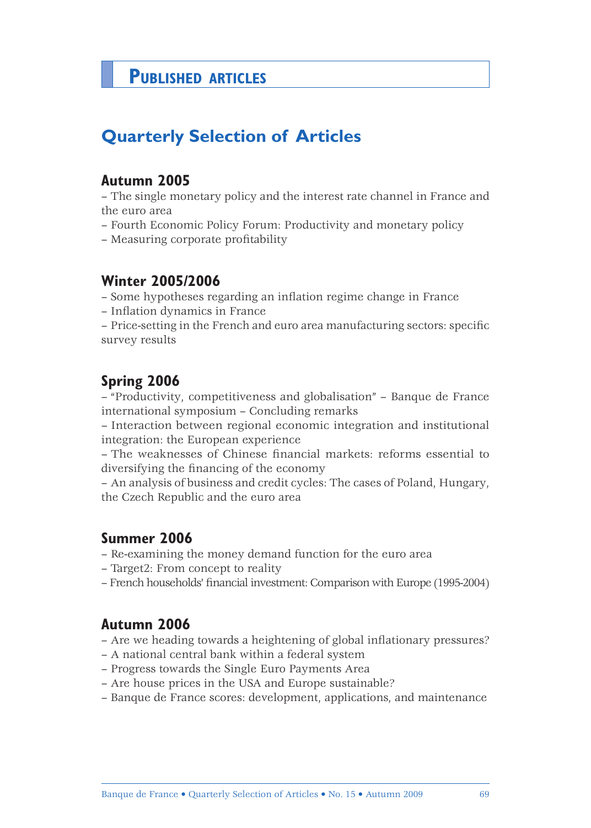## **PUBLISHED ARTICLES**

## **Quarterly Selection of Articles**

### **Autumn 2005**

– The single monetary policy and the interest rate channel in France and the euro area

- Fourth Economic Policy Forum: Productivity and monetary policy
- Measuring corporate profitability

### **Winter 2005/2006**

– Some hypotheses regarding an infl ation regime change in France

- Inflation dynamics in France
- Price-setting in the French and euro area manufacturing sectors: specifi c survey results

### **Spring 2006**

– "Productivity, competitiveness and globalisation" – Banque de France international symposium – Concluding remarks

– Interaction between regional economic integration and institutional integration: the European experience

– The weaknesses of Chinese financial markets: reforms essential to diversifying the financing of the economy

– An analysis of business and credit cycles: The cases of Poland, Hungary, the Czech Republic and the euro area

### **Summer 2006**

- Re-examining the money demand function for the euro area
- Target2: From concept to reality
- French households' financial investment: Comparison with Europe (1995-2004)

### **Autumn 2006**

- Are we heading towards a heightening of global inflationary pressures?
- A national central bank within a federal system
- Progress towards the Single Euro Payments Area
- Are house prices in the USA and Europe sustainable?
- Banque de France scores: development, applications, and maintenance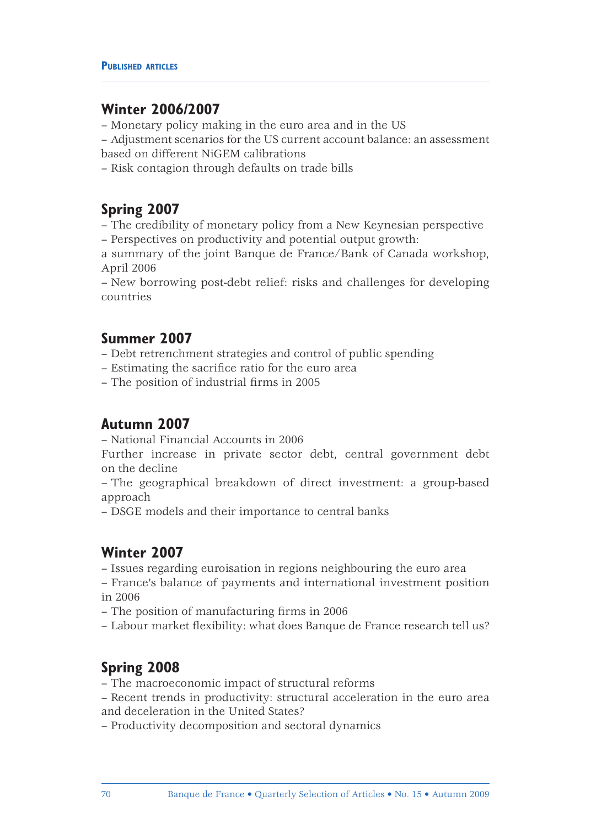### **Winter 2006/2007**

– Monetary policy making in the euro area and in the US

– Adjustment scenarios for the US current account balance: an assessment based on different NiGEM calibrations

– Risk contagion through defaults on trade bills

### **Spring 2007**

– The credibility of monetary policy from a New Keynesian perspective – Perspectives on productivity and potential output growth:

a summary of the joint Banque de France/Bank of Canada workshop, April 2006

– New borrowing post-debt relief: risks and challenges for developing countries

### **Summer 2007**

– Debt retrenchment strategies and control of public spending

- Estimating the sacrifice ratio for the euro area
- The position of industrial firms in 2005

### **Autumn 2007**

– National Financial Accounts in 2006

Further increase in private sector debt, central government debt on the decline

– The geographical breakdown of direct investment: a group-based approach

– DSGE models and their importance to central banks

### **Winter 2007**

– Issues regarding euroisation in regions neighbouring the euro area

– France's balance of payments and international investment position in 2006

– The position of manufacturing firms in 2006

– Labour market flexibility: what does Banque de France research tell us?

## **Spring 2008**

- The macroeconomic impact of structural reforms
- Recent trends in productivity: structural acceleration in the euro area and deceleration in the United States?
- Productivity decomposition and sectoral dynamics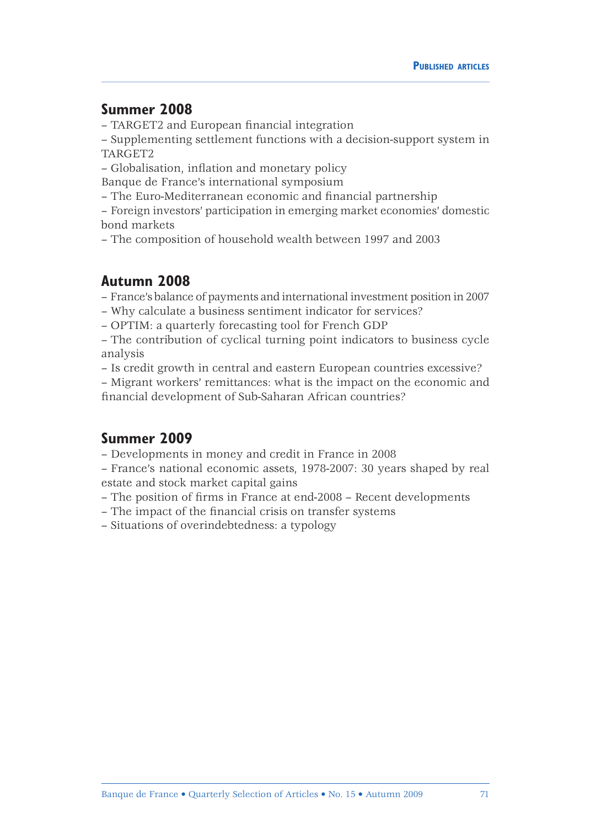### **Summer 2008**

– TARGET2 and European financial integration

– Supplementing settlement functions with a decision-support system in TARGET2

– Globalisation, inflation and monetary policy

Banque de France's international symposium

– The Euro-Mediterranean economic and financial partnership

– Foreign investors' participation in emerging market economies' domestic bond markets

– The composition of household wealth between 1997 and 2003

### **Autumn 2008**

– France's balance of payments and international investment position in 2007

– Why calculate a business sentiment indicator for services?

– OPTIM: a quarterly forecasting tool for French GDP

– The contribution of cyclical turning point indicators to business cycle analysis

– Is credit growth in central and eastern European countries excessive?

– Migrant workers' remittances: what is the impact on the economic and financial development of Sub-Saharan African countries?

### **Summer 2009**

– Developments in money and credit in France in 2008

– France's national economic assets, 1978-2007: 30 years shaped by real estate and stock market capital gains

– The position of firms in France at end-2008 – Recent developments

– The impact of the financial crisis on transfer systems

– Situations of overindebtedness: a typology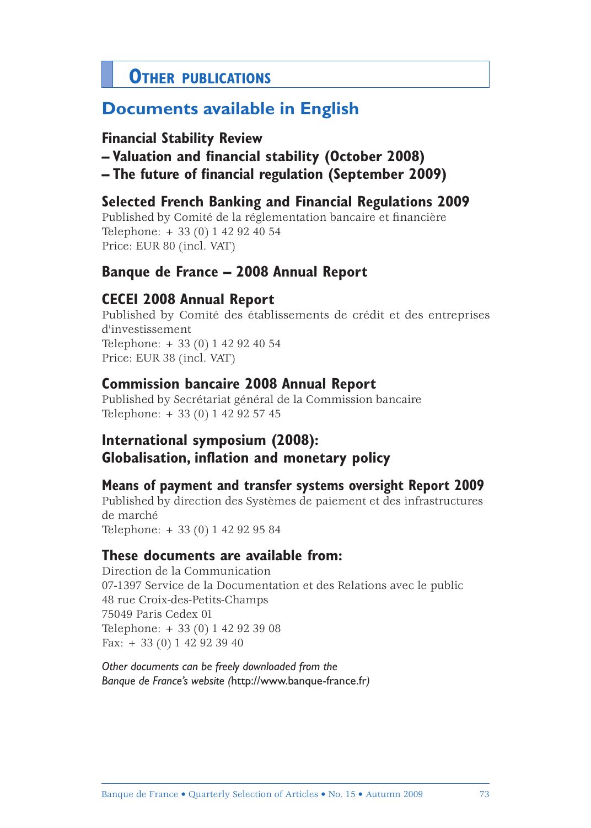# **OTHER PUBLICATIONS**

# **Documents available in English**

## **Financial Stability Review**

- **Valuation and financial stability (October 2008)**
- **The future of financial regulation (September 2009)**

## **Selected French Banking and Financial Regulations 2009**

Published by Comité de la réglementation bancaire et financière Telephone: + 33 (0) 1 42 92 40 54 Price: EUR 80 (incl. VAT)

## **Banque de France – 2008 Annual Report**

## **CECEI 2008 Annual Report**

Published by Comité des établissements de crédit et des entreprises d'investissement Telephone: + 33 (0) 1 42 92 40 54 Price: EUR 38 (incl. VAT)

## **Commission bancaire 2008 Annual Report**

Published by Secrétariat général de la Commission bancaire Telephone: + 33 (0) 1 42 92 57 45

# **International symposium (2008): Globalisation, inflation and monetary policy**

## **Means of payment and transfer systems oversight Report 2009**

Published by direction des Systèmes de paiement et des infrastructures de marché

Telephone: + 33 (0) 1 42 92 95 84

## **These documents are available from:**

Direction de la Communication 07-1397 Service de la Documentation et des Relations avec le public 48 rue Croix-des-Petits-Champs 75049 Paris Cedex 01 Telephone: + 33 (0) 1 42 92 39 08 Fax: + 33 (0) 1 42 92 39 40

*Other documents can be freely downloaded from the Banque de France's website (*http://www.banque-france.fr*)*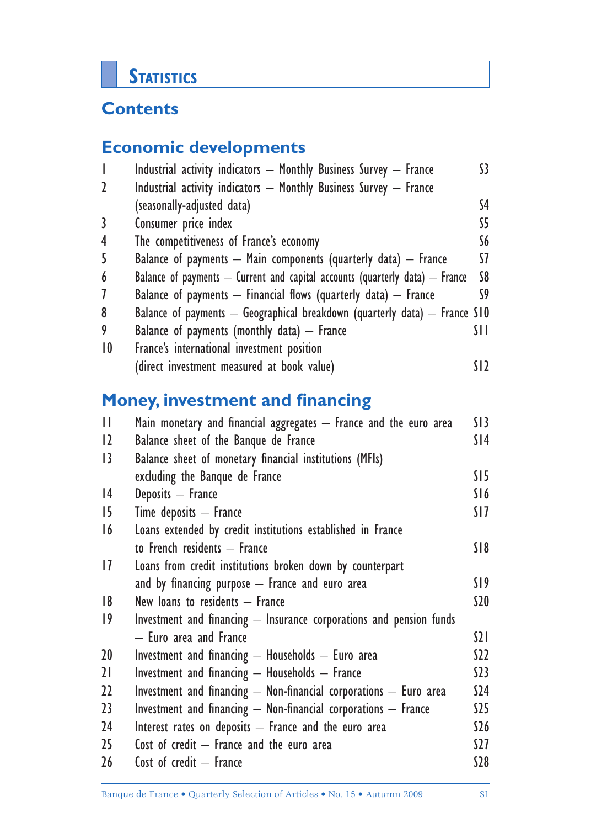# **STATISTICS**

# **Contents**

# **Economic developments**

| $\overline{\phantom{a}}$ | Industrial activity indicators - Monthly Business Survey - France                | 33. |
|--------------------------|----------------------------------------------------------------------------------|-----|
| $\mathbf{2}$             | Industrial activity indicators - Monthly Business Survey - France                |     |
|                          | (seasonally-adjusted data)                                                       | S4  |
| 3                        | Consumer price index                                                             | S5. |
| $\overline{4}$           | The competitiveness of France's economy                                          | S6. |
| 5                        | Balance of payments $-$ Main components (quarterly data) $-$ France              | 57. |
| 6                        | Balance of payments $-$ Current and capital accounts (quarterly data) $-$ France | S8  |
| $\overline{1}$           | Balance of payments $-$ Financial flows (quarterly data) $-$ France              | S9  |
| 8                        | Balance of payments $-$ Geographical breakdown (quarterly data) $-$ France S10   |     |
| 9                        | Balance of payments (monthly data) $-$ France                                    | SН  |
| $ 0\rangle$              | France's international investment position                                       |     |
|                          | (direct investment measured at book value)                                       |     |

# **Money, investment and financing**

| $\mathbf{H}$    | Main monetary and financial aggregates - France and the euro area   | S13      |
|-----------------|---------------------------------------------------------------------|----------|
| $ 2\rangle$     | Balance sheet of the Banque de France                               | SI4      |
| $\overline{13}$ | Balance sheet of monetary financial institutions (MFIs)             |          |
|                 | excluding the Banque de France                                      | SI5      |
| 4               | Deposits - France                                                   | S16      |
| 15              | $Time$ deposits $-$ France                                          | SI7      |
| 16              | Loans extended by credit institutions established in France         |          |
|                 | to French residents - France                                        | S18      |
| $\overline{17}$ | Loans from credit institutions broken down by counterpart           |          |
|                 | and by financing purpose $-$ France and euro area                   | SI 9     |
| 8               | New loans to residents - France                                     | \$20     |
| $ 9\rangle$     | Investment and financing - Insurance corporations and pension funds |          |
|                 | - Euro area and France                                              | $\Omega$ |
| 20 <sup>°</sup> | Investment and financing $-$ Households $-$ Euro area               | S22      |
| 21              | Investment and financing $-$ Households $-$ France                  | S23      |
| 22              | Investment and financing - Non-financial corporations - Euro area   | \$24     |
| 23              | Investment and financing - Non-financial corporations - France      | S25      |
| 24              | Interest rates on deposits - France and the euro area               | \$26     |
| 25              | Cost of credit $-$ France and the euro area                         | S27      |
| 26              | Cost of credit - France                                             | S28      |
|                 |                                                                     |          |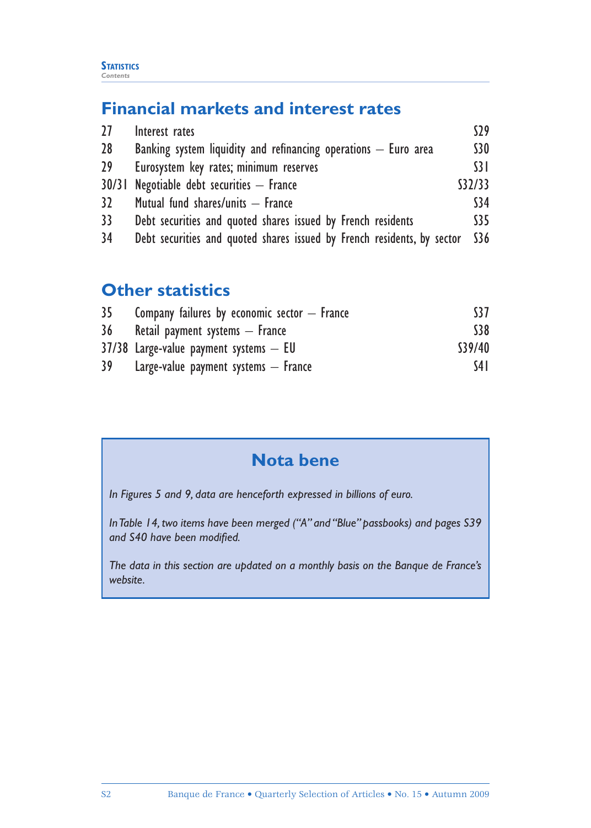# **Financial markets and interest rates**

| 27              | Interest rates                                                          | S29  |  |  |  |  |
|-----------------|-------------------------------------------------------------------------|------|--|--|--|--|
| 28              | Banking system liquidity and refinancing operations $-$ Euro area       |      |  |  |  |  |
| 29 <sup>°</sup> | Eurosystem key rates; minimum reserves                                  |      |  |  |  |  |
|                 | 30/31 Negotiable debt securities - France                               |      |  |  |  |  |
| 32              | Mutual fund shares/units - France                                       | \$34 |  |  |  |  |
| 33 <sup>2</sup> | Debt securities and quoted shares issued by French residents            | S35  |  |  |  |  |
| 34              | Debt securities and quoted shares issued by French residents, by sector | \$36 |  |  |  |  |

# **Other statistics**

| 35 | Company failures by economic sector $-$ France | S37     |
|----|------------------------------------------------|---------|
| 36 | Retail payment systems — France                | \$38    |
|    | $37/38$ Large-value payment systems $-$ EU     | \$39/40 |
| 39 | Large-value payment systems $-$ France         | S4 I    |

# **Nota bene**

*In Figures 5 and 9, data are henceforth expressed in billions of euro.*

*In Table 14, two items have been merged ("A" and "Blue" passbooks) and pages S39*  and S40 have been modified.

*The data in this section are updated on a monthly basis on the Banque de France's website.*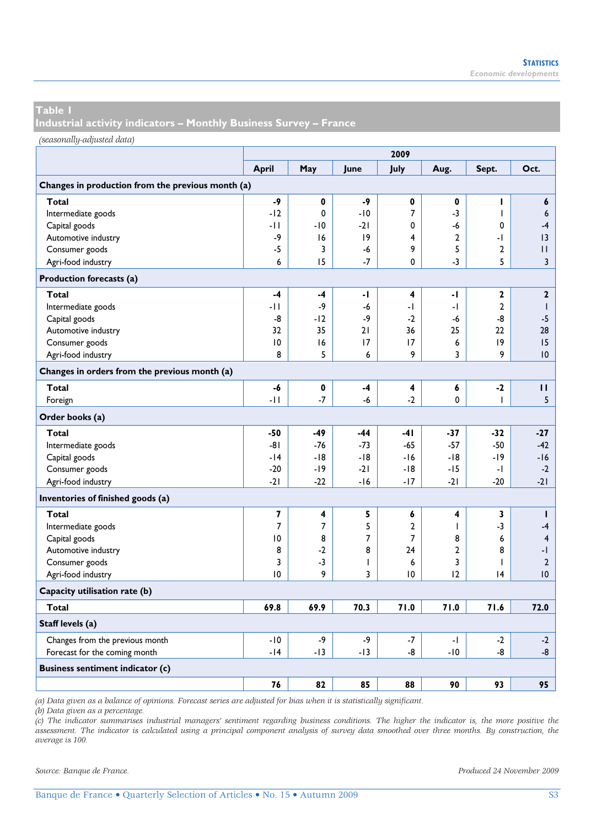**Industrial activity indicators – Monthly Business Survey – France** 

*(seasonally-adjusted data)*

|                                                   | 2009         |                |                          |                |                |                |                         |  |  |
|---------------------------------------------------|--------------|----------------|--------------------------|----------------|----------------|----------------|-------------------------|--|--|
|                                                   | <b>April</b> | May            | June                     | July           | Aug.           | Sept.          | Oct.                    |  |  |
| Changes in production from the previous month (a) |              |                |                          |                |                |                |                         |  |  |
| Total                                             | $-9$         | $\mathbf 0$    | -9                       | 0              | 0              | ı              | 6                       |  |  |
| Intermediate goods                                | $-12$        | 0              | $-10$                    | 7              | -3             | ı              | 6                       |  |  |
| Capital goods                                     | -11          | $-10$          | $-21$                    | 0              | -6             | 0              | $-4$                    |  |  |
| Automotive industry                               | -9           | 16             | 19                       | 4              | $\overline{2}$ | - 1            | 3                       |  |  |
| Consumer goods                                    | $-5$         | 3              | -6                       | 9              | 5              | $\overline{2}$ | П                       |  |  |
| Agri-food industry                                | 6            | 15             | $-7$                     | 0              | -3             | 5              | $\mathbf{3}$            |  |  |
| Production forecasts (a)                          |              |                |                          |                |                |                |                         |  |  |
| Total                                             | $-4$         | -4             | -1                       | 4              | -1             | $\mathbf{2}$   | $\mathbf{2}$            |  |  |
| Intermediate goods                                | -11          | -9             | -6                       | -1             | -1             | $\overline{2}$ | $\mathsf{I}$            |  |  |
| Capital goods                                     | -8           | $-12$          | -9                       | $-2$           | -6             | -8             | $-5$                    |  |  |
| Automotive industry                               | 32           | 35             | 21                       | 36             | 25             | 22             | 28                      |  |  |
| Consumer goods                                    | 10           | 16             | 17                       | 17             | 6              | 9              | 15                      |  |  |
| Agri-food industry                                | 8            | 5              | 6                        | 9              | 3              | 9              | 10                      |  |  |
| Changes in orders from the previous month (a)     |              |                |                          |                |                |                |                         |  |  |
| Total                                             | -6           | 0              | -4                       | 4              | 6              | $-2$           | п                       |  |  |
| Foreign                                           | $-11$        | $-7$           | $-6$                     | $-2$           | $\mathbf 0$    | ı              | 5                       |  |  |
| Order books (a)                                   |              |                |                          |                |                |                |                         |  |  |
| Total                                             | $-50$        | -49            | $-44$                    | $-41$          | -37            | $-32$          | $-27$                   |  |  |
| Intermediate goods                                | -81          | $-76$          | $-73$                    | $-65$          | $-57$          | $-50$          | $-42$                   |  |  |
| Capital goods                                     | $-14$        | $-18$          | -18                      | $-16$          | $-18$          | -19            | $-16$                   |  |  |
| Consumer goods                                    | $-20$        | $-19$          | $-21$                    | -18            | -15            | -1             | $-2$                    |  |  |
| Agri-food industry                                | $-21$        | $-22$          | $-16$                    | $-17$          | $-21$          | $-20$          | $-21$                   |  |  |
| Inventories of finished goods (a)                 |              |                |                          |                |                |                |                         |  |  |
| Total                                             | 7            | 4              | 5                        | 6              | 4              | 3              | $\mathbf{I}$            |  |  |
| Intermediate goods                                | 7            | $\overline{7}$ | 5                        | $\overline{2}$ | I.             | -3             | $-4$                    |  |  |
| Capital goods                                     | 10           | 8              | 7                        | 7              | 8              | 6              | $\overline{\mathbf{4}}$ |  |  |
| Automotive industry                               | 8            | $-2$           | 8                        | 24             | $\overline{2}$ | 8              | -1                      |  |  |
| Consumer goods                                    | 3            | $-3$           | $\overline{\phantom{a}}$ | 6              | 3              | ı              | $\mathbf{2}$            |  |  |
| Agri-food industry                                | 10           | 9              | 3                        | 10             | 12             | 4              | 10                      |  |  |
| Capacity utilisation rate (b)                     |              |                |                          |                |                |                |                         |  |  |
| Total                                             | 69.8         | 69.9           | 70.3                     | 71.0           | 71.0           | 71.6           | 72.0                    |  |  |
| Staff levels (a)                                  |              |                |                          |                |                |                |                         |  |  |
| Changes from the previous month                   | $-10$        | -9             | $-9$                     | $-7$           | -1             | $-2$           | $-2$                    |  |  |
| Forecast for the coming month                     | $-14$        | $-13$          | -13                      | -8             | $-10$          | -8             | -8                      |  |  |
| <b>Business sentiment indicator (c)</b>           |              |                |                          |                |                |                |                         |  |  |
|                                                   | 76           | 82             | 85                       | 88             | 90             | 93             | 95                      |  |  |

*(a) Data given as a balance of opinions. Forecast series are adjusted for bias when it is statistically significant.* 

*(b) Data given as a percentage.* 

*(c) The indicator summarises industrial managers' sentiment regarding business conditions. The higher the indicator is, the more positive the assessment. The indicator is calculated using a principal component analysis of survey data smoothed over three months. By construction, the average is 100.*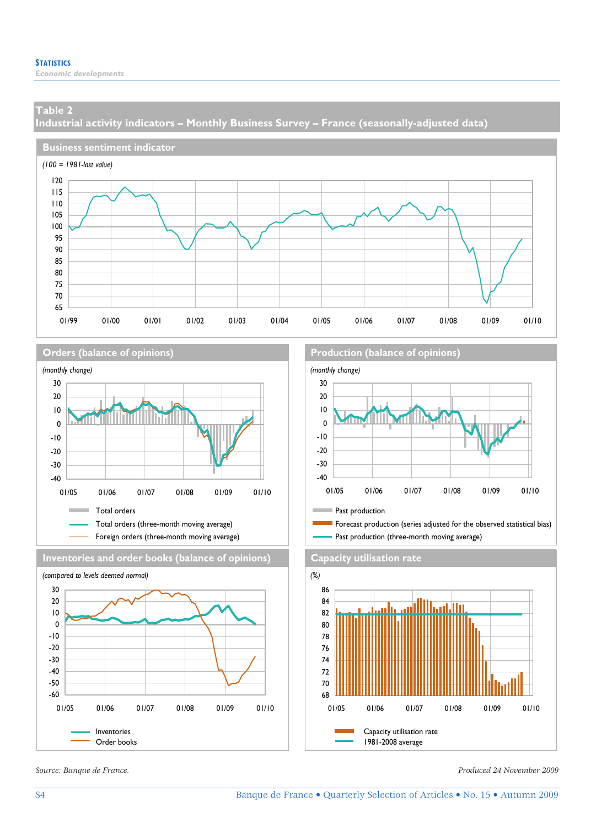*Economic developments* 

### **Table 2**

**Industrial activity indicators – Monthly Business Survey – France (seasonally-adjusted data)** 









**Orders (balance of opinions) Production (balance of opinions**)





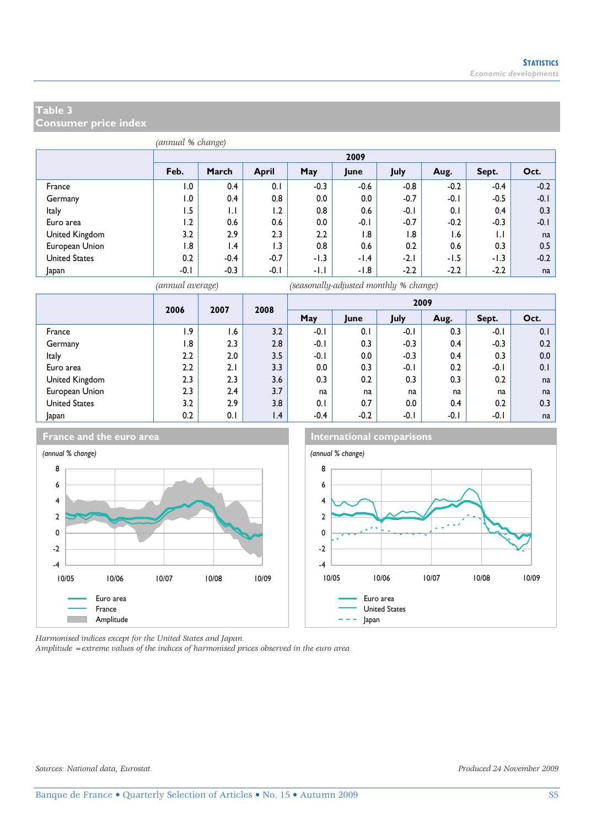**Consumer price index** 

| (annual % change) |        |                 |                  |                  |         |        |        |        |        |  |  |  |
|-------------------|--------|-----------------|------------------|------------------|---------|--------|--------|--------|--------|--|--|--|
|                   |        | 2009            |                  |                  |         |        |        |        |        |  |  |  |
|                   | Feb.   | March           | <b>April</b>     | May              | June    | July   | Aug.   | Sept.  | Oct.   |  |  |  |
| France            | 0.1    | 0.4             | 0.1              | $-0.3$           | $-0.6$  | $-0.8$ | $-0.2$ | $-0.4$ | $-0.2$ |  |  |  |
| Germany           | 0.1    | 0.4             | 0.8              | 0.0              | $0.0\,$ | $-0.7$ | $-0.1$ | $-0.5$ | $-0.1$ |  |  |  |
| Italy             | I.5    | $\mathsf{L}$    | 1.2              | 0.8              | 0.6     | $-0.1$ | 0.1    | 0.4    | 0.3    |  |  |  |
| Euro area         | 1.2    | 0.6             | 0.6              | 0.0              | $-0.1$  | $-0.7$ | $-0.2$ | $-0.3$ | $-0.1$ |  |  |  |
| United Kingdom    | 3.2    | 2.9             | 2.3              | $2.2\phantom{0}$ | l.8     | 1.8    | 1.6    | 1.1    | na     |  |  |  |
| European Union    | 1.8    | $\mathsf{I}$ .4 | $\overline{1.3}$ | 0.8              | 0.6     | 0.2    | 0.6    | 0.3    | 0.5    |  |  |  |
| United States     | 0.2    | $-0.4$          | $-0.7$           | -1.3             | $-1.4$  | $-2.1$ | $-1.5$ | -1.3   | $-0.2$ |  |  |  |
| Japan             | $-0.1$ | $-0.3$          | $-0.1$           | -1.1             | -1.8    | $-2.2$ | $-2.2$ | $-2.2$ | na     |  |  |  |

*(annual average) (seasonally-adjusted monthly % change)*

|                      | 2006             | 2007 | 2008 | 2009   |         |        |        |        |      |
|----------------------|------------------|------|------|--------|---------|--------|--------|--------|------|
|                      |                  |      |      | May    | June    | July   | Aug.   | Sept.  | Oct. |
| France               | ۱.9              | 6. ا | 3.2  | $-0.1$ | 0.1     | $-0.1$ | 0.3    | $-0.1$ | 0.1  |
| Germany              | 1.8              | 2.3  | 2.8  | $-0.1$ | 0.3     | $-0.3$ | 0.4    | $-0.3$ | 0.2  |
| Italy                | 2.2              | 2.0  | 3.5  | $-0.1$ | $0.0\,$ | $-0.3$ | 0.4    | 0.3    | 0.0  |
| Euro area            | $2.2\phantom{0}$ | 2.1  | 3.3  | 0.0    | 0.3     | $-0.1$ | 0.2    | $-0.1$ | 0.1  |
| United Kingdom       | 2.3              | 2.3  | 3.6  | 0.3    | 0.2     | 0.3    | 0.3    | 0.2    | na   |
| European Union       | 2.3              | 2.4  | 3.7  | na     | na      | na     | na     | na     | na   |
| <b>United States</b> | 3.2              | 2.9  | 3.8  | 0.1    | 0.7     | 0.0    | 0.4    | 0.2    | 0.3  |
| Japan                | 0.2              | 0.1  | 1.4  | $-0.4$ | $-0.2$  | $-0.1$ | $-0.1$ | $-0.1$ | na   |



**France and the euro area International comparisons** 



*Harmonised indices except for the United States and Japan.* 

*Amplitude =extreme values of the indices of harmonised prices observed in the euro area.*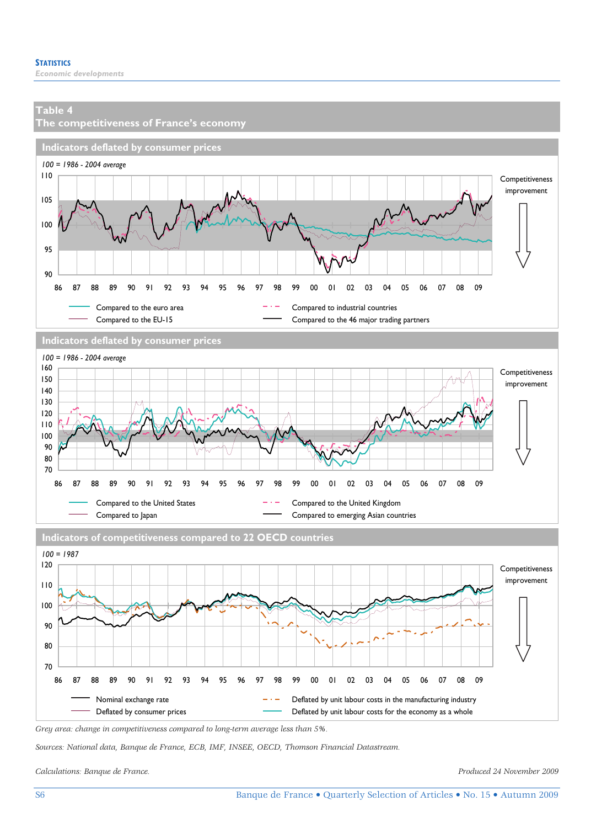

Nominal exchange rate  $-$  Deflated by unit labour costs in the manufacturing industry Deflated by consumer prices **Deflated by unit labour costs for the economy as a whole** 

86 87 88 89 90 91 92 93 94 95 96 97 98 99 00 01 02 03 04 05 06 07 08 09

*Grey area: change in competitiveness compared to long-term average less than 5%.* 

*Sources: National data, Banque de France, ECB, IMF, INSEE, OECD, Thomson Financial Datastream.* 

*Calculations: Banque de France. Produced 24 November 2009* 

70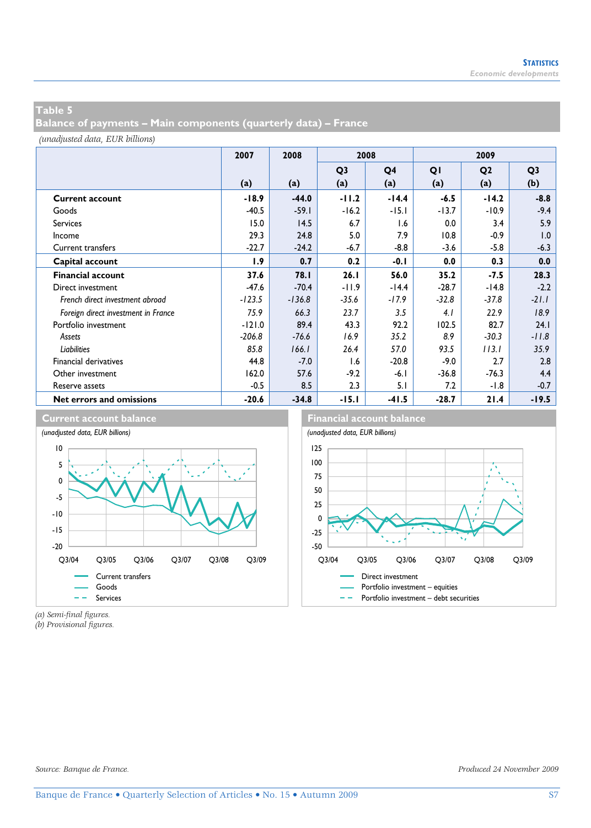**Balance of payments – Main components (quarterly data) – France** 

*(unadjusted data, EUR billions)*

|                                     | 2007     | 2008     | 2008           |         | 2009    |                |                |
|-------------------------------------|----------|----------|----------------|---------|---------|----------------|----------------|
|                                     |          |          | Q <sub>3</sub> | Q4      | QI      | Q <sub>2</sub> | Q <sub>3</sub> |
|                                     | (a)      | (a)      | (a)            | (a)     | (a)     | (a)            | (b)            |
| <b>Current account</b>              | $-18.9$  | $-44.0$  | $-11.2$        | $-14.4$ | $-6.5$  | $-14.2$        | $-8.8$         |
| Goods                               | $-40.5$  | $-59.1$  | $-16.2$        | $-15.1$ | $-13.7$ | $-10.9$        | $-9.4$         |
| <b>Services</b>                     | 15.0     | 14.5     | 6.7            | 1.6     | 0.0     | 3.4            | 5.9            |
| Income                              | 29.3     | 24.8     | 5.0            | 7.9     | 10.8    | $-0.9$         | 1.0            |
| <b>Current transfers</b>            | $-22.7$  | $-24.2$  | $-6.7$         | $-8.8$  | $-3.6$  | $-5.8$         | $-6.3$         |
| Capital account                     | 1.9      | 0.7      | 0.2            | $-0.1$  | 0.0     | 0.3            | 0.0            |
| <b>Financial account</b>            | 37.6     | 78.I     | 26.1           | 56.0    | 35.2    | $-7.5$         | 28.3           |
| Direct investment                   | $-47.6$  | $-70.4$  | $-11.9$        | $-14.4$ | $-28.7$ | $-14.8$        | $-2.2$         |
| French direct investment abroad     | $-123.5$ | $-136.8$ | $-35.6$        | $-17.9$ | $-32.8$ | $-37.8$        | $-21.1$        |
| Foreign direct investment in France | 75.9     | 66.3     | 23.7           | 3.5     | 4.1     | 22.9           | 18.9           |
| Portfolio investment                | $-121.0$ | 89.4     | 43.3           | 92.2    | 102.5   | 82.7           | 24.1           |
| Assets                              | $-206.8$ | $-76.6$  | 16.9           | 35.2    | 8.9     | $-30.3$        | $-11.8$        |
| Liabilities                         | 85.8     | 166.1    | 26.4           | 57.0    | 93.5    | 113.1          | 35.9           |
| <b>Financial derivatives</b>        | 44.8     | $-7.0$   | 1.6            | $-20.8$ | $-9.0$  | 2.7            | 2.8            |
| Other investment                    | 162.0    | 57.6     | $-9.2$         | $-6.1$  | $-36.8$ | $-76.3$        | 4.4            |
| Reserve assets                      | $-0.5$   | 8.5      | 2.3            | 5.1     | 7.2     | $-1.8$         | $-0.7$         |
| Net errors and omissions            | $-20.6$  | $-34.8$  | $-15.1$        | $-41.5$ | $-28.7$ | 21.4           | $-19.5$        |







*(a) Semi-final figures.* 

*(b) Provisional figures.*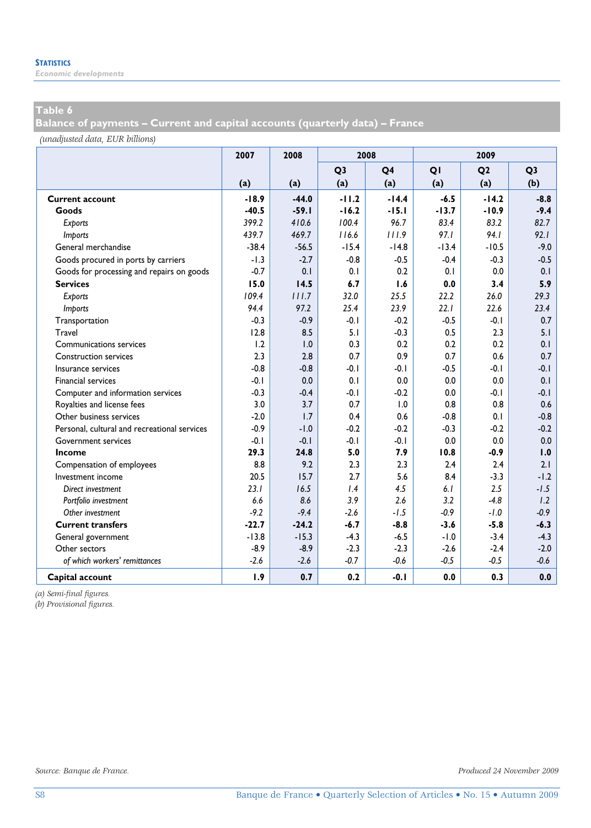*Economic developments* 

### **Table 6**

**Balance of payments – Current and capital accounts (quarterly data) – France** 

*(unadjusted data, EUR billions)*

|                                              | 2007    | 2008    | 2008           |                |         | 2009           |                |  |
|----------------------------------------------|---------|---------|----------------|----------------|---------|----------------|----------------|--|
|                                              |         |         | Q <sub>3</sub> | Q <sub>4</sub> | QI      | Q <sub>2</sub> | Q <sub>3</sub> |  |
|                                              | (a)     | (a)     | (a)            | (a)            | (a)     | (a)            | (b)            |  |
| <b>Current account</b>                       | $-18.9$ | $-44.0$ | $-11.2$        | $-14.4$        | $-6.5$  | $-14.2$        | $-8.8$         |  |
| Goods                                        | $-40.5$ | $-59.1$ | $-16.2$        | $-15.1$        | $-13.7$ | $-10.9$        | $-9.4$         |  |
| Exports                                      | 399.2   | 410.6   | 100.4          | 96.7           | 83.4    | 83.2           | 82.7           |  |
| <b>Imports</b>                               | 439.7   | 469.7   | 116.6          | 111.9          | 97.1    | 94.1           | 92.1           |  |
| General merchandise                          | $-38.4$ | $-56.5$ | $-15.4$        | $-14.8$        | $-13.4$ | $-10.5$        | $-9.0$         |  |
| Goods procured in ports by carriers          | $-1.3$  | $-2.7$  | $-0.8$         | $-0.5$         | $-0.4$  | $-0.3$         | $-0.5$         |  |
| Goods for processing and repairs on goods    | $-0.7$  | 0.1     | 0.1            | 0.2            | 0.1     | 0.0            | 0.1            |  |
| <b>Services</b>                              | 15.0    | 14.5    | 6.7            | 1.6            | 0.0     | 3.4            | 5.9            |  |
| Exports                                      | 109.4   | 111.7   | 32.0           | 25.5           | 22.2    | 26.0           | 29.3           |  |
| <b>Imports</b>                               | 94.4    | 97.2    | 25.4           | 23.9           | 22.1    | 22.6           | 23.4           |  |
| Transportation                               | $-0.3$  | $-0.9$  | $-0.1$         | $-0.2$         | $-0.5$  | $-0.1$         | 0.7            |  |
| Travel                                       | 12.8    | 8.5     | 5.1            | $-0.3$         | 0.5     | 2.3            | 5.1            |  |
| Communications services                      | 1.2     | 1.0     | 0.3            | 0.2            | 0.2     | 0.2            | 0.1            |  |
| <b>Construction services</b>                 | 2.3     | 2.8     | 0.7            | 0.9            | 0.7     | 0.6            | 0.7            |  |
| Insurance services                           | $-0.8$  | $-0.8$  | $-0.1$         | $-0.1$         | $-0.5$  | $-0.1$         | $-0.1$         |  |
| <b>Financial services</b>                    | $-0.1$  | 0.0     | 0.1            | 0.0            | 0.0     | 0.0            | 0.1            |  |
| Computer and information services            | $-0.3$  | $-0.4$  | $-0.1$         | $-0.2$         | 0.0     | $-0.1$         | $-0.1$         |  |
| Royalties and license fees                   | 3.0     | 3.7     | 0.7            | 1.0            | 0.8     | 0.8            | 0.6            |  |
| Other business services                      | $-2.0$  | 1.7     | 0.4            | 0.6            | $-0.8$  | 0.1            | $-0.8$         |  |
| Personal, cultural and recreational services | $-0.9$  | $-1.0$  | $-0.2$         | $-0.2$         | $-0.3$  | $-0.2$         | $-0.2$         |  |
| Government services                          | $-0.1$  | $-0.1$  | $-0.1$         | $-0.1$         | 0.0     | 0.0            | 0.0            |  |
| Income                                       | 29.3    | 24.8    | 5.0            | 7.9            | 10.8    | $-0.9$         | 1.0            |  |
| Compensation of employees                    | 8.8     | 9.2     | 2.3            | 2.3            | 2.4     | 2.4            | 2.1            |  |
| Investment income                            | 20.5    | 15.7    | 2.7            | 5.6            | 8.4     | $-3.3$         | $-1.2$         |  |
| Direct investment                            | 23.1    | 16.5    | 1.4            | 4.5            | 6.1     | 2.5            | $-1.5$         |  |
| Portfolio investment                         | 6.6     | 8.6     | 3.9            | 2.6            | 3.2     | $-4.8$         | 1.2            |  |
| Other investment                             | $-9.2$  | $-9.4$  | $-2.6$         | $-1.5$         | $-0.9$  | $-1.0$         | $-0.9$         |  |
| <b>Current transfers</b>                     | $-22.7$ | $-24.2$ | $-6.7$         | $-8.8$         | $-3.6$  | $-5.8$         | $-6.3$         |  |
| General government                           | $-13.8$ | $-15.3$ | $-4.3$         | $-6.5$         | $-1.0$  | $-3.4$         | $-4.3$         |  |
| Other sectors                                | $-8.9$  | $-8.9$  | $-2.3$         | $-2.3$         | $-2.6$  | $-2.4$         | $-2.0$         |  |
| of which workers' remittances                | $-2.6$  | $-2.6$  | $-0.7$         | $-0.6$         | $-0.5$  | $-0.5$         | $-0.6$         |  |
| Capital account                              | 1.9     | 0.7     | 0.2            | $-0.1$         | 0.0     | 0.3            | 0.0            |  |

*(a) Semi-final figures.* 

*(b) Provisional figures.*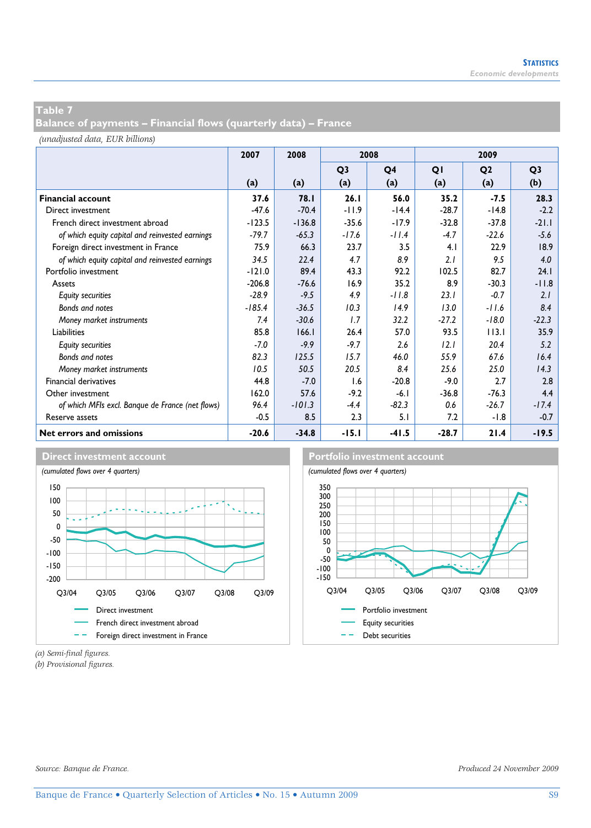**Balance of payments – Financial flows (quarterly data) – France** 

*(unadjusted data, EUR billions)*

|                                                  | 2007     | 2008        | 2008           |         |         | 2009           |                |
|--------------------------------------------------|----------|-------------|----------------|---------|---------|----------------|----------------|
|                                                  |          |             | Q <sub>3</sub> | Q4      | QI      | Q <sub>2</sub> | Q <sub>3</sub> |
|                                                  | (a)      | (a)         | (a)            | (a)     | (a)     | (a)            | (b)            |
| <b>Financial account</b>                         | 37.6     | <b>78.1</b> | 26.1           | 56.0    | 35.2    | $-7.5$         | 28.3           |
| Direct investment                                | $-47.6$  | $-70.4$     | $-11.9$        | $-14.4$ | $-28.7$ | $-14.8$        | $-2.2$         |
| French direct investment abroad                  | $-123.5$ | $-136.8$    | $-35.6$        | $-17.9$ | $-32.8$ | $-37.8$        | $-21.1$        |
| of which equity capital and reinvested earnings  | $-79.7$  | $-65.3$     | $-17.6$        | $-11.4$ | $-4.7$  | $-22.6$        | $-5.6$         |
| Foreign direct investment in France              | 75.9     | 66.3        | 23.7           | 3.5     | 4.1     | 22.9           | 18.9           |
| of which equity capital and reinvested earnings  | 34.5     | 22.4        | 4.7            | 8.9     | 2.1     | 9.5            | 4.0            |
| Portfolio investment                             | $-121.0$ | 89.4        | 43.3           | 92.2    | 102.5   | 82.7           | 24.1           |
| Assets                                           | $-206.8$ | $-76.6$     | 16.9           | 35.2    | 8.9     | $-30.3$        | $-11.8$        |
| <b>Equity securities</b>                         | $-28.9$  | $-9.5$      | 4.9            | $-11.8$ | 23.1    | $-0.7$         | 2.1            |
| Bonds and notes                                  | $-185.4$ | $-36.5$     | 10.3           | 14.9    | 13.0    | $-11.6$        | 8.4            |
| Money market instruments                         | 7.4      | $-30.6$     | 1.7            | 32.2    | $-27.2$ | $-18.0$        | $-22.3$        |
| Liabilities                                      | 85.8     | 166.1       | 26.4           | 57.0    | 93.5    | 113.1          | 35.9           |
| <b>Equity securities</b>                         | $-7.0$   | $-9.9$      | $-9.7$         | 2.6     | 12.1    | 20.4           | 5.2            |
| Bonds and notes                                  | 82.3     | 125.5       | 15.7           | 46.0    | 55.9    | 67.6           | 16.4           |
| Money market instruments                         | 10.5     | 50.5        | 20.5           | 8.4     | 25.6    | 25.0           | 14.3           |
| <b>Financial derivatives</b>                     | 44.8     | $-7.0$      | 1.6            | $-20.8$ | $-9.0$  | 2.7            | 2.8            |
| Other investment                                 | 162.0    | 57.6        | $-9.2$         | $-6.1$  | $-36.8$ | $-76.3$        | 4.4            |
| of which MFIs excl. Banque de France (net flows) | 96.4     | $-101.3$    | $-4.4$         | $-82.3$ | 0.6     | $-26.7$        | $-17.4$        |
| Reserve assets                                   | $-0.5$   | 8.5         | 2.3            | 5.1     | 7.2     | $-1.8$         | $-0.7$         |
| Net errors and omissions                         | $-20.6$  | $-34.8$     | $-15.1$        | $-41.5$ | $-28.7$ | 21.4           | $-19.5$        |





*(a) Semi-final figures.* 

*(b) Provisional figures.*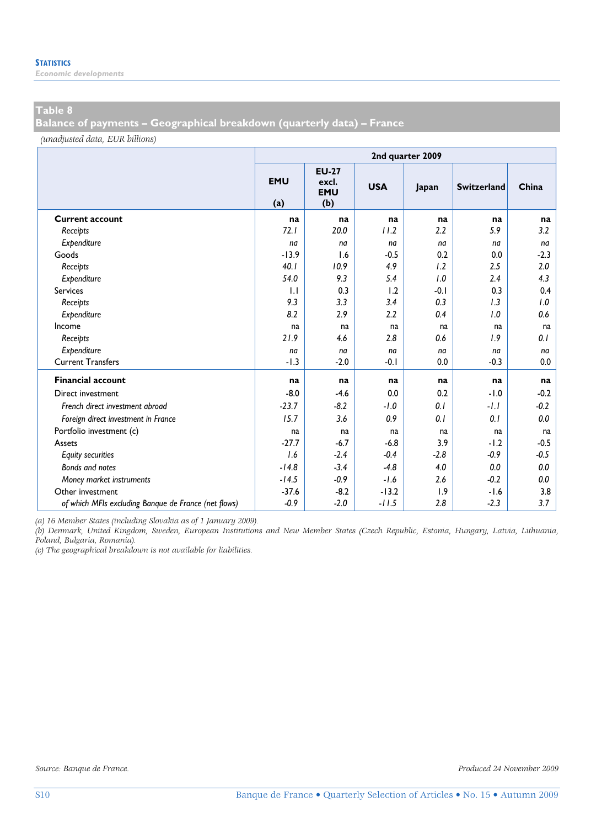*Economic developments* 

### **Table 8**

**Balance of payments – Geographical breakdown (quarterly data) – France** 

*(unadjusted data, EUR billions)*

|                                                      | 2nd quarter 2009  |                                            |            |        |                    |        |  |  |  |  |
|------------------------------------------------------|-------------------|--------------------------------------------|------------|--------|--------------------|--------|--|--|--|--|
|                                                      | <b>EMU</b><br>(a) | <b>EU-27</b><br>excl.<br><b>EMU</b><br>(b) | <b>USA</b> | Japan  | <b>Switzerland</b> | China  |  |  |  |  |
| <b>Current account</b>                               | na                | na                                         | na         | na     | na                 | na     |  |  |  |  |
| Receipts                                             | 72.1              | 20.0                                       | 11.2       | 2.2    | 5.9                | 3.2    |  |  |  |  |
| Expenditure                                          | na                | na                                         | na         | na     | na                 | na     |  |  |  |  |
| Goods                                                | $-13.9$           | 1.6                                        | $-0.5$     | 0.2    | 0.0                | $-2.3$ |  |  |  |  |
| Receipts                                             | 40.1              | 10.9                                       | 4.9        | 1.2    | 2.5                | 2.0    |  |  |  |  |
| Expenditure                                          | 54.0              | 9.3                                        | 5.4        | 1.0    | 2.4                | 4.3    |  |  |  |  |
| <b>Services</b>                                      | 1.1               | 0.3                                        | 1.2        | $-0.1$ | 0.3                | 0.4    |  |  |  |  |
| Receipts                                             | 9.3               | 3.3                                        | 3.4        | 0.3    | 1.3                | 1.0    |  |  |  |  |
| Expenditure                                          | 8.2               | 2.9                                        | 2.2        | 0.4    | 1.0                | 0.6    |  |  |  |  |
| Income                                               | na                | na                                         | na         | na     | na                 | na     |  |  |  |  |
| Receipts                                             | 21.9              | 4.6                                        | 2.8        | 0.6    | 1.9                | 0.1    |  |  |  |  |
| Expenditure                                          | na                | na                                         | na         | na     | na                 | na     |  |  |  |  |
| <b>Current Transfers</b>                             | $-1.3$            | $-2.0$                                     | $-0.1$     | 0.0    | $-0.3$             | 0.0    |  |  |  |  |
| <b>Financial account</b>                             | na                | na                                         | na         | na     | na                 | na     |  |  |  |  |
| Direct investment                                    | $-8.0$            | $-4.6$                                     | 0.0        | 0.2    | $-1.0$             | $-0.2$ |  |  |  |  |
| French direct investment abroad                      | $-23.7$           | $-8.2$                                     | $-1.0$     | 0.1    | $-1.1$             | $-0.2$ |  |  |  |  |
| Foreign direct investment in France                  | 15.7              | 3.6                                        | 0.9        | 0.1    | 0.1                | 0.0    |  |  |  |  |
| Portfolio investment (c)                             | na                | na                                         | na         | na     | na                 | na     |  |  |  |  |
| Assets                                               | $-27.7$           | $-6.7$                                     | $-6.8$     | 3.9    | $-1.2$             | $-0.5$ |  |  |  |  |
| <b>Equity securities</b>                             | 1.6               | $-2.4$                                     | $-0.4$     | $-2.8$ | $-0.9$             | $-0.5$ |  |  |  |  |
| Bonds and notes                                      | $-14.8$           | $-3.4$                                     | $-4.8$     | 4.0    | 0.0                | 0.0    |  |  |  |  |
| Money market instruments                             | $-14.5$           | $-0.9$                                     | $-1.6$     | 2.6    | $-0.2$             | 0.0    |  |  |  |  |
| Other investment                                     | $-37.6$           | $-8.2$                                     | $-13.2$    | 1.9    | $-1.6$             | 3.8    |  |  |  |  |
| of which MFIs excluding Banque de France (net flows) | $-0.9$            | $-2.0$                                     | $-11.5$    | 2.8    | $-2.3$             | 3.7    |  |  |  |  |

*(a) 16 Member States (including Slovakia as of 1 January 2009).* 

*(b) Denmark, United Kingdom, Sweden, European Institutions and New Member States (Czech Republic, Estonia, Hungary, Latvia, Lithuania, Poland, Bulgaria, Romania).* 

*(c) The geographical breakdown is not available for liabilities.*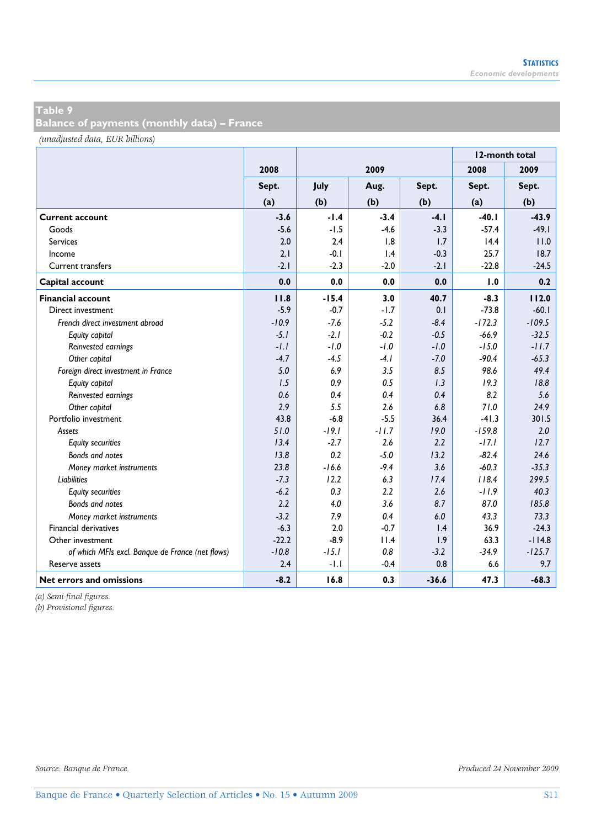**Balance of payments (monthly data) – France** 

*(unadjusted data, EUR billions)*

|                                                  |         |         |         |                 | 12-month total |          |
|--------------------------------------------------|---------|---------|---------|-----------------|----------------|----------|
|                                                  | 2008    |         | 2009    |                 | 2008           | 2009     |
|                                                  | Sept.   | July    | Aug.    | Sept.           | Sept.          | Sept.    |
|                                                  | (a)     | (b)     | (b)     | (b)             | (a)            | (b)      |
| <b>Current account</b>                           | $-3.6$  | $-1.4$  | $-3.4$  | $-4.1$          | $-40.1$        | $-43.9$  |
| Goods                                            | $-5.6$  | $-1.5$  | $-4.6$  | $-3.3$          | $-57.4$        | $-49.1$  |
| <b>Services</b>                                  | 2.0     | 2.4     | 1.8     | 1.7             | 14.4           | 11.0     |
| Income                                           | 2.1     | $-0.1$  | 1.4     | $-0.3$          | 25.7           | 18.7     |
| Current transfers                                | $-2.1$  | $-2.3$  | $-2.0$  | $-2.1$          | $-22.8$        | $-24.5$  |
| Capital account                                  | 0.0     | 0.0     | 0.0     | 0.0             | 1.0            | 0.2      |
| <b>Financial account</b>                         | 11.8    | $-15.4$ | 3.0     | 40.7            | $-8.3$         | 112.0    |
| Direct investment                                | $-5.9$  | $-0.7$  | $-1.7$  | 0.1             | $-73.8$        | $-60.1$  |
| French direct investment abroad                  | $-10.9$ | $-7.6$  | $-5.2$  | $-8.4$          | $-172.3$       | $-109.5$ |
| Equity capital                                   | $-5.1$  | $-2.1$  | $-0.2$  | $-0.5$          | $-66.9$        | $-32.5$  |
| Reinvested earnings                              | $-l.l$  | $-1.0$  | $-1.0$  | $-1.0$          | $-15.0$        | $-11.7$  |
| Other capital                                    | $-4.7$  | $-4.5$  | $-4.1$  | $-7.0$          | $-90.4$        | $-65.3$  |
| Foreign direct investment in France              | 5.0     | 6.9     | 3.5     | 8.5             | 98.6           | 49.4     |
| Equity capital                                   | 1.5     | 0.9     | 0.5     | 1.3             | 19.3           | 18.8     |
| Reinvested earnings                              | 0.6     | 0.4     | 0.4     | 0.4             | 8.2            | 5.6      |
| Other capital                                    | 2.9     | 5.5     | 2.6     | 6.8             | 71.0           | 24.9     |
| Portfolio investment                             | 43.8    | $-6.8$  | $-5.5$  | 36.4            | $-41.3$        | 301.5    |
| Assets                                           | 51.0    | $-19.1$ | $-11.7$ | 19.0            | $-159.8$       | 2.0      |
| <b>Equity securities</b>                         | 13.4    | $-2.7$  | 2.6     | 2.2             | $-17.1$        | 12.7     |
| Bonds and notes                                  | 13.8    | 0.2     | $-5.0$  | 13.2            | $-82.4$        | 24.6     |
| Money market instruments                         | 23.8    | $-16.6$ | $-9.4$  | 3.6             | $-60.3$        | $-35.3$  |
| <b>Liabilities</b>                               | $-7.3$  | 12.2    | 6.3     | 17.4            | 118.4          | 299.5    |
| <b>Equity securities</b>                         | $-6.2$  | 0.3     | 2.2     | 2.6             | $-11.9$        | 40.3     |
| Bonds and notes                                  | 2.2     | 4.0     | 3.6     | 8.7             | 87.0           | 185.8    |
| Money market instruments                         | $-3.2$  | 7.9     | 0.4     | 6.0             | 43.3           | 73.3     |
| <b>Financial derivatives</b>                     | $-6.3$  | 2.0     | $-0.7$  | $\mathsf{I}$ .4 | 36.9           | $-24.3$  |
| Other investment                                 | $-22.2$ | $-8.9$  | 11.4    | 1.9             | 63.3           | $-114.8$ |
| of which MFIs excl. Banque de France (net flows) | $-10.8$ | $-15.1$ | 0.8     | $-3.2$          | $-34.9$        | $-125.7$ |
| Reserve assets                                   | 2.4     | $-1.1$  | $-0.4$  | 0.8             | 6.6            | 9.7      |
| Net errors and omissions                         | $-8.2$  | 16.8    | 0.3     | $-36.6$         | 47.3           | $-68.3$  |

*(a) Semi-final figures.* 

*(b) Provisional figures.*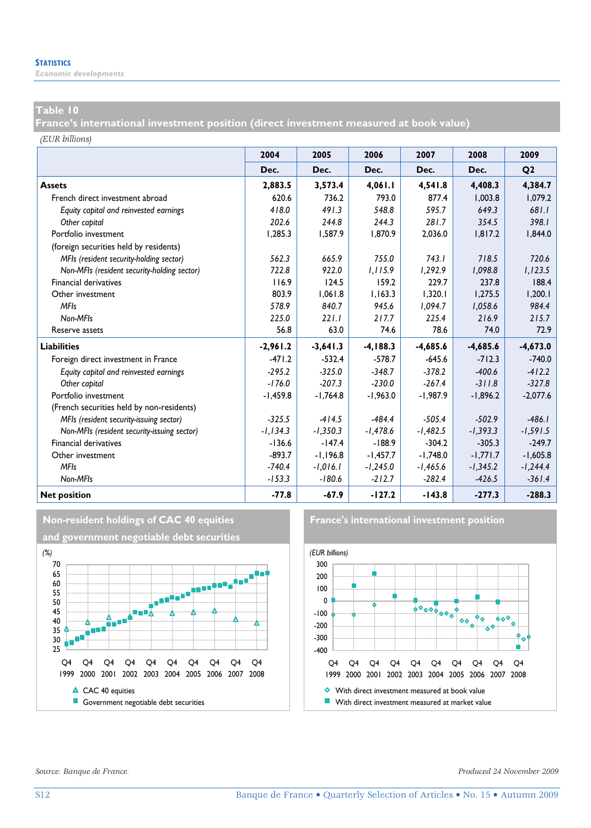*Economic developments* 

### **Table 10**

**France's international investment position (direct investment measured at book value)** 

*(EUR billions)*

|                                             | 2004        | 2005       | 2006        | 2007       | 2008       | 2009           |
|---------------------------------------------|-------------|------------|-------------|------------|------------|----------------|
|                                             | Dec.        | Dec.       | Dec.        | Dec.       | Dec.       | Q <sub>2</sub> |
| <b>Assets</b>                               | 2,883.5     | 3,573.4    | 4,061.1     | 4,541.8    | 4.408.3    | 4,384.7        |
| French direct investment abroad             | 620.6       | 736.2      | 793.0       | 877.4      | 1.003.8    | 1.079.2        |
| Equity capital and reinvested earnings      | 418.0       | 491.3      | 548.8       | 595.7      | 649.3      | 681.1          |
| Other capital                               | 202.6       | 244.8      | 244.3       | 281.7      | 354.5      | 398.1          |
| Portfolio investment                        | 1.285.3     | 1,587.9    | 1.870.9     | 2,036.0    | 1,817.2    | 1,844.0        |
| (foreign securities held by residents)      |             |            |             |            |            |                |
| MFIs (resident security-holding sector)     | 562.3       | 665.9      | 755.0       | 743.1      | 718.5      | 720.6          |
| Non-MFIs (resident security-holding sector) | 722.8       | 922.0      | 1.115.9     | 1.292.9    | 1,098.8    | 1,123.5        |
| <b>Financial derivatives</b>                | 116.9       | 124.5      | 159.2       | 229.7      | 237.8      | 188.4          |
| Other investment                            | 803.9       | 1,061.8    | 1,163.3     | 1,320.1    | 1,275.5    | 1,200.1        |
| <b>MFIs</b>                                 | 578.9       | 840.7      | 945.6       | 1,094.7    | 1,058.6    | 984.4          |
| Non-MFIs                                    | 225.0       | 221.1      | 217.7       | 225.4      | 216.9      | 215.7          |
| Reserve assets                              | 56.8        | 63.0       | 74.6        | 78.6       | 74.0       | 72.9           |
| <b>Liabilities</b>                          | $-2,961.2$  | $-3,641.3$ | $-4, 188.3$ | $-4,685.6$ | $-4,685.6$ | $-4,673.0$     |
| Foreign direct investment in France         | $-471.2$    | $-532.4$   | $-578.7$    | $-645.6$   | $-712.3$   | $-740.0$       |
| Equity capital and reinvested earnings      | $-295.2$    | $-325.0$   | $-348.7$    | $-378.2$   | $-400.6$   | $-412.2$       |
| Other capital                               | $-176.0$    | $-207.3$   | $-230.0$    | $-267.4$   | $-311.8$   | $-327.8$       |
| Portfolio investment                        | $-1,459.8$  | $-1,764.8$ | $-1,963.0$  | $-1,987.9$ | $-1,896.2$ | $-2,077.6$     |
| (French securities held by non-residents)   |             |            |             |            |            |                |
| MFIs (resident security-issuing sector)     | $-325.5$    | $-414.5$   | $-484.4$    | $-505.4$   | $-502.9$   | $-486.1$       |
| Non-MFIs (resident security-issuing sector) | $-1, 134.3$ | $-1,350.3$ | $-1,478.6$  | $-1,482.5$ | $-1,393.3$ | $-1,591.5$     |
| Financial derivatives                       | $-136.6$    | $-147.4$   | $-188.9$    | $-304.2$   | $-305.3$   | $-249.7$       |
| Other investment                            | $-893.7$    | $-1,196.8$ | $-1,457.7$  | $-1,748.0$ | $-1,771.7$ | $-1,605.8$     |
| <b>MFIs</b>                                 | $-740.4$    | $-1,016.1$ | $-1,245.0$  | $-1,465.6$ | $-1,345.2$ | $-1,244.4$     |
| Non-MFIs                                    | $-153.3$    | $-180.6$   | $-212.7$    | $-282.4$   | $-426.5$   | $-361.4$       |
| <b>Net position</b>                         | $-77.8$     | $-67.9$    | $-127.2$    | $-143.8$   | $-277.3$   | $-288.3$       |



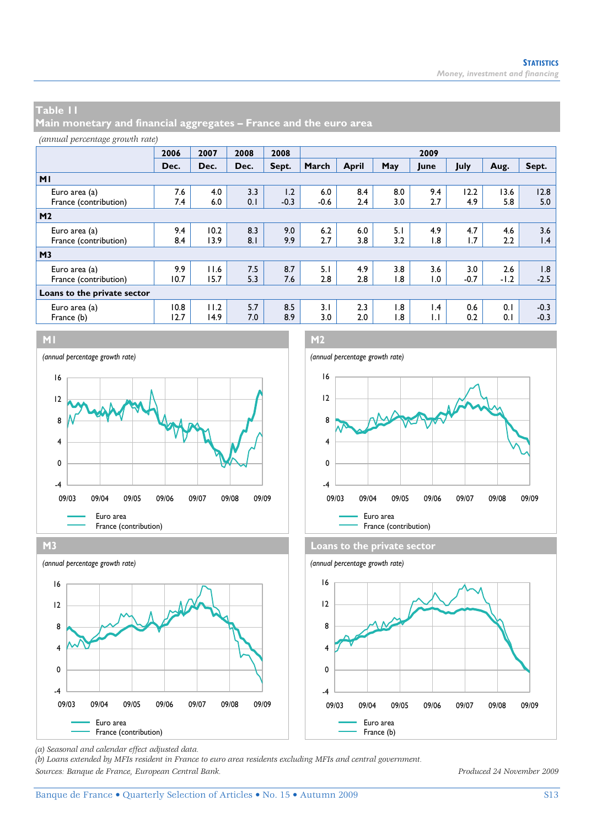**Main monetary and financial aggregates – France and the euro area** 

| <i>(annual percentage growth rate)</i> |              |              |            |               |               |              |            |                                 |               |               |                        |
|----------------------------------------|--------------|--------------|------------|---------------|---------------|--------------|------------|---------------------------------|---------------|---------------|------------------------|
|                                        | 2006         | 2007         | 2008       | 2008          | 2009          |              |            |                                 |               |               |                        |
|                                        | Dec.         | Dec.         | Dec.       | Sept.         | March         | <b>April</b> | May        | June                            | July          | Aug.          | Sept.                  |
| M <sub>1</sub>                         |              |              |            |               |               |              |            |                                 |               |               |                        |
| Euro area (a)<br>France (contribution) | 7.6<br>7.4   | 4.0<br>6.0   | 3.3<br>0.1 | 1.2<br>$-0.3$ | 6.0<br>$-0.6$ | 8.4<br>2.4   | 8.0<br>3.0 | 9.4<br>2.7                      | 12.2<br>4.9   | 13.6<br>5.8   | 12.8<br>5.0            |
| M <sub>2</sub>                         |              |              |            |               |               |              |            |                                 |               |               |                        |
| Euro area (a)<br>France (contribution) | 9.4<br>8.4   | 10.2<br>13.9 | 8.3<br>8.1 | 9.0<br>9.9    | 6.2<br>2.7    | 6.0<br>3.8   | 5.1<br>3.2 | 4.9<br>1.8                      | 4.7<br>1.7    | 4.6<br>2.2    | 3.6<br>$\mathsf{I}$ .4 |
| M <sub>3</sub>                         |              |              |            |               |               |              |            |                                 |               |               |                        |
| Euro area (a)<br>France (contribution) | 9.9<br>10.7  | 11.6<br>15.7 | 7.5<br>5.3 | 8.7<br>7.6    | 5.1<br>2.8    | 4.9<br>2.8   | 3.8<br>1.8 | 3.6<br>1.0                      | 3.0<br>$-0.7$ | 2.6<br>$-1.2$ | 1.8<br>$-2.5$          |
| Loans to the private sector            |              |              |            |               |               |              |            |                                 |               |               |                        |
| Euro area (a)<br>France (b)            | 10.8<br>12.7 | 11.2<br>14.9 | 5.7<br>7.0 | 8.5<br>8.9    | 3.1<br>3.0    | 2.3<br>2.0   | 1.8<br>1.8 | $\mathsf{I}$ .4<br>$\mathsf{L}$ | 0.6<br>0.2    | 0.1<br>0.1    | $-0.3$<br>$-0.3$       |









*(a) Seasonal and calendar effect adjusted data.* 

*(b) Loans extended by MFIs resident in France to euro area residents excluding MFIs and central government. Sources: Banque de France, European Central Bank. Produced 24 November 2009*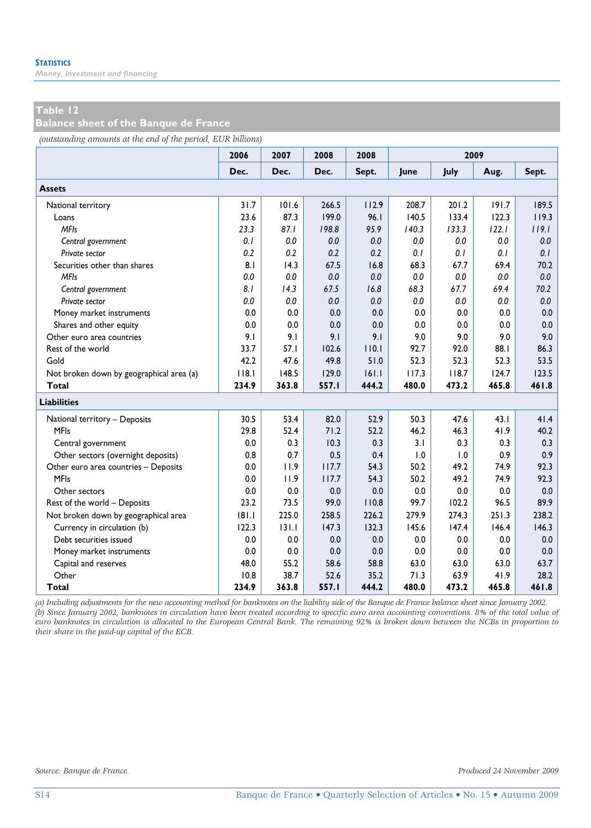### **Table 12**

**Balance sheet of the Banque de France** 

*(outstanding amounts at the end of the period, EUR billions)*

|                                          | 2006  | 2007  | 2008  | 2008  | 2009  |       |       |       |  |
|------------------------------------------|-------|-------|-------|-------|-------|-------|-------|-------|--|
|                                          | Dec.  | Dec.  | Dec.  | Sept. | June  | July  | Aug.  | Sept. |  |
| <b>Assets</b>                            |       |       |       |       |       |       |       |       |  |
| National territory                       | 31.7  | 101.6 | 266.5 | 112.9 | 208.7 | 201.2 | 191.7 | 189.5 |  |
| Loans                                    | 23.6  | 87.3  | 199.0 | 96.1  | 140.5 | 133.4 | 122.3 | 119.3 |  |
| <b>MFIs</b>                              | 23.3  | 87.1  | 198.8 | 95.9  | 140.3 | 133.3 | 122.1 | 119.1 |  |
| Central government                       | 0.1   | 0.0   | 0.0   | 0.0   | 0.0   | 0.0   | 0.0   | 0.0   |  |
| Private sector                           | 0.2   | 0.2   | 0.2   | 0.2   | 0.1   | 0.1   | 0.1   | 0.1   |  |
| Securities other than shares             | 8.1   | 14.3  | 67.5  | 16.8  | 68.3  | 67.7  | 69.4  | 70.2  |  |
| <b>MFIs</b>                              | 0.0   | 0.0   | 0.0   | 0.0   | 0.0   | 0.0   | 0.0   | 0.0   |  |
| Central government                       | 8.1   | 14.3  | 67.5  | 16.8  | 68.3  | 67.7  | 69.4  | 70.2  |  |
| Private sector                           | 0.0   | 0.0   | 0.0   | 0.0   | 0.0   | 0.0   | 0.0   | 0.0   |  |
| Money market instruments                 | 0.0   | 0.0   | 0.0   | 0.0   | 0.0   | 0.0   | 0.0   | 0.0   |  |
| Shares and other equity                  | 0.0   | 0.0   | 0.0   | 0.0   | 0.0   | 0.0   | 0.0   | 0.0   |  |
| Other euro area countries                | 9.1   | 9.1   | 9.1   | 9.1   | 9.0   | 9.0   | 9.0   | 9.0   |  |
| Rest of the world                        | 33.7  | 57.1  | 102.6 | 110.1 | 92.7  | 92.0  | 88.1  | 86.3  |  |
| Gold                                     | 42.2  | 47.6  | 49.8  | 51.0  | 52.3  | 52.3  | 52.3  | 53.5  |  |
| Not broken down by geographical area (a) | 118.1 | 148.5 | 129.0 | 161.1 | 117.3 | 118.7 | 124.7 | 123.5 |  |
| <b>Total</b>                             | 234.9 | 363.8 | 557.1 | 444.2 | 480.0 | 473.2 | 465.8 | 461.8 |  |
| <b>Liabilities</b>                       |       |       |       |       |       |       |       |       |  |
| National territory - Deposits            | 30.5  | 53.4  | 82.0  | 52.9  | 50.3  | 47.6  | 43.1  | 41.4  |  |
| <b>MFIs</b>                              | 29.8  | 52.4  | 71.2  | 52.2  | 46.2  | 46.3  | 41.9  | 40.2  |  |
| Central government                       | 0.0   | 0.3   | 10.3  | 0.3   | 3.1   | 0.3   | 0.3   | 0.3   |  |
| Other sectors (overnight deposits)       | 0.8   | 0.7   | 0.5   | 0.4   | 1.0   | 1.0   | 0.9   | 0.9   |  |
| Other euro area countries - Deposits     | 0.0   | 11.9  | 117.7 | 54.3  | 50.2  | 49.2  | 74.9  | 92.3  |  |
| <b>MFIs</b>                              | 0.0   | 11.9  | 117.7 | 54.3  | 50.2  | 49.2  | 74.9  | 92.3  |  |
| Other sectors                            | 0.0   | 0.0   | 0.0   | 0.0   | 0.0   | 0.0   | 0.0   | 0.0   |  |
| Rest of the world - Deposits             | 23.2  | 73.5  | 99.0  | 110.8 | 99.7  | 102.2 | 96.5  | 89.9  |  |
| Not broken down by geographical area     | 181.1 | 225.0 | 258.5 | 226.2 | 279.9 | 274.3 | 251.3 | 238.2 |  |
| Currency in circulation (b)              | 122.3 | 131.1 | 147.3 | 132.3 | 145.6 | 147.4 | 146.4 | 146.3 |  |
| Debt securities issued                   | 0.0   | 0.0   | 0.0   | 0.0   | 0.0   | 0.0   | 0.0   | 0.0   |  |
| Money market instruments                 | 0.0   | 0.0   | 0.0   | 0.0   | 0.0   | 0.0   | 0.0   | 0.0   |  |
| Capital and reserves                     | 48.0  | 55.2  | 58.6  | 58.8  | 63.0  | 63.0  | 63.0  | 63.7  |  |
| Other                                    | 10.8  | 38.7  | 52.6  | 35.2  | 71.3  | 63.9  | 41.9  | 28.2  |  |
| Total                                    | 234.9 | 363.8 | 557.I | 444.2 | 480.0 | 473.2 | 465.8 | 461.8 |  |

*(a) Including adjustments for the new accounting method for banknotes on the liability side of the Banque de France balance sheet since January 2002. (b) Since January 2002, banknotes in circulation have been treated according to specific euro area accounting conventions. 8% of the total value of euro banknotes in circulation is allocated to the European Central Bank. The remaining 92% is broken down between the NCBs in proportion to their share in the paid-up capital of the ECB.*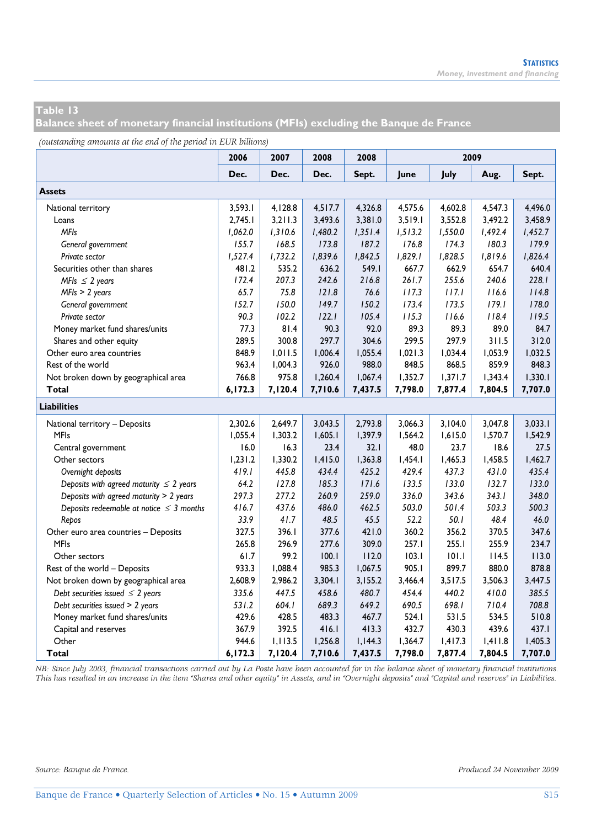**Balance sheet of monetary financial institutions (MFIs) excluding the Banque de France** 

*(outstanding amounts at the end of the period in EUR billions)*

| ு                                             | 2006    | 2007    | 2008    | 2008    |         |         |         |         |
|-----------------------------------------------|---------|---------|---------|---------|---------|---------|---------|---------|
|                                               | Dec.    | Dec.    | Dec.    | Sept.   | June    | July    | Aug.    | Sept.   |
| <b>Assets</b>                                 |         |         |         |         |         |         |         |         |
| National territory                            | 3,593.1 | 4,128.8 | 4,517.7 | 4,326.8 | 4,575.6 | 4,602.8 | 4,547.3 | 4,496.0 |
| Loans                                         | 2,745.1 | 3,211.3 | 3,493.6 | 3,381.0 | 3,519.1 | 3,552.8 | 3,492.2 | 3,458.9 |
| <b>MFIs</b>                                   | 1,062.0 | 1,310.6 | 1,480.2 | 1,351.4 | 1,513.2 | 1,550.0 | 1,492.4 | 1,452.7 |
| General government                            | 155.7   | 168.5   | 173.8   | 187.2   | 176.8   | 174.3   | 180.3   | 179.9   |
| Private sector                                | 1,527.4 | 1,732.2 | 1,839.6 | 1,842.5 | 1,829.1 | 1,828.5 | 1,819.6 | 1,826.4 |
| Securities other than shares                  | 481.2   | 535.2   | 636.2   | 549.1   | 667.7   | 662.9   | 654.7   | 640.4   |
| MFIs $\leq$ 2 years                           | 172.4   | 207.3   | 242.6   | 216.8   | 261.7   | 255.6   | 240.6   | 228.1   |
| $MFls \geq 2$ years                           | 65.7    | 75.8    | 121.8   | 76.6    | 117.3   | 117.1   | 116.6   | 114.8   |
| General government                            | 152.7   | 150.0   | 149.7   | 150.2   | 173.4   | 173.5   | 179.1   | 178.0   |
| Private sector                                | 90.3    | 102.2   | 122.1   | 105.4   | 115.3   | 116.6   | 118.4   | 119.5   |
| Money market fund shares/units                | 77.3    | 81.4    | 90.3    | 92.0    | 89.3    | 89.3    | 89.0    | 84.7    |
| Shares and other equity                       | 289.5   | 300.8   | 297.7   | 304.6   | 299.5   | 297.9   | 311.5   | 312.0   |
| Other euro area countries                     | 848.9   | 1,011.5 | 1,006.4 | 1,055.4 | 1,021.3 | 1,034.4 | 1,053.9 | 1,032.5 |
| Rest of the world                             | 963.4   | 1,004.3 | 926.0   | 988.0   | 848.5   | 868.5   | 859.9   | 848.3   |
| Not broken down by geographical area          | 766.8   | 975.8   | 1,260.4 | 1,067.4 | 1,352.7 | 1,371.7 | 1,343.4 | 1,330.1 |
| Total                                         | 6,172.3 | 7,120.4 | 7,710.6 | 7,437.5 | 7,798.0 | 7,877.4 | 7,804.5 | 7,707.0 |
| <b>Liabilities</b>                            |         |         |         |         |         |         |         |         |
| National territory - Deposits                 | 2,302.6 | 2,649.7 | 3,043.5 | 2,793.8 | 3,066.3 | 3,104.0 | 3,047.8 | 3,033.1 |
| <b>MFIs</b>                                   | 1,055.4 | 1,303.2 | 1,605.1 | 1,397.9 | 1,564.2 | 1,615.0 | 1,570.7 | 1,542.9 |
| Central government                            | 16.0    | 16.3    | 23.4    | 32.1    | 48.0    | 23.7    | 18.6    | 27.5    |
| Other sectors                                 | 1,231.2 | 1,330.2 | 1,415.0 | 1,363.8 | 1,454.1 | 1,465.3 | 1,458.5 | 1,462.7 |
| Overnight deposits                            | 419.1   | 445.8   | 434.4   | 425.2   | 429.4   | 437.3   | 431.0   | 435.4   |
| Deposits with agreed maturity $\leq 2$ years  | 64.2    | 127.8   | 185.3   | 171.6   | 133.5   | 133.0   | 132.7   | 133.0   |
| Deposits with agreed maturity > 2 years       | 297.3   | 277.2   | 260.9   | 259.0   | 336.0   | 343.6   | 343.1   | 348.0   |
| Deposits redeemable at notice $\leq$ 3 months | 416.7   | 437.6   | 486.0   | 462.5   | 503.0   | 501.4   | 503.3   | 500.3   |
| Repos                                         | 33.9    | 41.7    | 48.5    | 45.5    | 52.2    | 50.1    | 48.4    | 46.0    |
| Other euro area countries - Deposits          | 327.5   | 396.I   | 377.6   | 421.0   | 360.2   | 356.2   | 370.5   | 347.6   |
| <b>MFIs</b>                                   | 265.8   | 296.9   | 277.6   | 309.0   | 257.1   | 255.1   | 255.9   | 234.7   |
| Other sectors                                 | 61.7    | 99.2    | 100.1   | 112.0   | 103.1   | 101.1   | 114.5   | 113.0   |
| Rest of the world - Deposits                  | 933.3   | 1,088.4 | 985.3   | 1,067.5 | 905.1   | 899.7   | 880.0   | 878.8   |
| Not broken down by geographical area          | 2,608.9 | 2,986.2 | 3,304.1 | 3,155.2 | 3,466.4 | 3,517.5 | 3,506.3 | 3,447.5 |
| Debt securities issued $\leq$ 2 years         | 335.6   | 447.5   | 458.6   | 480.7   | 454.4   | 440.2   | 410.0   | 385.5   |
| Debt securities issued > 2 years              | 531.2   | 604.1   | 689.3   | 649.2   | 690.5   | 698.I   | 710.4   | 708.8   |
| Money market fund shares/units                | 429.6   | 428.5   | 483.3   | 467.7   | 524.1   | 531.5   | 534.5   | 510.8   |
| Capital and reserves                          | 367.9   | 392.5   | 416.1   | 413.3   | 432.7   | 430.3   | 439.6   | 437.1   |
| Other                                         | 944.6   | 1,113.5 | 1,256.8 | 1,144.3 | 1,364.7 | 1,417.3 | 1,411.8 | 1,405.3 |
| Total                                         | 6,172.3 | 7,120.4 | 7,710.6 | 7,437.5 | 7,798.0 | 7,877.4 | 7,804.5 | 7,707.0 |

*NB: Since July 2003, financial transactions carried out by La Poste have been accounted for in the balance sheet of monetary financial institutions. This has resulted in an increase in the item "Shares and other equity" in Assets, and in "Overnight deposits" and "Capital and reserves" in Liabilities.*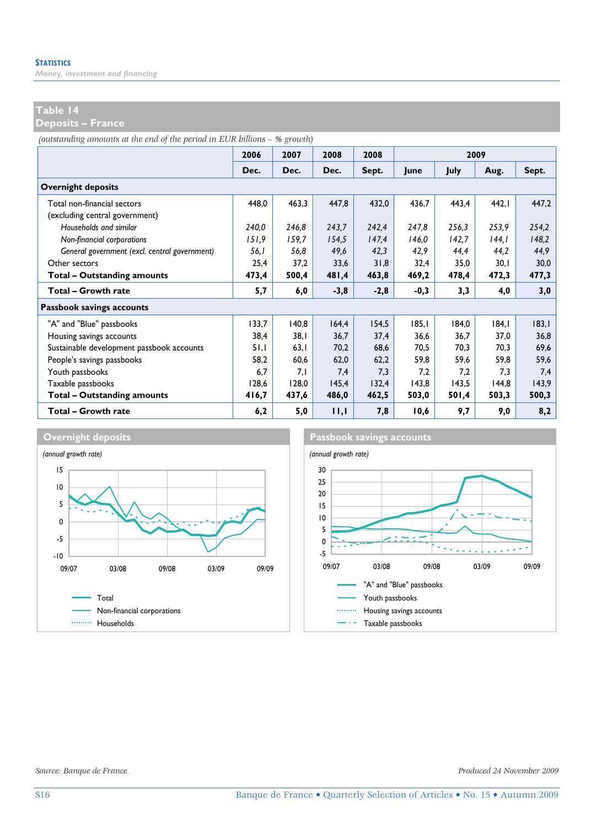### **Table 14**

**Deposits – France** 

*(outstanding amounts at the end of the period in EUR billions – % growth)*

|                                               | 2006  | 2007  | 2008   | 2008   |        | 2009  |        |       |  |
|-----------------------------------------------|-------|-------|--------|--------|--------|-------|--------|-------|--|
|                                               | Dec.  | Dec.  | Dec.   | Sept.  | June   | July  | Aug.   | Sept. |  |
| <b>Overnight deposits</b>                     |       |       |        |        |        |       |        |       |  |
| Total non-financial sectors                   | 448.0 | 463,3 | 447,8  | 432,0  | 436,7  | 443,4 | 442.1  | 447,2 |  |
| (excluding central government)                |       |       |        |        |        |       |        |       |  |
| Households and similar                        | 240,0 | 246,8 | 243,7  | 242,4  | 247,8  | 256,3 | 253,9  | 254,2 |  |
| Non-financial corporations                    | 151,9 | 159,7 | 154,5  | 147,4  | 146,0  | 142,7 | 144.1  | 148,2 |  |
| General government (excl. central government) | 56.I  | 56,8  | 49,6   | 42,3   | 42,9   | 44,4  | 44,2   | 44,9  |  |
| Other sectors                                 | 25,4  | 37,2  | 33,6   | 31,8   | 32,4   | 35,0  | 30,1   | 30,0  |  |
| Total - Outstanding amounts                   | 473,4 | 500,4 | 481,4  | 463,8  | 469,2  | 478,4 | 472,3  | 477,3 |  |
| Total - Growth rate                           | 5,7   | 6,0   | $-3,8$ | $-2,8$ | $-0,3$ | 3,3   | 4,0    | 3,0   |  |
| Passbook savings accounts                     |       |       |        |        |        |       |        |       |  |
| "A" and "Blue" passbooks                      | 133,7 | 140,8 | 164,4  | 154,5  | 185, I | 184,0 | 184, I | 183,1 |  |
| Housing savings accounts                      | 38.4  | 38. I | 36.7   | 37.4   | 36.6   | 36.7  | 37.0   | 36,8  |  |
| Sustainable development passbook accounts     | 51,1  | 63,1  | 70,2   | 68.6   | 70,5   | 70,3  | 70.3   | 69,6  |  |
| People's savings passbooks                    | 58,2  | 60,6  | 62,0   | 62,2   | 59,8   | 59,6  | 59,8   | 59,6  |  |
| Youth passbooks                               | 6.7   | 7,1   | 7,4    | 7,3    | 7.2    | 7,2   | 7,3    | 7,4   |  |
| Taxable passbooks                             | 128.6 | 128.0 | 145.4  | 132.4  | 143,8  | 143,5 | 144,8  | 143,9 |  |
| <b>Total - Outstanding amounts</b>            | 416,7 | 437,6 | 486,0  | 462,5  | 503,0  | 501,4 | 503,3  | 500,3 |  |
| Total - Growth rate                           | 6,2   | 5,0   | 11,1   | 7,8    | 10,6   | 9,7   | 9,0    | 8,2   |  |



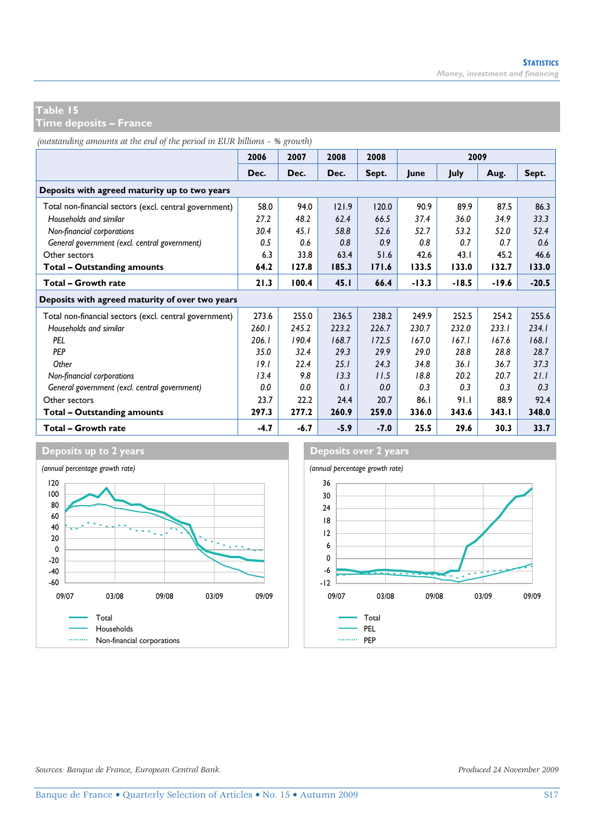**Time deposits – France** 

*(outstanding amounts at the end of the period in EUR billions – % growth)*

|                                                        | 2006   | 2007   | 2008   | 2008   | 2009    |         |       |         |  |  |
|--------------------------------------------------------|--------|--------|--------|--------|---------|---------|-------|---------|--|--|
|                                                        | Dec.   | Dec.   | Dec.   | Sept.  | lune    | July    | Aug.  | Sept.   |  |  |
| Deposits with agreed maturity up to two years          |        |        |        |        |         |         |       |         |  |  |
| Total non-financial sectors (excl. central government) | 58.0   | 94.0   | 121.9  | 120.0  | 90.9    | 89.9    | 87.5  | 86.3    |  |  |
| Households and similar                                 | 27.2   | 48.2   | 62.4   | 66.5   | 37.4    | 36.0    | 34.9  | 33.3    |  |  |
| Non-financial corporations                             | 30.4   | 45.1   | 58.8   | 52.6   | 52.7    | 53.2    | 52.0  | 52.4    |  |  |
| General government (excl. central government)          | 0.5    | 0.6    | 0.8    | 0.9    | 0.8     | 0.7     | 0.7   | 0.6     |  |  |
| Other sectors                                          | 6.3    | 33.8   | 63.4   | 51.6   | 42.6    | 43.1    | 45.2  | 46.6    |  |  |
| Total - Outstanding amounts                            | 64.2   | 127.8  | 185.3  | 171.6  | 133.5   | 133.0   | 132.7 | 133.0   |  |  |
| Total - Growth rate                                    | 21.3   | 100.4  | 45.1   | 66.4   | $-13.3$ | $-18.5$ | -19.6 | $-20.5$ |  |  |
| Deposits with agreed maturity of over two years        |        |        |        |        |         |         |       |         |  |  |
| Total non-financial sectors (excl. central government) | 273.6  | 255.0  | 236.5  | 238.2  | 249.9   | 252.5   | 254.2 | 255.6   |  |  |
| Households and similar                                 | 260.1  | 245.2  | 223.2  | 226.7  | 230.7   | 232.0   | 233.1 | 234.1   |  |  |
| PEL                                                    | 206.1  | 190.4  | 168.7  | 172.5  | 167.0   | 167.1   | 167.6 | 168.1   |  |  |
| <b>PFP</b>                                             | 35.0   | 32.4   | 29.3   | 29.9   | 29.0    | 28.8    | 28.8  | 28.7    |  |  |
| Other                                                  | 19.1   | 22.4   | 25.1   | 24.3   | 34.8    | 36.1    | 36.7  | 37.3    |  |  |
| Non-financial corporations                             | 13.4   | 9.8    | 13.3   | 11.5   | 18.8    | 20.2    | 20.7  | 21.1    |  |  |
| General government (excl. central government)          | 0.0    | 0.0    | 0.1    | 0.0    | 0.3     | 0.3     | 0.3   | 0.3     |  |  |
| Other sectors                                          | 23.7   | 22.2   | 24.4   | 20.7   | 86.I    | 91.1    | 88.9  | 92.4    |  |  |
| Total - Outstanding amounts                            | 297.3  | 277.2  | 260.9  | 259.0  | 336.0   | 343.6   | 343.1 | 348.0   |  |  |
| Total - Growth rate                                    | $-4.7$ | $-6.7$ | $-5.9$ | $-7.0$ | 25.5    | 29.6    | 30.3  | 33.7    |  |  |



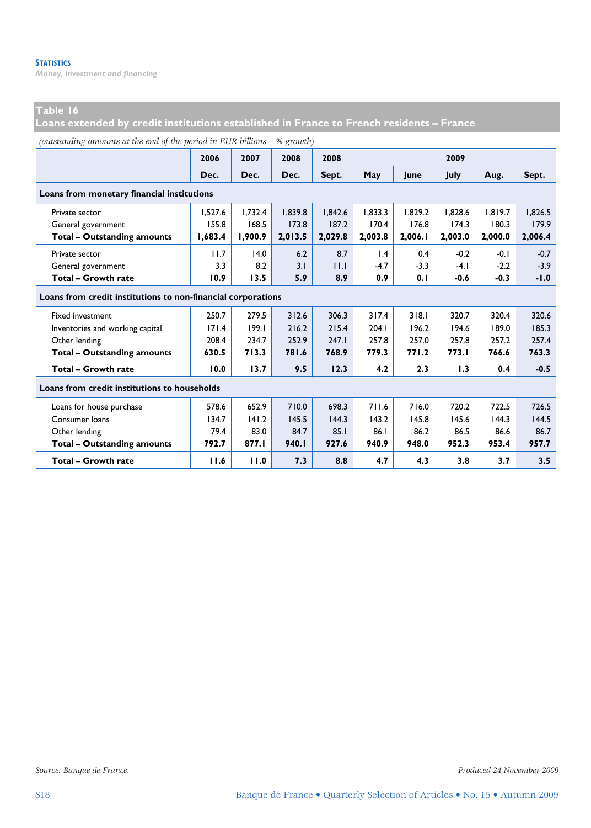### **Table 16**

**Loans extended by credit institutions established in France to French residents – France** 

|  | (outstanding amounts at the end of the period in EUR billions - % growth) |  |  |  |  |  |  |
|--|---------------------------------------------------------------------------|--|--|--|--|--|--|
|--|---------------------------------------------------------------------------|--|--|--|--|--|--|

|                                              | 2006                                                         | 2007    | 2008    | 2008    | 2009            |         |         |         |         |  |  |
|----------------------------------------------|--------------------------------------------------------------|---------|---------|---------|-----------------|---------|---------|---------|---------|--|--|
|                                              | Dec.                                                         | Dec.    | Dec.    | Sept.   | May             | lune    | July    | Aug.    | Sept.   |  |  |
| Loans from monetary financial institutions   |                                                              |         |         |         |                 |         |         |         |         |  |  |
| Private sector                               | 1.527.6                                                      | 1.732.4 | 1,839.8 | 1,842.6 | 1.833.3         | 1,829.2 | 1,828.6 | 1.819.7 | 1,826.5 |  |  |
| General government                           | 155.8                                                        | 168.5   | 173.8   | 187.2   | 170.4           | 176.8   | 174.3   | 180.3   | 179.9   |  |  |
| <b>Total - Outstanding amounts</b>           | 1,683.4                                                      | 1,900.9 | 2,013.5 | 2,029.8 | 2,003.8         | 2,006.1 | 2,003.0 | 2,000.0 | 2,006.4 |  |  |
| Private sector                               | 11.7                                                         | 14.0    | 6.2     | 8.7     | $\mathsf{I}$ .4 | 0.4     | $-0.2$  | $-0.1$  | $-0.7$  |  |  |
| General government                           | 3.3                                                          | 8.2     | 3.1     | 11.1    | $-4.7$          | $-3.3$  | $-4.1$  | $-2.2$  | $-3.9$  |  |  |
| Total - Growth rate                          | 10.9                                                         | 13.5    | 5.9     | 8.9     | 0.9             | 0.1     | $-0.6$  | $-0.3$  | $-1.0$  |  |  |
|                                              | Loans from credit institutions to non-financial corporations |         |         |         |                 |         |         |         |         |  |  |
| <b>Fixed investment</b>                      | 250.7                                                        | 279.5   | 312.6   | 306.3   | 317.4           | 318.1   | 320.7   | 320.4   | 320.6   |  |  |
| Inventories and working capital              | 171.4                                                        | 199.1   | 216.2   | 215.4   | 204.1           | 196.2   | 194.6   | 189.0   | 185.3   |  |  |
| Other lending                                | 208.4                                                        | 234.7   | 252.9   | 247.1   | 257.8           | 257.0   | 257.8   | 257.2   | 257.4   |  |  |
| <b>Total - Outstanding amounts</b>           | 630.5                                                        | 713.3   | 781.6   | 768.9   | 779.3           | 771.2   | 773.I   | 766.6   | 763.3   |  |  |
| Total - Growth rate                          | 10.0                                                         | 13.7    | 9.5     | 12.3    | 4.2             | 2.3     | 1.3     | 0.4     | $-0.5$  |  |  |
| Loans from credit institutions to households |                                                              |         |         |         |                 |         |         |         |         |  |  |
| Loans for house purchase                     | 578.6                                                        | 652.9   | 710.0   | 698.3   | 711.6           | 716.0   | 720.2   | 722.5   | 726.5   |  |  |
| Consumer loans                               | 134.7                                                        | 141.2   | 145.5   | 144.3   | 143.2           | 145.8   | 145.6   | 144.3   | 144.5   |  |  |
| Other lending                                | 79.4                                                         | 83.0    | 84.7    | 85.1    | 86.1            | 86.2    | 86.5    | 86.6    | 86.7    |  |  |
| <b>Total - Outstanding amounts</b>           | 792.7                                                        | 877.I   | 940.I   | 927.6   | 940.9           | 948.0   | 952.3   | 953.4   | 957.7   |  |  |
| Total - Growth rate                          | 11.6                                                         | 11.0    | 7.3     | 8.8     | 4.7             | 4.3     | 3.8     | 3.7     | 3.5     |  |  |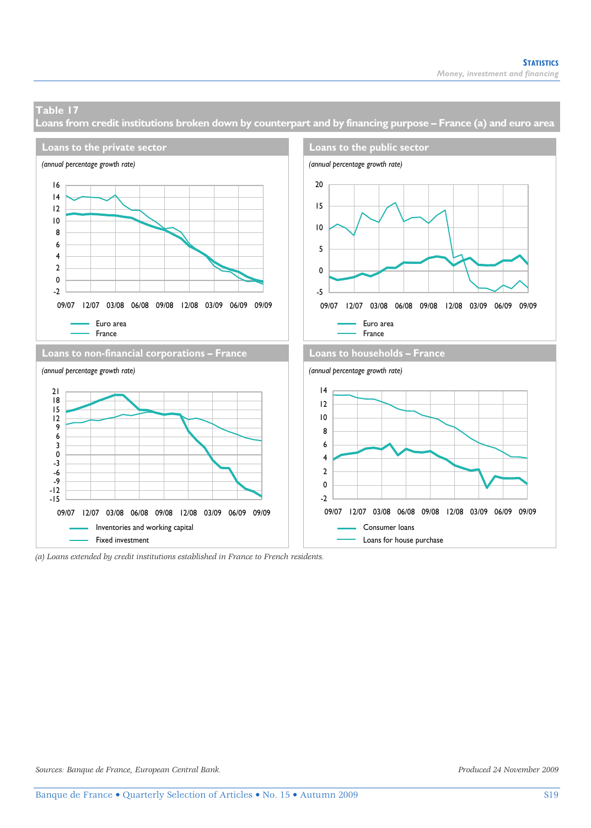**Loans from credit institutions broken down by counterpart and by financing purpose – France (a) and euro area** 



*(a) Loans extended by credit institutions established in France to French residents.*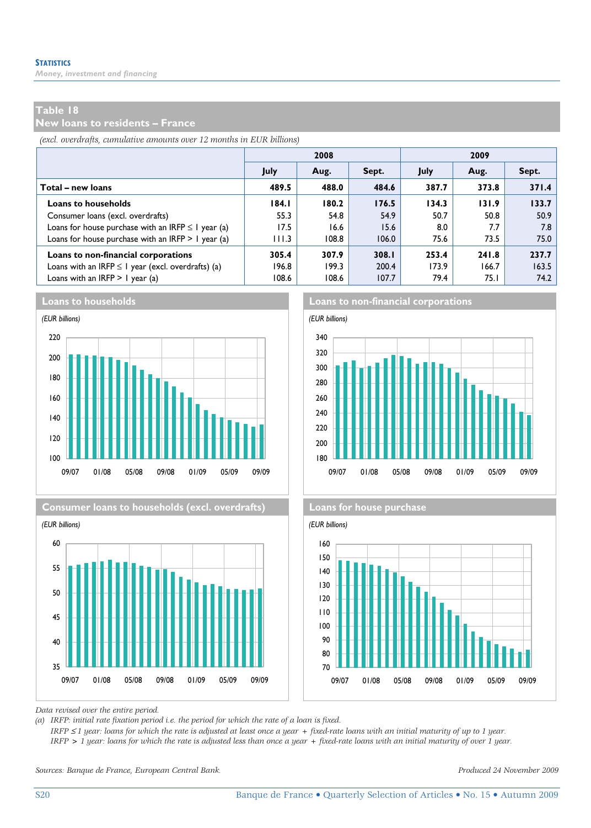### **Table 18**

**New loans to residents – France** 

*(excl. overdrafts, cumulative amounts over 12 months in EUR billions)*

|                                                         |             | 2008  |       | 2009  |       |       |  |  |
|---------------------------------------------------------|-------------|-------|-------|-------|-------|-------|--|--|
|                                                         | <b>July</b> | Aug.  | Sept. | July  | Aug.  | Sept. |  |  |
| Total - new loans                                       | 489.5       | 488.0 | 484.6 | 387.7 | 373.8 | 371.4 |  |  |
| <b>Loans to households</b>                              | 184.1       | 180.2 | 176.5 | 134.3 | 131.9 | 133.7 |  |  |
| Consumer loans (excl. overdrafts)                       | 55.3        | 54.8  | 54.9  | 50.7  | 50.8  | 50.9  |  |  |
| Loans for house purchase with an IRFP $\leq$ 1 year (a) | 17.5        | 16.6  | 15.6  | 8.0   | 7.7   | 7.8   |  |  |
| Loans for house purchase with an IRFP $> 1$ year (a)    | 111.3       | 108.8 | 106.0 | 75.6  | 73.5  | 75.0  |  |  |
| Loans to non-financial corporations                     | 305.4       | 307.9 | 308.I | 253.4 | 241.8 | 237.7 |  |  |
| Loans with an IRFP $\leq$ I year (excl. overdrafts) (a) | 196.8       | 199.3 | 200.4 | 173.9 | 166.7 | 163.5 |  |  |
| Loans with an IRFP $> 1$ year (a)                       | 108.6       | 108.6 | 107.7 | 79.4  | 75.I  | 74.2  |  |  |









**Loans to households Loans to non-financial corporations**





*Data revised over the entire period.* 

*(a) IRFP: initial rate fixation period i.e. the period for which the rate of a loan is fixed.* 

 *IRFP* ≤ *1 year: loans for which the rate is adjusted at least once a year + fixed-rate loans with an initial maturity of up to 1 year. IRFP > 1 year: loans for which the rate is adjusted less than once a year + fixed-rate loans with an initial maturity of over 1 year.* 

*Sources: Banque de France, European Central Bank. Produced 24 November 2009*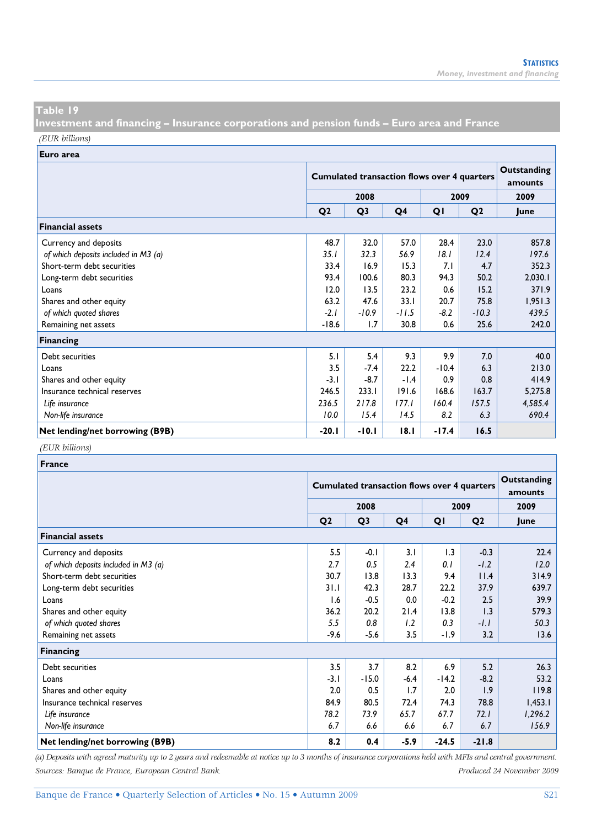**Investment and financing – Insurance corporations and pension funds – Euro area and France**  *(EUR billions)*

**Euro area**

| -------                              |                |                                                    |                        |         |                |         |
|--------------------------------------|----------------|----------------------------------------------------|------------------------|---------|----------------|---------|
|                                      |                | <b>Cumulated transaction flows over 4 quarters</b> | Outstanding<br>amounts |         |                |         |
|                                      |                | 2008                                               |                        |         | 2009           | 2009    |
|                                      | Q <sub>2</sub> | Q <sub>3</sub>                                     | Q <sub>4</sub>         | QI      | Q <sub>2</sub> | lune    |
| <b>Financial assets</b>              |                |                                                    |                        |         |                |         |
| Currency and deposits                | 48.7           | 32.0                                               | 57.0                   | 28.4    | 23.0           | 857.8   |
| of which deposits included in M3 (a) | 35.1           | 32.3                                               | 56.9                   | 18.1    | 12.4           | 197.6   |
| Short-term debt securities           | 33.4           | 16.9                                               | 15.3                   | 7.1     | 4.7            | 352.3   |
| Long-term debt securities            | 93.4           | 100.6                                              | 80.3                   | 94.3    | 50.2           | 2,030.1 |
| Loans                                | 12.0           | 13.5                                               | 23.2                   | 0.6     | 15.2           | 371.9   |
| Shares and other equity              | 63.2           | 47.6                                               | 33.1                   | 20.7    | 75.8           | 1,951.3 |
| of which quoted shares               | $-2.1$         | $-10.9$                                            | $-11.5$                | -8.2    | $-10.3$        | 439.5   |
| Remaining net assets                 | $-18.6$        | 1.7                                                | 30.8                   | 0.6     | 25.6           | 242.0   |
| <b>Financing</b>                     |                |                                                    |                        |         |                |         |
| Debt securities                      | 5.1            | 5.4                                                | 9.3                    | 9.9     | 7.0            | 40.0    |
| Loans                                | 3.5            | $-7.4$                                             | 22.2                   | $-10.4$ | 6.3            | 213.0   |
| Shares and other equity              | $-3.1$         | $-8.7$                                             | $-1.4$                 | 0.9     | 0.8            | 414.9   |
| Insurance technical reserves         | 246.5          | 233.1                                              | 191.6                  | 168.6   | 163.7          | 5,275.8 |
| Life insurance                       | 236.5          | 217.8                                              | 177.1                  | 160.4   | 157.5          | 4,585.4 |
| Non-life insurance                   | 10.0           | 15.4                                               | 14.5                   | 8.2     | 6.3            | 690.4   |
| Net lending/net borrowing (B9B)      | $-20.1$        | $-10.1$                                            | 18.1                   | $-17.4$ | 16.5           |         |

### *(EUR billions)*

| <b>France</b>                        |                |                                                    |                        |         |                |         |
|--------------------------------------|----------------|----------------------------------------------------|------------------------|---------|----------------|---------|
|                                      |                | <b>Cumulated transaction flows over 4 quarters</b> | Outstanding<br>amounts |         |                |         |
|                                      |                | 2008                                               |                        |         | 2009           | 2009    |
|                                      | Q <sub>2</sub> | Q <sub>3</sub>                                     | Q4                     | QI      | Q <sub>2</sub> | lune    |
| <b>Financial assets</b>              |                |                                                    |                        |         |                |         |
| Currency and deposits                | 5.5            | $-0.1$                                             | 3.1                    | 1.3     | $-0.3$         | 22.4    |
| of which deposits included in M3 (a) | 2.7            | 0.5                                                | 2.4                    | 0.1     | $-1.2$         | 12.0    |
| Short-term debt securities           | 30.7           | 13.8                                               | 13.3                   | 9.4     | 11.4           | 314.9   |
| Long-term debt securities            | 31.1           | 42.3                                               | 28.7                   | 22.2    | 37.9           | 639.7   |
| Loans                                | 1.6            | $-0.5$                                             | 0.0                    | $-0.2$  | 2.5            | 39.9    |
| Shares and other equity              | 36.2           | 20.2                                               | 21.4                   | 13.8    | 1.3            | 579.3   |
| of which quoted shares               | 5.5            | 0.8                                                | 1.2                    | 0.3     | $-1.1$         | 50.3    |
| Remaining net assets                 | $-9.6$         | $-5.6$                                             | 3.5                    | -1.9    | 3.2            | 13.6    |
| <b>Financing</b>                     |                |                                                    |                        |         |                |         |
| Debt securities                      | 3.5            | 3.7                                                | 8.2                    | 6.9     | 5.2            | 26.3    |
| Loans                                | $-3.1$         | $-15.0$                                            | $-6.4$                 | $-14.2$ | $-8.2$         | 53.2    |
| Shares and other equity              | 2.0            | 0.5                                                | 1.7                    | 2.0     | 1.9            | 119.8   |
| Insurance technical reserves         | 84.9           | 80.5                                               | 72.4                   | 74.3    | 78.8           | 1,453.1 |
| Life insurance                       | 78.2           | 73.9                                               | 65.7                   | 67.7    | 72.1           | 1,296.2 |
| Non-life insurance                   | 6.7            | 6.6                                                | 6.6                    | 6.7     | 6.7            | 156.9   |
| Net lending/net borrowing (B9B)      | 8.2            | 0.4                                                | $-5.9$                 | $-24.5$ | $-21.8$        |         |

*(a) Deposits with agreed maturity up to 2 years and redeemable at notice up to 3 months of insurance corporations held with MFIs and central government. Sources: Banque de France, European Central Bank. Produced 24 November 2009*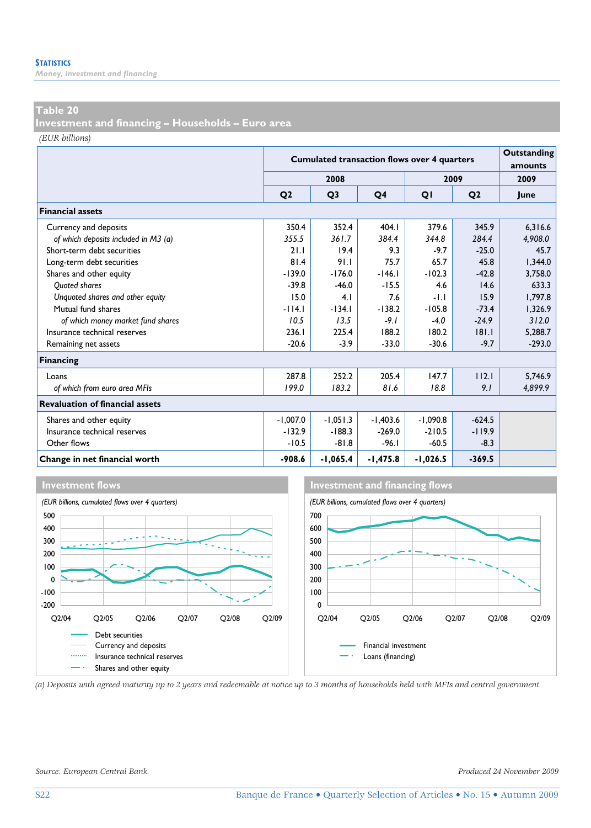### **Table 20**

**Investment and financing – Households – Euro area** 

*(EUR billions)*

|                                        |                | <b>Cumulated transaction flows over 4 quarters</b> |            |            |                |          |  |  |  |
|----------------------------------------|----------------|----------------------------------------------------|------------|------------|----------------|----------|--|--|--|
|                                        |                | 2008                                               |            |            | 2009           | 2009     |  |  |  |
|                                        | O <sub>2</sub> | Q <sub>3</sub>                                     | Q4         | QI         | Q <sub>2</sub> | June     |  |  |  |
| <b>Financial assets</b>                |                |                                                    |            |            |                |          |  |  |  |
| Currency and deposits                  | 350.4          | 352.4                                              | 404.1      | 379.6      | 345.9          | 6.316.6  |  |  |  |
| of which deposits included in M3 (a)   | 355.5          | 361.7                                              | 384.4      | 344.8      | 284.4          | 4,908.0  |  |  |  |
| Short-term debt securities             | 21.1           | 19.4                                               | 9.3        | $-9.7$     | $-25.0$        | 45.7     |  |  |  |
| Long-term debt securities              | 81.4           | 91.1                                               | 75.7       | 65.7       | 45.8           | 1,344.0  |  |  |  |
| Shares and other equity                | $-139.0$       | $-176.0$                                           | $-146.1$   | $-102.3$   | $-42.8$        | 3,758.0  |  |  |  |
| <b>Ouoted shares</b>                   | $-39.8$        | $-46.0$                                            | $-15.5$    | 4.6        | 14.6           | 633.3    |  |  |  |
| Unquoted shares and other equity       | 15.0           | 4.1                                                | 7.6        | $-1.1$     | 15.9           | 1.797.8  |  |  |  |
| Mutual fund shares                     | $-114.1$       | $-134.1$                                           | $-138.2$   | $-105.8$   | $-73.4$        | 1,326.9  |  |  |  |
| of which money market fund shares      | 10.5           | 13.5                                               | $-9.1$     | $-4.0$     | $-24.9$        | 312.0    |  |  |  |
| Insurance technical reserves           | 236.1          | 225.4                                              | 188.2      | 180.2      | 8 .            | 5,288.7  |  |  |  |
| Remaining net assets                   | $-20.6$        | $-3.9$                                             | $-33.0$    | $-30.6$    | $-9.7$         | $-293.0$ |  |  |  |
| <b>Financing</b>                       |                |                                                    |            |            |                |          |  |  |  |
| Loans                                  | 287.8          | 252.2                                              | 205.4      | 147.7      | 112.1          | 5.746.9  |  |  |  |
| of which from euro area MFIs           | 199.0          | 183.2                                              | 81.6       | 18.8       | 9.1            | 4,899.9  |  |  |  |
| <b>Revaluation of financial assets</b> |                |                                                    |            |            |                |          |  |  |  |
| Shares and other equity                | $-1,007.0$     | $-1,051.3$                                         | $-1,403.6$ | $-1,090.8$ | $-624.5$       |          |  |  |  |
| Insurance technical reserves           | $-132.9$       | $-188.3$                                           | $-269.0$   | $-210.5$   | $-119.9$       |          |  |  |  |
| Other flows                            | $-10.5$        | $-81.8$                                            | $-96.1$    | $-60.5$    | $-8.3$         |          |  |  |  |
| Change in net financial worth          | $-908.6$       | $-1,065.4$                                         | -1,475.8   | $-1,026.5$ | $-369.5$       |          |  |  |  |







*(a) Deposits with agreed maturity up to 2 years and redeemable at notice up to 3 months of households held with MFIs and central government.* 

*Source: European Central Bank. Produced 24 November 2009*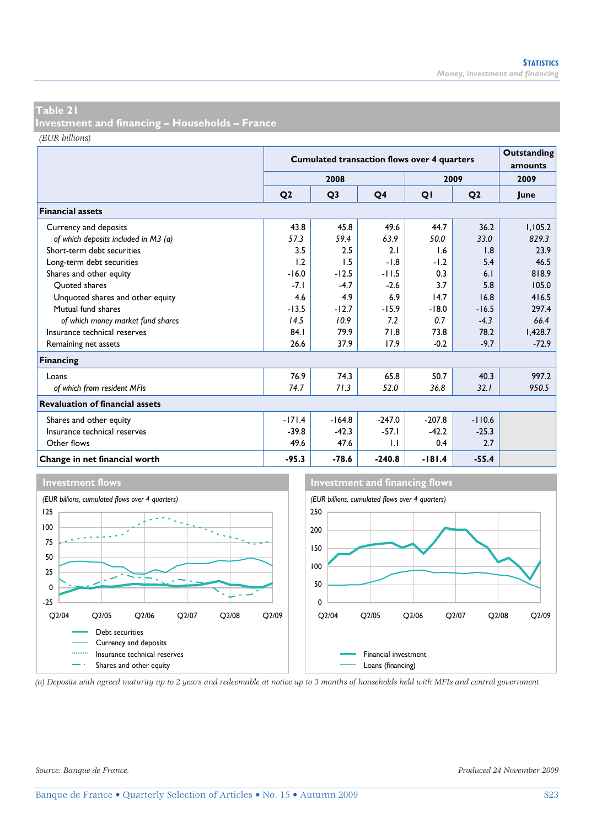**Investment and financing – Households – France** 

*(EUR billions)*

|                                        |                | <b>Cumulated transaction flows over 4 quarters</b> |                |          |                |         |  |  |  |
|----------------------------------------|----------------|----------------------------------------------------|----------------|----------|----------------|---------|--|--|--|
|                                        |                | 2008                                               |                |          | 2009           | 2009    |  |  |  |
|                                        | Q <sub>2</sub> | Q <sub>3</sub>                                     | Q <sub>4</sub> | QI       | Q <sub>2</sub> | lune    |  |  |  |
| <b>Financial assets</b>                |                |                                                    |                |          |                |         |  |  |  |
| Currency and deposits                  | 43.8           | 45.8                                               | 49.6           | 44.7     | 36.2           | 1,105.2 |  |  |  |
| of which deposits included in M3 (a)   | 57.3           | 59.4                                               | 63.9           | 50.0     | 33.0           | 829.3   |  |  |  |
| Short-term debt securities             | 3.5            | 2.5                                                | 2.1            | 1.6      | 1.8            | 23.9    |  |  |  |
| Long-term debt securities              | 1.2            | 1.5                                                | $-1.8$         | $-1.2$   | 5.4            | 46.5    |  |  |  |
| Shares and other equity                | $-16.0$        | $-12.5$                                            | $-11.5$        | 0.3      | 6.1            | 818.9   |  |  |  |
| Ouoted shares                          | $-7.1$         | $-4.7$                                             | $-2.6$         | 3.7      | 5.8            | 105.0   |  |  |  |
| Unquoted shares and other equity       | 4.6            | 4.9                                                | 6.9            | 14.7     | 16.8           | 416.5   |  |  |  |
| Mutual fund shares                     | $-13.5$        | $-12.7$                                            | $-15.9$        | $-18.0$  | $-16.5$        | 297.4   |  |  |  |
| of which money market fund shares      | 14.5           | 10.9                                               | 7.2            | 0.7      | $-4.3$         | 66.4    |  |  |  |
| Insurance technical reserves           | 84.1           | 79.9                                               | 71.8           | 73.8     | 78.2           | 1,428.7 |  |  |  |
| Remaining net assets                   | 26.6           | 37.9                                               | 17.9           | $-0.2$   | $-9.7$         | $-72.9$ |  |  |  |
| <b>Financing</b>                       |                |                                                    |                |          |                |         |  |  |  |
| Loans                                  | 76.9           | 74.3                                               | 65.8           | 50.7     | 40.3           | 997.2   |  |  |  |
| of which from resident MFIs            | 74.7           | 71.3                                               | 52.0           | 36.8     | 32.1           | 950.5   |  |  |  |
| <b>Revaluation of financial assets</b> |                |                                                    |                |          |                |         |  |  |  |
| Shares and other equity                | $-171.4$       | $-164.8$                                           | $-247.0$       | $-207.8$ | $-110.6$       |         |  |  |  |
| Insurance technical reserves           | $-39.8$        | $-42.3$                                            | $-57.1$        | $-42.2$  | $-25.3$        |         |  |  |  |
| Other flows                            | 49.6           | 47.6                                               | $\mathsf{L}$   | 0.4      | 2.7            |         |  |  |  |
| Change in net financial worth          | $-95.3$        | $-78.6$                                            | $-240.8$       | $-181.4$ | $-55.4$        |         |  |  |  |



*(a) Deposits with agreed maturity up to 2 years and redeemable at notice up to 3 months of households held with MFIs and central government.*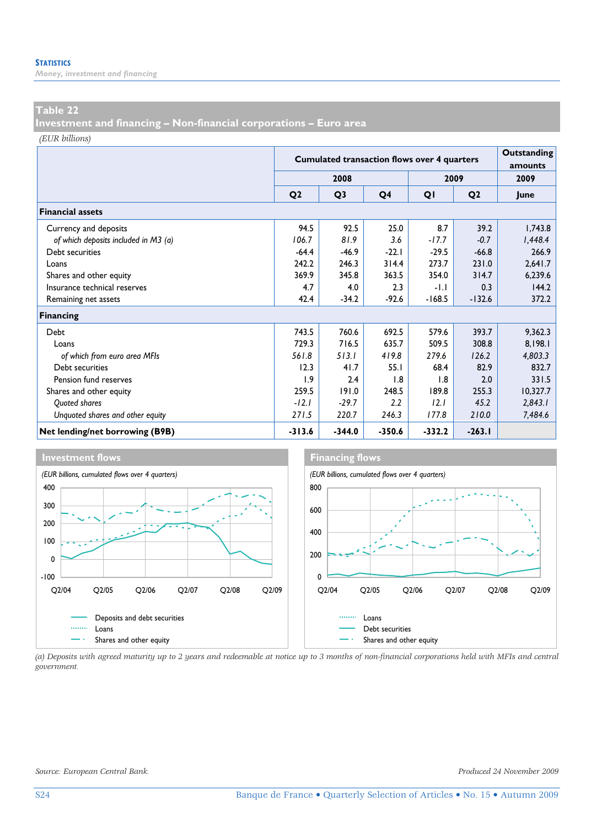### **Table 22**

**Investment and financing – Non-financial corporations – Euro area** 

*(EUR billions)*

|                                      |                | <b>Cumulated transaction flows over 4 quarters</b> | Outstanding<br>amounts |          |                |          |
|--------------------------------------|----------------|----------------------------------------------------|------------------------|----------|----------------|----------|
|                                      |                | 2008                                               |                        |          | 2009           | 2009     |
|                                      | Q <sub>2</sub> | Q <sub>3</sub>                                     | Q4                     | QI       | Q <sub>2</sub> | June     |
| <b>Financial assets</b>              |                |                                                    |                        |          |                |          |
| Currency and deposits                | 94.5           | 92.5                                               | 25.0                   | 8.7      | 39.2           | 1,743.8  |
| of which deposits included in M3 (a) | 106.7          | 81.9                                               | 3.6                    | $-17.7$  | $-0.7$         | 1,448.4  |
| Debt securities                      | $-64.4$        | $-46.9$                                            | $-22.1$                | $-29.5$  | $-66.8$        | 266.9    |
| Loans                                | 242.2          | 246.3                                              | 314.4                  | 273.7    | 231.0          | 2,641.7  |
| Shares and other equity              | 369.9          | 345.8                                              | 363.5                  | 354.0    | 314.7          | 6,239.6  |
| Insurance technical reserves         | 4.7            | 4.0                                                | 2.3                    | $-1.1$   | 0.3            | 144.2    |
| Remaining net assets                 | 42.4           | $-34.2$                                            | $-92.6$                | $-168.5$ | $-132.6$       | 372.2    |
| Financing                            |                |                                                    |                        |          |                |          |
| Debt                                 | 743.5          | 760.6                                              | 692.5                  | 579.6    | 393.7          | 9,362.3  |
| Loans                                | 729.3          | 716.5                                              | 635.7                  | 509.5    | 308.8          | 8.198.1  |
| of which from euro area MFIs         | 561.8          | 513.1                                              | 419.8                  | 279.6    | 126.2          | 4,803.3  |
| Debt securities                      | 12.3           | 41.7                                               | 55.1                   | 68.4     | 82.9           | 832.7    |
| Pension fund reserves                | 1.9            | 2.4                                                | 1.8                    | 1.8      | 2.0            | 331.5    |
| Shares and other equity              | 259.5          | 191.0                                              | 248.5                  | 189.8    | 255.3          | 10,327.7 |
| Quoted shares                        | $-12.1$        | $-29.7$                                            | 2.2                    | 12.1     | 45.2           | 2,843.1  |
| Unquoted shares and other equity     | 271.5          | 220.7                                              | 246.3                  | 177.8    | 210.0          | 7,484.6  |
| Net lending/net borrowing (B9B)      | $-313.6$       | $-344.0$                                           | $-350.6$               | -332.2   | $-263.1$       |          |



*(a) Deposits with agreed maturity up to 2 years and redeemable at notice up to 3 months of non-financial corporations held with MFIs and central government.*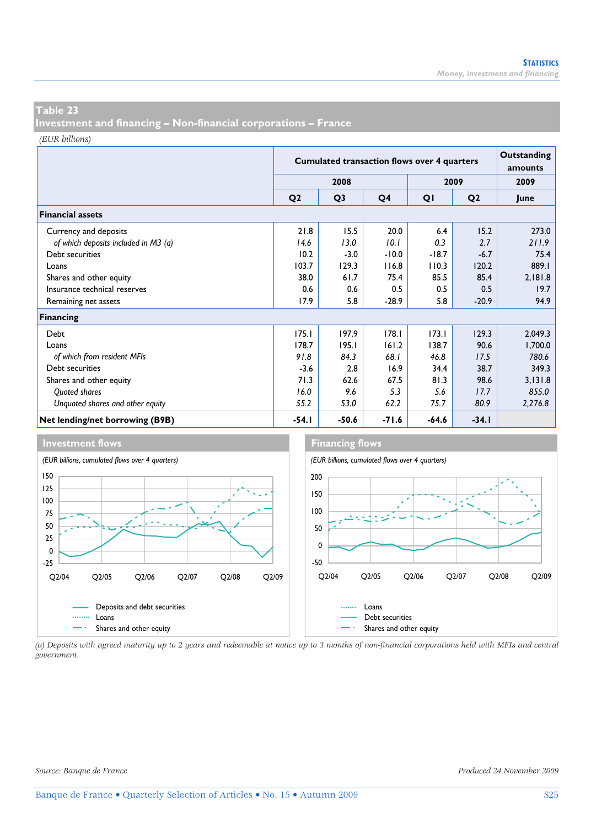**Investment and financing – Non-financial corporations – France** 

*(EUR billions)*

|                                      |                | <b>Cumulated transaction flows over 4 quarters</b> |                | Outstanding<br>amounts |                |         |
|--------------------------------------|----------------|----------------------------------------------------|----------------|------------------------|----------------|---------|
|                                      |                | 2008                                               |                |                        | 2009           | 2009    |
|                                      | Q <sub>2</sub> | Q <sub>3</sub>                                     | Q <sub>4</sub> | QI                     | Q <sub>2</sub> | June    |
| <b>Financial assets</b>              |                |                                                    |                |                        |                |         |
| Currency and deposits                | 21.8           | 15.5                                               | 20.0           | 6.4                    | 15.2           | 273.0   |
| of which deposits included in M3 (a) | 14.6           | 13.0                                               | 10.1           | 0.3                    | 2.7            | 211.9   |
| Debt securities                      | 10.2           | $-3.0$                                             | $-10.0$        | $-18.7$                | $-6.7$         | 75.4    |
| Loans                                | 103.7          | 129.3                                              | 116.8          | 110.3                  | 120.2          | 889.1   |
| Shares and other equity              | 38.0           | 61.7                                               | 75.4           | 85.5                   | 85.4           | 2,181.8 |
| Insurance technical reserves         | 0.6            | 0.6                                                | 0.5            | 0.5                    | 0.5            | 19.7    |
| Remaining net assets                 | 17.9           | 5.8                                                | $-28.9$        | 5.8                    | $-20.9$        | 94.9    |
| Financing                            |                |                                                    |                |                        |                |         |
| Debt                                 | 175.1          | 197.9                                              | 178.1          | 173.1                  | 129.3          | 2,049.3 |
| Loans                                | 178.7          | 195.1                                              | 161.2          | 138.7                  | 90.6           | 1,700.0 |
| of which from resident MFIs          | 91.8           | 84.3                                               | 68.I           | 46.8                   | 17.5           | 780.6   |
| Debt securities                      | $-3.6$         | 2.8                                                | 16.9           | 34.4                   | 38.7           | 349.3   |
| Shares and other equity              | 71.3           | 62.6                                               | 67.5           | 81.3                   | 98.6           | 3,131.8 |
| Quoted shares                        | 16.0           | 9.6                                                | 5.3            | 5.6                    | 17.7           | 855.0   |
| Unquoted shares and other equity     | 55.2           | 53.0                                               | 62.2           | 75.7                   | 80.9           | 2,276.8 |
| Net lending/net borrowing (B9B)      | -54. I         | $-50.6$                                            | $-71.6$        | $-64.6$                | $-34.1$        |         |





*(a) Deposits with agreed maturity up to 2 years and redeemable at notice up to 3 months of non-financial corporations held with MFIs and central government.*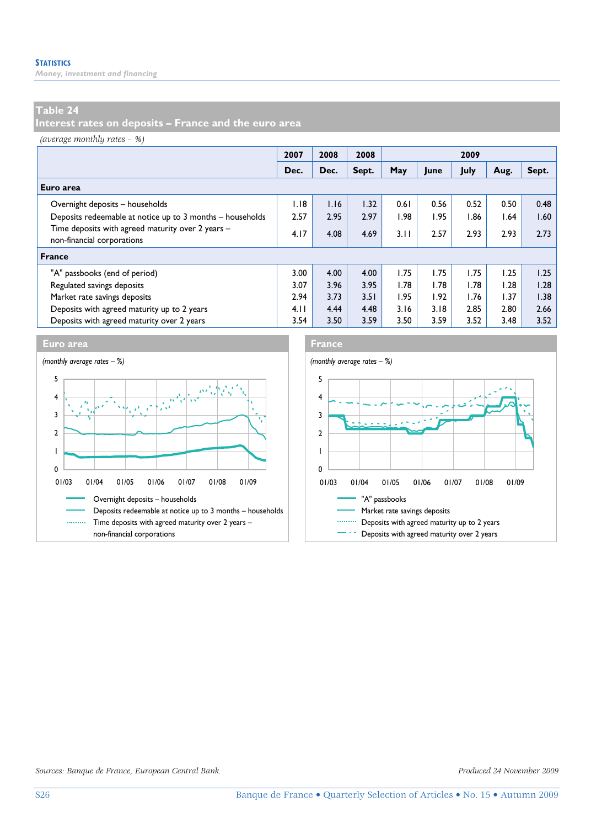## **Table 24**

**Interest rates on deposits – France and the euro area** 

*(average monthly rates – %)*

|                                                                                 | 2007 | 2008 | 2008  | 2009 |      |      |      |       |
|---------------------------------------------------------------------------------|------|------|-------|------|------|------|------|-------|
|                                                                                 | Dec. | Dec. | Sept. | May  | June | July | Aug. | Sept. |
| Euro area                                                                       |      |      |       |      |      |      |      |       |
| Overnight deposits - households                                                 | I.I8 | 1.16 | 1.32  | 0.61 | 0.56 | 0.52 | 0.50 | 0.48  |
| Deposits redeemable at notice up to 3 months - households                       | 2.57 | 2.95 | 2.97  | 1.98 | 1.95 | l.86 | 1.64 | 1.60  |
| Time deposits with agreed maturity over 2 years -<br>non-financial corporations | 4.17 | 4.08 | 4.69  | 3.11 | 2.57 | 2.93 | 2.93 | 2.73  |
| <b>France</b>                                                                   |      |      |       |      |      |      |      |       |
| "A" passbooks (end of period)                                                   | 3.00 | 4.00 | 4.00  | 1.75 | 1.75 | 1.75 | 1.25 | 1.25  |
| Regulated savings deposits                                                      | 3.07 | 3.96 | 3.95  | 1.78 | 1.78 | 1.78 | 1.28 | 1.28  |
| Market rate savings deposits                                                    |      | 3.73 | 3.51  | 1.95 | 1.92 | 1.76 | 1.37 | 1.38  |
| Deposits with agreed maturity up to 2 years                                     | 4.11 | 4.44 | 4.48  | 3.16 | 3.18 | 2.85 | 2.80 | 2.66  |
| Deposits with agreed maturity over 2 years                                      | 3.54 | 3.50 | 3.59  | 3.50 | 3.59 | 3.52 | 3.48 | 3.52  |





*Sources: Banque de France, European Central Bank. Produced 24 November 2009*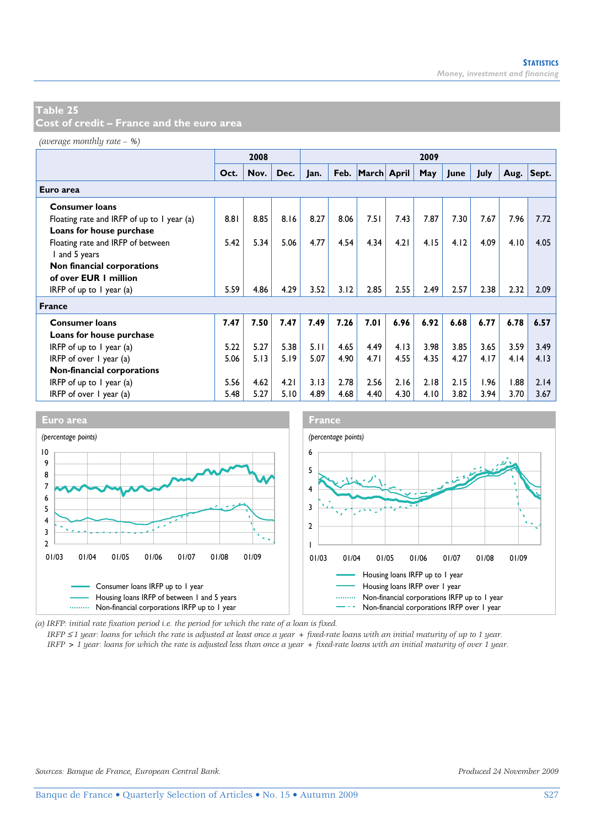**Cost of credit – France and the euro area** 

*(average monthly rate – %)*

|                                            |      | 2008 |      |      |      |                  |      | 2009 |      |      |      |            |
|--------------------------------------------|------|------|------|------|------|------------------|------|------|------|------|------|------------|
|                                            | Oct. | Nov. | Dec. | Jan. |      | Feb. March April |      | May  | June | July |      | Aug. Sept. |
| Euro area                                  |      |      |      |      |      |                  |      |      |      |      |      |            |
| <b>Consumer loans</b>                      |      |      |      |      |      |                  |      |      |      |      |      |            |
| Floating rate and IRFP of up to 1 year (a) | 8.81 | 8.85 | 8.16 | 8.27 | 8.06 | 7.51             | 7.43 | 7.87 | 7.30 | 7.67 | 7.96 | 7.72       |
| Loans for house purchase                   |      |      |      |      |      |                  |      |      |      |      |      |            |
| Floating rate and IRFP of between          | 5.42 | 5.34 | 5.06 | 4.77 | 4.54 | 4.34             | 4.21 | 4.15 | 4.12 | 4.09 | 4.10 | 4.05       |
| I and 5 years                              |      |      |      |      |      |                  |      |      |      |      |      |            |
| Non financial corporations                 |      |      |      |      |      |                  |      |      |      |      |      |            |
| of over EUR 1 million                      |      |      |      |      |      |                  |      |      |      |      |      |            |
| IRFP of up to $\overline{I}$ year (a)      | 5.59 | 4.86 | 4.29 | 3.52 | 3.12 | 2.85             | 2.55 | 2.49 | 2.57 | 2.38 | 2.32 | 2.09       |
| <b>France</b>                              |      |      |      |      |      |                  |      |      |      |      |      |            |
| <b>Consumer loans</b>                      | 7.47 | 7.50 | 7.47 | 7.49 | 7.26 | 7.01             | 6.96 | 6.92 | 6.68 | 6.77 | 6.78 | 6.57       |
| Loans for house purchase                   |      |      |      |      |      |                  |      |      |      |      |      |            |
| IRFP of up to $\ell$ year (a)              | 5.22 | 5.27 | 5.38 | 5.11 | 4.65 | 4.49             | 4.13 | 3.98 | 3.85 | 3.65 | 3.59 | 3.49       |
| IRFP of over $\vert$ year (a)              |      | 5.13 | 5.19 | 5.07 | 4.90 | 4.71             | 4.55 | 4.35 | 4.27 | 4.17 | 4.14 | 4.13       |
| Non-financial corporations                 |      |      |      |      |      |                  |      |      |      |      |      |            |
| IRFP of up to $\overline{I}$ year (a)      | 5.56 | 4.62 | 4.21 | 3.13 | 2.78 | 2.56             | 2.16 | 2.18 | 2.15 | 1.96 | 1.88 | 2.14       |
| IRFP of over $\vert$ year (a)              | 5.48 | 5.27 | 5.10 | 4.89 | 4.68 | 4.40             | 4.30 | 4.10 | 3.82 | 3.94 | 3.70 | 3.67       |



*(a) IRFP: initial rate fixation period i.e. the period for which the rate of a loan is fixed.* 

*IRFP* ≤ *1 year: loans for which the rate is adjusted at least once a year + fixed-rate loans with an initial maturity of up to 1 year. IRFP > 1 year: loans for which the rate is adjusted less than once a year + fixed-rate loans with an initial maturity of over 1 year.*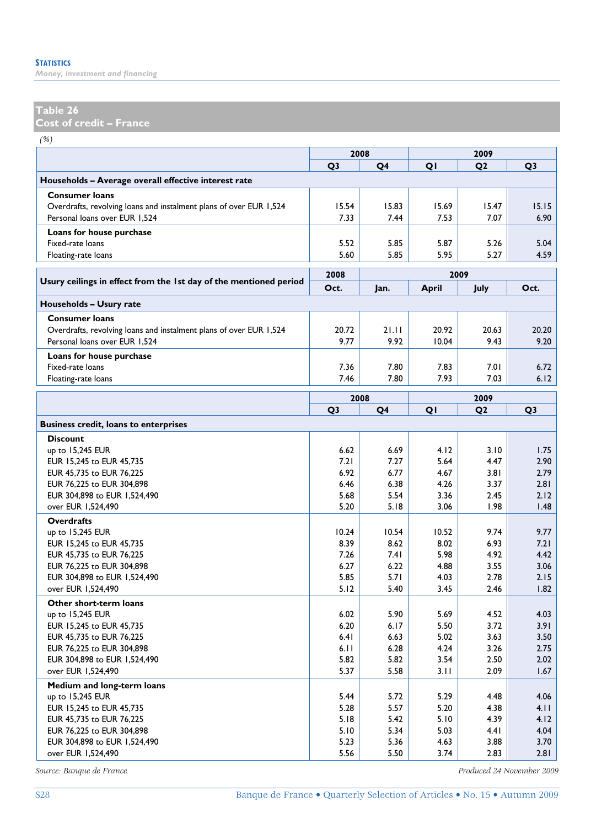### **Table 26**

**Cost of credit – France** 

*(%)*

|                                                                    | 2008           |              |              | 2009           |                |
|--------------------------------------------------------------------|----------------|--------------|--------------|----------------|----------------|
|                                                                    | Q <sub>3</sub> | Q4           | QI           | Q <sub>2</sub> | Q <sub>3</sub> |
| Households - Average overall effective interest rate               |                |              |              |                |                |
| <b>Consumer loans</b>                                              |                |              |              |                |                |
| Overdrafts, revolving loans and instalment plans of over EUR 1,524 | 15.54          | 15.83        | 15.69        | 15.47          | 15.15          |
| Personal loans over EUR 1,524                                      | 7.33           | 7.44         | 7.53         | 7.07           | 6.90           |
| Loans for house purchase                                           |                |              |              |                |                |
| Fixed-rate loans                                                   | 5.52           | 5.85         | 5.87         | 5.26           | 5.04           |
| Floating-rate loans                                                | 5.60           | 5.85         | 5.95         | 5.27           | 4.59           |
|                                                                    | 2008           |              |              | 2009           |                |
| Usury ceilings in effect from the 1st day of the mentioned period  | Oct.           | Jan.         | <b>April</b> | July           | Oct.           |
|                                                                    |                |              |              |                |                |
| Households - Usury rate                                            |                |              |              |                |                |
| <b>Consumer loans</b>                                              |                |              |              |                |                |
| Overdrafts, revolving loans and instalment plans of over EUR 1,524 | 20.72          | 21.11        | 20.92        | 20.63          | 20.20          |
| Personal loans over EUR 1,524                                      | 9.77           | 9.92         | 10.04        | 9.43           | 9.20           |
| Loans for house purchase                                           |                |              |              |                |                |
| Fixed-rate loans                                                   | 7.36           | 7.80         | 7.83         | 7.01           | 6.72           |
| Floating-rate loans                                                | 7.46           | 7.80         | 7.93         | 7.03           | 6.12           |
|                                                                    | 2008           | 2009         |              |                |                |
|                                                                    | Q <sub>3</sub> | Q4           | QI           | Q <sub>2</sub> | Q <sub>3</sub> |
| <b>Business credit, loans to enterprises</b>                       |                |              |              |                |                |
| <b>Discount</b>                                                    |                |              |              |                |                |
| up to 15,245 EUR                                                   | 6.62           | 6.69         | 4.12         | 3.10           | 1.75           |
| EUR 15,245 to EUR 45,735                                           | 7.21           | 7.27         | 5.64         | 4.47           | 2.90           |
| EUR 45,735 to EUR 76,225                                           | 6.92           | 6.77         | 4.67         | 3.81           | 2.79           |
| EUR 76,225 to EUR 304,898                                          | 6.46           | 6.38         | 4.26         | 3.37           | 2.81           |
| EUR 304,898 to EUR 1,524,490                                       | 5.68           | 5.54         | 3.36         | 2.45           | 2.12           |
| over EUR 1,524,490                                                 | 5.20           | 5.18         | 3.06         | 1.98           | 1.48           |
| <b>Overdrafts</b>                                                  |                |              |              |                |                |
| up to 15,245 EUR                                                   | 10.24          | 10.54        | 10.52        | 9.74           | 9.77           |
| EUR 15,245 to EUR 45,735                                           | 8.39           | 8.62         | 8.02         | 6.93           | 7.21           |
| EUR 45,735 to EUR 76,225                                           | 7.26           | 7.4 I        | 5.98         | 4.92           | 4.42           |
| EUR 76,225 to EUR 304,898                                          | 6.27           | 6.22         | 4.88         | 3.55           | 3.06           |
| EUR 304,898 to EUR 1,524,490                                       | 5.85           | 5.71         | 4.03         | 2.78           | 2.15           |
| over EUR 1,524,490                                                 | 5.12           | 5.40         | 3.45         | 2.46           | 1.82           |
| Other short-term loans                                             |                |              |              |                |                |
| up to 15,245 EUR                                                   | 6.02           | 5.90         | 5.69         | 4.52           | 4.03           |
| EUR 15,245 to EUR 45,735                                           | 6.20           | 6.17         | 5.50         | 3.72           | 3.91           |
| EUR 45,735 to EUR 76,225                                           | 6.41           | 6.63         | 5.02         | 3.63           | 3.50           |
| EUR 76,225 to EUR 304,898                                          | 6.11           | 6.28         | 4.24         | 3.26           | 2.75           |
| EUR 304,898 to EUR 1,524,490                                       | 5.82           | 5.82         | 3.54         | 2.50           | 2.02           |
| over EUR 1,524,490                                                 | 5.37           | 5.58         | 3.11         | 2.09           | 1.67           |
| Medium and long-term loans                                         |                |              |              |                |                |
| up to 15,245 EUR                                                   | 5.44           | 5.72         | 5.29         | 4.48           | 4.06<br>4.11   |
| EUR 15,245 to EUR 45,735                                           | 5.28<br>5.18   | 5.57<br>5.42 | 5.20<br>5.10 | 4.38<br>4.39   | 4.12           |
| EUR 45,735 to EUR 76,225<br>EUR 76,225 to EUR 304,898              | 5.10           | 5.34         | 5.03         | 4.41           | 4.04           |
| EUR 304,898 to EUR 1,524,490                                       | 5.23           | 5.36         | 4.63         | 3.88           | 3.70           |
| over EUR 1,524,490                                                 | 5.56           | 5.50         | 3.74         | 2.83           | 2.81           |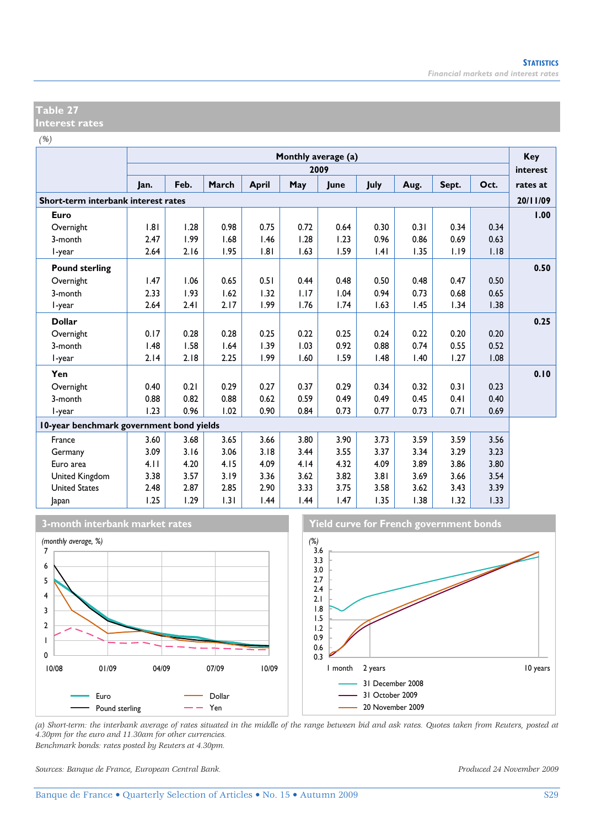### **Table 27 Interest rates**

*(%)*

|                                          |      | Monthly average (a)<br>2009 |       |              |      |      |      |      |       |      |                      |  |
|------------------------------------------|------|-----------------------------|-------|--------------|------|------|------|------|-------|------|----------------------|--|
|                                          | Jan. | Feb.                        | March | <b>April</b> | May  | June | July | Aug. | Sept. | Oct. | interest<br>rates at |  |
| Short-term interbank interest rates      |      |                             |       |              |      |      |      |      |       |      | 20/11/09             |  |
| Euro                                     |      |                             |       |              |      |      |      |      |       |      | 1.00                 |  |
| Overnight                                | .8   | 1.28                        | 0.98  | 0.75         | 0.72 | 0.64 | 0.30 | 0.31 | 0.34  | 0.34 |                      |  |
| 3-month                                  | 2.47 | 1.99                        | 1.68  | 1.46         | 1.28 | 1.23 | 0.96 | 0.86 | 0.69  | 0.63 |                      |  |
| I-year                                   | 2.64 | 2.16                        | 1.95  | 1.81         | 1.63 | 1.59 | .4   | 1.35 | 1.19  | 1.18 |                      |  |
| <b>Pound sterling</b>                    |      |                             |       |              |      |      |      |      |       |      | 0.50                 |  |
| Overnight                                | 1.47 | 1.06                        | 0.65  | 0.51         | 0.44 | 0.48 | 0.50 | 0.48 | 0.47  | 0.50 |                      |  |
| 3-month                                  | 2.33 | 1.93                        | 1.62  | 1.32         | 1.17 | 1.04 | 0.94 | 0.73 | 0.68  | 0.65 |                      |  |
| l-year                                   | 2.64 | 2.41                        | 2.17  | 1.99         | 1.76 | 1.74 | 1.63 | 1.45 | 1.34  | 1.38 |                      |  |
| <b>Dollar</b>                            |      |                             |       |              |      |      |      |      |       |      | 0.25                 |  |
| Overnight                                | 0.17 | 0.28                        | 0.28  | 0.25         | 0.22 | 0.25 | 0.24 | 0.22 | 0.20  | 0.20 |                      |  |
| 3-month                                  | 1.48 | 1.58                        | 1.64  | 1.39         | 1.03 | 0.92 | 0.88 | 0.74 | 0.55  | 0.52 |                      |  |
| I-year                                   | 2.14 | 2.18                        | 2.25  | 1.99         | 1.60 | 1.59 | 1.48 | 1.40 | 1.27  | 1.08 |                      |  |
| Yen                                      |      |                             |       |              |      |      |      |      |       |      | 0.10                 |  |
| Overnight                                | 0.40 | 0.21                        | 0.29  | 0.27         | 0.37 | 0.29 | 0.34 | 0.32 | 0.31  | 0.23 |                      |  |
| 3-month                                  | 0.88 | 0.82                        | 0.88  | 0.62         | 0.59 | 0.49 | 0.49 | 0.45 | 0.41  | 0.40 |                      |  |
| l-year                                   | 1.23 | 0.96                        | 1.02  | 0.90         | 0.84 | 0.73 | 0.77 | 0.73 | 0.71  | 0.69 |                      |  |
| 10-year benchmark government bond yields |      |                             |       |              |      |      |      |      |       |      |                      |  |
| France                                   | 3.60 | 3.68                        | 3.65  | 3.66         | 3.80 | 3.90 | 3.73 | 3.59 | 3.59  | 3.56 |                      |  |
| Germany                                  | 3.09 | 3.16                        | 3.06  | 3.18         | 3.44 | 3.55 | 3.37 | 3.34 | 3.29  | 3.23 |                      |  |
| Euro area                                | 4.11 | 4.20                        | 4.15  | 4.09         | 4.14 | 4.32 | 4.09 | 3.89 | 3.86  | 3.80 |                      |  |
| United Kingdom                           | 3.38 | 3.57                        | 3.19  | 3.36         | 3.62 | 3.82 | 3.81 | 3.69 | 3.66  | 3.54 |                      |  |
| <b>United States</b>                     | 2.48 | 2.87                        | 2.85  | 2.90         | 3.33 | 3.75 | 3.58 | 3.62 | 3.43  | 3.39 |                      |  |
| Japan                                    | 1.25 | 1.29                        | 1.31  | 1.44         | 1.44 | 1.47 | 1.35 | 1.38 | 1.32  | 1.33 |                      |  |







*(a) Short-term: the interbank average of rates situated in the middle of the range between bid and ask rates. Quotes taken from Reuters, posted at 4.30pm for the euro and 11.30am for other currencies. Benchmark bonds: rates posted by Reuters at 4.30pm.* 

*Sources: Banque de France, European Central Bank. Produced 24 November 2009*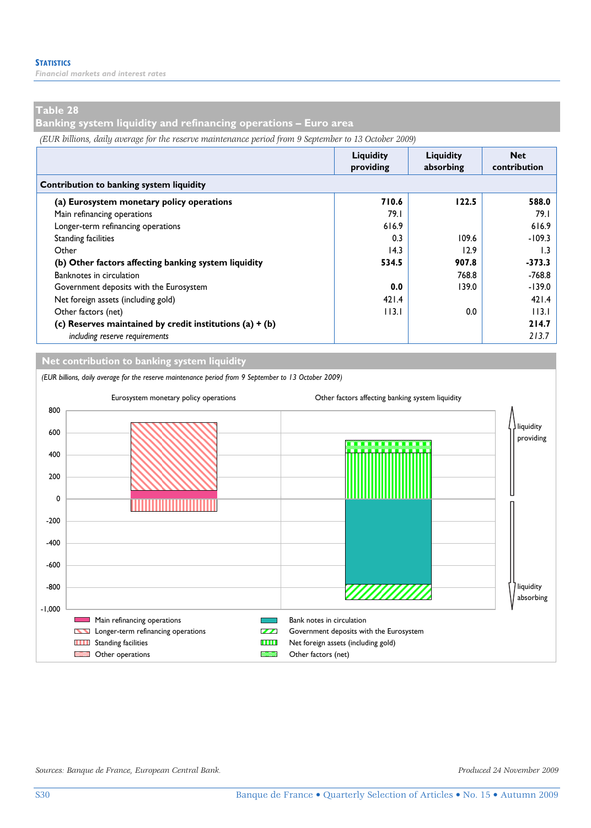*Financial markets and interest rates* 

## **Table 28**

**Banking system liquidity and refinancing operations – Euro area** 

*(EUR billions, daily average for the reserve maintenance period from 9 September to 13 October 2009)*

|                                                            | Liquidity<br>providing | Liquidity<br>absorbing | <b>Net</b><br>contribution |  |
|------------------------------------------------------------|------------------------|------------------------|----------------------------|--|
| Contribution to banking system liquidity                   |                        |                        |                            |  |
| (a) Eurosystem monetary policy operations                  | 710.6                  | 122.5                  | 588.0                      |  |
| Main refinancing operations                                | 79.I                   |                        | 79.I                       |  |
| Longer-term refinancing operations                         | 616.9                  |                        | 616.9                      |  |
| <b>Standing facilities</b>                                 | 0.3                    | 109.6                  | $-109.3$                   |  |
| Other                                                      | 14.3                   | 12.9                   | I.3                        |  |
| (b) Other factors affecting banking system liquidity       | 534.5                  | 907.8                  | $-373.3$                   |  |
| Banknotes in circulation                                   |                        | 768.8                  | $-768.8$                   |  |
| Government deposits with the Eurosystem                    | 0.0                    | 139.0                  | $-139.0$                   |  |
| Net foreign assets (including gold)                        | 421.4                  |                        | 421.4                      |  |
| Other factors (net)                                        | 113.1                  | 0.0                    | 113.1                      |  |
| (c) Reserves maintained by credit institutions (a) $+$ (b) |                        |                        | 214.7                      |  |
| including reserve requirements                             |                        |                        | 213.7                      |  |

**Net contribution to banking system liquidity**

*(EUR billions, daily average for the reserve maintenance period from 9 September to 13 October 2009)*



*Sources: Banque de France, European Central Bank. Produced 24 November 2009*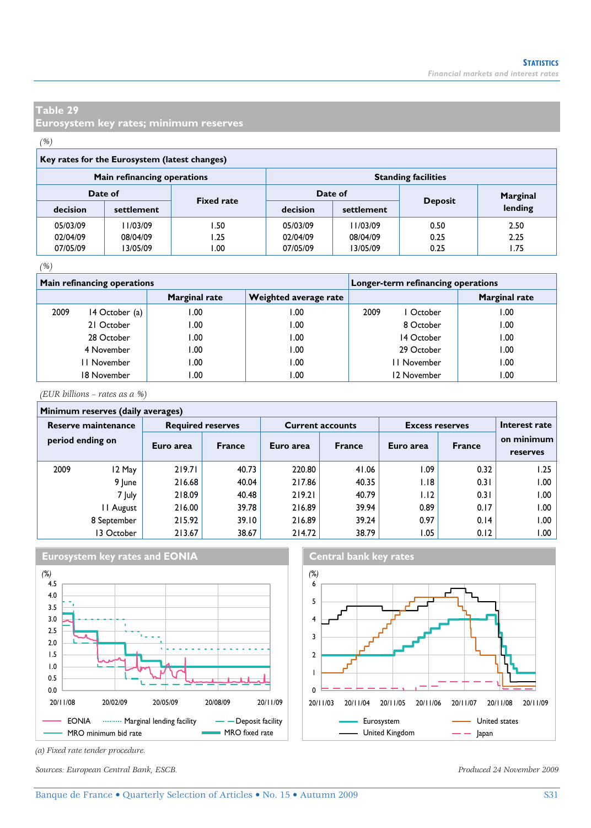**Eurosystem key rates; minimum reserves** 

# *(%)*

|          | Main refinancing operations |                   | <b>Standing facilities</b> |            |                |          |  |  |  |
|----------|-----------------------------|-------------------|----------------------------|------------|----------------|----------|--|--|--|
| Date of  |                             |                   |                            | Date of    |                | Marginal |  |  |  |
| decision | settlement                  | <b>Fixed rate</b> | decision                   | settlement | <b>Deposit</b> | lending  |  |  |  |
| 05/03/09 | 11/03/09                    | I .50             | 05/03/09                   | 11/03/09   | 0.50           | 2.50     |  |  |  |
| 02/04/09 | 08/04/09                    | l.25              | 02/04/09                   | 08/04/09   | 0.25           | 2.25     |  |  |  |
| 07/05/09 | 13/05/09                    | .00               | 07/05/09                   | 13/05/09   | 0.25           | 1.75     |  |  |  |

### *(%)*

|      | <b>Main refinancing operations</b> |               | Longer-term refinancing operations |                   |                      |  |  |
|------|------------------------------------|---------------|------------------------------------|-------------------|----------------------|--|--|
|      |                                    | Marginal rate | Weighted average rate              |                   | <b>Marginal rate</b> |  |  |
| 2009 | 14 October (a)                     | 00. ا         | .00                                | 2009<br>l October | .00                  |  |  |
|      | 21 October                         | 1.00          | .00                                | 8 October         | .00                  |  |  |
|      | 28 October                         | 1.00          | .00                                | 14 October        | .00                  |  |  |
|      | 4 November                         | 1.00          | 00.1                               | 29 October        | .00                  |  |  |
|      | I November                         | 1.00          | .00                                | II November       | .00                  |  |  |
|      | 18 November                        | 00.1          | .00                                | 12 November       | .00                  |  |  |

*(EUR billions – rates as a %)*

|                     | Minimum reserves (daily averages) |                          |               |           |                         |                        |               |                        |  |  |  |  |
|---------------------|-----------------------------------|--------------------------|---------------|-----------|-------------------------|------------------------|---------------|------------------------|--|--|--|--|
| Reserve maintenance |                                   | <b>Required reserves</b> |               |           | <b>Current accounts</b> | <b>Excess reserves</b> | Interest rate |                        |  |  |  |  |
| period ending on    |                                   | Euro area                | <b>France</b> | Euro area | <b>France</b>           | Euro area              | <b>France</b> | on minimum<br>reserves |  |  |  |  |
| 2009                | 12 May                            | 219.71                   | 40.73         | 220.80    | 41.06                   | 1.09                   | 0.32          | 1.25                   |  |  |  |  |
|                     | 9 June                            | 216.68                   | 40.04         | 217.86    | 40.35                   | 1.18                   | 0.31          | 1.00                   |  |  |  |  |
|                     | 7 July                            | 218.09                   | 40.48         | 219.21    | 40.79                   | 1.12                   | 0.31          | 1.00                   |  |  |  |  |
|                     | II August                         | 216.00                   | 39.78         | 216.89    | 39.94                   | 0.89                   | 0.17          | 1.00                   |  |  |  |  |
|                     | 8 September                       | 215.92                   | 39.10         | 216.89    | 39.24                   | 0.97                   | 0.14          | .00                    |  |  |  |  |
|                     | 13 October                        | 213.67                   | 38.67         | 214.72    | 38.79                   | 1.05                   | 0.12          | 1.00                   |  |  |  |  |



*(a) Fixed rate tender procedure.* 

*Sources: European Central Bank, ESCB. Produced 24 November 2009*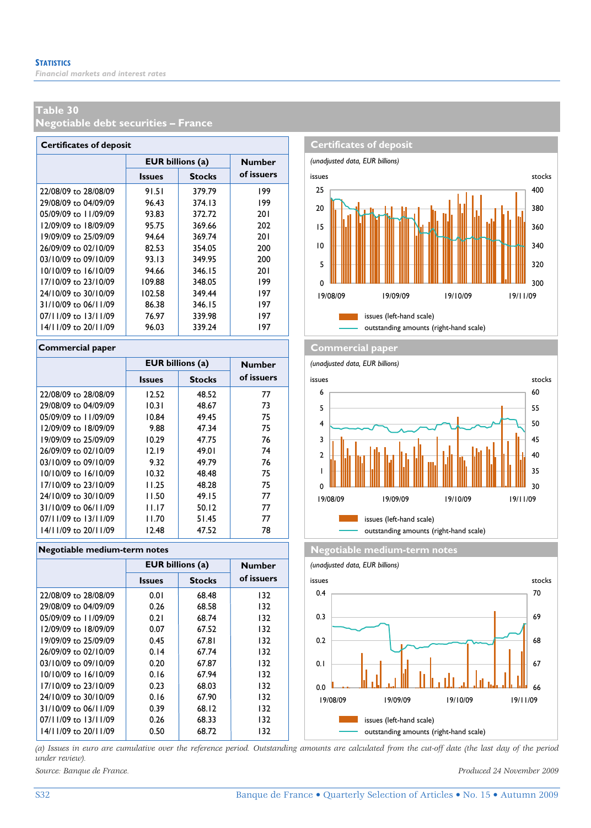**Negotiable debt securities – France** 

| <b>Certificates of deposit</b> |                         |               |            |  |  |  |
|--------------------------------|-------------------------|---------------|------------|--|--|--|
|                                | <b>EUR billions (a)</b> | <b>Number</b> |            |  |  |  |
|                                | <b>Issues</b>           | <b>Stocks</b> | of issuers |  |  |  |
| 22/08/09 to 28/08/09           | 91.51                   | 379.79        | 199        |  |  |  |
| 29/08/09 to 04/09/09           | 96.43                   | 374.13        | 199        |  |  |  |
| 05/09/09 to 11/09/09           | 93.83                   | 372.72        | 201        |  |  |  |
| 12/09/09 to 18/09/09           | 95.75                   | 369.66        | 202        |  |  |  |
| 19/09/09 to 25/09/09           | 94.64                   | 369.74        | 201        |  |  |  |
| 26/09/09 to 02/10/09           | 82.53                   | 354.05        | 200        |  |  |  |
| 03/10/09 to 09/10/09           | 93.13                   | 349.95        | 200        |  |  |  |
| 10/10/09 to 16/10/09           | 94.66                   | 346.15        | 201        |  |  |  |
| 17/10/09 to 23/10/09           | 109.88                  | 348.05        | 199        |  |  |  |
| 24/10/09 to 30/10/09           | 102.58                  | 349.44        | 197        |  |  |  |
| 31/10/09 to 06/11/09           | 86.38                   | 346.15        | 197        |  |  |  |
| 07/11/09 to 13/11/09           | 76.97                   | 339.98        | 197        |  |  |  |
| 14/11/09 to 20/11/09           | 96.03                   | 339.24        | 197        |  |  |  |

|                          | <b>EUR billions (a)</b> | <b>Number</b> |            |
|--------------------------|-------------------------|---------------|------------|
|                          | <b>Issues</b>           | <b>Stocks</b> | of issuers |
| 22/08/09 to 28/08/09     | 12.52                   | 48.52         | 77         |
| 29/08/09 to 04/09/09     | 10.31                   | 48.67         | 73         |
| 05/09/09 to 11/09/09     | 10.84                   | 49.45         | 75         |
| 12/09/09 to 18/09/09     | 9.88                    | 47.34         | 75         |
| 19/09/09 to 25/09/09     | 10.29                   | 47.75         | 76         |
| 26/09/09 to 02/10/09     | 12.19                   | 49.01         | 74         |
| 03/10/09 to 09/10/09     | 9.32                    | 49.79         | 76         |
| $10/10/09$ to $16/10/09$ | 10.32                   | 48.48         | 75         |
| 17/10/09 to 23/10/09     | 11.25                   | 48.28         | 75         |
| 24/10/09 to 30/10/09     | 11.50                   | 49.15         | 77         |
| 31/10/09 to 06/11/09     | 11.17                   | 50.12         | 77         |
| 07/11/09 to 13/11/09     | 11.70                   | 51.45         | 77         |
| $14/11/09$ to $20/11/09$ | 12.48                   | 47.52         | 78         |

### **Negotiable medium-term notes Negotiable medium-term notes**

|                      | <b>EUR billions (a)</b> | <b>Number</b> |            |
|----------------------|-------------------------|---------------|------------|
|                      | <b>Issues</b>           | <b>Stocks</b> | of issuers |
| 22/08/09 to 28/08/09 | 0.01                    | 68.48         | 132        |
| 29/08/09 to 04/09/09 | 0.26                    | 68.58         | 132        |
| 05/09/09 to 11/09/09 | 0.21                    | 68.74         | 132        |
| 12/09/09 to 18/09/09 | 0.07                    | 67.52         | 132        |
| 19/09/09 to 25/09/09 | 0.45                    | 67.81         | 132        |
| 26/09/09 to 02/10/09 | 0.14                    | 67.74         | 132        |
| 03/10/09 to 09/10/09 | 0.20                    | 67.87         | 132        |
| 10/10/09 to 16/10/09 | 0.16                    | 67.94         | 132        |
| 17/10/09 to 23/10/09 | 0.23                    | 68.03         | 132        |
| 24/10/09 to 30/10/09 | 0.16                    | 67.90         | 132        |
| 31/10/09 to 06/11/09 | 0.39                    | 68.12         | 132        |
| 07/11/09 to 13/11/09 | 0.26                    | 68.33         | 132        |
| 14/11/09 to 20/11/09 | 0.50                    | 68.72         | 132        |



### **Commercial paper Commercial paper**

*(unadjusted data, EUR billions)*





*(a) Issues in euro are cumulative over the reference period. Outstanding amounts are calculated from the cut-off date (the last day of the period under review).*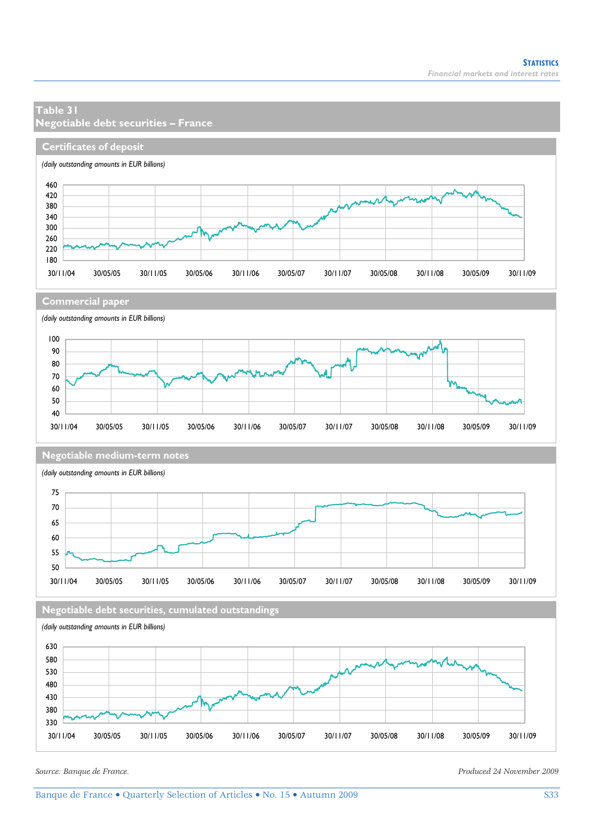### **Table 31 Negotiable debt securities – France Certificates of deposit** *(daily outstanding amounts in EUR billions)* 460 420 380 340 300  $\mathcal{M}_{\mathcal{N}}$ 260 220 180 30/11/04 30/05/05 30/11/05 30/05/06 30/11/06 30/05/07 30/11/07 30/05/08 30/11/08 30/05/09 30/11/09 **Commercial paper** *(daily outstanding amounts in EUR billions)* 100 90 80 70 60 50 40 30/11/04 30/05/05 30/11/05 30/05/06 30/11/06 30/05/07 30/11/07 30/05/08 30/11/08 30/05/09 30/11/09 **Negotiable medium-term notes** *(daily outstanding amounts in EUR billions)* 75 70 65 60 55 50 30/11/04 30/05/05 30/11/05 30/05/06 30/11/06 30/05/07 30/11/07 30/05/08 30/11/08 30/05/09 30/11/09 **Negotiable debt securities, cumulated outstandings** *(daily outstanding amounts in EUR billions)* 630 580 530 480 430 380 330

30/11/04 30/05/05 30/11/05 30/05/06 30/11/06 30/05/07 30/11/07 30/05/08 30/11/08 30/05/09 30/11/09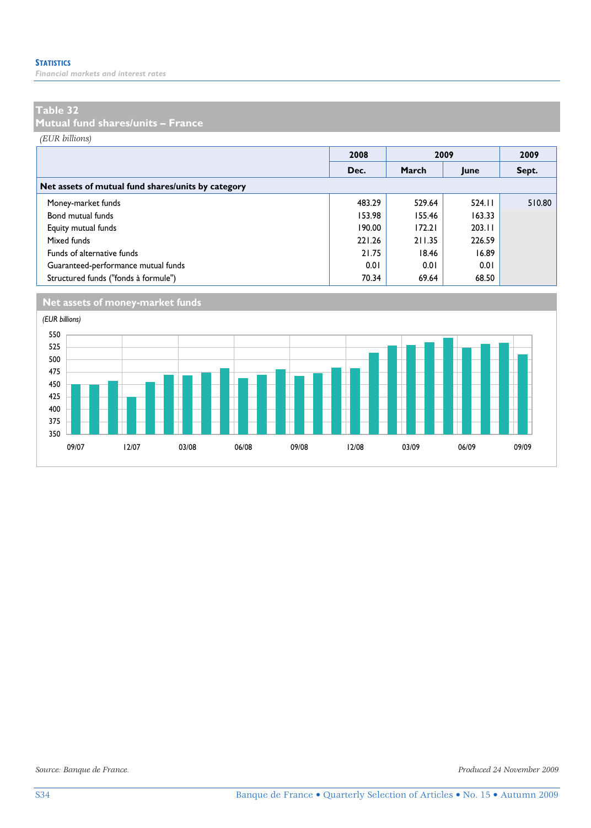*Financial markets and interest rates* 

### **Table 32**

**Mutual fund shares/units – France** 

*(EUR billions)*

|                                                    | 2008   | 2009   |        | 2009   |  |  |
|----------------------------------------------------|--------|--------|--------|--------|--|--|
|                                                    | Dec.   | March  | June   | Sept.  |  |  |
| Net assets of mutual fund shares/units by category |        |        |        |        |  |  |
| Money-market funds                                 | 483.29 | 529.64 | 524.11 | 510.80 |  |  |
| Bond mutual funds                                  | 153.98 | 155.46 | 163.33 |        |  |  |
| Equity mutual funds                                | 190.00 | 172.21 | 203.11 |        |  |  |
| Mixed funds                                        | 221.26 | 211.35 | 226.59 |        |  |  |
| Funds of alternative funds                         | 21.75  | 18.46  | 16.89  |        |  |  |
| Guaranteed-performance mutual funds                | 0.01   | 0.01   | 0.01   |        |  |  |
| Structured funds ("fonds à formule")               | 70.34  | 69.64  | 68.50  |        |  |  |



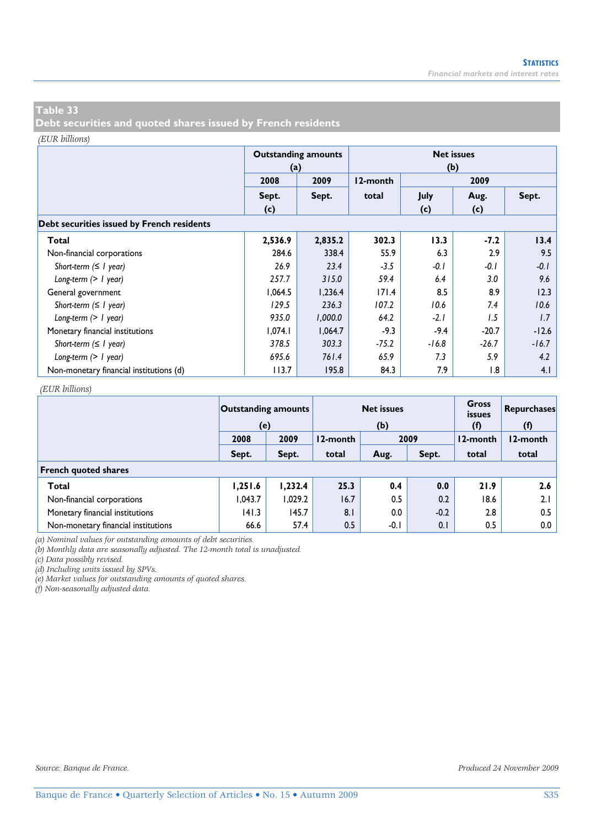**Debt securities and quoted shares issued by French residents** 

#### *(EUR billions)*

|                                            | (a)     | <b>Outstanding amounts</b> |          | <b>Net issues</b><br>(b) |         |         |  |  |
|--------------------------------------------|---------|----------------------------|----------|--------------------------|---------|---------|--|--|
|                                            | 2008    | 2009                       | 12-month |                          |         |         |  |  |
|                                            | Sept.   | Sept.                      | total    | July                     | Aug.    | Sept.   |  |  |
|                                            | (c)     |                            |          | (c)                      | (c)     |         |  |  |
| Debt securities issued by French residents |         |                            |          |                          |         |         |  |  |
| Total                                      | 2,536.9 | 2,835.2                    | 302.3    | 13.3                     | $-7.2$  | 13.4    |  |  |
| Non-financial corporations                 | 284.6   | 338.4                      | 55.9     | 6.3                      | 2.9     | 9.5     |  |  |
| Short-term $( \leq l$ year)                | 26.9    | 23.4                       | $-3.5$   | $-0.1$                   | $-0.1$  | $-0.1$  |  |  |
| Long-term $(> 1$ year)                     | 257.7   | 315.0                      | 59.4     | 6.4                      | 3.0     | 9.6     |  |  |
| General government                         | 1,064.5 | 1,236.4                    | 171.4    | 8.5                      | 8.9     | 12.3    |  |  |
| Short-term $( \leq l$ year)                | 129.5   | 236.3                      | 107.2    | 10.6                     | 7.4     | 10.6    |  |  |
| Long-term $(> 1$ year)                     | 935.0   | 1,000.0                    | 64.2     | $-2.1$                   | 1.5     | 1.7     |  |  |
| Monetary financial institutions            | 1,074.1 | 1.064.7                    | $-9.3$   | $-9.4$                   | $-20.7$ | $-12.6$ |  |  |
| Short-term $( \leq l$ year)                | 378.5   | 303.3                      | $-75.2$  | $-16.8$                  | $-26.7$ | $-16.7$ |  |  |
| Long-term $(> 1$ year)                     | 695.6   | 761.4                      | 65.9     | 7.3                      | 5.9     | 4.2     |  |  |
| Non-monetary financial institutions (d)    | 113.7   | 195.8                      | 84.3     | 7.9                      | 1.8     | 4.1     |  |  |

#### *(EUR billions)*

|                                     | <b>Outstanding amounts</b><br>(e) |                  |       | <b>Net issues</b><br>(b) |        | <b>Gross</b><br><i>issues</i><br>(f) | <b>Repurchases</b><br>(f) |
|-------------------------------------|-----------------------------------|------------------|-------|--------------------------|--------|--------------------------------------|---------------------------|
|                                     | 2008                              | 2009<br>12-month |       |                          | 2009   | 12-month                             | 12-month                  |
|                                     | Sept.                             | Sept.            | total | Aug.                     | Sept.  | total                                | total                     |
| <b>French quoted shares</b>         |                                   |                  |       |                          |        |                                      |                           |
| Total                               | 1,251.6                           | 1.232.4          | 25.3  | 0.4                      | 0.0    | 21.9                                 | 2.6                       |
| Non-financial corporations          | 1.043.7                           | 1,029.2          | 16.7  | 0.5                      | 0.2    | 18.6                                 | 2.1                       |
| Monetary financial institutions     | 141.3                             | 145.7            | 8.1   | 0.0                      | $-0.2$ | 2.8                                  | 0.5                       |
| Non-monetary financial institutions | 66.6                              | 57.4             | 0.5   | -0.1                     | 0.1    | 0.5                                  | $0.0\,$                   |

*(a) Nominal values for outstanding amounts of debt securities.* 

*(b) Monthly data are seasonally adjusted. The 12-month total is unadjusted.* 

*(c) Data possibly revised.* 

*(d) Including units issued by SPVs.* 

*(e) Market values for outstanding amounts of quoted shares.* 

*(f) Non-seasonally adjusted data.*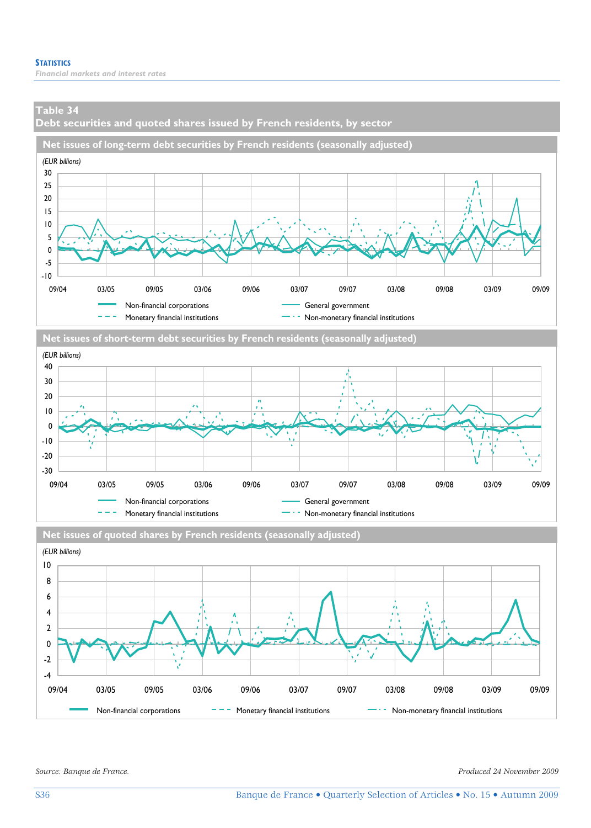**Debt securities and quoted shares issued by French residents, by sector** 







Non-financial corporations  $-$  -  $-$  Monetary financial institutions  $-$  Non-monetary financial institutions

09/04 03/05 09/05 03/06 09/06 03/07 09/07 03/08 09/08 03/09 09/09

*Source: Banque de France. Produced 24 November 2009* 

-4 -2 0 2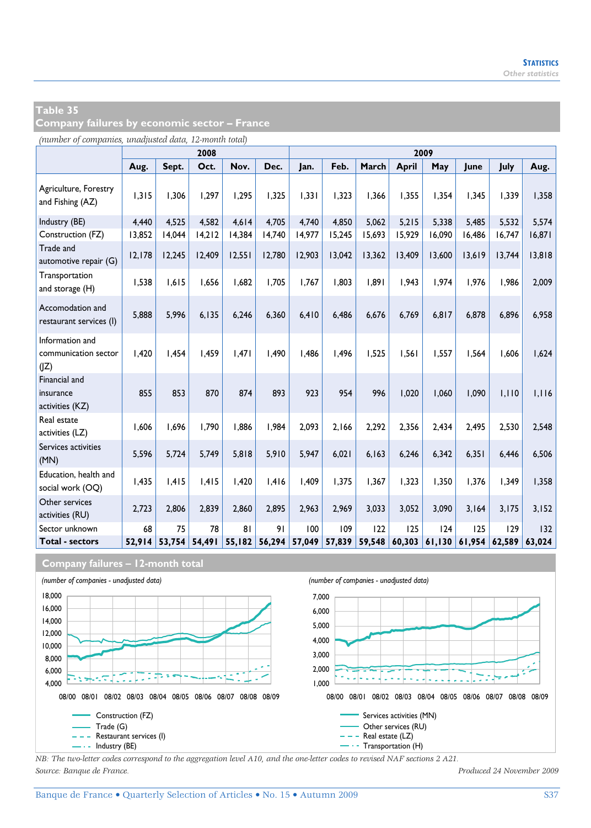**Company failures by economic sector – France** 

*(number of companies, unadjusted data, 12-month total)*

|                                                 |        |        | 2008   |        |        | 2009   |        |        |              |        |        |        |        |  |  |  |
|-------------------------------------------------|--------|--------|--------|--------|--------|--------|--------|--------|--------------|--------|--------|--------|--------|--|--|--|
|                                                 | Aug.   | Sept.  | Oct.   | Nov.   | Dec.   | Jan.   | Feb.   | March  | <b>April</b> | May    | June   | July   | Aug.   |  |  |  |
| Agriculture, Forestry<br>and Fishing (AZ)       | 1,315  | 1.306  | 1,297  | 1.295  | 1,325  | 1.331  | 1,323  | 1,366  | 1.355        | 1.354  | 1.345  | 1,339  | 1,358  |  |  |  |
| Industry (BE)                                   | 4,440  | 4,525  | 4,582  | 4,614  | 4,705  | 4,740  | 4,850  | 5,062  | 5,215        | 5,338  | 5,485  | 5,532  | 5,574  |  |  |  |
| Construction (FZ)                               | 13,852 | 14,044 | 14,212 | 14,384 | 14,740 | 14,977 | 15,245 | 15,693 | 15,929       | 16,090 | 16,486 | 16,747 | 16,871 |  |  |  |
| Trade and<br>automotive repair (G)              | 12,178 | 12,245 | 12,409 | 12,551 | 12,780 | 12,903 | 13,042 | 13,362 | 13,409       | 13,600 | 13,619 | 13,744 | 13,818 |  |  |  |
| Transportation<br>and storage (H)               | 1,538  | 1.615  | 1.656  | 1.682  | 1.705  | 1.767  | 1.803  | 1,891  | 1.943        | 1.974  | 1.976  | 1.986  | 2,009  |  |  |  |
| Accomodation and<br>restaurant services (I)     | 5,888  | 5,996  | 6, 135 | 6,246  | 6,360  | 6.410  | 6,486  | 6,676  | 6.769        | 6.817  | 6,878  | 6,896  | 6,958  |  |  |  |
| Information and<br>communication sector<br>(IZ) | 1.420  | 1.454  | 1.459  | 1.471  | 1.490  | 1.486  | 1.496  | 1.525  | 1.561        | 1.557  | 1.564  | 1.606  | 1,624  |  |  |  |
| Financial and<br>insurance<br>activities (KZ)   | 855    | 853    | 870    | 874    | 893    | 923    | 954    | 996    | 1,020        | 1.060  | 1,090  | 1,110  | 1,116  |  |  |  |
| Real estate<br>activities (LZ)                  | 1,606  | 1.696  | 1,790  | 1.886  | 1.984  | 2.093  | 2.166  | 2,292  | 2.356        | 2,434  | 2.495  | 2,530  | 2,548  |  |  |  |
| Services activities<br>(MN)                     | 5,596  | 5,724  | 5,749  | 5,818  | 5,910  | 5,947  | 6,021  | 6,163  | 6,246        | 6,342  | 6,351  | 6,446  | 6,506  |  |  |  |
| Education, health and<br>social work (OQ)       | 1,435  | 1.415  | 1,415  | 1.420  | 1.416  | 1.409  | 1.375  | 1,367  | 1.323        | 1,350  | 1.376  | 1.349  | 1,358  |  |  |  |
| Other services<br>activities (RU)               | 2,723  | 2,806  | 2,839  | 2,860  | 2,895  | 2,963  | 2,969  | 3,033  | 3,052        | 3,090  | 3,164  | 3,175  | 3,152  |  |  |  |
| Sector unknown                                  | 68     | 75     | 78     | 81     | 91     | 100    | 109    | 122    | 125          | 124    | 125    | 129    | 132    |  |  |  |
| <b>Total - sectors</b>                          | 52.914 | 53,754 | 54,491 | 55,182 | 56,294 | 57,049 | 57,839 | 59,548 | 60,303       | 61,130 | 61,954 | 62,589 | 63.024 |  |  |  |

**Company failures – 12-month total**



*NB: The two-letter codes correspond to the aggregation level A10, and the one-letter codes to revised NAF sections 2 A21. Source: Banque de France. Produced 24 November 2009*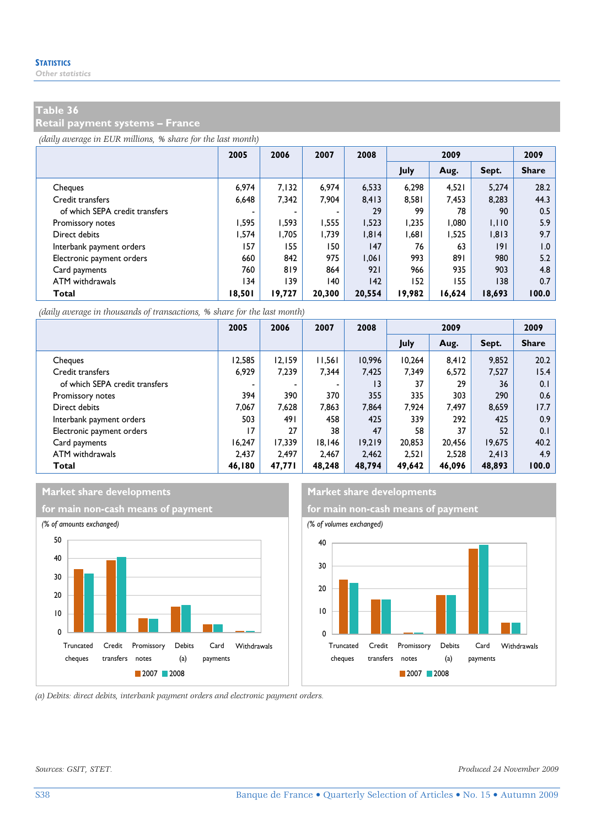**Retail payment systems – France** 

*(daily average in EUR millions, % share for the last month)*

|                                | 2005                     | 2006   | 2007   | 2008   | 2009   |        |        | 2009         |
|--------------------------------|--------------------------|--------|--------|--------|--------|--------|--------|--------------|
|                                |                          |        |        |        | July   | Aug.   | Sept.  | <b>Share</b> |
| Cheques                        | 6.974                    | 7.132  | 6.974  | 6.533  | 6.298  | 4.521  | 5.274  | 28.2         |
| Credit transfers               | 6,648                    | 7,342  | 7.904  | 8.413  | 8.581  | 7,453  | 8,283  | 44.3         |
| of which SEPA credit transfers | $\overline{\phantom{a}}$ |        |        | 29     | 99     | 78     | 90     | 0.5          |
| Promissory notes               | 1.595                    | 1.593  | 1.555  | 1,523  | 1.235  | 1.080  | 1,110  | 5.9          |
| Direct debits                  | 1.574                    | 1,705  | 1.739  | 1,814  | 1,681  | 1.525  | 1,813  | 9.7          |
| Interbank payment orders       | 157                      | 155    | 150    | 147    | 76     | 63     | 9      | 1.0          |
| Electronic payment orders      | 660                      | 842    | 975    | 1.061  | 993    | 891    | 980    | 5.2          |
| Card payments                  | 760                      | 819    | 864    | 921    | 966    | 935    | 903    | 4.8          |
| ATM withdrawals                | 134                      | 139    | 140    | 142    | 152    | 155    | 138    | 0.7          |
| Total                          | 18.501                   | 19,727 | 20,300 | 20.554 | 19.982 | 16.624 | 18,693 | 100.0        |

*(daily average in thousands of transactions, % share for the last month)*

|                                | 2005   | 2006   | 2007   | 2008   | 2009   |        |        | 2009         |
|--------------------------------|--------|--------|--------|--------|--------|--------|--------|--------------|
|                                |        |        |        |        | July   | Aug.   | Sept.  | <b>Share</b> |
| Cheques                        | 12.585 | 12.159 | 11,561 | 10.996 | 10.264 | 8.412  | 9.852  | 20.2         |
| Credit transfers               | 6.929  | 7.239  | 7.344  | 7.425  | 7.349  | 6.572  | 7.527  | 15.4         |
| of which SEPA credit transfers |        |        | ٠      | 13     | 37     | 29     | 36     | 0.1          |
| Promissory notes               | 394    | 390    | 370    | 355    | 335    | 303    | 290    | 0.6          |
| Direct debits                  | 7.067  | 7.628  | 7.863  | 7.864  | 7.924  | 7.497  | 8,659  | 17.7         |
| Interbank payment orders       | 503    | 491    | 458    | 425    | 339    | 292    | 425    | 0.9          |
| Electronic payment orders      | 17     | 27     | 38     | 47     | 58     | 37     | 52     | 0.1          |
| Card payments                  | 16.247 | 17.339 | 18.146 | 19.219 | 20.853 | 20.456 | 19.675 | 40.2         |
| ATM withdrawals                | 2.437  | 2.497  | 2.467  | 2.462  | 2.521  | 2.528  | 2.413  | 4.9          |
| Total                          | 46,180 | 47,771 | 48.248 | 48,794 | 49,642 | 46.096 | 48.893 | 100.0        |

# **Market share developments Market share developments**





*(a) Debits: direct debits, interbank payment orders and electronic payment orders.* 

*Sources: GSIT, STET. Produced 24 November 2009*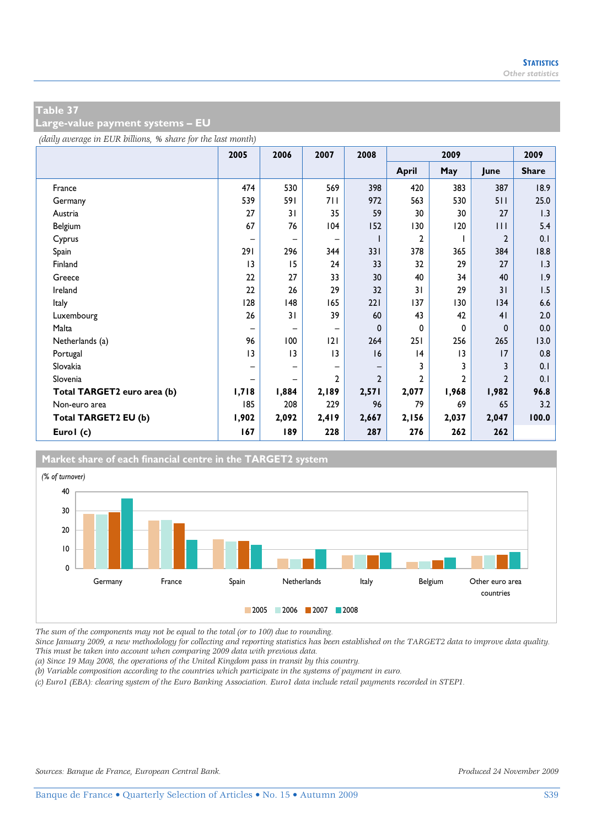**Large-value payment systems – EU** 

*(daily average in EUR billions, % share for the last month)*

|                             | 2005  | 2006  | 2007                     | 2008           | 2009           |              |                | 2009         |
|-----------------------------|-------|-------|--------------------------|----------------|----------------|--------------|----------------|--------------|
|                             |       |       |                          |                | <b>April</b>   | May          | June           | <b>Share</b> |
| France                      | 474   | 530   | 569                      | 398            | 420            | 383          | 387            | 18.9         |
| Germany                     | 539   | 591   | 711                      | 972            | 563            | 530          | 511            | 25.0         |
| Austria                     | 27    | 31    | 35                       | 59             | 30             | 30           | 27             | 1.3          |
| Belgium                     | 67    | 76    | 104                      | 152            | 130            | 120          | Ш              | 5.4          |
| Cyprus                      |       | -     | -                        |                | $\overline{2}$ |              | $\overline{2}$ | 0.1          |
| Spain                       | 291   | 296   | 344                      | 331            | 378            | 365          | 384            | 18.8         |
| Finland                     | 3     | 15    | 24                       | 33             | 32             | 29           | 27             | 1.3          |
| Greece                      | 22    | 27    | 33                       | 30             | 40             | 34           | 40             | 1.9          |
| Ireland                     | 22    | 26    | 29                       | 32             | 31             | 29           | 31             | 1.5          |
| Italy                       | 128   | 148   | 165                      | 221            | 137            | 130          | 134            | 6.6          |
| Luxembourg                  | 26    | 31    | 39                       | 60             | 43             | 42           | 41             | 2.0          |
| Malta                       | -     | -     | $\overline{\phantom{0}}$ | 0              | 0              | 0            | $\mathbf{0}$   | 0.0          |
| Netherlands (a)             | 96    | 100   | 2                        | 264            | 251            | 256          | 265            | 13.0         |
| Portugal                    | 3     | 3     | 3                        | 16             | 4              | 3            | 17             | 0.8          |
| Slovakia                    |       | -     | -                        |                | 3              | 3            | 3              | 0.1          |
| Slovenia                    |       | -     | 2                        | $\overline{2}$ | $\overline{2}$ | $\mathbf{c}$ | $\mathfrak{p}$ | 0.1          |
| Total TARGET2 euro area (b) | 1,718 | 1,884 | 2,189                    | 2,571          | 2,077          | 1,968        | 1,982          | 96.8         |
| Non-euro area               | 185   | 208   | 229                      | 96             | 79             | 69           | 65             | 3.2          |
| Total TARGET2 EU (b)        | 1,902 | 2,092 | 2,419                    | 2,667          | 2,156          | 2,037        | 2,047          | 100.0        |
| Eurol (c)                   | 167   | 189   | 228                      | 287            | 276            | 262          | 262            |              |



*The sum of the components may not be equal to the total (or to 100) due to rounding.* 

*Since January 2009, a new methodology for collecting and reporting statistics has been established on the TARGET2 data to improve data quality. This must be taken into account when comparing 2009 data with previous data.* 

*(a) Since 19 May 2008, the operations of the United Kingdom pass in transit by this country.* 

*(b) Variable composition according to the countries which participate in the systems of payment in euro.* 

*(c) Euro1 (EBA): clearing system of the Euro Banking Association. Euro1 data include retail payments recorded in STEP1.*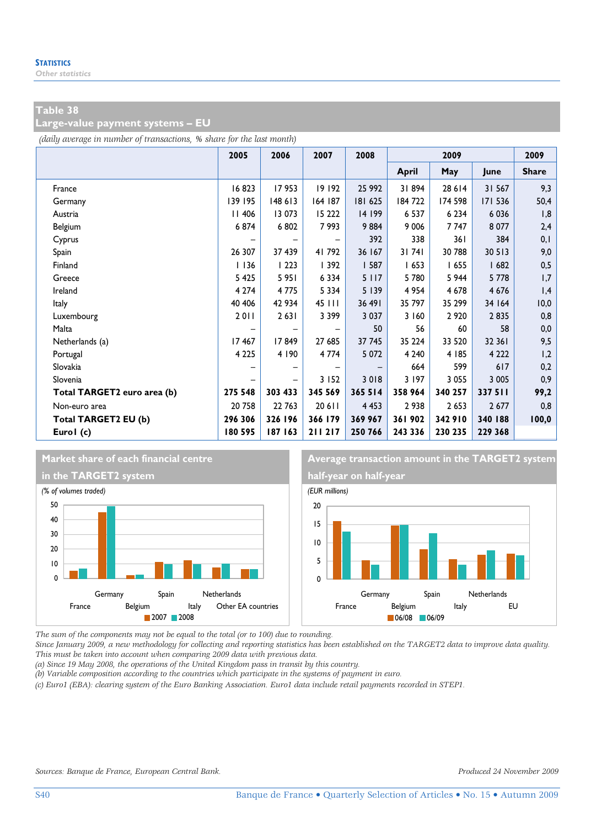**Large-value payment systems – EU** 

*(daily average in number of transactions, % share for the last month)*

|                             | 2005          | 2006    | 2007    | 2008    | 2009    |         |         | 2009         |
|-----------------------------|---------------|---------|---------|---------|---------|---------|---------|--------------|
|                             |               |         |         |         | April   | May     | June    | <b>Share</b> |
| France                      | 16823         | 17953   | 19 192  | 25 992  | 31894   | 28 6 14 | 31 567  | 9,3          |
| Germany                     | 139 195       | 148 613 | 164 187 | 181 625 | 184722  | 174 598 | 171 536 | 50,4         |
| Austria                     | <b>II 406</b> | 13 073  | 15 2 22 | 14 199  | 6 5 3 7 | 6 2 3 4 | 6 0 3 6 | 1,8          |
| Belgium                     | 6874          | 6802    | 7993    | 9884    | 9 0 0 6 | 7747    | 8 0 7 7 | 2,4          |
| Cyprus                      |               |         |         | 392     | 338     | 361     | 384     | 0,1          |
| Spain                       | 26 307        | 37 439  | 41 792  | 36 167  | 31741   | 30 788  | 30 513  | 9,0          |
| Finland                     | 1136          | 1223    | 392     | 587     | 1653    | 1655    | 1682    | 0,5          |
| Greece                      | 5 4 2 5       | 5951    | 6 3 3 4 | 5 1 1 7 | 5780    | 5 944   | 5 7 7 8 | 1,7          |
| Ireland                     | 4 2 7 4       | 4775    | 5 3 3 4 | 5 139   | 4 9 5 4 | 4 6 7 8 | 4 6 7 6 | 1,4          |
| Italy                       | 40 40 6       | 42 934  | 45 111  | 36 491  | 35 797  | 35 299  | 34 164  | 10,0         |
| Luxembourg                  | 2011          | 2631    | 3 3 9 9 | 3 0 3 7 | 3 1 6 0 | 2 9 2 0 | 2835    | 0,8          |
| Malta                       |               |         | -       | 50      | 56      | 60      | 58      | 0,0          |
| Netherlands (a)             | 17467         | 17849   | 27 685  | 37 745  | 35 224  | 33 5 20 | 32 36 1 | 9,5          |
| Portugal                    | 4 2 2 5       | 4 190   | 4 7 7 4 | 5 0 7 2 | 4 2 4 0 | 4 185   | 4 2 2 2 | 1,2          |
| Slovakia                    |               |         |         |         | 664     | 599     | 617     | 0,2          |
| Slovenia                    |               |         | 3 1 5 2 | 3018    | 3 197   | 3 0 5 5 | 3 0 0 5 | 0,9          |
| Total TARGET2 euro area (b) | 275 548       | 303 433 | 345 569 | 365 514 | 358 964 | 340 257 | 337 511 | 99,2         |
| Non-euro area               | 20 758        | 22 763  | 20 6 11 | 4 4 5 3 | 2938    | 2 6 5 3 | 2 677   | 0,8          |
| Total TARGET2 EU (b)        | 296 306       | 326 196 | 366 179 | 369 967 | 361 902 | 342 910 | 340 188 | 100,0        |
| Eurol (c)                   | 180 595       | 187 163 | 211 217 | 250 766 | 243 336 | 230 235 | 229 368 |              |



*The sum of the components may not be equal to the total (or to 100) due to rounding.* 

*Since January 2009, a new methodology for collecting and reporting statistics has been established on the TARGET2 data to improve data quality. This must be taken into account when comparing 2009 data with previous data.* 

*(a) Since 19 May 2008, the operations of the United Kingdom pass in transit by this country.* 

*(b) Variable composition according to the countries which participate in the systems of payment in euro.* 

*(c) Euro1 (EBA): clearing system of the Euro Banking Association. Euro1 data include retail payments recorded in STEP1.*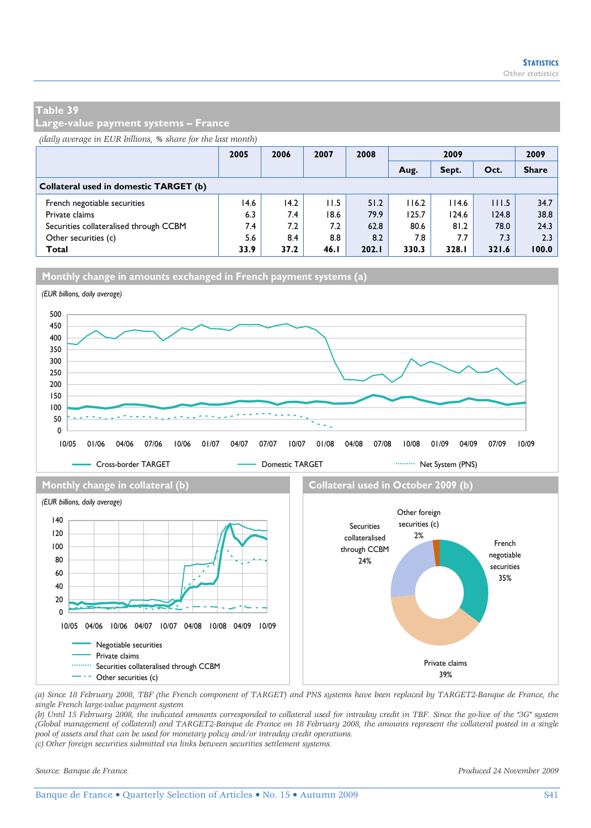**Large-value payment systems – France** 

*(daily average in EUR billions, % share for the last month)*

|                                        | 2005 | 2006 | 2007 | 2008  | 2009  |       |       | 2009         |
|----------------------------------------|------|------|------|-------|-------|-------|-------|--------------|
|                                        |      |      |      |       | Aug.  | Sept. | Oct.  | <b>Share</b> |
| Collateral used in domestic TARGET (b) |      |      |      |       |       |       |       |              |
| French negotiable securities           | 14.6 | 14.2 | 11.5 | 51.2  | 116.2 | 114.6 | 111.5 | 34.7         |
| Private claims                         | 6.3  | 7.4  | 18.6 | 79.9  | 125.7 | 124.6 | 124.8 | 38.8         |
| Securities collateralised through CCBM | 7.4  | 7.2  | 7.2  | 62.8  | 80.6  | 81.2  | 78.0  | 24.3         |
| Other securities (c)                   | 5.6  | 8.4  | 8.8  | 8.2   | 7.8   | 7.7   | 7.3   | 2.3          |
| Total                                  | 33.9 | 37.2 | 46.1 | 202.1 | 330.3 | 328.I | 321.6 | 100.0        |





*(a) Since 18 February 2008, TBF (the French component of TARGET) and PNS systems have been replaced by TARGET2-Banque de France, the single French large-value payment system.* 

*(b) Until 15 February 2008, the indicated amounts corresponded to collateral used for intraday credit in TBF. Since the go-live of the "3G" system (Global management of collateral) and TARGET2-Banque de France on 18 February 2008, the amounts represent the collateral posted in a single pool of assets and that can be used for monetary policy and/or intraday credit operations. (c) Other foreign securities submitted via links between securities settlement systems.* 

*Source: Banque de France. Produced 24 November 2009*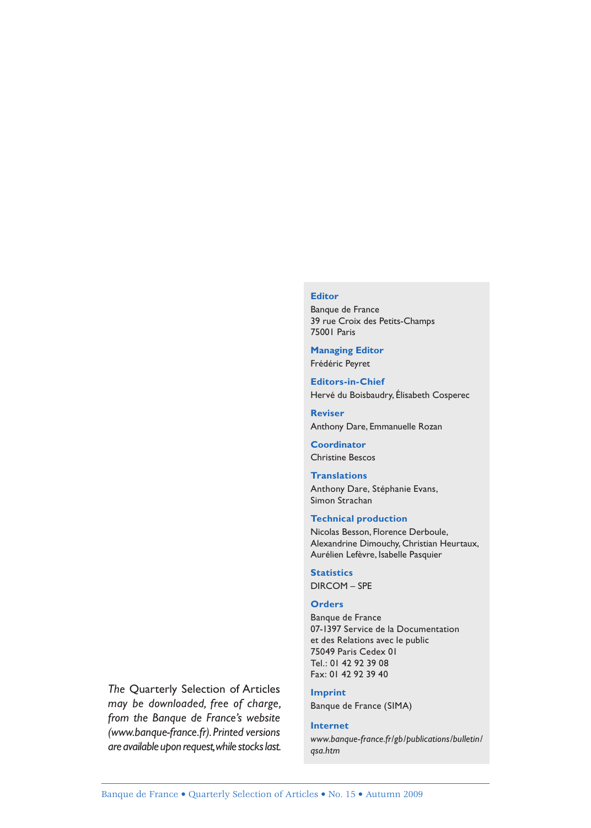#### **Editor**

Banque de France 39 rue Croix des Petits-Champs 75001 Paris

**Managing Editor** Frédéric Peyret

**Editors-in-Chief** Hervé du Boisbaudry, Élisabeth Cosperec

**Reviser** Anthony Dare, Emmanuelle Rozan

**Coordinator** Christine Bescos

**Translations** Anthony Dare, Stéphanie Evans, Simon Strachan

#### **Technical production**

Nicolas Besson, Florence Derboule, Alexandrine Dimouchy, Christian Heurtaux, Aurélien Lefèvre, Isabelle Pasquier

**Statistics** DIRCOM – SPE

#### **Orders**

Banque de France 07-1397 Service de la Documentation et des Relations avec le public 75049 Paris Cedex 01 Tel.: 01 42 92 39 08 Fax: 01 42 92 39 40

**Imprint** Banque de France (SIMA) *The* Quarterly Selection of Articles

*may be downloaded, free of charge, from the Banque de France's website (www.banque-france.fr). Printed versions are available upon request, while stocks last.*

#### **Internet**

*www.banque-france.fr/gb/publications/bulletin/ qsa.htm*